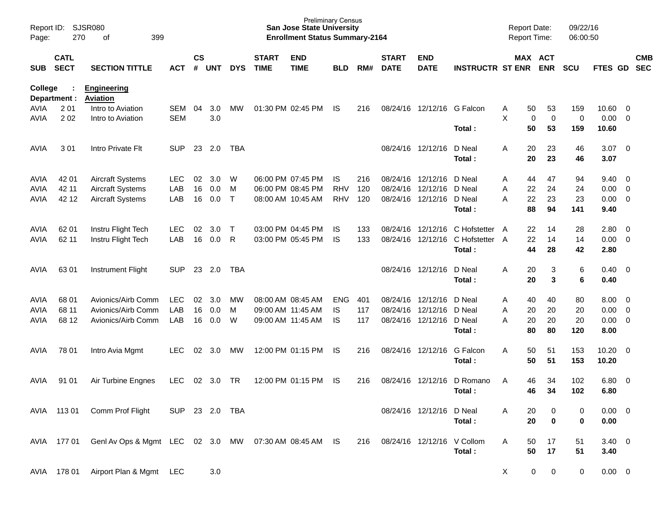| Report ID:<br>Page:        | <b>SJSR080</b><br>270      | 399                                                   |                |                    |            |              | <b>Preliminary Census</b><br><b>San Jose State University</b><br><b>Enrollment Status Summary-2164</b> |                           |                 |            |                             |                                        | <b>Report Date:</b><br>Report Time: |                    | 09/22/16<br>06:00:50       |            |                        |                                  |                          |
|----------------------------|----------------------------|-------------------------------------------------------|----------------|--------------------|------------|--------------|--------------------------------------------------------------------------------------------------------|---------------------------|-----------------|------------|-----------------------------|----------------------------------------|-------------------------------------|--------------------|----------------------------|------------|------------------------|----------------------------------|--------------------------|
| <b>SUB</b>                 | <b>CATL</b><br><b>SECT</b> | <b>SECTION TITTLE</b>                                 | <b>ACT</b>     | $\mathsf{cs}$<br># | <b>UNT</b> | <b>DYS</b>   | <b>START</b><br><b>TIME</b>                                                                            | <b>END</b><br><b>TIME</b> | <b>BLD</b>      | RM#        | <b>START</b><br><b>DATE</b> | <b>END</b><br><b>DATE</b>              | <b>INSTRUCTR ST ENR</b>             |                    | MAX ACT<br><b>ENR</b>      | <b>SCU</b> | FTES GD                |                                  | <b>CMB</b><br><b>SEC</b> |
| College                    | Department :               | <b>Engineering</b><br><b>Aviation</b>                 |                |                    |            |              |                                                                                                        |                           |                 |            |                             |                                        |                                     |                    |                            |            |                        |                                  |                          |
| <b>AVIA</b>                | 201                        | Intro to Aviation                                     | <b>SEM</b>     | 04                 | 3.0        | MW           |                                                                                                        | 01:30 PM 02:45 PM         | IS.             | 216        |                             | 08/24/16 12/12/16                      | G Falcon                            | 50<br>A            | 53                         | 159        | 10.60                  | - 0                              |                          |
| <b>AVIA</b>                | 202                        | Intro to Aviation                                     | <b>SEM</b>     |                    | 3.0        |              |                                                                                                        |                           |                 |            |                             |                                        |                                     | X                  | $\mathbf 0$<br>$\mathbf 0$ | 0          | 0.00                   | $\overline{0}$                   |                          |
|                            |                            |                                                       |                |                    |            |              |                                                                                                        |                           |                 |            |                             |                                        | Total:                              | 50                 | 53                         | 159        | 10.60                  |                                  |                          |
| AVIA                       | 301                        | Intro Private Flt                                     | <b>SUP</b>     | 23                 | 2.0        | TBA          |                                                                                                        |                           |                 |            |                             | 08/24/16 12/12/16                      | D Neal                              | Α<br>20            | 23                         | 46         | 3.07                   | $\overline{\mathbf{0}}$          |                          |
|                            |                            |                                                       |                |                    |            |              |                                                                                                        |                           |                 |            |                             |                                        | Total:                              | 20                 | 23                         | 46         | 3.07                   |                                  |                          |
|                            |                            |                                                       |                |                    |            |              |                                                                                                        |                           |                 |            |                             |                                        |                                     |                    |                            |            |                        |                                  |                          |
| AVIA                       | 42 01                      | <b>Aircraft Systems</b>                               | <b>LEC</b>     | 02                 | 3.0        | W            |                                                                                                        | 06:00 PM 07:45 PM         | IS.             | 216        |                             | 08/24/16 12/12/16                      | D Neal                              | 44<br>A            | 47                         | 94         | 9.40                   | $\overline{\mathbf{0}}$          |                          |
| AVIA                       | 42 11                      | <b>Aircraft Systems</b>                               | LAB            | 16                 | 0.0        | м            |                                                                                                        | 06:00 PM 08:45 PM         | <b>RHV</b>      | 120        |                             | 08/24/16 12/12/16                      | D Neal                              | 22<br>Α            | 24                         | 24         | 0.00                   | $\overline{0}$                   |                          |
| <b>AVIA</b>                | 42 12                      | <b>Aircraft Systems</b>                               | LAB            | 16                 | 0.0        | $\mathsf{T}$ |                                                                                                        | 08:00 AM 10:45 AM         | <b>RHV</b>      | 120        |                             | 08/24/16 12/12/16                      | D Neal                              | 22<br>A            | 23                         | 23         | 0.00                   | $\overline{0}$                   |                          |
|                            |                            |                                                       |                |                    |            |              |                                                                                                        |                           |                 |            |                             |                                        | Total:                              | 88                 | 94                         | 141        | 9.40                   |                                  |                          |
| AVIA                       | 62 01                      | Instru Flight Tech                                    | <b>LEC</b>     | 02                 | 3.0        | $\top$       |                                                                                                        | 03:00 PM 04:45 PM         | IS              | 133        |                             | 08/24/16 12/12/16                      | C Hofstetter                        | 22<br>A            | 14                         | 28         | 2.80                   | $\overline{0}$                   |                          |
| <b>AVIA</b>                | 62 11                      | Instru Flight Tech                                    | LAB            | 16                 | 0.0        | R            |                                                                                                        | 03:00 PM 05:45 PM         | <b>IS</b>       | 133        |                             | 08/24/16 12/12/16                      | C Hofstetter A                      | 22                 | 14                         | 14         | 0.00                   | $\overline{0}$                   |                          |
|                            |                            |                                                       |                |                    |            |              |                                                                                                        |                           |                 |            |                             |                                        | Total:                              | 44                 | 28                         | 42         | 2.80                   |                                  |                          |
|                            |                            |                                                       |                |                    |            |              |                                                                                                        |                           |                 |            |                             |                                        |                                     |                    |                            |            |                        |                                  |                          |
| AVIA                       | 63 01                      | Instrument Flight                                     | <b>SUP</b>     | 23                 | 2.0        | TBA          |                                                                                                        |                           |                 |            |                             | 08/24/16 12/12/16                      | D Neal                              | 20<br>A            | 3                          | 6          | 0.40                   | - 0                              |                          |
|                            |                            |                                                       |                |                    |            |              |                                                                                                        |                           |                 |            |                             |                                        | Total:                              | 20                 | 3                          | 6          | 0.40                   |                                  |                          |
|                            |                            |                                                       |                |                    |            |              |                                                                                                        |                           |                 |            |                             |                                        |                                     |                    |                            |            |                        |                                  |                          |
| AVIA                       | 68 01<br>68 11             | Avionics/Airb Comm                                    | <b>LEC</b>     | 02                 | 3.0        | MW           |                                                                                                        | 08:00 AM 08:45 AM         | <b>ENG</b>      | 401        |                             | 08/24/16 12/12/16                      | D Neal                              | 40<br>A            | 40                         | 80         | 8.00                   | $\overline{\mathbf{0}}$          |                          |
| <b>AVIA</b><br><b>AVIA</b> | 68 12                      | Avionics/Airb Comm<br>Avionics/Airb Comm              | LAB<br>LAB     | 16<br>16           | 0.0<br>0.0 | м<br>W       | 09:00 AM 11:45 AM                                                                                      | 09:00 AM 11:45 AM         | <b>IS</b><br>IS | 117<br>117 |                             | 08/24/16 12/12/16<br>08/24/16 12/12/16 | D Neal<br>D Neal                    | 20<br>Α<br>20<br>A | 20<br>20                   | 20<br>20   | 0.00<br>0.00           | $\overline{0}$<br>$\overline{0}$ |                          |
|                            |                            |                                                       |                |                    |            |              |                                                                                                        |                           |                 |            |                             |                                        | Total:                              | 80                 | 80                         | 120        | 8.00                   |                                  |                          |
|                            |                            |                                                       |                |                    |            |              |                                                                                                        |                           |                 |            |                             |                                        |                                     |                    |                            |            |                        |                                  |                          |
| AVIA                       | 78 01                      | Intro Avia Mgmt                                       | <b>LEC</b>     | 02                 | 3.0        | MW           |                                                                                                        | 12:00 PM 01:15 PM         | IS              | 216        |                             | 08/24/16 12/12/16                      | G Falcon                            | 50<br>Α            | 51                         | 153        | 10.20                  | $\overline{\mathbf{0}}$          |                          |
|                            |                            |                                                       |                |                    |            |              |                                                                                                        |                           |                 |            |                             |                                        | Total:                              | 50                 | 51                         | 153        | 10.20                  |                                  |                          |
|                            |                            |                                                       |                |                    |            |              |                                                                                                        |                           |                 |            |                             |                                        |                                     |                    |                            |            |                        |                                  |                          |
| AVIA                       | 91 01                      | Air Turbine Engnes                                    | <b>LEC</b>     | 02                 | 3.0        | TR           |                                                                                                        | 12:00 PM 01:15 PM         | IS              | 216        |                             | 08/24/16 12/12/16                      | D Romano                            | 46<br>A            | 34                         | 102        | 6.80                   | $\overline{\mathbf{0}}$          |                          |
|                            |                            |                                                       |                |                    |            |              |                                                                                                        |                           |                 |            |                             |                                        | Total:                              | 46                 | 34                         | 102        | 6.80                   |                                  |                          |
|                            |                            |                                                       | SUP 23 2.0 TBA |                    |            |              |                                                                                                        |                           |                 |            |                             |                                        |                                     |                    |                            |            |                        |                                  |                          |
|                            | AVIA 113 01                | Comm Prof Flight                                      |                |                    |            |              |                                                                                                        |                           |                 |            |                             | 08/24/16 12/12/16 D Neal               | Total:                              | A<br>20<br>20      | $\bf{0}$                   | 0<br>0     | $0.00 \quad 0$<br>0.00 |                                  |                          |
|                            |                            |                                                       |                |                    |            |              |                                                                                                        |                           |                 |            |                             |                                        |                                     |                    |                            |            |                        |                                  |                          |
| AVIA                       | 177 01                     | GenI Av Ops & Mgmt LEC 02 3.0 MW 07:30 AM 08:45 AM IS |                |                    |            |              |                                                                                                        |                           |                 | 216        |                             | 08/24/16 12/12/16                      | V Collom                            | 50<br>A            | 17                         | 51         | $3.40 \ 0$             |                                  |                          |
|                            |                            |                                                       |                |                    |            |              |                                                                                                        |                           |                 |            |                             |                                        | Total:                              | 50                 | 17                         | 51         | 3.40                   |                                  |                          |
|                            |                            |                                                       |                |                    |            |              |                                                                                                        |                           |                 |            |                             |                                        |                                     |                    |                            |            |                        |                                  |                          |
|                            |                            | AVIA 178 01 Airport Plan & Mgmt LEC                   |                |                    | 3.0        |              |                                                                                                        |                           |                 |            |                             |                                        |                                     | $\mathsf{X}$       | 0<br>$\mathbf 0$           | 0          | $0.00 \t 0$            |                                  |                          |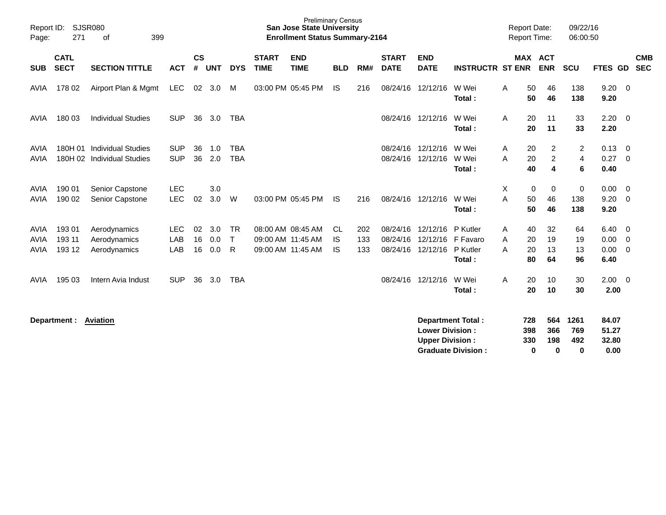| Report ID:<br>Page:                | 271                        | <b>SJSR080</b><br>399<br>οf                              |                          |                    |                   |                          |                             | <b>Preliminary Census</b><br><b>San Jose State University</b><br><b>Enrollment Status Summary-2164</b> |                              |                   |                                  |                                                  |                                            | <b>Report Date:</b><br><b>Report Time:</b> |                                                                    | 09/22/16<br>06:00:50     |                              |                                         |
|------------------------------------|----------------------------|----------------------------------------------------------|--------------------------|--------------------|-------------------|--------------------------|-----------------------------|--------------------------------------------------------------------------------------------------------|------------------------------|-------------------|----------------------------------|--------------------------------------------------|--------------------------------------------|--------------------------------------------|--------------------------------------------------------------------|--------------------------|------------------------------|-----------------------------------------|
| <b>SUB</b>                         | <b>CATL</b><br><b>SECT</b> | <b>SECTION TITTLE</b>                                    | <b>ACT</b>               | $\mathsf{cs}$<br># | <b>UNT</b>        | <b>DYS</b>               | <b>START</b><br><b>TIME</b> | <b>END</b><br><b>TIME</b>                                                                              | <b>BLD</b>                   | RM#               | <b>START</b><br><b>DATE</b>      | <b>END</b><br><b>DATE</b>                        | <b>INSTRUCTR ST ENR</b>                    |                                            | <b>MAX ACT</b><br><b>ENR</b>                                       | <b>SCU</b>               | FTES GD                      | <b>CMB</b><br><b>SEC</b>                |
| AVIA                               | 178 02                     | Airport Plan & Mgmt                                      | <b>LEC</b>               | 02                 | 3.0               | M                        |                             | 03:00 PM 05:45 PM                                                                                      | IS                           | 216               | 08/24/16                         | 12/12/16                                         | W Wei<br>Total:                            | A                                          | 46<br>50<br>50<br>46                                               | 138<br>138               | 9.20<br>9.20                 | - 0                                     |
| AVIA                               | 180 03                     | <b>Individual Studies</b>                                | <b>SUP</b>               | 36                 | 3.0               | <b>TBA</b>               |                             |                                                                                                        |                              |                   | 08/24/16                         | 12/12/16                                         | W Wei<br>Total:                            | A                                          | 20<br>11<br>11<br>20                                               | 33<br>33                 | 2.20<br>2.20                 | - 0                                     |
| AVIA<br>AVIA                       |                            | 180H 01 Individual Studies<br>180H 02 Individual Studies | <b>SUP</b><br><b>SUP</b> | 36<br>36           | 1.0<br>2.0        | <b>TBA</b><br><b>TBA</b> |                             |                                                                                                        |                              |                   | 08/24/16<br>08/24/16             | 12/12/16<br>12/12/16                             | W Wei<br>W Wei<br>Total:                   | Α<br>A                                     | 2<br>20<br>$\boldsymbol{2}$<br>20<br>40<br>$\overline{\mathbf{4}}$ | 2<br>$\overline{4}$<br>6 | 0.13<br>0.27<br>0.40         | 0<br>- 0                                |
| <b>AVIA</b><br><b>AVIA</b>         | 190 01<br>190 02           | Senior Capstone<br>Senior Capstone                       | <b>LEC</b><br><b>LEC</b> | 02                 | 3.0<br>3.0        | W                        |                             | 03:00 PM 05:45 PM                                                                                      | IS.                          | 216               |                                  | 08/24/16 12/12/16                                | W Wei<br>Total:                            | Χ<br>A                                     | 0<br>0<br>50<br>46<br>50<br>46                                     | 0<br>138<br>138          | 0.00<br>9.20<br>9.20         | - 0<br>- 0                              |
| <b>AVIA</b><br>AVIA<br><b>AVIA</b> | 193 01<br>193 11<br>193 12 | Aerodynamics<br>Aerodynamics<br>Aerodynamics             | <b>LEC</b><br>LAB<br>LAB | 02<br>16<br>16     | 3.0<br>0.0<br>0.0 | TR<br>$\mathsf{T}$<br>R  |                             | 08:00 AM 08:45 AM<br>09:00 AM 11:45 AM<br>09:00 AM 11:45 AM                                            | <b>CL</b><br>IS<br><b>IS</b> | 202<br>133<br>133 | 08/24/16<br>08/24/16<br>08/24/16 | 12/12/16<br>12/12/16<br>12/12/16                 | P Kutler<br>F Favaro<br>P Kutler<br>Total: | Α<br>20<br>A<br>A                          | 32<br>40<br>19<br>13<br>20<br>64<br>80                             | 64<br>19<br>13<br>96     | 6.40<br>0.00<br>0.00<br>6.40 | - 0<br>$\overline{0}$<br>$\overline{0}$ |
| AVIA                               | 195 03                     | Intern Avia Indust                                       | <b>SUP</b>               | 36                 | 3.0               | <b>TBA</b>               |                             |                                                                                                        |                              |                   | 08/24/16                         | 12/12/16                                         | W Wei<br>Total:                            | A                                          | 20<br>10<br>20<br>10                                               | 30<br>30                 | 2.00<br>2.00                 | - 0                                     |
|                                    | Department :               | <b>Aviation</b>                                          |                          |                    |                   |                          |                             |                                                                                                        |                              |                   |                                  | <b>Lower Division:</b><br><b>Upper Division:</b> | Department Total:                          | 728<br>398<br>330                          | 564<br>366<br>198                                                  | 1261<br>769<br>492       | 84.07<br>51.27<br>32.80      |                                         |

**Graduate Division : 0 0 0 0.00**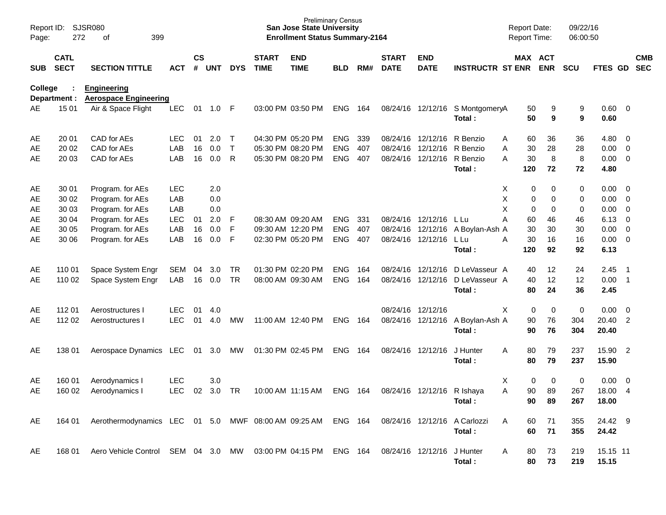| Page:          | <b>SJSR080</b><br>Report ID:<br>272<br>399<br>of<br><b>CATL</b> |                                                              |                          |                       |            |                   |                             | <b>Preliminary Census</b><br><b>San Jose State University</b><br><b>Enrollment Status Summary-2164</b> |                          |            |                             |                                        |                                           | <b>Report Date:</b><br><b>Report Time:</b> |                | 09/22/16<br>06:00:50 |                                    |                                           |                          |
|----------------|-----------------------------------------------------------------|--------------------------------------------------------------|--------------------------|-----------------------|------------|-------------------|-----------------------------|--------------------------------------------------------------------------------------------------------|--------------------------|------------|-----------------------------|----------------------------------------|-------------------------------------------|--------------------------------------------|----------------|----------------------|------------------------------------|-------------------------------------------|--------------------------|
| <b>SUB</b>     | <b>SECT</b>                                                     | <b>SECTION TITTLE</b>                                        | <b>ACT</b>               | $\mathsf{cs}$<br>$\#$ | <b>UNT</b> | <b>DYS</b>        | <b>START</b><br><b>TIME</b> | <b>END</b><br><b>TIME</b>                                                                              | <b>BLD</b>               | RM#        | <b>START</b><br><b>DATE</b> | <b>END</b><br><b>DATE</b>              | <b>INSTRUCTR ST ENR</b>                   | MAX ACT                                    | <b>ENR</b>     | <b>SCU</b>           | <b>FTES GD</b>                     |                                           | <b>CMB</b><br><b>SEC</b> |
| <b>College</b> | Department :                                                    | <b>Engineering</b><br><b>Aerospace Engineering</b>           |                          |                       |            |                   |                             |                                                                                                        |                          |            |                             |                                        |                                           |                                            |                |                      |                                    |                                           |                          |
| AE             | 15 01                                                           | Air & Space Flight                                           | <b>LEC</b>               | 01                    | $1.0$ F    |                   |                             | 03:00 PM 03:50 PM                                                                                      | <b>ENG</b>               | 164        |                             |                                        | 08/24/16 12/12/16 S MontgomeryA<br>Total: | 50<br>50                                   | 9<br>9         | 9<br>9               | 0.60 0<br>0.60                     |                                           |                          |
| AE             | 20 01                                                           | CAD for AEs                                                  | LEC.                     | 01                    | 2.0        | $\top$            |                             | 04:30 PM 05:20 PM                                                                                      | <b>ENG</b>               | 339        |                             | 08/24/16 12/12/16                      | R Benzio                                  | 60<br>Α                                    | 36             | 36                   | $4.80\ 0$                          |                                           |                          |
| AE<br>AE       | 20 02<br>20 03                                                  | CAD for AEs<br>CAD for AEs                                   | LAB<br>LAB               | 16<br>16              | 0.0<br>0.0 | $\mathsf{T}$<br>R |                             | 05:30 PM 08:20 PM<br>05:30 PM 08:20 PM                                                                 | <b>ENG</b><br><b>ENG</b> | 407<br>407 | 08/24/16<br>08/24/16        | 12/12/16<br>12/12/16                   | R Benzio<br>R Benzio<br>Total:            | 30<br>A<br>A<br>30<br>120                  | 28<br>8<br>72  | 28<br>8<br>72        | $0.00 \t 0$<br>$0.00 \t 0$<br>4.80 |                                           |                          |
| AE<br>AE       | 30 01<br>30 02                                                  | Program. for AEs<br>Program. for AEs                         | <b>LEC</b><br>LAB        |                       | 2.0<br>0.0 |                   |                             |                                                                                                        |                          |            |                             |                                        |                                           | Χ<br>0<br>Χ<br>0                           | 0<br>0         | 0<br>0               | $0.00 \t 0$<br>$0.00 \t 0$         |                                           |                          |
| AE<br>AE       | 30 03<br>30 04                                                  | Program. for AEs<br>Program. for AEs                         | LAB<br><b>LEC</b>        | 01                    | 0.0<br>2.0 | -F                | 08:30 AM 09:20 AM           |                                                                                                        | <b>ENG</b>               | 331        |                             | 08/24/16 12/12/16                      | L Lu                                      | X<br>0<br>Α<br>60                          | 0<br>46        | 0<br>46              | $0.00 \t 0$<br>$6.13 \quad 0$      |                                           |                          |
| AE<br>AE       | 30 05<br>30 06                                                  | Program. for AEs<br>Program. for AEs                         | LAB<br>LAB               | 16<br>16              | 0.0<br>0.0 | F<br>F            | 09:30 AM 12:20 PM           | 02:30 PM 05:20 PM                                                                                      | <b>ENG</b><br><b>ENG</b> | 407<br>407 | 08/24/16                    | 12/12/16<br>08/24/16 12/12/16          | A Boylan-Ash A<br>L Lu                    | 30<br>Α<br>30                              | 30<br>16       | 30<br>16             | $0.00 \t 0$<br>$0.00 \t 0$         |                                           |                          |
|                |                                                                 |                                                              |                          |                       |            |                   |                             |                                                                                                        |                          |            |                             |                                        | Total:                                    | 120                                        | 92             | 92                   | 6.13                               |                                           |                          |
| AE<br>AE       | 110 01<br>110 02                                                | Space System Engr<br>Space System Engr                       | SEM<br>LAB               | 04<br>16              | 3.0<br>0.0 | TR<br><b>TR</b>   |                             | 01:30 PM 02:20 PM<br>08:00 AM 09:30 AM                                                                 | <b>ENG</b><br><b>ENG</b> | 164<br>164 |                             | 08/24/16 12/12/16<br>08/24/16 12/12/16 | D LeVasseur A<br>D LeVasseur A<br>Total:  | 40<br>40<br>80                             | 12<br>12<br>24 | 24<br>12<br>36       | 2.45<br>$0.00$ 1<br>2.45           | $\overline{\phantom{0}}$ 1                |                          |
| AE             | 112 01                                                          | Aerostructures I                                             | <b>LEC</b>               | 01                    | 4.0        |                   |                             |                                                                                                        |                          |            | 08/24/16 12/12/16           |                                        |                                           | Χ<br>0                                     | 0              | $\pmb{0}$            | $0.00 \t 0$                        |                                           |                          |
| AE             | 112 02                                                          | Aerostructures I                                             | <b>LEC</b>               | 01                    | 4.0        | MW                |                             | 11:00 AM 12:40 PM                                                                                      | <b>ENG</b>               | 164        |                             | 08/24/16 12/12/16                      | A Boylan-Ash A<br>Total:                  | 90<br>90                                   | 76<br>76       | 304<br>304           | 20.40<br>20.40                     | 2                                         |                          |
| AE             | 138 01                                                          | Aerospace Dynamics LEC                                       |                          | 01                    | 3.0        | МW                | 01:30 PM 02:45 PM           |                                                                                                        | <b>ENG</b>               | 164        |                             | 08/24/16 12/12/16                      | J Hunter<br>Total:                        | 80<br>A<br>80                              | 79<br>79       | 237<br>237           | 15.90<br>15.90                     | $\overline{2}$                            |                          |
| AE<br>AE       | 160 01<br>160 02                                                | Aerodynamics I<br>Aerodynamics I                             | <b>LEC</b><br><b>LEC</b> | 02                    | 3.0<br>3.0 | <b>TR</b>         |                             | 10:00 AM 11:15 AM                                                                                      | <b>ENG</b>               | 164        |                             | 08/24/16 12/12/16 R Ishaya             | Total:                                    | Χ<br>0<br>90<br>Α<br>90                    | 0<br>89<br>89  | 0<br>267<br>267      | 0.00<br>18.00<br>18.00             | $\overline{\mathbf{0}}$<br>$\overline{4}$ |                          |
| AE             | 164 01                                                          | Aerothermodynamics LEC 01 5.0 MWF 08:00 AM 09:25 AM ENG 164  |                          |                       |            |                   |                             |                                                                                                        |                          |            |                             | 08/24/16 12/12/16                      | A Carlozzi<br>Total:                      | A<br>60<br>60                              | 71<br>71       | 355<br>355           | 24.42 9<br>24.42                   |                                           |                          |
| AE             | 168 01                                                          | Aero Vehicle Control SEM 04 3.0 MW 03:00 PM 04:15 PM ENG 164 |                          |                       |            |                   |                             |                                                                                                        |                          |            | 08/24/16 12/12/16           |                                        | J Hunter<br>Total:                        | 80<br>A<br>80                              | 73<br>73       | 219<br>219           | 15.15 11<br>15.15                  |                                           |                          |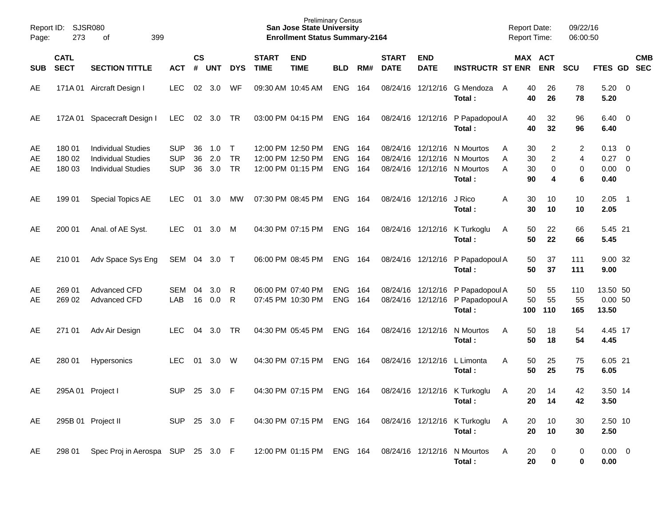| Report ID:<br>Page: | SJSR080<br>273             |                                                                                     |                                        |                       |                   |                                  | <b>Preliminary Census</b><br><b>San Jose State University</b><br><b>Enrollment Status Summary-2164</b> |                                                             |                                                |     |                             |                           | <b>Report Date:</b><br><b>Report Time:</b>                                                          |                                     | 09/22/16<br>06:00:50                       |                  |                                                      |                          |            |
|---------------------|----------------------------|-------------------------------------------------------------------------------------|----------------------------------------|-----------------------|-------------------|----------------------------------|--------------------------------------------------------------------------------------------------------|-------------------------------------------------------------|------------------------------------------------|-----|-----------------------------|---------------------------|-----------------------------------------------------------------------------------------------------|-------------------------------------|--------------------------------------------|------------------|------------------------------------------------------|--------------------------|------------|
| <b>SUB</b>          | <b>CATL</b><br><b>SECT</b> | <b>SECTION TITTLE</b>                                                               | <b>ACT</b>                             | $\mathsf{cs}$<br>$\#$ | <b>UNT</b>        | <b>DYS</b>                       | <b>START</b><br><b>TIME</b>                                                                            | <b>END</b><br><b>TIME</b>                                   | <b>BLD</b>                                     | RM# | <b>START</b><br><b>DATE</b> | <b>END</b><br><b>DATE</b> | <b>INSTRUCTR ST ENR</b>                                                                             | MAX ACT                             | <b>ENR</b>                                 | <b>SCU</b>       | FTES GD SEC                                          |                          | <b>CMB</b> |
| AE                  |                            | 171A 01 Aircraft Design I                                                           | <b>LEC</b>                             | 02                    | 3.0               | WF                               |                                                                                                        | 09:30 AM 10:45 AM                                           | <b>ENG</b>                                     | 164 |                             |                           | 08/24/16 12/12/16 G Mendoza<br>Total:                                                               | 40<br>A<br>40                       | 26<br>26                                   | 78<br>78         | $5.20 \ 0$<br>5.20                                   |                          |            |
| AE                  |                            | 172A 01 Spacecraft Design I                                                         | <b>LEC</b>                             |                       | 02 3.0            | TR                               |                                                                                                        | 03:00 PM 04:15 PM                                           | ENG 164                                        |     |                             |                           | 08/24/16 12/12/16 P Papadopoul A<br>Total:                                                          | 40<br>40                            | 32<br>32                                   | 96<br>96         | $6.40 \quad 0$<br>6.40                               |                          |            |
| AE<br>AE<br>AE      | 180 01<br>180 02<br>180 03 | <b>Individual Studies</b><br><b>Individual Studies</b><br><b>Individual Studies</b> | <b>SUP</b><br><b>SUP</b><br><b>SUP</b> | 36<br>36<br>36        | 1.0<br>2.0<br>3.0 | $\top$<br><b>TR</b><br><b>TR</b> |                                                                                                        | 12:00 PM 12:50 PM<br>12:00 PM 12:50 PM<br>12:00 PM 01:15 PM | <b>ENG 164</b><br><b>ENG</b><br><b>ENG 164</b> | 164 |                             |                           | 08/24/16 12/12/16 N Mourtos<br>08/24/16 12/12/16 N Mourtos<br>08/24/16 12/12/16 N Mourtos<br>Total: | 30<br>A<br>30<br>Α<br>A<br>30<br>90 | $\overline{2}$<br>$\overline{2}$<br>0<br>4 | 2<br>4<br>0<br>6 | $0.13 \quad 0$<br>$0.27 \t 0$<br>$0.00 \t 0$<br>0.40 |                          |            |
| AE                  | 199 01                     | <b>Special Topics AE</b>                                                            | <b>LEC</b>                             | 01                    | 3.0               | МW                               |                                                                                                        | 07:30 PM 08:45 PM                                           | ENG 164                                        |     |                             | 08/24/16 12/12/16         | J Rico<br>Total:                                                                                    | 30<br>Α<br>30                       | 10<br>10                                   | 10<br>10         | 2.05<br>2.05                                         | $\overline{\phantom{1}}$ |            |
| AE                  | 200 01                     | Anal. of AE Syst.                                                                   | <b>LEC</b>                             | 01                    | 3.0               | M                                |                                                                                                        | 04:30 PM 07:15 PM                                           | ENG 164                                        |     |                             |                           | 08/24/16 12/12/16 K Turkoglu<br>Total:                                                              | 50<br>A<br>50                       | 22<br>22                                   | 66<br>66         | 5.45 21<br>5.45                                      |                          |            |
| AE                  | 210 01                     | Adv Space Sys Eng                                                                   | SEM                                    | 04                    | 3.0 <sub>2</sub>  | $\top$                           |                                                                                                        | 06:00 PM 08:45 PM                                           | ENG 164                                        |     |                             |                           | 08/24/16 12/12/16 P Papadopoul A<br>Total:                                                          | 50<br>50                            | 37<br>37                                   | 111<br>111       | 9.00 32<br>9.00                                      |                          |            |
| AE<br>AE            | 269 01<br>269 02           | Advanced CFD<br>Advanced CFD                                                        | SEM<br>LAB                             | 04<br>16              | 3.0<br>0.0        | - R<br>- R                       |                                                                                                        | 06:00 PM 07:40 PM<br>07:45 PM 10:30 PM                      | ENG 164<br><b>ENG 164</b>                      |     |                             | 08/24/16 12/12/16         | P Papadopoul A<br>08/24/16 12/12/16 P Papadopoul A<br>Total:                                        | 50<br>50<br>100                     | 55<br>55<br>110                            | 110<br>55<br>165 | 13.50 50<br>0.0050<br>13.50                          |                          |            |
| AE                  | 271 01                     | Adv Air Design                                                                      | <b>LEC</b>                             | 04                    | 3.0               | TR                               |                                                                                                        | 04:30 PM 05:45 PM                                           | ENG 164                                        |     |                             | 08/24/16 12/12/16         | N Mourtos<br>Total:                                                                                 | A<br>50<br>50                       | 18<br>18                                   | 54<br>54         | 4.45 17<br>4.45                                      |                          |            |
| AE                  | 280 01                     | Hypersonics                                                                         | <b>LEC</b>                             | 01                    | 3.0               | W                                |                                                                                                        | 04:30 PM 07:15 PM                                           | ENG 164                                        |     |                             | 08/24/16 12/12/16         | L Limonta<br>Total:                                                                                 | A<br>50<br>50                       | 25<br>25                                   | 75<br>75         | 6.05 21<br>6.05                                      |                          |            |
| AE                  | 295A 01 Project I          |                                                                                     | <b>SUP</b>                             | 25                    | 3.0               | -F                               |                                                                                                        | 04:30 PM 07:15 PM                                           | ENG 164                                        |     |                             |                           | 08/24/16 12/12/16 K Turkoglu<br>Total:                                                              | 20<br>A<br>20                       | 14<br>14                                   | 42<br>42         | 3.50 14<br>3.50                                      |                          |            |
| AE                  |                            | 295B 01 Project II                                                                  | SUP 25 3.0 F                           |                       |                   |                                  |                                                                                                        | 04:30 PM 07:15 PM ENG 164                                   |                                                |     |                             |                           | 08/24/16 12/12/16 K Turkoglu<br>Total:                                                              | 20<br>A<br>20                       | 10<br>10                                   | 30<br>30         | 2.50 10<br>2.50                                      |                          |            |
| AE                  | 298 01                     | Spec Proj in Aerospa SUP 25 3.0 F                                                   |                                        |                       |                   |                                  |                                                                                                        | 12:00 PM 01:15 PM                                           | <b>ENG 164</b>                                 |     |                             |                           | 08/24/16 12/12/16 N Mourtos<br>Total:                                                               | 20<br>A<br>20                       | 0<br>0                                     | 0<br>0           | $0.00 \t 0$<br>0.00                                  |                          |            |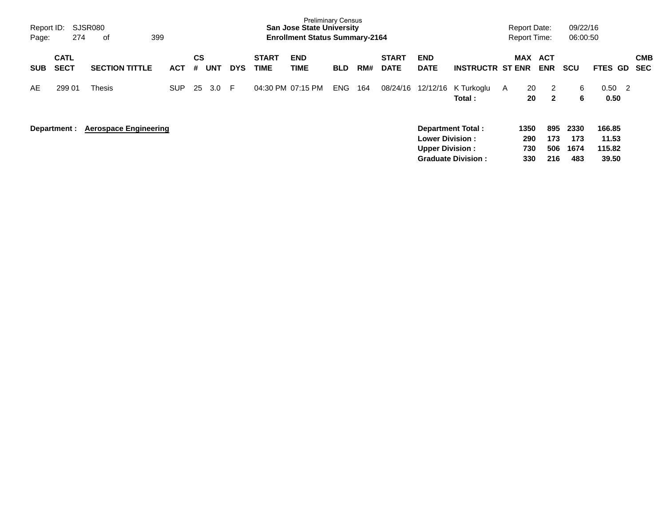| Report ID:<br>Page: | 274                        | SJSR080<br>399<br>оf         |            |                |            |            |                             | <b>Preliminary Census</b><br><b>San Jose State University</b><br><b>Enrollment Status Summary-2164</b> |            |     |                             |                                                  |                                                       |   | <b>Report Date:</b><br><b>Report Time:</b> |                          | 09/22/16<br>06:00:50       |                                    |                          |
|---------------------|----------------------------|------------------------------|------------|----------------|------------|------------|-----------------------------|--------------------------------------------------------------------------------------------------------|------------|-----|-----------------------------|--------------------------------------------------|-------------------------------------------------------|---|--------------------------------------------|--------------------------|----------------------------|------------------------------------|--------------------------|
| <b>SUB</b>          | <b>CATL</b><br><b>SECT</b> | <b>SECTION TITTLE</b>        | <b>ACT</b> | <b>CS</b><br># | <b>UNT</b> | <b>DYS</b> | <b>START</b><br><b>TIME</b> | <b>END</b><br>TIME                                                                                     | <b>BLD</b> | RM# | <b>START</b><br><b>DATE</b> | <b>END</b><br><b>DATE</b>                        | <b>INSTRUCTR ST ENR</b>                               |   | <b>MAX</b>                                 | <b>ACT</b><br><b>ENR</b> | <b>SCU</b>                 | FTES GD                            | <b>CMB</b><br><b>SEC</b> |
| AE.                 | 299 01                     | Thesis                       | <b>SUP</b> | 25             | 3.0        | -F         | 04:30 PM 07:15 PM           |                                                                                                        | <b>ENG</b> | 164 | 08/24/16                    | 12/12/16                                         | K Turkoglu<br>Total:                                  | A | 20<br>20                                   | 2<br>$\mathbf{2}$        | 6<br>6                     | 0.50<br>$\overline{2}$<br>0.50     |                          |
|                     | Department :               | <b>Aerospace Engineering</b> |            |                |            |            |                             |                                                                                                        |            |     |                             | <b>Lower Division:</b><br><b>Upper Division:</b> | <b>Department Total:</b><br><b>Graduate Division:</b> |   | 1350<br>290<br>730<br>330                  | 895<br>173<br>506<br>216 | 2330<br>173<br>1674<br>483 | 166.85<br>11.53<br>115.82<br>39.50 |                          |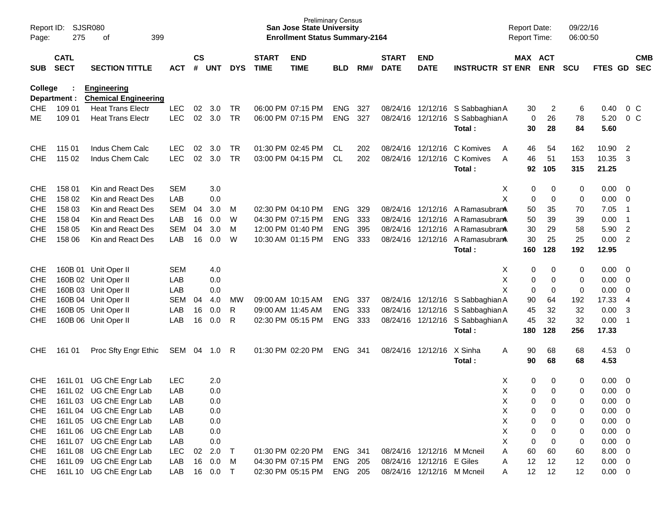| Page:      | <b>SJSR080</b><br>Report ID:<br>275<br>399<br>of<br><b>CATL</b> |                                                   |            |                    |            |            |                             | <b>Preliminary Census</b><br><b>San Jose State University</b><br><b>Enrollment Status Summary-2164</b> |                |     |                             |                            |                                            | <b>Report Date:</b><br><b>Report Time:</b> |             | 09/22/16<br>06:00:50 |               |                          |            |
|------------|-----------------------------------------------------------------|---------------------------------------------------|------------|--------------------|------------|------------|-----------------------------|--------------------------------------------------------------------------------------------------------|----------------|-----|-----------------------------|----------------------------|--------------------------------------------|--------------------------------------------|-------------|----------------------|---------------|--------------------------|------------|
| SUB        | <b>SECT</b>                                                     | <b>SECTION TITTLE</b>                             | <b>ACT</b> | $\mathsf{cs}$<br># | <b>UNT</b> | <b>DYS</b> | <b>START</b><br><b>TIME</b> | <b>END</b><br><b>TIME</b>                                                                              | <b>BLD</b>     | RM# | <b>START</b><br><b>DATE</b> | <b>END</b><br><b>DATE</b>  | <b>INSTRUCTR ST ENR</b>                    | MAX ACT                                    | <b>ENR</b>  | <b>SCU</b>           | FTES GD SEC   |                          | <b>CMB</b> |
| College    | Department :                                                    | <b>Engineering</b><br><b>Chemical Engineering</b> |            |                    |            |            |                             |                                                                                                        |                |     |                             |                            |                                            |                                            |             |                      |               |                          |            |
| <b>CHE</b> | 109 01                                                          | <b>Heat Trans Electr</b>                          | <b>LEC</b> | 02                 | 3.0        | TR         |                             | 06:00 PM 07:15 PM                                                                                      | <b>ENG</b>     | 327 |                             |                            | 08/24/16 12/12/16 S Sabbaghian A           | 30                                         | 2           | 6                    | 0.40          | $0\,$ C                  |            |
| МE         | 109 01                                                          | <b>Heat Trans Electr</b>                          | <b>LEC</b> | 02                 | 3.0        | TR         |                             | 06:00 PM 07:15 PM                                                                                      | <b>ENG</b>     | 327 |                             |                            | 08/24/16 12/12/16 S Sabbaghian A<br>Total: | 0<br>30                                    | 26<br>28    | 78<br>84             | 5.20<br>5.60  | 0 <sup>o</sup>           |            |
| <b>CHE</b> | 115 01                                                          | Indus Chem Calc                                   | <b>LEC</b> | 02                 | 3.0        | TR         |                             | 01:30 PM 02:45 PM                                                                                      | CL.            | 202 |                             | 08/24/16 12/12/16          | C Komives<br>A                             | 46                                         | 54          | 162                  | 10.90         | $\overline{2}$           |            |
| <b>CHE</b> | 115 02                                                          | Indus Chem Calc                                   | <b>LEC</b> | 02                 | 3.0        | TR         |                             | 03:00 PM 04:15 PM                                                                                      | <b>CL</b>      | 202 |                             | 08/24/16 12/12/16          | C Komives<br>A                             | 46                                         | 51          | 153                  | 10.35         | 3                        |            |
|            |                                                                 |                                                   |            |                    |            |            |                             |                                                                                                        |                |     |                             |                            | Total:                                     | 92                                         | 105         | 315                  | 21.25         |                          |            |
| <b>CHE</b> | 158 01                                                          | Kin and React Des                                 | <b>SEM</b> |                    | 3.0        |            |                             |                                                                                                        |                |     |                             |                            |                                            | X<br>0                                     | 0           | 0                    | 0.00          | $\overline{\mathbf{0}}$  |            |
| <b>CHE</b> | 158 02                                                          | Kin and React Des                                 | LAB        |                    | 0.0        |            |                             |                                                                                                        |                |     |                             |                            |                                            | X<br>$\mathbf 0$                           | $\mathbf 0$ | 0                    | 0.00          | $\overline{0}$           |            |
| <b>CHE</b> | 158 03                                                          | Kin and React Des                                 | <b>SEM</b> | 04                 | 3.0        | M          |                             | 02:30 PM 04:10 PM                                                                                      | <b>ENG</b>     | 329 |                             |                            | 08/24/16 12/12/16 A Ramasubram             | 50                                         | 35          | 70                   | 7.05          | -1                       |            |
| <b>CHE</b> | 158 04                                                          | Kin and React Des                                 | LAB        | 16                 | 0.0        | W          |                             | 04:30 PM 07:15 PM                                                                                      | <b>ENG</b>     | 333 |                             | 08/24/16 12/12/16          | A Ramasubran <b>A</b>                      | 50                                         | 39          | 39                   | 0.00          | -1                       |            |
| <b>CHE</b> | 158 05                                                          | Kin and React Des                                 | <b>SEM</b> | 04                 | 3.0        | M          |                             | 12:00 PM 01:40 PM                                                                                      | <b>ENG</b>     | 395 |                             | 08/24/16 12/12/16          | A Ramasubran <b>A</b>                      | 30                                         | 29          | 58                   | 5.90          | $\overline{2}$           |            |
| <b>CHE</b> | 158 06                                                          | Kin and React Des                                 | LAB        | 16                 | 0.0        | W          |                             | 10:30 AM 01:15 PM                                                                                      | <b>ENG</b>     | 333 |                             |                            | 08/24/16 12/12/16 A Ramasubran<br>Total:   | 30<br>160                                  | 25<br>128   | 25<br>192            | 0.00<br>12.95 | $\overline{2}$           |            |
|            |                                                                 |                                                   |            |                    |            |            |                             |                                                                                                        |                |     |                             |                            |                                            |                                            |             |                      |               |                          |            |
| <b>CHE</b> |                                                                 | 160B 01 Unit Oper II                              | <b>SEM</b> |                    | 4.0        |            |                             |                                                                                                        |                |     |                             |                            |                                            | 0<br>X                                     | 0           | 0                    | 0.00          | $\overline{\mathbf{0}}$  |            |
| <b>CHE</b> |                                                                 | 160B 02 Unit Oper II                              | LAB        |                    | 0.0        |            |                             |                                                                                                        |                |     |                             |                            |                                            | X<br>0                                     | 0           | 0                    | 0.00          | $\overline{\mathbf{0}}$  |            |
| <b>CHE</b> |                                                                 | 160B 03 Unit Oper II                              | LAB        |                    | 0.0        |            |                             |                                                                                                        |                |     |                             |                            |                                            | X<br>0                                     | 0           | 0                    | 0.00          | $\mathbf 0$              |            |
| <b>CHE</b> |                                                                 | 160B 04 Unit Oper II                              | <b>SEM</b> | 04                 | 4.0        | MW         |                             | 09:00 AM 10:15 AM                                                                                      | <b>ENG</b>     | 337 |                             |                            | 08/24/16 12/12/16 S Sabbaghian A           | 90                                         | 64          | 192                  | 17.33         | $\overline{4}$           |            |
| <b>CHE</b> |                                                                 | 160B 05 Unit Oper II                              | LAB        | 16                 | 0.0        | R          |                             | 09:00 AM 11:45 AM                                                                                      | <b>ENG</b>     | 333 |                             |                            | 08/24/16 12/12/16 S Sabbaghian A           | 45                                         | 32          | 32                   | 0.00          | 3                        |            |
| <b>CHE</b> |                                                                 | 160B 06 Unit Oper II                              | LAB        | 16                 | 0.0        | R          |                             | 02:30 PM 05:15 PM                                                                                      | <b>ENG</b>     | 333 |                             |                            | 08/24/16 12/12/16 S Sabbaghian A           | 45                                         | 32          | 32                   | 0.00          | - 1                      |            |
|            |                                                                 |                                                   |            |                    |            |            |                             |                                                                                                        |                |     |                             |                            | Total:                                     | 180                                        | 128         | 256                  | 17.33         |                          |            |
| <b>CHE</b> | 161 01                                                          | Proc Sfty Engr Ethic                              | SEM        | 04                 | 1.0        | R          |                             | 01:30 PM 02:20 PM                                                                                      | <b>ENG</b>     | 341 |                             | 08/24/16 12/12/16          | X Sinha                                    | A<br>90                                    | 68          | 68                   | 4.53          | $\overline{\mathbf{0}}$  |            |
|            |                                                                 |                                                   |            |                    |            |            |                             |                                                                                                        |                |     |                             |                            | Total:                                     | 90                                         | 68          | 68                   | 4.53          |                          |            |
| <b>CHE</b> | 161L01                                                          | UG ChE Engr Lab                                   | <b>LEC</b> |                    | 2.0        |            |                             |                                                                                                        |                |     |                             |                            |                                            | X<br>0                                     | 0           | 0                    | 0.00          | $\overline{\mathbf{0}}$  |            |
| <b>CHE</b> |                                                                 | 161L 02 UG ChE Engr Lab                           | LAB        |                    | 0.0        |            |                             |                                                                                                        |                |     |                             |                            |                                            | X<br>$\mathbf 0$                           | $\Omega$    | 0                    | 0.00          | $\overline{0}$           |            |
| <b>CHE</b> |                                                                 | 161L03 UG ChE Engr Lab                            | LAB        |                    | 0.0        |            |                             |                                                                                                        |                |     |                             |                            |                                            | Χ<br>0                                     | 0           | 0                    | 0.00          | $\overline{\phantom{0}}$ |            |
| <b>CHE</b> |                                                                 | 161L04 UG ChE Engr Lab                            | LAB        |                    | 0.0        |            |                             |                                                                                                        |                |     |                             |                            |                                            | X<br>$\pmb{0}$                             | 0           | 0                    | $0.00 \t 0$   |                          |            |
| <b>CHE</b> |                                                                 | 161L 05 UG ChE Engr Lab                           | LAB        |                    | 0.0        |            |                             |                                                                                                        |                |     |                             |                            |                                            | X<br>$\pmb{0}$                             | 0           | 0                    | $0.00 \t 0$   |                          |            |
| <b>CHE</b> |                                                                 | 161L 06 UG ChE Engr Lab                           | LAB        |                    | 0.0        |            |                             |                                                                                                        |                |     |                             |                            |                                            | X<br>$\pmb{0}$                             | 0           | 0                    | $0.00 \t 0$   |                          |            |
| <b>CHE</b> |                                                                 | 161L 07 UG ChE Engr Lab                           | LAB        |                    | 0.0        |            |                             |                                                                                                        |                |     |                             |                            |                                            | X<br>$\mathbf 0$                           | 0           | 0                    | $0.00 \t 0$   |                          |            |
| <b>CHE</b> |                                                                 | 161L08 UG ChE Engr Lab                            | LEC        | 02                 | 2.0        | $\top$     |                             | 01:30 PM 02:20 PM                                                                                      | ENG 341        |     |                             | 08/24/16 12/12/16 M Mcneil |                                            | A<br>60                                    | 60          | 60                   | $8.00 \t 0$   |                          |            |
| <b>CHE</b> |                                                                 | 161L 09 UG ChE Engr Lab                           | LAB        |                    | 16 0.0     | M          |                             | 04:30 PM 07:15 PM                                                                                      | <b>ENG 205</b> |     |                             | 08/24/16 12/12/16 E Giles  |                                            | 12<br>Α                                    | 12          | 12                   | $0.00 \t 0$   |                          |            |
| <b>CHE</b> |                                                                 | 161L 10 UG ChE Engr Lab                           | LAB        |                    | 16 0.0     | $\top$     |                             | 02:30 PM 05:15 PM                                                                                      | ENG 205        |     |                             | 08/24/16 12/12/16 M Mcneil |                                            | 12<br>A                                    | 12          | 12                   | $0.00 \t 0$   |                          |            |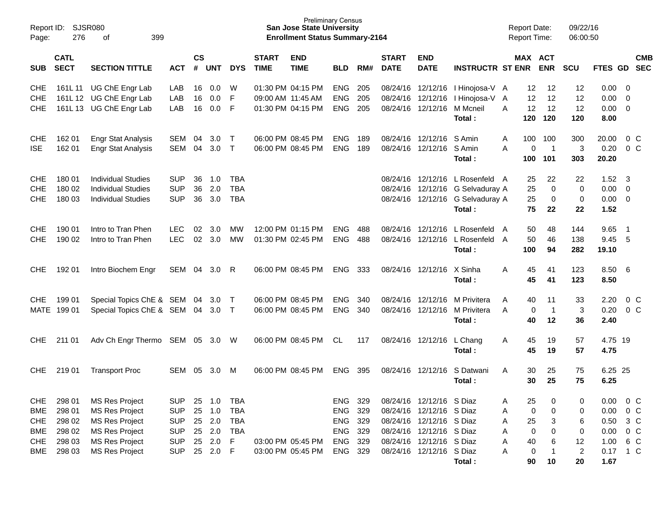| Page:                                                | <b>SJSR080</b><br>Report ID:<br>276<br>399<br>οf                  |                                                                                                                           |                                                                    |                |                                       |                                                                     |                             | <b>Preliminary Census</b><br><b>San Jose State University</b><br><b>Enrollment Status Summary-2164</b> |                                        |                                 |                             |                                                                                                                                          |                                                                                                 | <b>Report Date:</b><br>Report Time:               |                              | 09/22/16<br>06:00:50      |                                      |                                                                     |                          |
|------------------------------------------------------|-------------------------------------------------------------------|---------------------------------------------------------------------------------------------------------------------------|--------------------------------------------------------------------|----------------|---------------------------------------|---------------------------------------------------------------------|-----------------------------|--------------------------------------------------------------------------------------------------------|----------------------------------------|---------------------------------|-----------------------------|------------------------------------------------------------------------------------------------------------------------------------------|-------------------------------------------------------------------------------------------------|---------------------------------------------------|------------------------------|---------------------------|--------------------------------------|---------------------------------------------------------------------|--------------------------|
| <b>SUB</b>                                           | <b>CATL</b><br><b>SECT</b><br><b>SECTION TITTLE</b><br><b>ACT</b> |                                                                                                                           |                                                                    | <b>CS</b><br># | <b>UNT</b>                            | <b>DYS</b>                                                          | <b>START</b><br><b>TIME</b> | <b>END</b><br><b>TIME</b>                                                                              | <b>BLD</b>                             | RM#                             | <b>START</b><br><b>DATE</b> | <b>END</b><br><b>DATE</b>                                                                                                                | <b>INSTRUCTR ST ENR</b>                                                                         | MAX ACT                                           | <b>ENR</b>                   | <b>SCU</b>                | <b>FTES GD</b>                       |                                                                     | <b>CMB</b><br><b>SEC</b> |
| <b>CHE</b><br><b>CHE</b><br><b>CHE</b>               |                                                                   | 161L 11 UG ChE Engr Lab<br>161L 12 UG ChE Engr Lab<br>161L 13 UG ChE Engr Lab                                             | LAB<br>LAB<br>LAB                                                  | 16<br>16<br>16 | 0.0<br>0.0<br>0.0                     | W<br>F<br>F                                                         |                             | 01:30 PM 04:15 PM<br>09:00 AM 11:45 AM<br>01:30 PM 04:15 PM                                            | <b>ENG</b><br><b>ENG</b><br><b>ENG</b> | 205<br>205<br>205               | 08/24/16                    | 12/12/16<br>08/24/16 12/12/16                                                                                                            | 08/24/16 12/12/16 l Hinojosa-V A<br>I Hinojosa-V<br>M Mcneil<br>Total :                         | 12<br>12<br>$\overline{A}$<br>12<br>A<br>120      | 12<br>12<br>12<br>120        | 12<br>12<br>12<br>120     | 0.00<br>0.00<br>0.00<br>8.00         | $\overline{0}$<br>0<br>$\overline{0}$                               |                          |
| CHE<br><b>ISE</b>                                    | 162 01<br>162 01                                                  | <b>Engr Stat Analysis</b><br><b>Engr Stat Analysis</b>                                                                    | SEM<br><b>SEM</b>                                                  | 04<br>04       | 3.0<br>3.0                            | $\top$<br>$\top$                                                    |                             | 06:00 PM 08:45 PM<br>06:00 PM 08:45 PM                                                                 | <b>ENG</b><br><b>ENG</b>               | 189<br>189                      |                             | 08/24/16 12/12/16 S Amin<br>08/24/16 12/12/16 S Amin                                                                                     | Total :                                                                                         | 100<br>A<br>A<br>0<br>100                         | 100<br>$\overline{1}$<br>101 | 300<br>3<br>303           | 20.00<br>0.20<br>20.20               | 0 <sup>o</sup>                                                      | $0\,C$                   |
| <b>CHE</b><br><b>CHE</b><br><b>CHE</b>               | 180 01<br>180 02<br>180 03                                        | Individual Studies<br><b>Individual Studies</b><br><b>Individual Studies</b>                                              | <b>SUP</b><br><b>SUP</b><br><b>SUP</b>                             | 36<br>36<br>36 | 1.0<br>2.0<br>3.0                     | <b>TBA</b><br><b>TBA</b><br><b>TBA</b>                              |                             |                                                                                                        |                                        |                                 | 08/24/16<br>08/24/16        |                                                                                                                                          | 12/12/16 L Rosenfeld A<br>12/12/16 G Selvaduray A<br>08/24/16 12/12/16 G Selvaduray A<br>Total: | 25<br>25<br>25<br>75                              | 22<br>$\Omega$<br>0<br>22    | 22<br>$\Omega$<br>0<br>22 | 1.52<br>0.00<br>0.00<br>1.52         | $\overline{\mathbf{3}}$<br>$\overline{0}$<br>$\overline{0}$         |                          |
| <b>CHE</b><br><b>CHE</b>                             | 190 01<br>190 02                                                  | Intro to Tran Phen<br>Intro to Tran Phen                                                                                  | <b>LEC</b><br><b>LEC</b>                                           | 02<br>$02\,$   | 3.0<br>3.0                            | MW<br><b>MW</b>                                                     |                             | 12:00 PM 01:15 PM<br>01:30 PM 02:45 PM                                                                 | <b>ENG</b><br><b>ENG</b>               | 488<br>488                      | 08/24/16                    |                                                                                                                                          | 12/12/16 L Rosenfeld<br>08/24/16 12/12/16 L Rosenfeld A<br>Total :                              | 50<br>A<br>50<br>100                              | 48<br>46<br>94               | 144<br>138<br>282         | 9.65<br>9.45<br>19.10                | -1<br>- 5                                                           |                          |
| <b>CHE</b>                                           | 192 01                                                            | Intro Biochem Engr                                                                                                        | SEM                                                                | 04             | 3.0 <sub>1</sub>                      | R                                                                   |                             | 06:00 PM 08:45 PM                                                                                      | <b>ENG</b>                             | 333                             |                             | 08/24/16 12/12/16                                                                                                                        | X Sinha<br>Total :                                                                              | 45<br>Α<br>45                                     | 41<br>41                     | 123<br>123                | 8.50<br>8.50                         | 6                                                                   |                          |
| <b>CHE</b>                                           | 199 01<br>MATE 199 01                                             | Special Topics ChE & SEM<br>Special Topics ChE & SEM 04 3.0 T                                                             |                                                                    | 04             | 3.0                                   | $\top$                                                              |                             | 06:00 PM 08:45 PM<br>06:00 PM 08:45 PM                                                                 | <b>ENG</b><br><b>ENG</b>               | 340<br>340                      | 08/24/16                    | 12/12/16                                                                                                                                 | M Privitera<br>08/24/16 12/12/16 M Privitera<br>Total:                                          | 40<br>A<br>A<br>0<br>40                           | 11<br>$\overline{1}$<br>12   | 33<br>3<br>36             | 2.20<br>0.20<br>2.40                 | 0 <sup>o</sup><br>0 <sup>o</sup>                                    |                          |
| <b>CHE</b>                                           | 211 01                                                            | Adv Ch Engr Thermo                                                                                                        | SEM 05 3.0                                                         |                |                                       | W                                                                   |                             | 06:00 PM 08:45 PM                                                                                      | CL.                                    | 117                             |                             | 08/24/16 12/12/16                                                                                                                        | L Chang<br>Total :                                                                              | 45<br>Α<br>45                                     | 19<br>19                     | 57<br>57                  | 4.75 19<br>4.75                      |                                                                     |                          |
| <b>CHE</b>                                           | 21901                                                             | <b>Transport Proc</b>                                                                                                     | SEM                                                                | 05             | 3.0                                   | м                                                                   |                             | 06:00 PM 08:45 PM                                                                                      | <b>ENG</b>                             | 395                             |                             | 08/24/16 12/12/16                                                                                                                        | S Datwani<br>Total :                                                                            | A<br>30<br>30                                     | 25<br>25                     | 75<br>75                  | 6.25 25<br>6.25                      |                                                                     |                          |
| <b>CHE</b><br><b>BME</b><br>CHE<br><b>BME</b><br>CHE | 298 01<br>298 01<br>298 02<br>298 02<br>298 03                    | <b>MS Res Project</b><br><b>MS Res Project</b><br><b>MS Res Project</b><br><b>MS Res Project</b><br><b>MS Res Project</b> | <b>SUP</b><br><b>SUP</b><br><b>SUP</b><br><b>SUP</b><br><b>SUP</b> | 25<br>25<br>25 | 1.0<br>1.0<br>25 2.0<br>25 2.0<br>2.0 | <b>TBA</b><br><b>TBA</b><br><b>TBA</b><br><b>TBA</b><br>$\mathsf F$ |                             | 03:00 PM 05:45 PM<br>03:00 PM 05:45 PM                                                                 | <b>ENG</b><br>ENG<br>ENG<br>ENG<br>ENG | 329<br>329<br>329<br>329<br>329 |                             | 08/24/16 12/12/16 S Diaz<br>08/24/16 12/12/16 S Diaz<br>08/24/16 12/12/16 S Diaz<br>08/24/16 12/12/16 S Diaz<br>08/24/16 12/12/16 S Diaz |                                                                                                 | 25<br>Α<br>0<br>Α<br>25<br>Α<br>0<br>Α<br>40<br>Α | 0<br>0<br>3<br>0<br>6        | 0<br>0<br>6<br>0<br>12    | 0.00<br>0.00<br>0.50<br>0.00<br>1.00 | 0 <sup>o</sup><br>0 <sup>o</sup><br>$3\,C$<br>0 <sup>o</sup><br>6 C |                          |
| <b>BME</b>                                           | 298 03                                                            | <b>MS Res Project</b>                                                                                                     | <b>SUP</b>                                                         |                | 25 2.0 F                              |                                                                     |                             |                                                                                                        | ENG                                    | 329                             |                             | 08/24/16 12/12/16 S Diaz                                                                                                                 | Total:                                                                                          | $\pmb{0}$<br>Α<br>90                              | 10                           | $\overline{c}$<br>20      | 0.17 1 C<br>1.67                     |                                                                     |                          |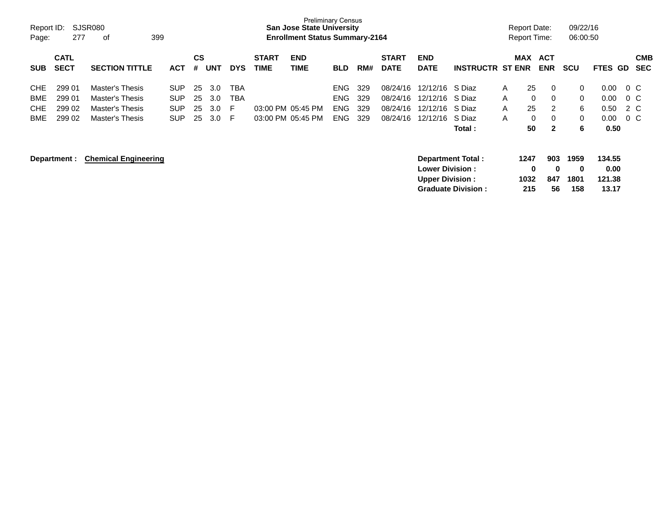| Report ID:<br>Page: | 277                        | SJSR080<br>399<br>оf        |            |                |            |            |                             | <b>Preliminary Census</b><br><b>San Jose State University</b><br><b>Enrollment Status Summary-2164</b> |            |     |                             |                                                                        |                           |                     | <b>Report Date:</b><br><b>Report Time:</b> | 09/22/16<br>06:00:50     |                                   |         |                          |
|---------------------|----------------------------|-----------------------------|------------|----------------|------------|------------|-----------------------------|--------------------------------------------------------------------------------------------------------|------------|-----|-----------------------------|------------------------------------------------------------------------|---------------------------|---------------------|--------------------------------------------|--------------------------|-----------------------------------|---------|--------------------------|
| <b>SUB</b>          | <b>CATL</b><br><b>SECT</b> | <b>SECTION TITTLE</b>       | <b>ACT</b> | <b>CS</b><br># | <b>UNT</b> | <b>DYS</b> | <b>START</b><br><b>TIME</b> | <b>END</b><br><b>TIME</b>                                                                              | <b>BLD</b> | RM# | <b>START</b><br><b>DATE</b> | <b>END</b><br><b>DATE</b>                                              | <b>INSTRUCTR ST ENR</b>   | <b>MAX</b>          | ACT<br><b>ENR</b>                          | <b>SCU</b>               | <b>FTES GD</b>                    |         | <b>CMB</b><br><b>SEC</b> |
| <b>CHE</b>          | 299 01                     | Master's Thesis             | <b>SUP</b> | 25             | 3.0        | <b>TBA</b> |                             |                                                                                                        | <b>ENG</b> | 329 | 08/24/16                    | 12/12/16                                                               | S Diaz                    | A                   | 25<br>0                                    | 0                        | 0.00                              | $0\,$ C |                          |
| BME                 | 299 01                     | Master's Thesis             | <b>SUP</b> | 25             | 3.0        | <b>TBA</b> |                             |                                                                                                        | ENG.       | 329 | 08/24/16                    | 12/12/16                                                               | S Diaz                    | A                   | 0<br>0                                     | 0                        | 0.00                              | $0\,$ C |                          |
| <b>CHE</b>          | 299 02                     | Master's Thesis             | <b>SUP</b> | 25             | 3.0        | F          |                             | 03:00 PM 05:45 PM                                                                                      | <b>ENG</b> | 329 | 08/24/16                    | 12/12/16                                                               | S Diaz                    | A                   | 25<br>$\overline{2}$                       | 6                        | 0.50                              | 2 C     |                          |
| BME                 | 299 02                     | Master's Thesis             | <b>SUP</b> | 25             | 3.0        | F.         |                             | 03:00 PM 05:45 PM                                                                                      | <b>ENG</b> | 329 | 08/24/16                    | 12/12/16                                                               | S Diaz                    | A                   | 0<br>0                                     | 0                        | 0.00                              | 0 C     |                          |
|                     |                            |                             |            |                |            |            |                             |                                                                                                        |            |     |                             |                                                                        | Total :                   |                     | 50<br>2                                    | 6                        | 0.50                              |         |                          |
|                     | Department :               | <b>Chemical Engineering</b> |            |                |            |            |                             |                                                                                                        |            |     |                             | Department Total:<br><b>Lower Division :</b><br><b>Upper Division:</b> | <b>Graduate Division:</b> | 1247<br>1032<br>215 | 903<br>0<br>0<br>847<br>56                 | 1959<br>0<br>1801<br>158 | 134.55<br>0.00<br>121.38<br>13.17 |         |                          |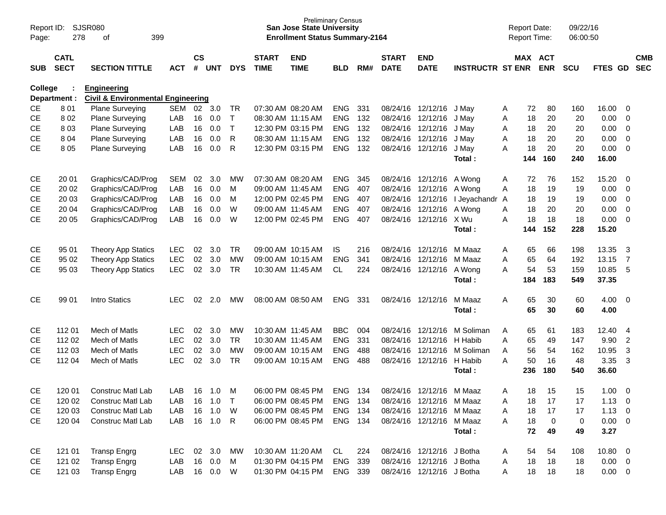| Page:          | SJSR080<br>Report ID:<br>278<br>399<br>оf |                                                                    |            |                |            |            |                             | <b>San Jose State University</b><br><b>Enrollment Status Summary-2164</b> | <b>Preliminary Census</b> |     |                             |                           |                                |   | <b>Report Date:</b><br>Report Time: |             | 09/22/16<br>06:00:50 |                |                         |                          |
|----------------|-------------------------------------------|--------------------------------------------------------------------|------------|----------------|------------|------------|-----------------------------|---------------------------------------------------------------------------|---------------------------|-----|-----------------------------|---------------------------|--------------------------------|---|-------------------------------------|-------------|----------------------|----------------|-------------------------|--------------------------|
| SUB            | <b>CATL</b><br><b>SECT</b>                | <b>SECTION TITTLE</b>                                              | <b>ACT</b> | <b>CS</b><br># | <b>UNT</b> | <b>DYS</b> | <b>START</b><br><b>TIME</b> | <b>END</b><br><b>TIME</b>                                                 | <b>BLD</b>                | RM# | <b>START</b><br><b>DATE</b> | <b>END</b><br><b>DATE</b> | <b>INSTRUCTR ST ENR</b>        |   | MAX ACT                             | <b>ENR</b>  | <b>SCU</b>           | <b>FTES GD</b> |                         | <b>CMB</b><br><b>SEC</b> |
| <b>College</b> | Department :                              | <b>Engineering</b><br><b>Civil &amp; Environmental Engineering</b> |            |                |            |            |                             |                                                                           |                           |     |                             |                           |                                |   |                                     |             |                      |                |                         |                          |
| CE             | 801                                       | <b>Plane Surveying</b>                                             | SEM        | 02             | 3.0        | TR         |                             | 07:30 AM 08:20 AM                                                         | <b>ENG</b>                | 331 |                             | 08/24/16 12/12/16 J May   |                                | A | 72                                  | 80          | 160                  | 16.00          | - 0                     |                          |
| <b>CE</b>      | 8 0 2                                     | Plane Surveying                                                    | LAB        | 16             | 0.0        | т          |                             | 08:30 AM 11:15 AM                                                         | <b>ENG</b>                | 132 |                             | 08/24/16 12/12/16         | J May                          | Α | 18                                  | 20          | 20                   | 0.00           | $\overline{0}$          |                          |
| <b>CE</b>      | 803                                       | Plane Surveying                                                    | LAB        | 16             | 0.0        | $\top$     |                             | 12:30 PM 03:15 PM                                                         | <b>ENG</b>                | 132 |                             | 08/24/16 12/12/16         | J May                          | Α | 18                                  | 20          | 20                   | 0.00           | 0                       |                          |
| <b>CE</b>      | 804                                       | Plane Surveying                                                    | LAB        | 16             | 0.0        | R          |                             | 08:30 AM 11:15 AM                                                         | <b>ENG</b>                | 132 |                             | 08/24/16 12/12/16 J May   |                                | A | 18                                  | 20          | 20                   | 0.00           | $\overline{0}$          |                          |
| <b>CE</b>      | 8 0 5                                     | <b>Plane Surveying</b>                                             | LAB        | 16             | 0.0        | R          |                             | 12:30 PM 03:15 PM                                                         | <b>ENG</b>                | 132 |                             | 08/24/16 12/12/16 J May   |                                | A | 18                                  | 20          | 20                   | 0.00           | 0                       |                          |
|                |                                           |                                                                    |            |                |            |            |                             |                                                                           |                           |     |                             |                           | Total:                         |   | 144                                 | 160         | 240                  | 16.00          |                         |                          |
| <b>CE</b>      | 20 01                                     | Graphics/CAD/Prog                                                  | SEM        | 02             | 3.0        | <b>MW</b>  |                             | 07:30 AM 08:20 AM                                                         | <b>ENG</b>                | 345 |                             | 08/24/16 12/12/16 A Wong  |                                | A | 72                                  | 76          | 152                  | 15.20          | - 0                     |                          |
| <b>CE</b>      | 20 02                                     | Graphics/CAD/Prog                                                  | LAB        | 16             | 0.0        | м          |                             | 09:00 AM 11:45 AM                                                         | <b>ENG</b>                | 407 |                             | 08/24/16 12/12/16 A Wong  |                                | A | 18                                  | 19          | 19                   | 0.00           | $\overline{0}$          |                          |
| <b>CE</b>      | 20 03                                     | Graphics/CAD/Prog                                                  | LAB        | 16             | 0.0        | M          |                             | 12:00 PM 02:45 PM                                                         | <b>ENG</b>                | 407 |                             |                           | 08/24/16 12/12/16 I Jeyachandr | A | 18                                  | 19          | 19                   | 0.00           | 0                       |                          |
| <b>CE</b>      | 20 04                                     | Graphics/CAD/Prog                                                  | LAB        | 16             | 0.0        | W          | 09:00 AM 11:45 AM           |                                                                           | <b>ENG</b>                | 407 |                             | 08/24/16 12/12/16 A Wong  |                                | A | 18                                  | 20          | 20                   | 0.00           | $\overline{0}$          |                          |
| <b>CE</b>      | 20 05                                     | Graphics/CAD/Prog                                                  | LAB        | 16             | 0.0        | W          |                             | 12:00 PM 02:45 PM                                                         | <b>ENG</b>                | 407 |                             | 08/24/16 12/12/16 X Wu    |                                | A | 18                                  | 18          | 18                   | 0.00           | 0                       |                          |
|                |                                           |                                                                    |            |                |            |            |                             |                                                                           |                           |     |                             |                           | Total:                         |   | 144                                 | 152         | 228                  | 15.20          |                         |                          |
| <b>CE</b>      | 95 01                                     | <b>Theory App Statics</b>                                          | <b>LEC</b> | 02             | 3.0        | <b>TR</b>  |                             | 09:00 AM 10:15 AM                                                         | IS                        | 216 |                             | 08/24/16 12/12/16         | M Maaz                         | A | 65                                  | 66          | 198                  | 13.35          | 3                       |                          |
| <b>CE</b>      | 95 02                                     | <b>Theory App Statics</b>                                          | <b>LEC</b> | 02             | 3.0        | MW         |                             | 09:00 AM 10:15 AM                                                         | <b>ENG</b>                | 341 | 08/24/16                    | 12/12/16                  | M Maaz                         | A | 65                                  | 64          | 192                  | 13.15          | -7                      |                          |
| <b>CE</b>      | 95 03                                     | <b>Theory App Statics</b>                                          | <b>LEC</b> | 02             | 3.0        | <b>TR</b>  |                             | 10:30 AM 11:45 AM                                                         | CL                        | 224 |                             | 08/24/16 12/12/16         | A Wong                         | A | 54                                  | 53          | 159                  | 10.85          | -5                      |                          |
|                |                                           |                                                                    |            |                |            |            |                             |                                                                           |                           |     |                             |                           | Total:                         |   | 184                                 | 183         | 549                  | 37.35          |                         |                          |
| <b>CE</b>      | 99 01                                     | Intro Statics                                                      | <b>LEC</b> | 02             | 2.0        | MW         |                             | 08:00 AM 08:50 AM                                                         | <b>ENG</b>                | 331 |                             | 08/24/16 12/12/16         | M Maaz                         | A | 65                                  | 30          | 60                   | 4.00           | $\overline{\mathbf{0}}$ |                          |
|                |                                           |                                                                    |            |                |            |            |                             |                                                                           |                           |     |                             |                           | Total:                         |   | 65                                  | 30          | 60                   | 4.00           |                         |                          |
| <b>CE</b>      | 112 01                                    | Mech of Matls                                                      | <b>LEC</b> | 02             | 3.0        | MW         | 10:30 AM 11:45 AM           |                                                                           | <b>BBC</b>                | 004 |                             | 08/24/16 12/12/16         | M Soliman                      | A | 65                                  | 61          | 183                  | 12.40          | 4                       |                          |
| <b>CE</b>      | 112 02                                    | Mech of Matls                                                      | <b>LEC</b> | 02             | 3.0        | <b>TR</b>  |                             | 10:30 AM 11:45 AM                                                         | <b>ENG</b>                | 331 | 08/24/16                    | 12/12/16                  | H Habib                        | Α | 65                                  | 49          | 147                  | 9.90           | $\overline{2}$          |                          |
| <b>CE</b>      | 112 03                                    | Mech of Matls                                                      | <b>LEC</b> | 02             | 3.0        | MW         |                             | 09:00 AM 10:15 AM                                                         | <b>ENG</b>                | 488 | 08/24/16                    | 12/12/16                  | M Soliman                      | A | 56                                  | 54          | 162                  | 10.95          | 3                       |                          |
| <b>CE</b>      | 112 04                                    | Mech of Matls                                                      | <b>LEC</b> | 02             | 3.0        | <b>TR</b>  |                             | 09:00 AM 10:15 AM                                                         | <b>ENG</b>                | 488 |                             | 08/24/16 12/12/16 H Habib |                                | A | 50                                  | 16          | 48                   | 3.35           | 3                       |                          |
|                |                                           |                                                                    |            |                |            |            |                             |                                                                           |                           |     |                             |                           | Total:                         |   | 236                                 | 180         | 540                  | 36.60          |                         |                          |
| <b>CE</b>      | 120 01                                    | <b>Construc Matl Lab</b>                                           | LAB        | 16             | 1.0        | M          |                             | 06:00 PM 08:45 PM                                                         | <b>ENG</b>                | 134 |                             | 08/24/16 12/12/16 M Maaz  |                                | A | 18                                  | 15          | 15                   | 1.00           | - 0                     |                          |
| CE             | 120 02                                    | Construc Matl Lab                                                  | LAB        | 16             | 1.0        | $\top$     |                             | 06:00 PM 08:45 PM                                                         | ENG 134                   |     |                             | 08/24/16 12/12/16 M Maaz  |                                | Α | 18                                  | 17          | 17                   | $1.13 \ 0$     |                         |                          |
| <b>CE</b>      | 120 03                                    | Construc Matl Lab                                                  | LAB        | 16             | 1.0        | W          |                             | 06:00 PM 08:45 PM                                                         | ENG 134                   |     |                             | 08/24/16 12/12/16 M Maaz  |                                | A | 18                                  | 17          | 17                   | $1.13 \ 0$     |                         |                          |
| <b>CE</b>      | 120 04                                    | Construc Matl Lab                                                  | LAB        |                | 16  1.0  R |            |                             | 06:00 PM 08:45 PM                                                         | ENG 134                   |     |                             | 08/24/16 12/12/16 M Maaz  |                                | A | 18                                  | $\mathbf 0$ | $\pmb{0}$            | $0.00 \t 0$    |                         |                          |
|                |                                           |                                                                    |            |                |            |            |                             |                                                                           |                           |     |                             |                           | Total:                         |   | 72                                  | 49          | 49                   | 3.27           |                         |                          |
| CE             | 121 01                                    | <b>Transp Engrg</b>                                                | <b>LEC</b> |                | 02 3.0     | MW         |                             | 10:30 AM 11:20 AM                                                         | CL.                       | 224 |                             | 08/24/16 12/12/16 J Botha |                                | A | 54                                  | 54          | 108                  | 10.80 0        |                         |                          |
| CE             | 121 02                                    | <b>Transp Engrg</b>                                                | LAB        |                | 16  0.0    | M          |                             | 01:30 PM 04:15 PM                                                         | ENG 339                   |     |                             | 08/24/16 12/12/16 J Botha |                                | A | 18                                  | 18          | 18                   | $0.00 \t 0$    |                         |                          |
| <b>CE</b>      | 121 03                                    | <b>Transp Engrg</b>                                                | LAB        |                | 16  0.0  W |            |                             | 01:30 PM 04:15 PM                                                         | ENG 339                   |     |                             | 08/24/16 12/12/16 J Botha |                                | Α | 18                                  | 18          | 18                   | $0.00 \t 0$    |                         |                          |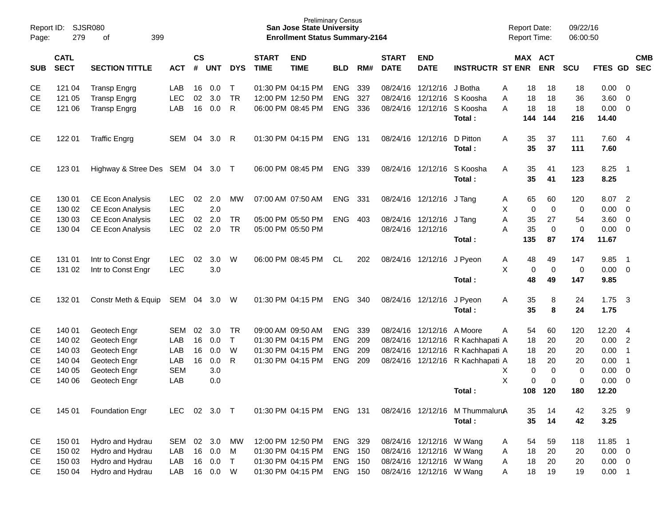| Page:      | <b>SJSR080</b><br>Report ID:<br>279<br>399<br>of |                                |            |                             |            |              |                             | <b>Preliminary Census</b><br><b>San Jose State University</b><br><b>Enrollment Status Summary-2164</b> |            |     |                             |                           |                                  | <b>Report Date:</b><br>Report Time: |                       |             | 09/22/16<br>06:00:50 |               |                         |            |
|------------|--------------------------------------------------|--------------------------------|------------|-----------------------------|------------|--------------|-----------------------------|--------------------------------------------------------------------------------------------------------|------------|-----|-----------------------------|---------------------------|----------------------------------|-------------------------------------|-----------------------|-------------|----------------------|---------------|-------------------------|------------|
| <b>SUB</b> | <b>CATL</b><br><b>SECT</b>                       | <b>SECTION TITTLE</b>          | <b>ACT</b> | $\mathsf{cs}$<br>$\pmb{\#}$ | <b>UNT</b> | <b>DYS</b>   | <b>START</b><br><b>TIME</b> | <b>END</b><br><b>TIME</b>                                                                              | <b>BLD</b> | RM# | <b>START</b><br><b>DATE</b> | <b>END</b><br><b>DATE</b> | <b>INSTRUCTR ST ENR</b>          |                                     | MAX ACT<br><b>ENR</b> | <b>SCU</b>  |                      | FTES GD SEC   |                         | <b>CMB</b> |
| <b>CE</b>  | 121 04                                           | <b>Transp Engrg</b>            | LAB        | 16                          | 0.0        | $\mathsf{T}$ |                             | 01:30 PM 04:15 PM                                                                                      | <b>ENG</b> | 339 |                             | 08/24/16 12/12/16         | J Botha                          | Α                                   | 18                    | 18          | 18                   | 0.00          | $\overline{\mathbf{0}}$ |            |
| <b>CE</b>  | 121 05                                           | <b>Transp Engrg</b>            | <b>LEC</b> | 02                          | 3.0        | <b>TR</b>    |                             | 12:00 PM 12:50 PM                                                                                      | ENG        | 327 |                             | 08/24/16 12/12/16         | S Koosha                         | A                                   | 18                    | 18          | 36                   | 3.60          | $\overline{0}$          |            |
| <b>CE</b>  | 121 06                                           | <b>Transp Engrg</b>            | LAB        | 16                          | 0.0        | R            |                             | 06:00 PM 08:45 PM                                                                                      | <b>ENG</b> | 336 |                             | 08/24/16 12/12/16         | S Koosha<br>Total:               | A<br>144                            | 18<br>144             | 18          | 18<br>216            | 0.00<br>14.40 | $\overline{\mathbf{0}}$ |            |
| <b>CE</b>  | 122 01                                           | <b>Traffic Engrg</b>           | SEM        | 04                          | 3.0        | R            |                             | 01:30 PM 04:15 PM                                                                                      | ENG 131    |     | 08/24/16 12/12/16           |                           | D Pitton                         | A                                   | 35                    | 37          | 111                  | 7.60 4        |                         |            |
|            |                                                  |                                |            |                             |            |              |                             |                                                                                                        |            |     |                             |                           | Total:                           |                                     | 35                    | 37          | 111                  | 7.60          |                         |            |
| <b>CE</b>  | 123 01                                           | Highway & Stree Des SEM 04 3.0 |            |                             |            | $\top$       |                             | 06:00 PM 08:45 PM                                                                                      | ENG        | 339 | 08/24/16 12/12/16           |                           | S Koosha<br>Total:               | A                                   | 35<br>35              | 41<br>41    | 123<br>123           | 8.25<br>8.25  | - 1                     |            |
|            |                                                  |                                |            |                             |            |              |                             |                                                                                                        |            |     |                             |                           |                                  |                                     |                       |             |                      |               |                         |            |
| <b>CE</b>  | 130 01                                           | CE Econ Analysis               | <b>LEC</b> | 02                          | 2.0        | MW           |                             | 07:00 AM 07:50 AM                                                                                      | ENG        | 331 |                             | 08/24/16 12/12/16 J Tang  |                                  | A                                   | 65                    | 60          | 120                  | 8.07          | $\overline{2}$          |            |
| <b>CE</b>  | 130 02                                           | <b>CE Econ Analysis</b>        | <b>LEC</b> |                             | 2.0        |              |                             |                                                                                                        |            |     |                             |                           |                                  | X                                   | $\mathbf 0$           | $\mathbf 0$ | 0                    | 0.00          | $\overline{0}$          |            |
| <b>CE</b>  | 130 03                                           | CE Econ Analysis               | <b>LEC</b> | 02                          | 2.0        | <b>TR</b>    |                             | 05:00 PM 05:50 PM                                                                                      | ENG        | 403 |                             | 08/24/16 12/12/16         | J Tang                           | A                                   | 35                    | 27          | 54                   | 3.60          | $\overline{0}$          |            |
| <b>CE</b>  | 130 04                                           | <b>CE Econ Analysis</b>        | <b>LEC</b> | 02                          | 2.0        | <b>TR</b>    |                             | 05:00 PM 05:50 PM                                                                                      |            |     | 08/24/16 12/12/16           |                           |                                  | A                                   | 35                    | $\pmb{0}$   | $\mathbf 0$          | 0.00          | $\overline{\mathbf{0}}$ |            |
|            |                                                  |                                |            |                             |            |              |                             |                                                                                                        |            |     |                             |                           | Total:                           | 135                                 |                       | 87          | 174                  | 11.67         |                         |            |
| CE         | 131 01                                           | Intr to Const Engr             | <b>LEC</b> | 02                          | 3.0        | W            |                             | 06:00 PM 08:45 PM                                                                                      | CL         | 202 |                             | 08/24/16 12/12/16         | J Pyeon                          | A                                   | 48                    | 49          | 147                  | 9.85          | - 1                     |            |
| <b>CE</b>  | 131 02                                           | Intr to Const Engr             | <b>LEC</b> |                             | 3.0        |              |                             |                                                                                                        |            |     |                             |                           |                                  | X                                   | 0                     | $\mathbf 0$ | $\mathbf 0$          | $0.00 \t 0$   |                         |            |
|            |                                                  |                                |            |                             |            |              |                             |                                                                                                        |            |     |                             |                           | Total:                           |                                     | 48                    | 49          | 147                  | 9.85          |                         |            |
|            |                                                  |                                |            |                             |            |              |                             |                                                                                                        |            |     |                             |                           |                                  |                                     |                       |             |                      |               |                         |            |
| <b>CE</b>  | 132 01                                           | Constr Meth & Equip            | SEM 04     |                             | 3.0        | W            |                             | 01:30 PM 04:15 PM                                                                                      | ENG        | 340 |                             | 08/24/16 12/12/16         | J Pyeon                          | A                                   | 35                    | 8           | 24                   | 1.75          | $\overline{\mathbf{3}}$ |            |
|            |                                                  |                                |            |                             |            |              |                             |                                                                                                        |            |     |                             |                           | Total:                           |                                     | 35                    | 8           | 24                   | 1.75          |                         |            |
| <b>CE</b>  | 140 01                                           | Geotech Engr                   | <b>SEM</b> | 02                          | 3.0        | TR.          |                             | 09:00 AM 09:50 AM                                                                                      | <b>ENG</b> | 339 |                             | 08/24/16 12/12/16         | A Moore                          | A                                   | 54                    | 60          | 120                  | 12.20         | $\overline{4}$          |            |
| <b>CE</b>  | 140 02                                           | Geotech Engr                   | LAB        | 16                          | 0.0        | $\mathsf{T}$ |                             | 01:30 PM 04:15 PM                                                                                      | <b>ENG</b> | 209 |                             |                           | 08/24/16 12/12/16 R Kachhapati A |                                     | 18                    | 20          | 20                   | 0.00          | $\overline{2}$          |            |
| <b>CE</b>  | 140 03                                           | Geotech Engr                   | LAB        | 16                          | 0.0        | W            |                             | 01:30 PM 04:15 PM                                                                                      | <b>ENG</b> | 209 |                             |                           | 08/24/16 12/12/16 R Kachhapati A |                                     | 18                    | 20          | 20                   | 0.00          | $\overline{1}$          |            |
| <b>CE</b>  | 140 04                                           | Geotech Engr                   | LAB        | 16                          | 0.0        | R            |                             | 01:30 PM 04:15 PM                                                                                      | ENG        | 209 |                             |                           | 08/24/16 12/12/16 R Kachhapati A |                                     | 18                    | 20          | 20                   | 0.00          | $\overline{1}$          |            |
| <b>CE</b>  | 140 05                                           | Geotech Engr                   | <b>SEM</b> |                             | 3.0        |              |                             |                                                                                                        |            |     |                             |                           |                                  | Х                                   | $\pmb{0}$             | $\mathbf 0$ | 0                    | 0.00          | $\overline{0}$          |            |
| <b>CE</b>  | 140 06                                           | Geotech Engr                   | LAB        |                             | 0.0        |              |                             |                                                                                                        |            |     |                             |                           |                                  | X                                   | 0                     | $\mathbf 0$ | $\mathbf 0$          | 0.00          | 0                       |            |
|            |                                                  |                                |            |                             |            |              |                             |                                                                                                        |            |     |                             |                           | Total:                           | 108                                 | 120                   |             | 180                  | 12.20         |                         |            |
| <b>CE</b>  | 145 01                                           | <b>Foundation Engr</b>         | <b>LEC</b> |                             | 02 3.0 T   |              |                             | 01:30 PM 04:15 PM                                                                                      | ENG 131    |     |                             |                           | 08/24/16 12/12/16 M ThummaluruA  |                                     | 35                    | 14          | 42                   | 3.25          | 9                       |            |
|            |                                                  |                                |            |                             |            |              |                             |                                                                                                        |            |     |                             |                           | Total:                           |                                     | 35                    | 14          | 42                   | 3.25          |                         |            |
|            |                                                  |                                |            |                             |            |              |                             |                                                                                                        |            |     |                             |                           |                                  |                                     |                       |             |                      |               |                         |            |
| CE         | 150 01                                           | Hydro and Hydrau               | SEM        | 02                          | 3.0        | MW           |                             | 12:00 PM 12:50 PM                                                                                      | ENG 329    |     |                             | 08/24/16 12/12/16 W Wang  |                                  | A                                   | 54                    | 59          | 118                  | 11.85 1       |                         |            |
| CE         | 150 02                                           | Hydro and Hydrau               | LAB        |                             | 16 0.0     | M            |                             | 01:30 PM 04:15 PM                                                                                      | ENG 150    |     |                             | 08/24/16 12/12/16 W Wang  |                                  | Α                                   | 18                    | 20          | 20                   | $0.00 \t 0$   |                         |            |
| CЕ         | 150 03                                           | Hydro and Hydrau               | LAB        | 16                          | 0.0        | $\top$       |                             | 01:30 PM 04:15 PM                                                                                      | ENG 150    |     |                             | 08/24/16 12/12/16 W Wang  |                                  | Α                                   | 18                    | 20          | 20                   | $0.00 \t 0$   |                         |            |
| <b>CE</b>  | 150 04                                           | Hydro and Hydrau               | LAB        |                             | 16 0.0     | W            |                             | 01:30 PM 04:15 PM                                                                                      | ENG 150    |     |                             | 08/24/16 12/12/16 W Wang  |                                  | A                                   | 18                    | 19          | 19                   | $0.00$ 1      |                         |            |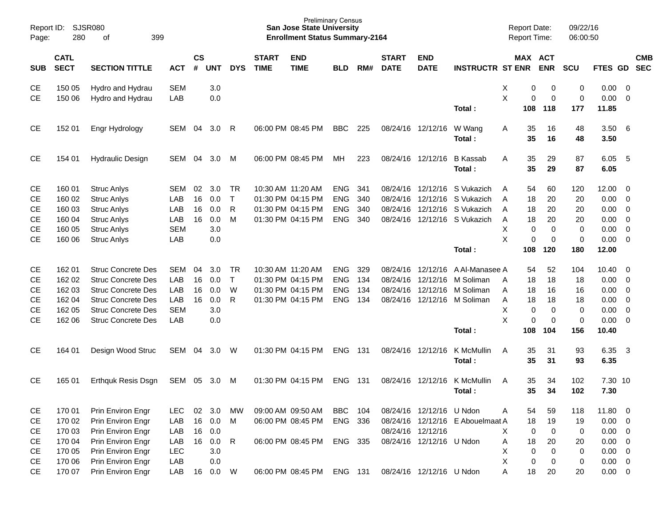| Report ID:<br>Page:                                                        | 280                                                      | <b>SJSR080</b><br>399<br>оf                                                                                                                                                |                                                      |                      |                                        |                                     |                             | <b>San Jose State University</b><br><b>Enrollment Status Summary-2164</b>        | <b>Preliminary Census</b>                            |                          |                                  |                                                                           |                                                                                                    | <b>Report Date:</b><br><b>Report Time:</b>                               |                                                           | 09/22/16<br>06:00:50                             |                                                                     |                                                                                                            |                          |
|----------------------------------------------------------------------------|----------------------------------------------------------|----------------------------------------------------------------------------------------------------------------------------------------------------------------------------|------------------------------------------------------|----------------------|----------------------------------------|-------------------------------------|-----------------------------|----------------------------------------------------------------------------------|------------------------------------------------------|--------------------------|----------------------------------|---------------------------------------------------------------------------|----------------------------------------------------------------------------------------------------|--------------------------------------------------------------------------|-----------------------------------------------------------|--------------------------------------------------|---------------------------------------------------------------------|------------------------------------------------------------------------------------------------------------|--------------------------|
| <b>SUB</b>                                                                 | <b>CATL</b><br><b>SECT</b>                               | <b>SECTION TITTLE</b>                                                                                                                                                      | <b>ACT</b>                                           | $\mathsf{cs}$<br>#   | <b>UNT</b>                             | <b>DYS</b>                          | <b>START</b><br><b>TIME</b> | <b>END</b><br><b>TIME</b>                                                        | <b>BLD</b>                                           | RM#                      | <b>START</b><br><b>DATE</b>      | <b>END</b><br><b>DATE</b>                                                 | <b>INSTRUCTR ST ENR</b>                                                                            | MAX ACT                                                                  | <b>ENR</b>                                                | <b>SCU</b>                                       | FTES GD                                                             |                                                                                                            | <b>CMB</b><br><b>SEC</b> |
| <b>CE</b><br><b>CE</b>                                                     | 150 05<br>150 06                                         | Hydro and Hydrau<br>Hydro and Hydrau                                                                                                                                       | <b>SEM</b><br>LAB                                    |                      | 3.0<br>0.0                             |                                     |                             |                                                                                  |                                                      |                          |                                  |                                                                           | Total:                                                                                             | х<br>0<br>X<br>0<br>108                                                  | 0<br>$\mathbf 0$<br>118                                   | 0<br>0<br>177                                    | 0.00<br>0.00<br>11.85                                               | - 0<br>$\overline{0}$                                                                                      |                          |
| <b>CE</b>                                                                  | 152 01                                                   | Engr Hydrology                                                                                                                                                             | SEM                                                  | 04                   | 3.0                                    | R                                   |                             | 06:00 PM 08:45 PM                                                                | <b>BBC</b>                                           | 225                      |                                  | 08/24/16 12/12/16                                                         | W Wang<br>Total:                                                                                   | 35<br>Α<br>35                                                            | 16<br>16                                                  | 48<br>48                                         | 3.50<br>3.50                                                        | - 6                                                                                                        |                          |
| <b>CE</b>                                                                  | 154 01                                                   | <b>Hydraulic Design</b>                                                                                                                                                    | SEM                                                  | 04                   | 3.0                                    | M                                   |                             | 06:00 PM 08:45 PM                                                                | MH.                                                  | 223                      |                                  | 08/24/16 12/12/16                                                         | <b>B</b> Kassab<br>Total:                                                                          | 35<br>A<br>35                                                            | 29<br>29                                                  | 87<br>87                                         | 6.05<br>6.05                                                        | 5                                                                                                          |                          |
| <b>CE</b><br><b>CE</b><br><b>CE</b><br><b>CE</b><br><b>CE</b><br><b>CE</b> | 160 01<br>160 02<br>160 03<br>160 04<br>160 05<br>160 06 | <b>Struc Anlys</b><br><b>Struc Anlys</b><br><b>Struc Anlys</b><br><b>Struc Anlys</b><br><b>Struc Anlys</b><br><b>Struc Anlys</b>                                           | <b>SEM</b><br>LAB<br>LAB<br>LAB<br><b>SEM</b><br>LAB | 02<br>16<br>16<br>16 | 3.0<br>0.0<br>0.0<br>0.0<br>3.0<br>0.0 | - TR<br>$\top$<br>$\mathsf{R}$<br>M |                             | 10:30 AM 11:20 AM<br>01:30 PM 04:15 PM<br>01:30 PM 04:15 PM<br>01:30 PM 04:15 PM | <b>ENG</b><br><b>ENG</b><br><b>ENG</b><br><b>ENG</b> | 341<br>340<br>340<br>340 | 08/24/16<br>08/24/16<br>08/24/16 | 12/12/16                                                                  | S Vukazich<br>12/12/16 S Vukazich<br>12/12/16 S Vukazich<br>08/24/16 12/12/16 S Vukazich<br>Total: | 54<br>A<br>18<br>A<br>18<br>A<br>18<br>Α<br>X<br>0<br>X<br>0<br>108      | 60<br>20<br>20<br>20<br>0<br>$\mathbf 0$<br>120           | 120<br>20<br>20<br>20<br>0<br>$\mathbf 0$<br>180 | 12.00<br>0.00<br>0.00<br>0.00<br>0.00<br>0.00<br>12.00              | - 0<br>$\overline{0}$<br>$\overline{\phantom{0}}$<br>$\overline{0}$<br>$\overline{0}$<br>$\overline{0}$    |                          |
| <b>CE</b><br><b>CE</b><br><b>CE</b><br><b>CE</b><br><b>CE</b><br><b>CE</b> | 162 01<br>162 02<br>162 03<br>162 04<br>162 05<br>162 06 | <b>Struc Concrete Des</b><br><b>Struc Concrete Des</b><br><b>Struc Concrete Des</b><br><b>Struc Concrete Des</b><br><b>Struc Concrete Des</b><br><b>Struc Concrete Des</b> | <b>SEM</b><br>LAB<br>LAB<br>LAB<br><b>SEM</b><br>LAB | 04<br>16<br>16<br>16 | 3.0<br>0.0<br>0.0<br>0.0<br>3.0<br>0.0 | - TR<br>$\top$<br>W<br>$\mathsf{R}$ |                             | 10:30 AM 11:20 AM<br>01:30 PM 04:15 PM<br>01:30 PM 04:15 PM<br>01:30 PM 04:15 PM | <b>ENG</b><br><b>ENG</b><br><b>ENG</b><br><b>ENG</b> | 329<br>134<br>134<br>134 | 08/24/16<br>08/24/16<br>08/24/16 | 12/12/16<br>12/12/16<br>12/12/16                                          | A Al-Manasee A<br>M Soliman<br>M Soliman<br>08/24/16 12/12/16 M Soliman<br>Total:                  | 54<br>18<br>A<br>18<br>Α<br>Α<br>18<br>X<br>$\mathbf 0$<br>X<br>0<br>108 | 52<br>18<br>16<br>18<br>$\mathbf 0$<br>$\mathbf 0$<br>104 | 104<br>18<br>16<br>18<br>0<br>$\mathbf 0$<br>156 | 10.40<br>$0.00 \t 0$<br>0.00<br>0.00<br>0.00<br>0.00<br>10.40       | $\overline{\phantom{0}}$<br>$\overline{\phantom{0}}$<br>$\overline{0}$<br>$\overline{0}$<br>$\overline{0}$ |                          |
| <b>CE</b>                                                                  | 164 01                                                   | Design Wood Struc                                                                                                                                                          | SEM                                                  | 04                   | 3.0                                    | W                                   |                             | 01:30 PM 04:15 PM                                                                | <b>ENG</b>                                           | 131                      |                                  | 08/24/16 12/12/16                                                         | K McMullin<br>Total:                                                                               | 35<br>A<br>35                                                            | 31<br>31                                                  | 93<br>93                                         | 6.35<br>6.35                                                        | - 3                                                                                                        |                          |
| <b>CE</b>                                                                  | 165 01                                                   | Erthquk Resis Dsgn                                                                                                                                                         | SEM                                                  | 05                   | 3.0                                    | м                                   |                             | 01:30 PM 04:15 PM                                                                | <b>ENG</b>                                           | 131                      | 08/24/16                         | 12/12/16                                                                  | K McMullin<br>Total:                                                                               | 35<br>A<br>35                                                            | 34<br>34                                                  | 102<br>102                                       | 7.30 10<br>7.30                                                     |                                                                                                            |                          |
| CE<br>CE<br>CE<br>CE<br>CE                                                 | 170 01<br>170 02<br>170 03<br>170 04<br>170 05           | Prin Environ Engr<br>Prin Environ Engr<br>Prin Environ Engr<br>Prin Environ Engr<br>Prin Environ Engr                                                                      | <b>LEC</b><br>LAB<br>LAB<br>LAB<br>LEC               | 02<br>16<br>16       | 3.0<br>16 0.0<br>0.0<br>0.0<br>3.0     | MW<br>M<br>R                        |                             | 09:00 AM 09:50 AM<br>06:00 PM 08:45 PM<br>06:00 PM 08:45 PM                      | <b>BBC</b><br>ENG 336<br>ENG 335                     | 104                      |                                  | 08/24/16 12/12/16 U Ndon<br>08/24/16 12/12/16<br>08/24/16 12/12/16 U Ndon | 08/24/16 12/12/16 E Abouelmaat A                                                                   | 54<br>Α<br>18<br>Χ<br>0<br>18<br>Α<br>X<br>0                             | 59<br>19<br>0<br>20<br>0                                  | 118<br>19<br>0<br>20<br>0                        | 11.80 0<br>$0.00 \t 0$<br>$0.00 \t 0$<br>$0.00 \t 0$<br>$0.00 \t 0$ |                                                                                                            |                          |
| CE<br><b>CE</b>                                                            | 170 06<br>170 07                                         | Prin Environ Engr<br>Prin Environ Engr                                                                                                                                     | LAB<br>LAB                                           |                      | 0.0<br>16  0.0  W                      |                                     |                             | 06:00 PM 08:45 PM                                                                | ENG 131                                              |                          |                                  | 08/24/16 12/12/16 U Ndon                                                  |                                                                                                    | X<br>0<br>Α<br>18                                                        | 0<br>20                                                   | 0<br>20                                          | $0.00 \t 0$<br>$0.00 \t 0$                                          |                                                                                                            |                          |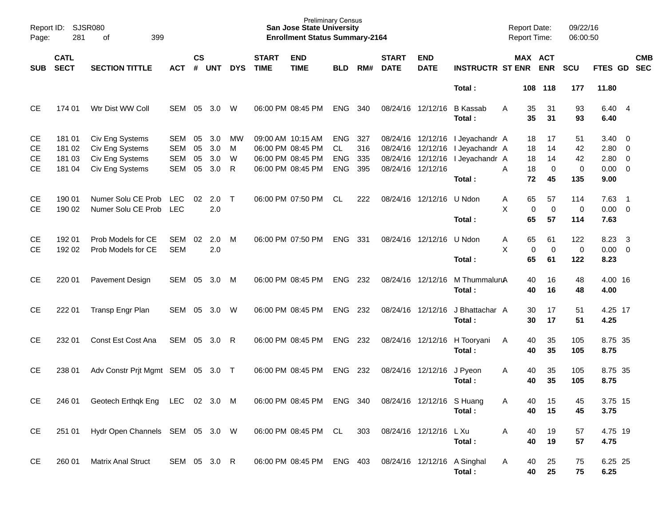| Report ID:<br>Page: | SJSR080<br>281             | 399<br>of                       |              |                    |                  |            |                             | <b>Preliminary Census</b><br><b>San Jose State University</b><br><b>Enrollment Status Summary-2164</b> |            |     |                             |                           |                           |   | <b>Report Date:</b><br><b>Report Time:</b> |             | 09/22/16<br>06:00:50 |                |                         |            |
|---------------------|----------------------------|---------------------------------|--------------|--------------------|------------------|------------|-----------------------------|--------------------------------------------------------------------------------------------------------|------------|-----|-----------------------------|---------------------------|---------------------------|---|--------------------------------------------|-------------|----------------------|----------------|-------------------------|------------|
| SUB                 | <b>CATL</b><br><b>SECT</b> | <b>SECTION TITTLE</b>           | <b>ACT</b>   | $\mathsf{cs}$<br># | <b>UNT</b>       | <b>DYS</b> | <b>START</b><br><b>TIME</b> | <b>END</b><br><b>TIME</b>                                                                              | <b>BLD</b> | RM# | <b>START</b><br><b>DATE</b> | <b>END</b><br><b>DATE</b> | <b>INSTRUCTR ST ENR</b>   |   | MAX ACT                                    | <b>ENR</b>  | <b>SCU</b>           | FTES GD SEC    |                         | <b>CMB</b> |
|                     |                            |                                 |              |                    |                  |            |                             |                                                                                                        |            |     |                             |                           | Total:                    |   | 108                                        | 118         | 177                  | 11.80          |                         |            |
| <b>CE</b>           | 174 01                     | Wtr Dist WW Coll                | <b>SEM</b>   | 05                 | 3.0              | W          |                             | 06:00 PM 08:45 PM                                                                                      | <b>ENG</b> | 340 | 08/24/16 12/12/16           |                           | <b>B</b> Kassab<br>Total: | A | 35<br>35                                   | 31<br>31    | 93<br>93             | 6.40 4<br>6.40 |                         |            |
| <b>CE</b>           | 181 01                     | Civ Eng Systems                 | <b>SEM</b>   | 05                 | 3.0              | МW         | 09:00 AM 10:15 AM           |                                                                                                        | <b>ENG</b> | 327 |                             | 08/24/16 12/12/16         | I Jeyachandr A            |   | 18                                         | 17          | 51                   | $3.40 \ 0$     |                         |            |
| <b>CE</b>           | 181 02                     | Civ Eng Systems                 | <b>SEM</b>   | 05                 | 3.0              | M          |                             | 06:00 PM 08:45 PM                                                                                      | CL.        | 316 | 08/24/16 12/12/16           |                           | I Jeyachandr A            |   | 18                                         | 14          | 42                   | 2.80 0         |                         |            |
| <b>CE</b>           | 181 03                     | Civ Eng Systems                 | <b>SEM</b>   | 05                 | 3.0              | W          |                             | 06:00 PM 08:45 PM                                                                                      | <b>ENG</b> | 335 | 08/24/16                    | 12/12/16                  | I Jeyachandr A            |   | 18                                         | 14          | 42                   | $2.80 \ 0$     |                         |            |
| <b>CE</b>           | 181 04                     | Civ Eng Systems                 | <b>SEM</b>   | 05                 | 3.0              | R          |                             | 06:00 PM 08:45 PM                                                                                      | <b>ENG</b> | 395 | 08/24/16 12/12/16           |                           |                           | A | 18                                         | $\mathbf 0$ | $\mathbf 0$          | $0.00 \t 0$    |                         |            |
|                     |                            |                                 |              |                    |                  |            |                             |                                                                                                        |            |     |                             |                           | Total:                    |   | 72                                         | 45          | 135                  | 9.00           |                         |            |
| <b>CE</b>           | 190 01                     | Numer Solu CE Prob              | <b>LEC</b>   | 02                 | 2.0              | $\top$     |                             | 06:00 PM 07:50 PM                                                                                      | CL         | 222 |                             | 08/24/16 12/12/16         | U Ndon                    | Α | 65                                         | 57          | 114                  | $7.63$ 1       |                         |            |
| <b>CE</b>           | 190 02                     | Numer Solu CE Prob              | <b>LEC</b>   |                    | 2.0              |            |                             |                                                                                                        |            |     |                             |                           |                           | X | $\mathbf 0$                                | $\mathbf 0$ | $\mathbf 0$          | $0.00 \t 0$    |                         |            |
|                     |                            |                                 |              |                    |                  |            |                             |                                                                                                        |            |     |                             |                           | Total:                    |   | 65                                         | 57          | 114                  | 7.63           |                         |            |
| <b>CE</b>           | 192 01                     | Prob Models for CE              | <b>SEM</b>   | 02                 | 2.0              | M          |                             | 06:00 PM 07:50 PM                                                                                      | <b>ENG</b> | 331 | 08/24/16 12/12/16           |                           | U Ndon                    | Α | 65                                         | 61          | 122                  | 8.23           | $\overline{\mathbf{3}}$ |            |
| <b>CE</b>           | 192 02                     | Prob Models for CE              | <b>SEM</b>   |                    | 2.0              |            |                             |                                                                                                        |            |     |                             |                           |                           | X | $\pmb{0}$                                  | $\mathbf 0$ | $\pmb{0}$            | $0.00 \t 0$    |                         |            |
|                     |                            |                                 |              |                    |                  |            |                             |                                                                                                        |            |     |                             |                           | Total:                    |   | 65                                         | 61          | 122                  | 8.23           |                         |            |
| <b>CE</b>           | 220 01                     | <b>Pavement Design</b>          | <b>SEM</b>   | 05                 | 3.0              | M          |                             | 06:00 PM 08:45 PM                                                                                      | <b>ENG</b> | 232 | 08/24/16 12/12/16           |                           | M ThummaluruA             |   | 40                                         | 16          | 48                   | 4.00 16        |                         |            |
|                     |                            |                                 |              |                    |                  |            |                             |                                                                                                        |            |     |                             |                           | Total:                    |   | 40                                         | 16          | 48                   | 4.00           |                         |            |
| <b>CE</b>           | 222 01                     | Transp Engr Plan                | SEM          | 05                 | 3.0              | W          |                             | 06:00 PM 08:45 PM                                                                                      | <b>ENG</b> | 232 | 08/24/16 12/12/16           |                           | J Bhattachar A            |   | 30                                         | 17          | 51                   | 4.25 17        |                         |            |
|                     |                            |                                 |              |                    |                  |            |                             |                                                                                                        |            |     |                             |                           | Total:                    |   | 30                                         | 17          | 51                   | 4.25           |                         |            |
| <b>CE</b>           | 232 01                     | Const Est Cost Ana              | SEM          | 05                 | 3.0 <sub>1</sub> | R          |                             | 06:00 PM 08:45 PM                                                                                      | <b>ENG</b> | 232 | 08/24/16 12/12/16           |                           | H Tooryani                | A | 40                                         | 35          | 105                  | 8.75 35        |                         |            |
|                     |                            |                                 |              |                    |                  |            |                             |                                                                                                        |            |     |                             |                           | Total:                    |   | 40                                         | 35          | 105                  | 8.75           |                         |            |
| <b>CE</b>           | 238 01                     | Adv Constr Prjt Mgmt SEM 05     |              |                    | 3.0 T            |            |                             | 06:00 PM 08:45 PM                                                                                      | <b>ENG</b> | 232 |                             | 08/24/16 12/12/16         | J Pyeon                   | A | 40                                         | 35          | 105                  | 8.75 35        |                         |            |
|                     |                            |                                 |              |                    |                  |            |                             |                                                                                                        |            |     |                             |                           | Total:                    |   | 40                                         | 35          | 105                  | 8.75           |                         |            |
| CE                  | 246 01                     | Geotech Erthqk Eng LEC 02 3.0 M |              |                    |                  |            |                             | 06:00 PM 08:45 PM ENG 340                                                                              |            |     |                             | 08/24/16 12/12/16 S Huang |                           | Α | 40                                         | 15          | 45                   | 3.75 15        |                         |            |
|                     |                            |                                 |              |                    |                  |            |                             |                                                                                                        |            |     |                             |                           | Total:                    |   | 40                                         | 15          | 45                   | 3.75           |                         |            |
| CE                  | 251 01                     | Hydr Open Channels SEM 05 3.0 W |              |                    |                  |            |                             | 06:00 PM 08:45 PM CL                                                                                   |            | 303 | 08/24/16 12/12/16           |                           | L Xu                      | Α | 40                                         | 19          | 57                   | 4.75 19        |                         |            |
|                     |                            |                                 |              |                    |                  |            |                             |                                                                                                        |            |     |                             |                           | Total:                    |   | 40                                         | 19          | 57                   | 4.75           |                         |            |
|                     |                            |                                 |              |                    |                  |            |                             |                                                                                                        |            |     |                             |                           |                           |   |                                            |             |                      |                |                         |            |
| <b>CE</b>           | 260 01                     | <b>Matrix Anal Struct</b>       | SEM 05 3.0 R |                    |                  |            |                             | 06:00 PM 08:45 PM ENG 403                                                                              |            |     | 08/24/16 12/12/16 A Singhal |                           |                           | Α | 40                                         | 25          | 75                   | 6.25 25        |                         |            |
|                     |                            |                                 |              |                    |                  |            |                             |                                                                                                        |            |     |                             |                           | Total:                    |   | 40                                         | 25          | 75                   | 6.25           |                         |            |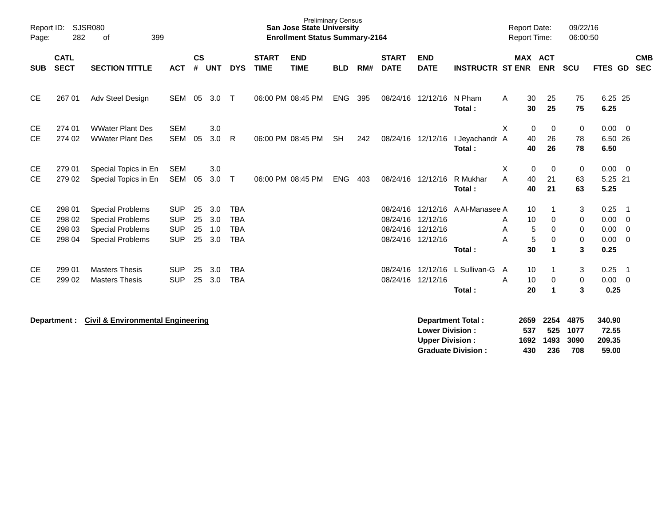| Report ID:<br>Page:                              | 282                                  | SJSR080<br>399<br>оf                                                                                     |                                                      |                      |                          |                                                      |                             | <b>Preliminary Census</b><br><b>San Jose State University</b><br><b>Enrollment Status Summary-2164</b> |            |     |                             |                                                                |                          | <b>Report Date:</b><br><b>Report Time:</b> |                                                    | 09/22/16<br>06:00:50          |                                      |                                                                    |  |
|--------------------------------------------------|--------------------------------------|----------------------------------------------------------------------------------------------------------|------------------------------------------------------|----------------------|--------------------------|------------------------------------------------------|-----------------------------|--------------------------------------------------------------------------------------------------------|------------|-----|-----------------------------|----------------------------------------------------------------|--------------------------|--------------------------------------------|----------------------------------------------------|-------------------------------|--------------------------------------|--------------------------------------------------------------------|--|
| <b>SUB</b>                                       | <b>CATL</b><br><b>SECT</b>           | <b>SECTION TITTLE</b>                                                                                    | <b>ACT</b>                                           | $\mathsf{cs}$<br>#   | <b>UNT</b>               | <b>DYS</b>                                           | <b>START</b><br><b>TIME</b> | <b>END</b><br><b>TIME</b>                                                                              | <b>BLD</b> | RM# | <b>START</b><br><b>DATE</b> | <b>END</b><br><b>DATE</b>                                      | <b>INSTRUCTR ST ENR</b>  |                                            | <b>MAX ACT</b><br><b>ENR</b>                       | SCU                           | FTES GD                              | <b>CMB</b><br><b>SEC</b>                                           |  |
| <b>CE</b>                                        | 267 01                               | Adv Steel Design                                                                                         | <b>SEM</b>                                           | 05                   | 3.0                      | $\top$                                               |                             | 06:00 PM 08:45 PM                                                                                      | <b>ENG</b> | 395 |                             | 08/24/16 12/12/16                                              | N Pham<br>Total:         | A                                          | 30<br>25<br>25<br>30                               | 75<br>75                      | 6.25 25<br>6.25                      |                                                                    |  |
| <b>CE</b><br><b>CE</b>                           | 274 01<br>274 02                     | <b>WWater Plant Des</b><br><b>WWater Plant Des</b>                                                       | <b>SEM</b><br><b>SEM</b>                             | 05                   | 3.0<br>3.0               | R.                                                   |                             | 06:00 PM 08:45 PM                                                                                      | <b>SH</b>  | 242 |                             | 08/24/16 12/12/16                                              | I Jevachandr A<br>Total: | X                                          | $\mathbf 0$<br>$\mathbf 0$<br>26<br>40<br>40<br>26 | 0<br>78<br>78                 | $0.00 \t 0$<br>6.50 26<br>6.50       |                                                                    |  |
| CE<br><b>CE</b>                                  | 279 01<br>279 02                     | Special Topics in En<br>Special Topics in En                                                             | <b>SEM</b><br><b>SEM</b>                             | 05                   | 3.0<br>3.0               | $\top$                                               |                             | 06:00 PM 08:45 PM                                                                                      | <b>ENG</b> | 403 | 08/24/16                    | 12/12/16                                                       | R Mukhar<br>Total:       | Χ<br>A                                     | 0<br>0<br>40<br>21<br>21<br>40                     | 0<br>63<br>63                 | $0.00 \t 0$<br>5.25 21<br>5.25       |                                                                    |  |
| <b>CE</b><br><b>CE</b><br><b>CE</b><br><b>CE</b> | 298 01<br>298 02<br>298 03<br>298 04 | <b>Special Problems</b><br><b>Special Problems</b><br><b>Special Problems</b><br><b>Special Problems</b> | <b>SUP</b><br><b>SUP</b><br><b>SUP</b><br><b>SUP</b> | 25<br>25<br>25<br>25 | 3.0<br>3.0<br>1.0<br>3.0 | <b>TBA</b><br><b>TBA</b><br><b>TBA</b><br><b>TBA</b> |                             |                                                                                                        |            |     | 08/24/16<br>08/24/16        | 12/12/16<br>12/12/16<br>08/24/16 12/12/16<br>08/24/16 12/12/16 | A Al-Manasee A<br>Total: | A<br>A<br>A                                | 10<br>10<br>0<br>5<br>0<br>5<br>0<br>30<br>1       | 3<br>0<br>0<br>$\pmb{0}$<br>3 | 0.25<br>0.00<br>0.00<br>0.00<br>0.25 | - 1<br>$\overline{\mathbf{0}}$<br>$\overline{0}$<br>$\overline{0}$ |  |
| CE.<br><b>CE</b>                                 | 299 01<br>299 02                     | <b>Masters Thesis</b><br><b>Masters Thesis</b>                                                           | <b>SUP</b><br><b>SUP</b>                             | 25<br>25             | 3.0<br>3.0               | <b>TBA</b><br><b>TBA</b>                             |                             |                                                                                                        |            |     | 08/24/16                    | 12/12/16<br>08/24/16 12/12/16                                  | L Sullivan-G<br>Total:   | A<br>A                                     | 10<br>10<br>0<br>20<br>1                           | 3<br>0<br>3                   | 0.25<br>0.00<br>0.25                 | $\overline{1}$<br>$\overline{0}$                                   |  |

**Department : Civil & Environmental Engineering Department Total : 2659 2254 4875 340.90 Lower Division : 537 525 1077 72.55 Upper Division : 1692 1493 3090<br>
Graduate Division : 430 236 708 Graduate Division : 430 236 708 59.00**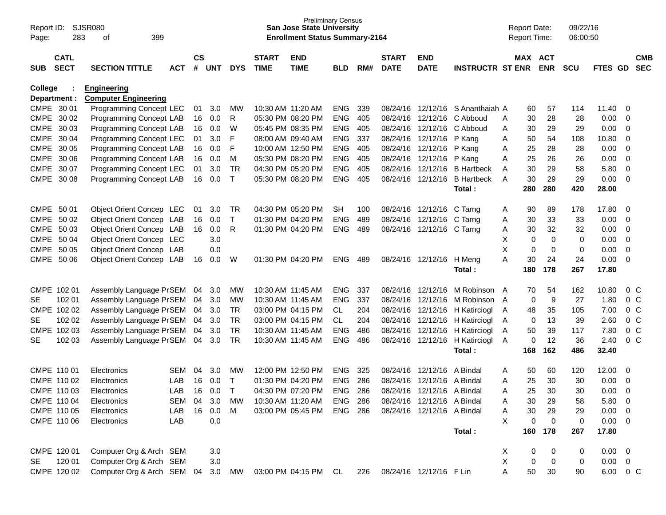| Report ID:<br>Page: | 283                        | <b>SJSR080</b><br>399<br>οf |            |                    |     |              |                             | <b>Preliminary Census</b><br><b>San Jose State University</b><br><b>Enrollment Status Summary-2164</b> |                |     |                             |                            |                         | <b>Report Date:</b> |        | <b>Report Time:</b>   | 09/22/16<br>06:00:50 |             |                          |                          |
|---------------------|----------------------------|-----------------------------|------------|--------------------|-----|--------------|-----------------------------|--------------------------------------------------------------------------------------------------------|----------------|-----|-----------------------------|----------------------------|-------------------------|---------------------|--------|-----------------------|----------------------|-------------|--------------------------|--------------------------|
| <b>SUB</b>          | <b>CATL</b><br><b>SECT</b> | <b>SECTION TITTLE</b>       | <b>ACT</b> | $\mathsf{cs}$<br># | UNT | <b>DYS</b>   | <b>START</b><br><b>TIME</b> | <b>END</b><br><b>TIME</b>                                                                              | <b>BLD</b>     | RM# | <b>START</b><br><b>DATE</b> | <b>END</b><br><b>DATE</b>  | <b>INSTRUCTR ST ENR</b> |                     |        | MAX ACT<br><b>ENR</b> | <b>SCU</b>           | FTES GD     |                          | <b>CMB</b><br><b>SEC</b> |
| <b>College</b>      |                            | <b>Engineering</b>          |            |                    |     |              |                             |                                                                                                        |                |     |                             |                            |                         |                     |        |                       |                      |             |                          |                          |
|                     | Department :               | <b>Computer Engineering</b> |            |                    |     |              |                             |                                                                                                        |                |     |                             |                            |                         |                     |        |                       |                      |             |                          |                          |
|                     | CMPE 30 01                 | Programming Concept LEC     |            | 01                 | 3.0 | MW           |                             | 10:30 AM 11:20 AM                                                                                      | <b>ENG</b>     | 339 | 08/24/16                    | 12/12/16                   | S Ananthaiah A          |                     | 60     | 57                    | 114                  | 11.40       | - 0                      |                          |
|                     | CMPE 30 02                 | Programming Concept LAB     |            | 16                 | 0.0 | R            |                             | 05:30 PM 08:20 PM                                                                                      | <b>ENG</b>     | 405 | 08/24/16                    | 12/12/16                   | C Abboud                | Α                   | 30     | 28                    | 28                   | 0.00        | -0                       |                          |
|                     | CMPE 30 03                 | Programming Concept LAB     |            | 16                 | 0.0 | W            |                             | 05:45 PM 08:35 PM                                                                                      | <b>ENG</b>     | 405 | 08/24/16                    | 12/12/16                   | C Abboud                | Α                   | 30     | 29                    | 29                   | 0.00        | $\overline{0}$           |                          |
| <b>CMPE</b>         | 30 04                      | Programming Concept LEC     |            | 01                 | 3.0 | F            |                             | 08:00 AM 09:40 AM                                                                                      | <b>ENG</b>     | 337 | 08/24/16                    | 12/12/16                   | P Kang                  | Α                   | 50     | 54                    | 108                  | 10.80       | $\overline{0}$           |                          |
| <b>CMPE</b>         | 30 05                      | Programming Concept LAB     |            | 16                 | 0.0 | F            |                             | 10:00 AM 12:50 PM                                                                                      | <b>ENG</b>     | 405 | 08/24/16                    | 12/12/16                   | P Kang                  | Α                   | 25     | 28                    | 28                   | 0.00        | $\overline{0}$           |                          |
|                     | CMPE 30 06                 | Programming Concept LAB     |            | 16                 | 0.0 | M            |                             | 05:30 PM 08:20 PM                                                                                      | <b>ENG</b>     | 405 | 08/24/16                    | 12/12/16                   | P Kang                  | Α                   | 25     | 26                    | 26                   | 0.00        | $\overline{0}$           |                          |
|                     | CMPE 30 07                 | Programming Concept LEC     |            | 01                 | 3.0 | <b>TR</b>    |                             | 04:30 PM 05:20 PM                                                                                      | <b>ENG</b>     | 405 | 08/24/16                    | 12/12/16                   | <b>B</b> Hartbeck       | Α                   | 30     | 29                    | 58                   | 5.80        | $\overline{0}$           |                          |
|                     | CMPE 30 08                 | Programming Concept LAB     |            | 16                 | 0.0 | $\mathsf{T}$ |                             | 05:30 PM 08:20 PM                                                                                      | <b>ENG</b>     | 405 | 08/24/16                    | 12/12/16                   | <b>B</b> Hartbeck       | A                   | 30     | 29                    | 29                   | 0.00        | $\overline{0}$           |                          |
|                     |                            |                             |            |                    |     |              |                             |                                                                                                        |                |     |                             |                            | Total:                  |                     | 280    | 280                   | 420                  | 28.00       |                          |                          |
|                     | CMPE 50 01                 | Object Orient Concep LEC    |            | 01                 | 3.0 | TR           |                             | 04:30 PM 05:20 PM                                                                                      | <b>SH</b>      | 100 | 08/24/16                    | 12/12/16                   | C Tarng                 | A                   | 90     | 89                    | 178                  | 17.80       | -0                       |                          |
|                     | CMPE 50 02                 | Object Orient Concep LAB    |            | 16                 | 0.0 | Τ            |                             | 01:30 PM 04:20 PM                                                                                      | <b>ENG</b>     | 489 | 08/24/16                    | 12/12/16                   | C Tarng                 | Α                   | 30     | 33                    | 33                   | 0.00        | $\overline{0}$           |                          |
|                     | CMPE 50 03                 | Object Orient Concep LAB    |            | 16                 | 0.0 | R            |                             | 01:30 PM 04:20 PM                                                                                      | <b>ENG</b>     | 489 | 08/24/16                    | 12/12/16                   | C Tarng                 | Α                   | 30     | 32                    | 32                   | 0.00        | $\overline{0}$           |                          |
|                     | CMPE 50 04                 | Object Orient Concep LEC    |            |                    | 3.0 |              |                             |                                                                                                        |                |     |                             |                            |                         | X                   | 0      | $\mathbf 0$           | 0                    | 0.00        | $\overline{0}$           |                          |
| <b>CMPE</b>         | 50 05                      | Object Orient Concep LAB    |            |                    | 0.0 |              |                             |                                                                                                        |                |     |                             |                            |                         | X                   | 0      | 0                     | 0                    | 0.00        | $\overline{0}$           |                          |
| <b>CMPE</b>         | 50 06                      | Object Orient Concep LAB    |            | 16                 | 0.0 | W            |                             | 01:30 PM 04:20 PM                                                                                      | <b>ENG</b>     | 489 | 08/24/16                    | 12/12/16                   | H Meng                  | A                   | 30     | 24                    | 24                   | 0.00        | $\overline{0}$           |                          |
|                     |                            |                             |            |                    |     |              |                             |                                                                                                        |                |     |                             |                            | Total:                  |                     | 180    | 178                   | 267                  | 17.80       |                          |                          |
|                     |                            |                             |            |                    |     |              |                             |                                                                                                        |                |     |                             |                            |                         |                     |        |                       |                      |             |                          |                          |
|                     | CMPE 102 01                | Assembly Language PrSEM     |            | 04                 | 3.0 | MW           |                             | 10:30 AM 11:45 AM                                                                                      | <b>ENG</b>     | 337 | 08/24/16                    | 12/12/16                   | M Robinson              | A                   | 70     | 54                    | 162                  | 10.80       | $0\,$ C                  |                          |
| <b>SE</b>           | 102 01                     | Assembly Language PrSEM     |            | 04                 | 3.0 | MW           |                             | 10:30 AM 11:45 AM                                                                                      | <b>ENG</b>     | 337 | 08/24/16                    | 12/12/16                   | M Robinson A            |                     | 0      | 9                     | 27                   | 1.80        | 0 <sup>o</sup>           |                          |
|                     | CMPE 102 02                | Assembly Language PrSEM     |            | 04                 | 3.0 | <b>TR</b>    |                             | 03:00 PM 04:15 PM                                                                                      | CL             | 204 | 08/24/16                    | 12/12/16                   | H Katirciogl            | A                   | 48     | 35                    | 105                  | 7.00        | 0 <sup>o</sup>           |                          |
| <b>SE</b>           | 102 02                     | Assembly Language PrSEM     |            | 04                 | 3.0 | <b>TR</b>    |                             | 03:00 PM 04:15 PM                                                                                      | CL             | 204 | 08/24/16                    | 12/12/16                   | H Katirciogl            | A                   | 0      | 13                    | 39                   | 2.60        | 0 <sup>o</sup>           |                          |
|                     | CMPE 102 03                | Assembly Language PrSEM     |            | 04                 | 3.0 | <b>TR</b>    |                             | 10:30 AM 11:45 AM                                                                                      | <b>ENG</b>     | 486 | 08/24/16                    | 12/12/16                   | H Katirciogl            | Α                   | 50     | 39                    | 117                  | 7.80        | 0 <sup>o</sup>           |                          |
| <b>SE</b>           | 102 03                     | Assembly Language PrSEM     |            | 04                 | 3.0 | <b>TR</b>    |                             | 10:30 AM 11:45 AM                                                                                      | <b>ENG</b>     | 486 | 08/24/16                    | 12/12/16                   | H Katirciogl            | A                   | 0      | 12                    | 36                   | 2.40        | 0 <sup>o</sup>           |                          |
|                     |                            |                             |            |                    |     |              |                             |                                                                                                        |                |     |                             |                            | Total:                  |                     | 168    | 162                   | 486                  | 32.40       |                          |                          |
|                     | CMPE 110 01                | Electronics                 | SEM        | 04                 | 3.0 | МW           |                             | 12:00 PM 12:50 PM                                                                                      | <b>ENG</b>     | 325 | 08/24/16                    | 12/12/16                   | A Bindal                | Α                   | 50     | 60                    | 120                  | 12.00       | 0                        |                          |
|                     | CMPE 110 02                | Electronics                 | LAB        | 16                 | 0.0 | $\mathsf T$  |                             | 01:30 PM 04:20 PM                                                                                      | <b>ENG</b>     | 286 | 08/24/16                    | 12/12/16                   | A Bindal                | Α                   | 25     | 30                    | 30                   | 0.00        | 0                        |                          |
|                     | CMPE 110 03                | Electronics                 | LAB        | 16                 | 0.0 | т            |                             | 04:30 PM 07:20 PM                                                                                      | <b>ENG</b>     | 286 | 08/24/16                    | 12/12/16                   | A Bindal                | Α                   | 25     | 30                    | 30                   | 0.00        | $\mathbf 0$              |                          |
|                     | CMPE 110 04                | Electronics                 | SEM        | 04                 | 3.0 | <b>MW</b>    |                             | 10:30 AM 11:20 AM                                                                                      | <b>ENG 286</b> |     |                             | 08/24/16 12/12/16 A Bindal |                         | Α                   | 30     | 29                    | 58                   | 5.80        | $\overline{\phantom{0}}$ |                          |
|                     | CMPE 110 05                | Electronics                 | LAB        | 16                 | 0.0 | M            |                             | 03:00 PM 05:45 PM                                                                                      | <b>ENG 286</b> |     |                             | 08/24/16 12/12/16 A Bindal |                         | Α                   | $30\,$ | 29                    | 29                   | 0.00        | - 0                      |                          |
|                     | CMPE 110 06                | Electronics                 | LAB        |                    | 0.0 |              |                             |                                                                                                        |                |     |                             |                            |                         | X                   | 0      | $\mathbf 0$           | 0                    | 0.00        | $\overline{\phantom{0}}$ |                          |
|                     |                            |                             |            |                    |     |              |                             |                                                                                                        |                |     |                             |                            | Total:                  |                     | 160    | 178                   | 267                  | 17.80       |                          |                          |
|                     | CMPE 120 01                | Computer Org & Arch SEM     |            |                    | 3.0 |              |                             |                                                                                                        |                |     |                             |                            |                         | X                   | 0      | 0                     | 0                    | 0.00        | $\overline{\phantom{0}}$ |                          |
| SE                  | 120 01                     | Computer Org & Arch SEM     |            |                    | 3.0 |              |                             |                                                                                                        |                |     |                             |                            |                         | X                   | 0      | $\mathbf 0$           | 0                    | $0.00 \t 0$ |                          |                          |
|                     | CMPE 120 02                | Computer Org & Arch SEM 04  |            |                    | 3.0 | MW           |                             | 03:00 PM 04:15 PM CL                                                                                   |                | 226 |                             | 08/24/16 12/12/16 F Lin    |                         |                     | 50     | 30                    | 90                   | 6.00 0 C    |                          |                          |
|                     |                            |                             |            |                    |     |              |                             |                                                                                                        |                |     |                             |                            |                         |                     |        |                       |                      |             |                          |                          |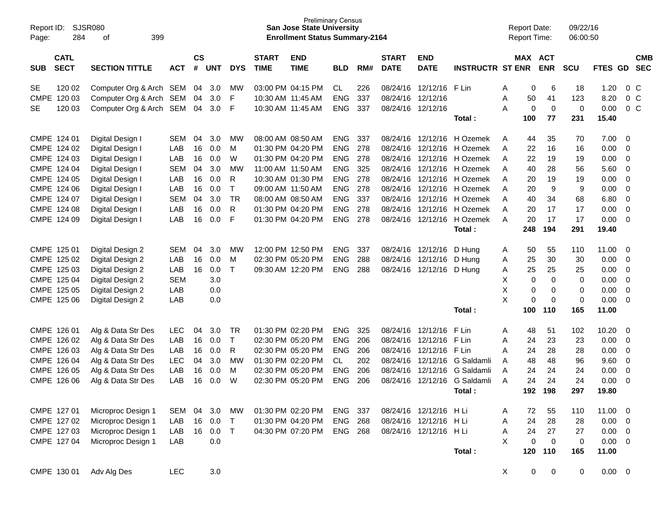| Report ID:<br>Page:      |                  |                                                    |            |               |            | <b>Preliminary Census</b><br><b>San Jose State University</b><br><b>Enrollment Status Summary-2164</b> |                                        |                   |                          |            |                   | <b>Report Date:</b><br><b>Report Time:</b> |                         |        | 09/22/16<br>06:00:50 |                   |                    |              |                  |            |
|--------------------------|------------------|----------------------------------------------------|------------|---------------|------------|--------------------------------------------------------------------------------------------------------|----------------------------------------|-------------------|--------------------------|------------|-------------------|--------------------------------------------|-------------------------|--------|----------------------|-------------------|--------------------|--------------|------------------|------------|
|                          | <b>CATL</b>      |                                                    |            | $\mathsf{cs}$ |            |                                                                                                        | <b>START</b>                           | <b>END</b>        |                          |            | <b>START</b>      | <b>END</b>                                 |                         |        |                      | MAX ACT           |                    |              |                  | <b>CMB</b> |
| <b>SUB</b>               | <b>SECT</b>      | <b>SECTION TITTLE</b>                              | <b>ACT</b> | #             | <b>UNT</b> | <b>DYS</b>                                                                                             | <b>TIME</b>                            | <b>TIME</b>       | <b>BLD</b>               | RM#        | <b>DATE</b>       | <b>DATE</b>                                | <b>INSTRUCTR ST ENR</b> |        |                      | <b>ENR</b>        | <b>SCU</b>         | <b>FTES</b>  | <b>GD</b>        | <b>SEC</b> |
| <b>SE</b>                | 120 02           | Computer Org & Arch SEM                            |            | 04            | 3.0        | MW                                                                                                     |                                        | 03:00 PM 04:15 PM | CL                       | 226        | 08/24/16          | 12/12/16                                   | F Lin                   | A      | 0                    | 6                 | 18                 | 1.20         | $0\,$ C          |            |
| <b>CMPE</b><br><b>SE</b> | 120 03<br>120 03 | Computer Org & Arch SEM<br>Computer Org & Arch SEM |            | 04<br>04      | 3.0<br>3.0 | F<br>F                                                                                                 | 10:30 AM 11:45 AM<br>10:30 AM 11:45 AM |                   | <b>ENG</b><br><b>ENG</b> | 337<br>337 | 08/24/16          | 12/12/16<br>08/24/16 12/12/16              |                         | Α<br>Α | 50<br>0              | 41<br>$\mathbf 0$ | 123<br>$\mathbf 0$ | 8.20<br>0.00 | $0\,C$<br>$0\,C$ |            |
|                          |                  |                                                    |            |               |            |                                                                                                        |                                        |                   |                          |            |                   |                                            | <b>Total :</b>          |        | 100                  | 77                | 231                | 15.40        |                  |            |
|                          | CMPE 124 01      | Digital Design I                                   | <b>SEM</b> | 04            | 3.0        | МW                                                                                                     | 08:00 AM 08:50 AM                      |                   | <b>ENG</b>               | 337        |                   | 08/24/16 12/12/16                          | H Ozemek                | A      | 44                   | 35                | 70                 | 7.00         | - 0              |            |
|                          | CMPE 124 02      | Digital Design I                                   | LAB        | 16            | 0.0        | M                                                                                                      |                                        | 01:30 PM 04:20 PM | <b>ENG</b>               | 278        | 08/24/16          |                                            | 12/12/16 H Ozemek       | A      | 22                   | 16                | 16                 | 0.00         | -0               |            |
|                          | CMPE 124 03      | Digital Design I                                   | LAB        | 16            | 0.0        | W                                                                                                      |                                        | 01:30 PM 04:20 PM | <b>ENG</b>               | 278        | 08/24/16          |                                            | 12/12/16 H Ozemek       | A      | 22                   | 19                | 19                 | 0.00         | $\overline{0}$   |            |
|                          | CMPE 124 04      | Digital Design I                                   | <b>SEM</b> | 04            | 3.0        | <b>MW</b>                                                                                              |                                        | 11:00 AM 11:50 AM | <b>ENG</b>               | 325        | 08/24/16          |                                            | 12/12/16 H Ozemek       | A      | 40                   | 28                | 56                 | 5.60         | $\overline{0}$   |            |
|                          | CMPE 124 05      | Digital Design I                                   | LAB        | 16            | 0.0        | R                                                                                                      |                                        | 10:30 AM 01:30 PM | <b>ENG</b>               | 278        | 08/24/16          |                                            | 12/12/16 H Ozemek       | A      | 20                   | 19                | 19                 | 0.00         | $\overline{0}$   |            |
|                          | CMPE 124 06      | Digital Design I                                   | LAB        | 16            | 0.0        | т                                                                                                      | 09:00 AM 11:50 AM                      |                   | <b>ENG</b>               | 278        | 08/24/16          |                                            | 12/12/16 H Ozemek       | Α      | 20                   | 9                 | 9                  | 0.00         | $\overline{0}$   |            |
|                          | CMPE 124 07      | Digital Design I                                   | <b>SEM</b> | 04            | 3.0        | <b>TR</b>                                                                                              |                                        | 08:00 AM 08:50 AM | <b>ENG</b>               | 337        | 08/24/16          |                                            | 12/12/16 H Ozemek       | A      | 40                   | 34                | 68                 | 6.80         | $\overline{0}$   |            |
|                          | CMPE 124 08      | Digital Design I                                   | LAB        | 16            | 0.0        | R                                                                                                      |                                        | 01:30 PM 04:20 PM | <b>ENG</b>               | 278        | 08/24/16          |                                            | 12/12/16 H Ozemek       | A      | 20                   | 17                | 17                 | 0.00         | $\overline{0}$   |            |
|                          | CMPE 124 09      | Digital Design I                                   | LAB        | 16            | 0.0        | F                                                                                                      |                                        | 01:30 PM 04:20 PM | <b>ENG</b>               | 278        | 08/24/16          | 12/12/16                                   | H Ozemek                | A      | 20                   | 17                | 17                 | 0.00         | $\overline{0}$   |            |
|                          |                  |                                                    |            |               |            |                                                                                                        |                                        |                   |                          |            |                   |                                            | Total:                  |        | 248                  | 194               | 291                | 19.40        |                  |            |
|                          | CMPE 125 01      | Digital Design 2                                   | <b>SEM</b> | 04            | 3.0        | МW                                                                                                     |                                        | 12:00 PM 12:50 PM | <b>ENG</b>               | 337        | 08/24/16 12/12/16 |                                            | D Hung                  | A      | 50                   | 55                | 110                | 11.00        | - 0              |            |
|                          | CMPE 125 02      | Digital Design 2                                   | LAB        | 16            | 0.0        | М                                                                                                      |                                        | 02:30 PM 05:20 PM | <b>ENG</b>               | 288        |                   | 08/24/16 12/12/16                          | D Hung                  | Α      | 25                   | 30                | 30                 | 0.00         | -0               |            |
|                          | CMPE 125 03      | Digital Design 2                                   | LAB        | 16            | 0.0        | Τ                                                                                                      |                                        | 09:30 AM 12:20 PM | <b>ENG</b>               | 288        | 08/24/16          | 12/12/16                                   | D Hung                  | Α      | 25                   | 25                | 25                 | 0.00         | $\overline{0}$   |            |
|                          | CMPE 125 04      | Digital Design 2                                   | <b>SEM</b> |               | 3.0        |                                                                                                        |                                        |                   |                          |            |                   |                                            |                         | X      | 0                    | 0                 | $\mathbf 0$        | 0.00         | $\overline{0}$   |            |
|                          | CMPE 125 05      | Digital Design 2                                   | LAB        |               | 0.0        |                                                                                                        |                                        |                   |                          |            |                   |                                            |                         | Χ      | 0                    | 0                 | 0                  | 0.00         | $\overline{0}$   |            |
|                          | CMPE 125 06      | Digital Design 2                                   | LAB        |               | 0.0        |                                                                                                        |                                        |                   |                          |            |                   |                                            |                         | X      | 0                    | $\mathbf 0$       | $\mathbf 0$        | 0.00         | $\Omega$         |            |
|                          |                  |                                                    |            |               |            |                                                                                                        |                                        |                   |                          |            |                   |                                            | Total:                  |        | 100                  | 110               | 165                | 11.00        |                  |            |
|                          | CMPE 126 01      | Alg & Data Str Des                                 | <b>LEC</b> | 04            | 3.0        | <b>TR</b>                                                                                              |                                        | 01:30 PM 02:20 PM | <b>ENG</b>               | 325        | 08/24/16          | 12/12/16                                   | F Lin                   | Α      | 48                   | 51                | 102                | 10.20        | - 0              |            |
|                          | CMPE 126 02      | Alg & Data Str Des                                 | LAB        | 16            | 0.0        | Т                                                                                                      |                                        | 02:30 PM 05:20 PM | <b>ENG</b>               | 206        | 08/24/16          | 12/12/16                                   | F Lin                   | A      | 24                   | 23                | 23                 | 0.00         | -0               |            |
|                          | CMPE 126 03      | Alg & Data Str Des                                 | LAB        | 16            | 0.0        | R                                                                                                      |                                        | 02:30 PM 05:20 PM | <b>ENG</b>               | 206        | 08/24/16          | 12/12/16                                   | F Lin                   | A      | 24                   | 28                | 28                 | 0.00         | -0               |            |
|                          | CMPE 126 04      | Alg & Data Str Des                                 | <b>LEC</b> | 04            | 3.0        | <b>MW</b>                                                                                              |                                        | 01:30 PM 02:20 PM | <b>CL</b>                | 202        | 08/24/16          | 12/12/16                                   | G Saldamli              | A      | 48                   | 48                | 96                 | 9.60         | $\overline{0}$   |            |
|                          | CMPE 126 05      | Alg & Data Str Des                                 | LAB        | 16            | 0.0        | м                                                                                                      |                                        | 02:30 PM 05:20 PM | <b>ENG</b>               | 206        | 08/24/16          | 12/12/16                                   | G Saldamli              | A      | 24                   | 24                | 24                 | 0.00         | -0               |            |
|                          | CMPE 126 06      | Alg & Data Str Des                                 | LAB        | 16            | 0.0        | W                                                                                                      |                                        | 02:30 PM 05:20 PM | <b>ENG</b>               | 206        | 08/24/16          | 12/12/16                                   | G Saldamli              | A      | 24                   | 24                | 24                 | 0.00         | $\overline{0}$   |            |
|                          |                  |                                                    |            |               |            |                                                                                                        |                                        |                   |                          |            |                   |                                            | Total:                  |        | 192                  | 198               | 297                | 19.80        |                  |            |
|                          | CMPE 127 01      | Microproc Design 1                                 | SEM        | 04            | 3.0        | <b>MW</b>                                                                                              |                                        | 01:30 PM 02:20 PM | ENG                      | 337        |                   | 08/24/16 12/12/16 HLi                      |                         | A      | 72                   | 55                | 110                | 11.00        | - 0              |            |
|                          | CMPE 127 02      | Microproc Design 1                                 | LAB        | 16            | 0.0        | $\mathsf{T}$                                                                                           |                                        | 01:30 PM 04:20 PM | <b>ENG</b>               | 268        |                   | 08/24/16 12/12/16                          | H Li                    | A      | 24                   | 28                | 28                 | 0.00         | - 0              |            |
|                          | CMPE 127 03      | Microproc Design 1                                 | LAB        | 16            | 0.0        | $\top$                                                                                                 |                                        | 04:30 PM 07:20 PM | ENG 268                  |            |                   | 08/24/16 12/12/16 H Li                     |                         | Α      | 24                   | 27                | 27                 | 0.00         | - 0              |            |
|                          | CMPE 127 04      | Microproc Design 1                                 | LAB        |               | 0.0        |                                                                                                        |                                        |                   |                          |            |                   |                                            |                         | X      | 0                    | $\overline{0}$    | 0                  | 0.00         | $\overline{0}$   |            |
|                          |                  |                                                    |            |               |            |                                                                                                        |                                        |                   |                          |            |                   |                                            | Total:                  |        | 120                  | 110               | 165                | 11.00        |                  |            |
|                          | CMPE 130 01      | Adv Alg Des                                        | <b>LEC</b> |               | $3.0\,$    |                                                                                                        |                                        |                   |                          |            |                   |                                            |                         | X      | 0                    | $\mathbf 0$       | 0                  | $0.00 \t 0$  |                  |            |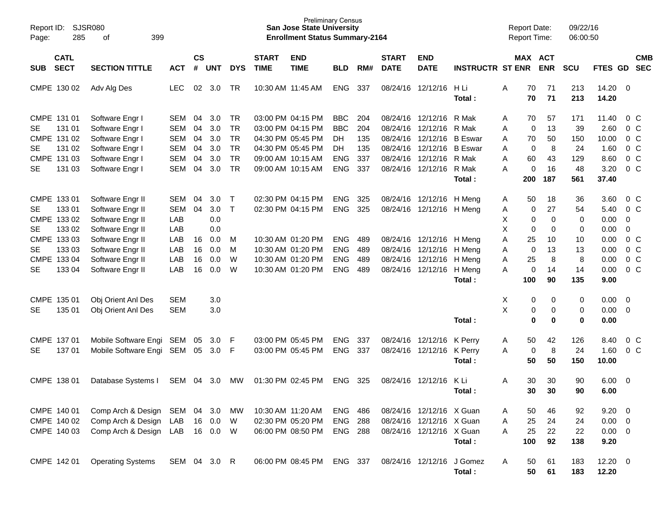| Report ID:<br>Page: | <b>SJSR080</b><br>285      |                          |              |           |            |              | <b>Preliminary Census</b><br><b>San Jose State University</b><br><b>Enrollment Status Summary-2164</b> |                           |            |     |              |                           | <b>Report Date:</b><br>Report Time: |   |          | 09/22/16<br>06:00:50  |             |                |                |                          |
|---------------------|----------------------------|--------------------------|--------------|-----------|------------|--------------|--------------------------------------------------------------------------------------------------------|---------------------------|------------|-----|--------------|---------------------------|-------------------------------------|---|----------|-----------------------|-------------|----------------|----------------|--------------------------|
|                     | <b>CATL</b><br><b>SECT</b> |                          |              | <b>CS</b> | <b>UNT</b> |              | <b>START</b>                                                                                           | <b>END</b><br><b>TIME</b> |            |     | <b>START</b> | <b>END</b><br><b>DATE</b> | <b>INSTRUCTR ST ENR</b>             |   |          | MAX ACT<br><b>ENR</b> |             |                |                | <b>CMB</b><br><b>SEC</b> |
| <b>SUB</b>          |                            | <b>SECTION TITTLE</b>    | <b>ACT</b>   | #         |            | <b>DYS</b>   | <b>TIME</b>                                                                                            |                           | <b>BLD</b> | RM# | <b>DATE</b>  |                           |                                     |   |          |                       | <b>SCU</b>  | FTES GD        |                |                          |
|                     | CMPE 130 02                | Adv Alg Des              | <b>LEC</b>   | 02        | 3.0        | TR           |                                                                                                        | 10:30 AM 11:45 AM         | <b>ENG</b> | 337 | 08/24/16     | 12/12/16                  | H Li<br>Total:                      | Α | 70<br>70 | 71<br>71              | 213<br>213  | 14.20<br>14.20 | $\overline{0}$ |                          |
| CMPE 131 01         |                            | Software Engr I          | SEM          | 04        | 3.0        | TR           |                                                                                                        | 03:00 PM 04:15 PM         | <b>BBC</b> | 204 | 08/24/16     | 12/12/16                  | R Mak                               | A | 70       | 57                    | 171         | 11.40          |                | $0\,$ C                  |
| <b>SE</b>           | 131 01                     | Software Engr I          | <b>SEM</b>   | 04        | 3.0        | <b>TR</b>    |                                                                                                        | 03:00 PM 04:15 PM         | <b>BBC</b> | 204 | 08/24/16     | 12/12/16                  | R Mak                               | Α | 0        | 13                    | 39          | 2.60           |                | 0 <sup>o</sup>           |
|                     | CMPE 131 02                | Software Engr I          | <b>SEM</b>   | 04        | 3.0        | <b>TR</b>    |                                                                                                        | 04:30 PM 05:45 PM         | DH         | 135 | 08/24/16     | 12/12/16                  | <b>B</b> Eswar                      | Α | 70       | 50                    | 150         | 10.00          |                | 0 <sup>o</sup>           |
| <b>SE</b>           | 131 02                     | Software Engr I          | <b>SEM</b>   | 04        | 3.0        | <b>TR</b>    |                                                                                                        | 04:30 PM 05:45 PM         | <b>DH</b>  | 135 | 08/24/16     | 12/12/16                  | <b>B</b> Eswar                      | Α | 0        | 8                     | 24          | 1.60           |                | 0 <sup>o</sup>           |
|                     | CMPE 131 03                | Software Engr I          | <b>SEM</b>   | 04        | 3.0        | <b>TR</b>    |                                                                                                        | 09:00 AM 10:15 AM         | <b>ENG</b> | 337 | 08/24/16     | 12/12/16                  | R Mak                               | A | 60       | 43                    | 129         | 8.60           |                | $0\,C$                   |
| <b>SE</b>           | 131 03                     | Software Engr I          | <b>SEM</b>   | 04        | 3.0        | <b>TR</b>    |                                                                                                        | 09:00 AM 10:15 AM         | <b>ENG</b> | 337 | 08/24/16     | 12/12/16                  | R Mak                               | A | 0        | 16                    | 48          | 3.20           |                | $0\,C$                   |
|                     |                            |                          |              |           |            |              |                                                                                                        |                           |            |     |              |                           | Total:                              |   | 200      | 187                   | 561         | 37.40          |                |                          |
| CMPE 133 01         |                            | Software Engr II         | <b>SEM</b>   | 04        | 3.0        | $\top$       |                                                                                                        | 02:30 PM 04:15 PM         | <b>ENG</b> | 325 | 08/24/16     | 12/12/16                  | H Mena                              | A | 50       | 18                    | 36          | 3.60           |                | $0\,$ C                  |
| <b>SE</b>           | 133 01                     | Software Engr II         | <b>SEM</b>   | 04        | 3.0        | $\mathsf{T}$ |                                                                                                        | 02:30 PM 04:15 PM         | <b>ENG</b> | 325 | 08/24/16     | 12/12/16                  | H Meng                              | Α | 0        | 27                    | 54          | 5.40           |                | $0\,C$                   |
|                     | CMPE 133 02                | Software Engr II         | LAB          |           | 0.0        |              |                                                                                                        |                           |            |     |              |                           |                                     | X | 0        | 0                     | 0           | 0.00           | $\mathbf 0$    |                          |
| <b>SE</b>           | 133 02                     | Software Engr II         | LAB          |           | 0.0        |              |                                                                                                        |                           |            |     |              |                           |                                     | X | 0        | 0                     | 0           | 0.00           | $\mathbf 0$    |                          |
|                     | CMPE 133 03                | Software Engr II         | LAB          | 16        | 0.0        | M            |                                                                                                        | 10:30 AM 01:20 PM         | <b>ENG</b> | 489 | 08/24/16     | 12/12/16                  | H Meng                              | Α | 25       | 10                    | 10          | 0.00           |                | 0 <sup>o</sup>           |
| <b>SE</b>           | 133 03                     | Software Engr II         | LAB          | 16        | 0.0        | M            |                                                                                                        | 10:30 AM 01:20 PM         | <b>ENG</b> | 489 | 08/24/16     | 12/12/16                  | H Meng                              | Α | 0        | 13                    | 13          | 0.00           |                | 0 <sup>o</sup>           |
|                     | CMPE 133 04                | Software Engr II         | LAB          | 16        | 0.0        | W            |                                                                                                        | 10:30 AM 01:20 PM         | <b>ENG</b> | 489 | 08/24/16     | 12/12/16                  | H Meng                              | Α | 25       | 8                     | 8           | 0.00           |                | 0 <sup>o</sup>           |
| <b>SE</b>           | 133 04                     | Software Engr II         | LAB          | 16        | 0.0        | W            |                                                                                                        | 10:30 AM 01:20 PM         | <b>ENG</b> | 489 | 08/24/16     | 12/12/16                  | H Meng                              | A | 0        | 14                    | 14          | 0.00           |                | $0\,C$                   |
|                     |                            |                          |              |           |            |              |                                                                                                        |                           |            |     |              |                           | Total:                              |   | 100      | 90                    | 135         | 9.00           |                |                          |
| CMPE 135 01         |                            | Obj Orient Anl Des       | <b>SEM</b>   |           | 3.0        |              |                                                                                                        |                           |            |     |              |                           |                                     | X | 0        | 0                     | 0           | 0.00           | $\mathbf 0$    |                          |
| <b>SE</b>           | 135 01                     | Obj Orient Anl Des       | <b>SEM</b>   |           | 3.0        |              |                                                                                                        |                           |            |     |              |                           |                                     | X | 0        | 0                     | 0           | 0.00           | $\mathbf 0$    |                          |
|                     |                            |                          |              |           |            |              |                                                                                                        |                           |            |     |              |                           | Total:                              |   | $\bf{0}$ | $\bf{0}$              | $\mathbf 0$ | 0.00           |                |                          |
| CMPE 137 01         |                            | Mobile Software Engi     | SEM          | 05        | 3.0        | F            |                                                                                                        | 03:00 PM 05:45 PM         | <b>ENG</b> | 337 | 08/24/16     | 12/12/16                  | K Perry                             | A | 50       | 42                    | 126         | 8.40           |                | 0 <sup>o</sup>           |
| <b>SE</b>           | 137 01                     | Mobile Software Engi     | SEM          | 05        | 3.0        | F            |                                                                                                        | 03:00 PM 05:45 PM         | <b>ENG</b> | 337 | 08/24/16     | 12/12/16                  | K Perry                             | Α | 0        | 8                     | 24          | 1.60           |                | $0\,C$                   |
|                     |                            |                          |              |           |            |              |                                                                                                        |                           |            |     |              |                           | Total:                              |   | 50       | 50                    | 150         | 10.00          |                |                          |
| CMPE 138 01         |                            | Database Systems I       | SEM          | 04        | 3.0        | МW           |                                                                                                        | 01:30 PM 02:45 PM         | <b>ENG</b> | 325 | 08/24/16     | 12/12/16                  | K Li                                | Α | 30       | 30                    | 90          | 6.00           | $\mathbf 0$    |                          |
|                     |                            |                          |              |           |            |              |                                                                                                        |                           |            |     |              |                           | Total:                              |   | 30       | 30                    | 90          | 6.00           |                |                          |
|                     | CMPE 140 01                | Comp Arch & Design       | SEM          | 04        | 3.0        | МW           |                                                                                                        | 10:30 AM 11:20 AM         | <b>ENG</b> | 486 |              | 08/24/16 12/12/16 X Guan  |                                     | Α | 50       | 46                    | 92          | 9.20           | 0              |                          |
|                     | CMPE 140 02                | Comp Arch & Design       | LAB          | 16        | 0.0        | W            |                                                                                                        | 02:30 PM 05:20 PM         | <b>ENG</b> | 288 |              | 08/24/16 12/12/16 X Guan  |                                     | Α | 25       | 24                    | 24          | 0.00           | $\mathbf 0$    |                          |
|                     | CMPE 140 03                | Comp Arch & Design       | LAB          | 16        | 0.0        | W            |                                                                                                        | 06:00 PM 08:50 PM         | <b>ENG</b> | 288 |              | 08/24/16 12/12/16 X Guan  |                                     | Α | 25       | 22                    | 22          | 0.00           | $\overline{0}$ |                          |
|                     |                            |                          |              |           |            |              |                                                                                                        |                           |            |     |              |                           | Total:                              |   | 100      | 92                    | 138         | 9.20           |                |                          |
|                     | CMPE 142 01                | <b>Operating Systems</b> | SEM 04 3.0 R |           |            |              |                                                                                                        | 06:00 PM 08:45 PM         | ENG 337    |     |              | 08/24/16 12/12/16         | J Gomez<br>Total:                   | Α | 50<br>50 | 61<br>61              | 183<br>183  | 12.20<br>12.20 | $\overline{0}$ |                          |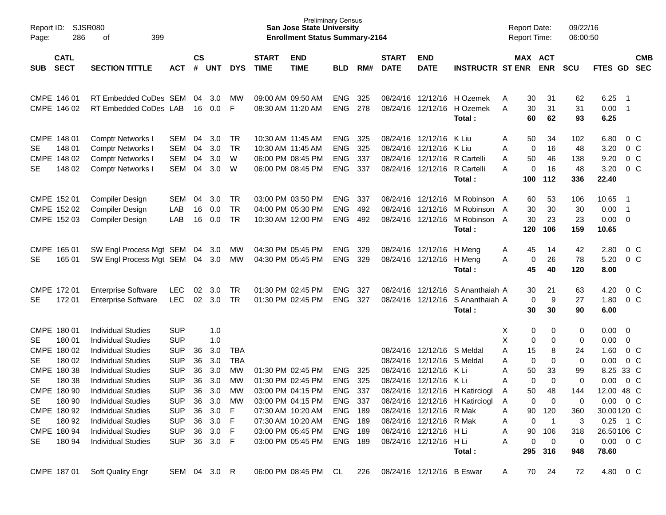| Report ID:<br>Page:               | 286                                                                                                                                                | <b>SJSR080</b><br>399<br>οf                                                                                                                                                                                                                                                                                                                              |                                                                                                                                                                      |                                              |                                                                                        |                                                                         |                             | <b>Preliminary Census</b><br><b>San Jose State University</b><br><b>Enrollment Status Summary-2164</b>                                                               |                                                                                                      |                          |                                              |                                                                                                                                                                |                                                                                                           | <b>Report Date:</b><br><b>Report Time:</b>                                                                                |                                                                                                     | 09/22/16<br>06:00:50                                                    |                                                                                                                                                    |                                                                           |                          |
|-----------------------------------|----------------------------------------------------------------------------------------------------------------------------------------------------|----------------------------------------------------------------------------------------------------------------------------------------------------------------------------------------------------------------------------------------------------------------------------------------------------------------------------------------------------------|----------------------------------------------------------------------------------------------------------------------------------------------------------------------|----------------------------------------------|----------------------------------------------------------------------------------------|-------------------------------------------------------------------------|-----------------------------|----------------------------------------------------------------------------------------------------------------------------------------------------------------------|------------------------------------------------------------------------------------------------------|--------------------------|----------------------------------------------|----------------------------------------------------------------------------------------------------------------------------------------------------------------|-----------------------------------------------------------------------------------------------------------|---------------------------------------------------------------------------------------------------------------------------|-----------------------------------------------------------------------------------------------------|-------------------------------------------------------------------------|----------------------------------------------------------------------------------------------------------------------------------------------------|---------------------------------------------------------------------------|--------------------------|
| <b>SUB</b>                        | <b>CATL</b><br><b>SECT</b>                                                                                                                         | <b>SECTION TITTLE</b>                                                                                                                                                                                                                                                                                                                                    | <b>ACT</b>                                                                                                                                                           | <b>CS</b><br>#                               | UNT                                                                                    | <b>DYS</b>                                                              | <b>START</b><br><b>TIME</b> | <b>END</b><br><b>TIME</b>                                                                                                                                            | <b>BLD</b>                                                                                           | RM#                      | <b>START</b><br><b>DATE</b>                  | <b>END</b><br><b>DATE</b>                                                                                                                                      | <b>INSTRUCTR ST ENR</b>                                                                                   | MAX ACT                                                                                                                   | <b>ENR</b>                                                                                          | <b>SCU</b>                                                              | FTES GD                                                                                                                                            |                                                                           | <b>CMB</b><br><b>SEC</b> |
|                                   | CMPE 146 01<br>CMPE 146 02                                                                                                                         | RT Embedded CoDes SEM<br>RT Embedded CoDes LAB                                                                                                                                                                                                                                                                                                           |                                                                                                                                                                      | 04<br>16                                     | 3.0<br>0.0                                                                             | <b>MW</b><br>F                                                          | 08:30 AM 11:20 AM           | 09:00 AM 09:50 AM                                                                                                                                                    | <b>ENG</b><br><b>ENG</b>                                                                             | 325<br>278               |                                              | 08/24/16 12/12/16                                                                                                                                              | 08/24/16 12/12/16 H Ozemek<br>H Ozemek<br>Total:                                                          | 30<br>Α<br>30<br>A<br>60                                                                                                  | 31<br>31<br>62                                                                                      | 62<br>31<br>93                                                          | 6.25<br>0.00<br>6.25                                                                                                                               | - 1<br>- 1                                                                |                          |
| <b>SE</b><br>SE                   | CMPE 148 01<br>148 01<br>CMPE 148 02<br>148 02                                                                                                     | <b>Comptr Networks I</b><br><b>Comptr Networks I</b><br><b>Comptr Networks I</b><br><b>Comptr Networks I</b>                                                                                                                                                                                                                                             | SEM<br><b>SEM</b><br><b>SEM</b><br><b>SEM</b>                                                                                                                        | 04<br>04<br>04<br>04                         | 3.0<br>3.0<br>3.0<br>3.0                                                               | TR<br>TR<br>W<br>W                                                      |                             | 10:30 AM 11:45 AM<br>10:30 AM 11:45 AM<br>06:00 PM 08:45 PM<br>06:00 PM 08:45 PM                                                                                     | <b>ENG</b><br><b>ENG</b><br><b>ENG</b><br><b>ENG</b>                                                 | 325<br>325<br>337<br>337 |                                              | 08/24/16 12/12/16<br>08/24/16 12/12/16<br>08/24/16 12/12/16<br>08/24/16 12/12/16 R Cartelli                                                                    | K Liu<br>K Liu<br>R Cartelli<br>Total:                                                                    | 50<br>Α<br>0<br>Α<br>50<br>Α<br>0<br>Α<br>100                                                                             | 34<br>16<br>46<br>16<br>112                                                                         | 102<br>48<br>138<br>48<br>336                                           | 6.80<br>3.20<br>9.20<br>3.20<br>22.40                                                                                                              | $0\,$ C<br>0 <sup>o</sup><br>0 <sup>o</sup><br>0 <sup>o</sup>             |                          |
|                                   | CMPE 152 01<br>CMPE 152 02<br>CMPE 152 03                                                                                                          | <b>Compiler Design</b><br><b>Compiler Design</b><br><b>Compiler Design</b>                                                                                                                                                                                                                                                                               | SEM<br>LAB<br>LAB                                                                                                                                                    | 04<br>16<br>16                               | 3.0<br>0.0<br>0.0                                                                      | TR<br>TR<br>TR                                                          |                             | 03:00 PM 03:50 PM<br>04:00 PM 05:30 PM<br>10:30 AM 12:00 PM                                                                                                          | <b>ENG</b><br><b>ENG</b><br><b>ENG</b>                                                               | 337<br>492<br>492        | 08/24/16                                     | 08/24/16 12/12/16<br>12/12/16<br>08/24/16 12/12/16                                                                                                             | M Robinson A<br>M Robinson A<br>M Robinson A<br>Total:                                                    | 60<br>30<br>30<br>120                                                                                                     | 53<br>30<br>23<br>106                                                                               | 106<br>30<br>23<br>159                                                  | 10.65<br>0.00<br>0.00<br>10.65                                                                                                                     | -1<br>- 1<br>$\overline{0}$                                               |                          |
| <b>SE</b>                         | CMPE 165 01<br>165 01                                                                                                                              | SW Engl Process Mgt SEM<br>SW Engl Process Mgt SEM                                                                                                                                                                                                                                                                                                       |                                                                                                                                                                      | 04<br>04                                     | 3.0<br>3.0                                                                             | МW<br>MW                                                                |                             | 04:30 PM 05:45 PM<br>04:30 PM 05:45 PM                                                                                                                               | <b>ENG</b><br><b>ENG</b>                                                                             | 329<br>329               |                                              | 08/24/16 12/12/16<br>08/24/16 12/12/16                                                                                                                         | H Mena<br>H Meng<br>Total:                                                                                | 45<br>A<br>0<br>A<br>45                                                                                                   | 14<br>26<br>40                                                                                      | 42<br>78<br>120                                                         | 2.80<br>5.20<br>8.00                                                                                                                               | $0\,$ C<br>0 <sup>o</sup>                                                 |                          |
| SE                                | CMPE 172 01<br>172 01                                                                                                                              | <b>Enterprise Software</b><br><b>Enterprise Software</b>                                                                                                                                                                                                                                                                                                 | <b>LEC</b><br><b>LEC</b>                                                                                                                                             | 02<br>02                                     | 3.0<br>3.0                                                                             | TR<br>TR                                                                |                             | 01:30 PM 02:45 PM<br>01:30 PM 02:45 PM                                                                                                                               | <b>ENG</b><br><b>ENG</b>                                                                             | 327<br>327               | 08/24/16                                     | 12/12/16<br>08/24/16 12/12/16                                                                                                                                  | S Ananthaiah A<br>S Ananthaiah A<br>Total:                                                                | 30<br>0<br>30                                                                                                             | 21<br>9<br>30                                                                                       | 63<br>27<br>90                                                          | 4.20<br>1.80<br>6.00                                                                                                                               | 0 <sup>o</sup><br>0 <sup>o</sup>                                          |                          |
| SE<br>SE<br>SE<br>SE<br>SE.<br>SE | CMPE 180 01<br>180 01<br>CMPE 180 02<br>180 02<br>CMPE 180 38<br>180 38<br>CMPE 180 90<br>180 90<br>CMPE 180 92<br>180 92<br>CMPE 180 94<br>180 94 | <b>Individual Studies</b><br><b>Individual Studies</b><br><b>Individual Studies</b><br><b>Individual Studies</b><br><b>Individual Studies</b><br><b>Individual Studies</b><br><b>Individual Studies</b><br><b>Individual Studies</b><br><b>Individual Studies</b><br><b>Individual Studies</b><br><b>Individual Studies</b><br><b>Individual Studies</b> | <b>SUP</b><br><b>SUP</b><br><b>SUP</b><br><b>SUP</b><br><b>SUP</b><br><b>SUP</b><br><b>SUP</b><br><b>SUP</b><br><b>SUP</b><br><b>SUP</b><br><b>SUP</b><br><b>SUP</b> | 36<br>36<br>36<br>36<br>36<br>36<br>36<br>36 | 1.0<br>1.0<br>3.0<br>3.0<br>3.0<br>3.0<br>3.0<br>3.0<br>3.0<br>36 3.0<br>3.0<br>36 3.0 | TBA<br><b>TBA</b><br>MW<br>MW<br><b>MW</b><br>МW<br>F<br>F<br>-F<br>- F |                             | 01:30 PM 02:45 PM<br>01:30 PM 02:45 PM<br>03:00 PM 04:15 PM<br>03:00 PM 04:15 PM<br>07:30 AM 10:20 AM<br>07:30 AM 10:20 AM<br>03:00 PM 05:45 PM<br>03:00 PM 05:45 PM | <b>ENG</b><br><b>ENG</b><br><b>ENG</b><br>ENG 337<br><b>ENG 189</b><br>ENG 189<br>ENG 189<br>ENG 189 | 325<br>325<br>337        | 08/24/16<br>08/24/16<br>08/24/16<br>08/24/16 | 08/24/16 12/12/16<br>12/12/16<br>12/12/16<br>12/12/16<br>08/24/16 12/12/16 R Mak<br>08/24/16 12/12/16 R Mak<br>08/24/16 12/12/16 H Li<br>08/24/16 12/12/16 HLi | S Meldal<br>S Meldal<br>K Li<br>K Li<br>12/12/16 H Katirciogl<br>08/24/16 12/12/16 H Katirciogl<br>Total: | 0<br>х<br>X<br>0<br>15<br>Α<br>0<br>Α<br>Α<br>50<br>0<br>Α<br>50<br>A<br>0<br>A<br>90<br>Α<br>0<br>A<br>90<br>Α<br>Α<br>0 | 0<br>0<br>8<br>0<br>33<br>0<br>48<br>0<br>120<br>$\overline{1}$<br>106<br>$\overline{0}$<br>295 316 | 0<br>0<br>24<br>0<br>99<br>0<br>144<br>0<br>360<br>3<br>318<br>0<br>948 | 0.00<br>0.00<br>1.60<br>0.00<br>8.25 33 C<br>0.00<br>12.00 48 C<br>$0.00 \t 0 C$<br>30.00120 C<br>0.25 1 C<br>26.50106 C<br>$0.00 \t 0 C$<br>78.60 | $\overline{0}$<br>0<br>0 <sup>o</sup><br>0 <sup>o</sup><br>0 <sup>o</sup> |                          |
|                                   | CMPE 187 01                                                                                                                                        | <b>Soft Quality Engr</b>                                                                                                                                                                                                                                                                                                                                 | SEM 04 3.0 R                                                                                                                                                         |                                              |                                                                                        |                                                                         |                             | 06:00 PM 08:45 PM CL                                                                                                                                                 |                                                                                                      | 226                      |                                              | 08/24/16 12/12/16 B Eswar                                                                                                                                      |                                                                                                           | 70<br>A                                                                                                                   | 24                                                                                                  | 72                                                                      | 4.80 0 C                                                                                                                                           |                                                                           |                          |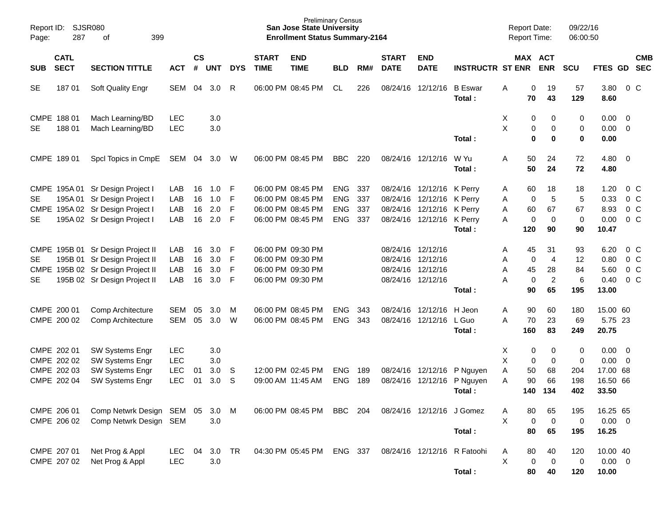| Report ID:<br>Page: | SJSR080<br>287             | 399<br>of                         |            |                    |                  |            |                             | <b>Preliminary Census</b><br><b>San Jose State University</b><br><b>Enrollment Status Summary-2164</b> |            |     |                             |                           |                             |   | <b>Report Date:</b><br><b>Report Time:</b> |                       | 09/22/16<br>06:00:50 |              |                         |                |
|---------------------|----------------------------|-----------------------------------|------------|--------------------|------------------|------------|-----------------------------|--------------------------------------------------------------------------------------------------------|------------|-----|-----------------------------|---------------------------|-----------------------------|---|--------------------------------------------|-----------------------|----------------------|--------------|-------------------------|----------------|
| <b>SUB</b>          | <b>CATL</b><br><b>SECT</b> | <b>SECTION TITTLE</b>             | <b>ACT</b> | $\mathsf{cs}$<br># | <b>UNT</b>       | <b>DYS</b> | <b>START</b><br><b>TIME</b> | <b>END</b><br><b>TIME</b>                                                                              | <b>BLD</b> | RM# | <b>START</b><br><b>DATE</b> | <b>END</b><br><b>DATE</b> | <b>INSTRUCTR ST ENR</b>     |   |                                            | MAX ACT<br><b>ENR</b> | <b>SCU</b>           | FTES GD SEC  |                         | <b>CMB</b>     |
| <b>SE</b>           | 18701                      | Soft Quality Engr                 | SEM        | 04                 | 3.0              | R          |                             | 06:00 PM 08:45 PM                                                                                      | CL         | 226 |                             | 08/24/16 12/12/16         | <b>B</b> Eswar<br>Total:    | Α | 0<br>70                                    | 19<br>43              | 57<br>129            | 3.80<br>8.60 |                         | 0 <sup>o</sup> |
|                     | CMPE 188 01                | Mach Learning/BD                  | <b>LEC</b> |                    | 3.0              |            |                             |                                                                                                        |            |     |                             |                           |                             | Χ | 0                                          | 0                     | 0                    | 0.00         | $\overline{0}$          |                |
| <b>SE</b>           | 18801                      | Mach Learning/BD                  | <b>LEC</b> |                    | 3.0              |            |                             |                                                                                                        |            |     |                             |                           | Total:                      | Χ | 0<br>0                                     | 0<br>0                | 0<br>$\mathbf 0$     | 0.00<br>0.00 | $\overline{0}$          |                |
|                     |                            |                                   |            |                    |                  |            |                             |                                                                                                        |            |     |                             |                           |                             |   |                                            |                       |                      |              |                         |                |
|                     | CMPE 189 01                | Spcl Topics in CmpE               | SEM 04     |                    | 3.0              | W          |                             | 06:00 PM 08:45 PM                                                                                      | <b>BBC</b> | 220 |                             | 08/24/16 12/12/16         | W Yu<br>Total:              | A | 50<br>50                                   | 24<br>24              | 72<br>72             | 4.80<br>4.80 | $\overline{0}$          |                |
|                     |                            | CMPE 195A 01 Sr Design Project I  | LAB        | 16                 | 1.0              | F          |                             | 06:00 PM 08:45 PM                                                                                      | <b>ENG</b> | 337 |                             | 08/24/16 12/12/16         | K Perry                     | A | 60                                         | 18                    | 18                   | 1.20         |                         | 0 <sup>o</sup> |
| <b>SE</b>           |                            | 195A 01 Sr Design Project I       | LAB        | 16                 | 1.0              | F          |                             | 06:00 PM 08:45 PM                                                                                      | <b>ENG</b> | 337 |                             | 08/24/16 12/12/16         | K Perry                     | Α | 0                                          | 5                     | 5                    | 0.33         |                         | 0 <sup>o</sup> |
| <b>CMPE</b>         |                            | 195A 02 Sr Design Project I       | LAB        | 16                 | 2.0              | F          |                             | 06:00 PM 08:45 PM                                                                                      | <b>ENG</b> | 337 |                             | 08/24/16 12/12/16         | K Perry                     | Α | 60                                         | 67                    | 67                   | 8.93         |                         | 0 <sup>C</sup> |
| <b>SE</b>           |                            | 195A 02 Sr Design Project I       | LAB        | 16                 | 2.0              | F          |                             | 06:00 PM 08:45 PM                                                                                      | <b>ENG</b> | 337 |                             | 08/24/16 12/12/16 K Perry |                             | A | 0                                          | $\mathbf 0$           | 0                    | 0.00         |                         | $0\,C$         |
|                     |                            |                                   |            |                    |                  |            |                             |                                                                                                        |            |     |                             |                           | Total:                      |   | 120                                        | 90                    | 90                   | 10.47        |                         |                |
|                     |                            | CMPE 195B 01 Sr Design Project II | LAB        | 16                 | 3.0 <sub>2</sub> | F          | 06:00 PM 09:30 PM           |                                                                                                        |            |     | 08/24/16 12/12/16           |                           |                             | Α | 45                                         | 31                    | 93                   | 6.20         |                         | $0\,C$         |
| <b>SE</b>           |                            | 195B 01 Sr Design Project II      | LAB        | 16                 | 3.0              | F          |                             | 06:00 PM 09:30 PM                                                                                      |            |     | 08/24/16 12/12/16           |                           |                             | Α | 0                                          | $\overline{4}$        | 12                   | 0.80         |                         | 0 <sup>o</sup> |
| <b>CMPE</b>         |                            | 195B 02 Sr Design Project II      | LAB        | 16                 | 3.0              | F          | 06:00 PM 09:30 PM           |                                                                                                        |            |     | 08/24/16 12/12/16           |                           |                             | Α | 45                                         | 28                    | 84                   | 5.60         |                         | 0 <sup>o</sup> |
| <b>SE</b>           |                            | 195B 02 Sr Design Project II      | LAB        | 16                 | 3.0              | F          |                             | 06:00 PM 09:30 PM                                                                                      |            |     | 08/24/16 12/12/16           |                           |                             | A | $\mathbf 0$                                | $\overline{c}$        | 6                    | 0.40         |                         | $0\,C$         |
|                     |                            |                                   |            |                    |                  |            |                             |                                                                                                        |            |     |                             |                           | Total:                      |   | 90                                         | 65                    | 195                  | 13.00        |                         |                |
|                     | CMPE 200 01                | Comp Architecture                 | <b>SEM</b> | 05                 | 3.0              | M          |                             | 06:00 PM 08:45 PM                                                                                      | <b>ENG</b> | 343 |                             | 08/24/16 12/12/16         | H Jeon                      | Α | 90                                         | 60                    | 180                  | 15.00 60     |                         |                |
|                     | CMPE 200 02                | Comp Architecture                 | <b>SEM</b> | 05                 | 3.0              | W          |                             | 06:00 PM 08:45 PM                                                                                      | <b>ENG</b> | 343 |                             | 08/24/16 12/12/16         | L Guo                       | A | 70                                         | 23                    | 69                   | 5.75 23      |                         |                |
|                     |                            |                                   |            |                    |                  |            |                             |                                                                                                        |            |     |                             |                           | Total:                      |   | 160                                        | 83                    | 249                  | 20.75        |                         |                |
|                     | CMPE 202 01                | SW Systems Engr                   | <b>LEC</b> |                    | 3.0              |            |                             |                                                                                                        |            |     |                             |                           |                             | х | 0                                          | 0                     | 0                    | 0.00         | $\overline{\mathbf{0}}$ |                |
|                     | CMPE 202 02                | SW Systems Engr                   | <b>LEC</b> |                    | 3.0              |            |                             |                                                                                                        |            |     |                             |                           |                             | X | 0                                          | $\mathbf 0$           | 0                    | 0.00         | $\overline{0}$          |                |
|                     | CMPE 202 03                | SW Systems Engr                   | <b>LEC</b> | 01                 | 3.0              | S          |                             | 12:00 PM 02:45 PM                                                                                      | <b>ENG</b> | 189 |                             | 08/24/16 12/12/16         | P Nguyen                    | Α | 50                                         | 68                    | 204                  | 17.00 68     |                         |                |
|                     | CMPE 202 04                | SW Systems Engr                   | <b>LEC</b> | 01                 | 3.0              | S          | 09:00 AM 11:45 AM           |                                                                                                        | <b>ENG</b> | 189 |                             | 08/24/16 12/12/16         | P Nguyen                    | A | 90                                         | 66                    | 198                  | 16.50 66     |                         |                |
|                     |                            |                                   |            |                    |                  |            |                             |                                                                                                        |            |     |                             |                           | Total:                      |   | 140                                        | 134                   | 402                  | 33.50        |                         |                |
|                     |                            |                                   |            |                    |                  |            |                             |                                                                                                        |            |     |                             |                           |                             |   |                                            |                       |                      |              |                         |                |
|                     | CMPE 206 01                | Comp Netwrk Design SEM 05         |            |                    | 3.0              | M          |                             | 06:00 PM 08:45 PM                                                                                      | BBC        | 204 |                             | 08/24/16 12/12/16 J Gomez |                             | Α | 80                                         | 65                    | 195                  | 16.25 65     |                         |                |
|                     | CMPE 206 02                | Comp Netwrk Design SEM            |            |                    | 3.0              |            |                             |                                                                                                        |            |     |                             |                           |                             | X | 0                                          | $\mathbf 0$           | 0                    | $0.00 \t 0$  |                         |                |
|                     |                            |                                   |            |                    |                  |            |                             |                                                                                                        |            |     |                             |                           | Total:                      |   | 80                                         | 65                    | 195                  | 16.25        |                         |                |
|                     | CMPE 207 01                | Net Prog & Appl                   | LEC        | 04                 | 3.0              | <b>TR</b>  |                             | 04:30 PM 05:45 PM                                                                                      | ENG 337    |     |                             |                           | 08/24/16 12/12/16 R Fatoohi | Α | 80                                         | 40                    | 120                  | 10.00 40     |                         |                |
|                     | CMPE 207 02                | Net Prog & Appl                   | LEC        |                    | $3.0\,$          |            |                             |                                                                                                        |            |     |                             |                           |                             | X | 0                                          | $\mathbf 0$           | 0                    | $0.00 \t 0$  |                         |                |
|                     |                            |                                   |            |                    |                  |            |                             |                                                                                                        |            |     |                             |                           | Total:                      |   | 80                                         | 40                    | 120                  | 10.00        |                         |                |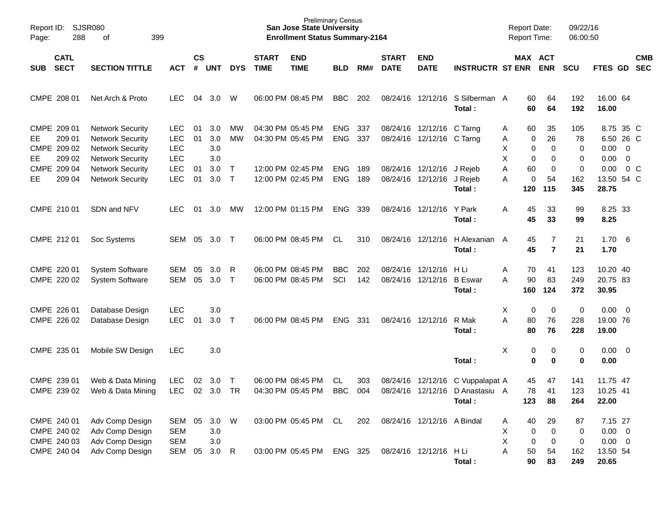| Report ID:<br>Page:                                         | <b>SJSR080</b><br>288<br>399<br>of                                                                       |                                                      |                             |                          |                     |                             | <b>Preliminary Census</b><br><b>San Jose State University</b><br><b>Enrollment Status Summary-2164</b> |                          |            |                             |                                               |                                           | <b>Report Date:</b><br>Report Time:                     |                                  | 09/22/16<br>06:00:50    |                                               |                |                          |
|-------------------------------------------------------------|----------------------------------------------------------------------------------------------------------|------------------------------------------------------|-----------------------------|--------------------------|---------------------|-----------------------------|--------------------------------------------------------------------------------------------------------|--------------------------|------------|-----------------------------|-----------------------------------------------|-------------------------------------------|---------------------------------------------------------|----------------------------------|-------------------------|-----------------------------------------------|----------------|--------------------------|
| <b>CATL</b><br><b>SECT</b><br>SUB                           | <b>SECTION TITTLE</b>                                                                                    | <b>ACT</b>                                           | $\mathsf{cs}$<br>$\pmb{\#}$ | <b>UNT</b>               | <b>DYS</b>          | <b>START</b><br><b>TIME</b> | <b>END</b><br><b>TIME</b>                                                                              | <b>BLD</b>               | RM#        | <b>START</b><br><b>DATE</b> | <b>END</b><br><b>DATE</b>                     | <b>INSTRUCTR ST ENR</b>                   | MAX ACT                                                 | <b>ENR</b>                       | <b>SCU</b>              | <b>FTES GD</b>                                |                | <b>CMB</b><br><b>SEC</b> |
| CMPE 208 01                                                 | Net Arch & Proto                                                                                         | <b>LEC</b>                                           | 04                          | 3.0                      | W                   |                             | 06:00 PM 08:45 PM                                                                                      | <b>BBC</b>               | 202        |                             |                                               | 08/24/16 12/12/16 S Silberman A<br>Total: | 60<br>60                                                | 64<br>64                         | 192<br>192              | 16.00 64<br>16.00                             |                |                          |
| CMPE 209 01<br>209 01<br>EE.<br>CMPE 209 02<br>209 02<br>EE | <b>Network Security</b><br><b>Network Security</b><br><b>Network Security</b><br><b>Network Security</b> | <b>LEC</b><br><b>LEC</b><br><b>LEC</b><br><b>LEC</b> | 01<br>01                    | 3.0<br>3.0<br>3.0<br>3.0 | MW<br><b>MW</b>     |                             | 04:30 PM 05:45 PM<br>04:30 PM 05:45 PM                                                                 | <b>ENG</b><br><b>ENG</b> | 337<br>337 | 08/24/16                    | 08/24/16 12/12/16 C Tarng<br>12/12/16 C Tarng |                                           | 60<br>A<br>Α<br>0<br>X<br>$\pmb{0}$<br>X<br>$\mathbf 0$ | 35<br>26<br>0<br>0               | 105<br>78<br>0<br>0     | 8.75 35 C<br>6.50 26 C<br>$0.00 \t 0$<br>0.00 | $\overline{0}$ |                          |
| CMPE 209 04<br>209 04<br>EE                                 | <b>Network Security</b><br><b>Network Security</b>                                                       | <b>LEC</b><br><b>LEC</b>                             | 01<br>01                    | 3.0<br>3.0               | $\top$<br>$\top$    |                             | 12:00 PM 02:45 PM<br>12:00 PM 02:45 PM                                                                 | <b>ENG</b><br><b>ENG</b> | 189<br>189 |                             | 08/24/16 12/12/16<br>08/24/16 12/12/16        | J Rejeb<br>J Rejeb<br>Total:              | 60<br>Α<br>Α<br>0<br>120                                | 0<br>54<br>115                   | 0<br>162<br>345         | 0.00<br>13.50 54 C<br>28.75                   | $0\,$ C        |                          |
| CMPE 210 01                                                 | SDN and NFV                                                                                              | <b>LEC</b>                                           | 01                          | 3.0                      | MW                  |                             | 12:00 PM 01:15 PM                                                                                      | <b>ENG</b>               | 339        |                             | 08/24/16 12/12/16                             | Y Park<br>Total:                          | 45<br>A<br>45                                           | 33<br>33                         | 99<br>99                | 8.25 33<br>8.25                               |                |                          |
| CMPE 212 01                                                 | Soc Systems                                                                                              | <b>SEM</b>                                           | 05                          | 3.0 <sub>2</sub>         | $\top$              |                             | 06:00 PM 08:45 PM                                                                                      | <b>CL</b>                | 310        |                             | 08/24/16 12/12/16                             | H Alexanian A<br>Total:                   | 45<br>45                                                | $\overline{7}$<br>$\overline{7}$ | 21<br>21                | $1.70\ 6$<br>1.70                             |                |                          |
| CMPE 220 01<br>CMPE 220 02                                  | <b>System Software</b><br><b>System Software</b>                                                         | <b>SEM</b><br><b>SEM</b>                             | 05<br>05                    | 3.0<br>3.0               | R<br>$\top$         |                             | 06:00 PM 08:45 PM<br>06:00 PM 08:45 PM                                                                 | <b>BBC</b><br>SCI        | 202<br>142 | 08/24/16<br>08/24/16        | 12/12/16<br>12/12/16                          | H Li<br><b>B</b> Eswar<br>Total:          | Α<br>70<br>90<br>A<br>160                               | 41<br>83<br>124                  | 123<br>249<br>372       | 10.20 40<br>20.75 83<br>30.95                 |                |                          |
| CMPE 226 01<br>CMPE 226 02                                  | Database Design<br>Database Design                                                                       | <b>LEC</b><br><b>LEC</b>                             | 01                          | 3.0<br>3.0               | $\top$              |                             | 06:00 PM 08:45 PM                                                                                      | <b>ENG</b>               | 331        |                             | 08/24/16 12/12/16                             | R Mak<br>Total:                           | х<br>0<br>A<br>80<br>80                                 | 0<br>76<br>76                    | $\pmb{0}$<br>228<br>228 | $0.00 \t 0$<br>19.00 76<br>19.00              |                |                          |
| CMPE 235 01                                                 | Mobile SW Design                                                                                         | <b>LEC</b>                                           |                             | 3.0                      |                     |                             |                                                                                                        |                          |            |                             |                                               | Total:                                    | X<br>0<br>$\mathbf 0$                                   | 0<br>0                           | 0<br>0                  | $0.00 \t 0$<br>0.00                           |                |                          |
| CMPE 239 01<br>CMPE 239 02                                  | Web & Data Mining<br>Web & Data Mining                                                                   | <b>LEC</b><br><b>LEC</b>                             | 02<br>02                    | 3.0<br>3.0               | $\top$<br><b>TR</b> |                             | 06:00 PM 08:45 PM<br>04:30 PM 05:45 PM                                                                 | CL<br><b>BBC</b>         | 303<br>004 | 08/24/16<br>08/24/16        | 12/12/16<br>12/12/16                          | C Vuppalapat A<br>D Anastasiu A<br>Total: | 45<br>78<br>123                                         | 47<br>41<br>88                   | 141<br>123<br>264       | 11.75 47<br>10.25 41<br>22.00                 |                |                          |
| CMPE 240 01<br>CMPE 240 02<br>CMPE 240 03                   | Adv Comp Design<br>Adv Comp Design<br>Adv Comp Design                                                    | SEM<br><b>SEM</b><br><b>SEM</b>                      | 05                          | 3.0<br>3.0<br>$3.0\,$    | W                   |                             | 03:00 PM 05:45 PM                                                                                      | CL                       | 202        |                             | 08/24/16 12/12/16 A Bindal                    |                                           | 40<br>A<br>х<br>0<br>X<br>$\pmb{0}$                     | 29<br>0<br>0                     | 87<br>0<br>0            | 7.15 27<br>$0.00 \t 0$<br>$0.00 \t 0$         |                |                          |
| CMPE 240 04                                                 | Adv Comp Design                                                                                          | SEM                                                  | 05                          | 3.0                      | $\mathsf{R}$        |                             | 03:00 PM 05:45 PM                                                                                      | ENG 325                  |            |                             | 08/24/16 12/12/16                             | H Li<br>Total:                            | 50<br>Α<br>90                                           | 54<br>83                         | 162<br>249              | 13.50 54<br>20.65                             |                |                          |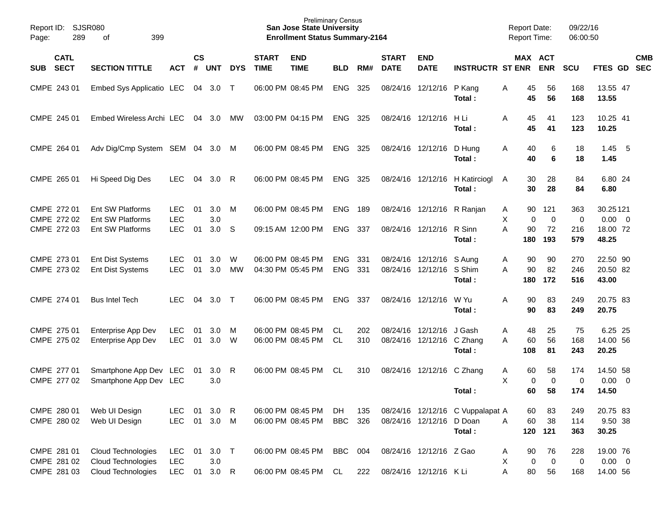| Report ID:<br>289<br>Page:                | <b>SJSR080</b><br>399<br>οf                                     |                                        |                |                           |            |                             | <b>Preliminary Census</b><br><b>San Jose State University</b><br><b>Enrollment Status Summary-2164</b> |                          |            |                             |                                                  |                                            | <b>Report Date:</b><br><b>Report Time:</b> |                              | 09/22/16<br>06:00:50   |                                              |                          |
|-------------------------------------------|-----------------------------------------------------------------|----------------------------------------|----------------|---------------------------|------------|-----------------------------|--------------------------------------------------------------------------------------------------------|--------------------------|------------|-----------------------------|--------------------------------------------------|--------------------------------------------|--------------------------------------------|------------------------------|------------------------|----------------------------------------------|--------------------------|
| <b>CATL</b><br><b>SECT</b><br><b>SUB</b>  | <b>SECTION TITTLE</b>                                           | <b>ACT</b>                             | <b>CS</b><br># | <b>UNT</b>                | <b>DYS</b> | <b>START</b><br><b>TIME</b> | <b>END</b><br><b>TIME</b>                                                                              | <b>BLD</b>               | RM#        | <b>START</b><br><b>DATE</b> | <b>END</b><br><b>DATE</b>                        | <b>INSTRUCTR ST ENR</b>                    |                                            | MAX ACT<br><b>ENR</b>        | <b>SCU</b>             | FTES GD                                      | <b>CMB</b><br><b>SEC</b> |
| CMPE 243 01                               | Embed Sys Applicatio LEC                                        |                                        | 04             | 3.0                       | $\top$     |                             | 06:00 PM 08:45 PM                                                                                      | <b>ENG</b>               | 325        | 08/24/16                    | 12/12/16                                         | P Kang<br>Total:                           | Α<br>45<br>45                              | 56<br>56                     | 168<br>168             | 13.55 47<br>13.55                            |                          |
| CMPE 245 01                               | Embed Wireless Archi LEC                                        |                                        | 04             | 3.0                       | МW         |                             | 03:00 PM 04:15 PM                                                                                      | <b>ENG</b>               | 325        | 08/24/16                    | 12/12/16                                         | H Li<br>Total:                             | 45<br>Α<br>45                              | 41<br>41                     | 123<br>123             | 10.25 41<br>10.25                            |                          |
| CMPE 264 01                               | Adv Dig/Cmp System SEM                                          |                                        | 04             | 3.0                       | M          |                             | 06:00 PM 08:45 PM                                                                                      | <b>ENG</b>               | 325        | 08/24/16                    | 12/12/16                                         | D Hung<br>Total:                           | Α<br>40<br>40                              | 6<br>6                       | 18<br>18               | $1.45$ 5<br>1.45                             |                          |
| CMPE 265 01                               | Hi Speed Dig Des                                                | <b>LEC</b>                             | 04             | 3.0                       | R          |                             | 06:00 PM 08:45 PM                                                                                      | <b>ENG</b>               | 325        | 08/24/16                    | 12/12/16                                         | H Katirciogl<br>Total:                     | Α<br>30<br>30                              | 28<br>28                     | 84<br>84               | 6.80 24<br>6.80                              |                          |
| CMPE 272 01<br>CMPE 272 02<br>CMPE 272 03 | <b>Ent SW Platforms</b><br>Ent SW Platforms<br>Ent SW Platforms | <b>LEC</b><br><b>LEC</b><br><b>LEC</b> | 01<br>01       | 3.0<br>3.0<br>3.0         | M<br>S     |                             | 06:00 PM 08:45 PM<br>09:15 AM 12:00 PM                                                                 | <b>ENG</b><br><b>ENG</b> | 189<br>337 | 08/24/16                    | 12/12/16<br>08/24/16 12/12/16                    | R Ranjan<br>R Sinn<br>Total:               | 90<br>A<br>х<br>A<br>90<br>180             | 121<br>0<br>0<br>72<br>193   | 363<br>0<br>216<br>579 | 30.25121<br>$0.00 \t 0$<br>18.00 72<br>48.25 |                          |
| CMPE 273 01<br>CMPE 273 02                | <b>Ent Dist Systems</b><br><b>Ent Dist Systems</b>              | <b>LEC</b><br><b>LEC</b>               | 01<br>01       | 3.0<br>3.0                | W<br>МW    |                             | 06:00 PM 08:45 PM<br>04:30 PM 05:45 PM                                                                 | <b>ENG</b><br><b>ENG</b> | 331<br>331 | 08/24/16<br>08/24/16        | 12/12/16<br>12/12/16                             | S Aung<br>S Shim<br>Total:                 | 90<br>Α<br>90<br>A<br>180                  | 90<br>82<br>172              | 270<br>246<br>516      | 22.50 90<br>20.50 82<br>43.00                |                          |
| CMPE 274 01                               | <b>Bus Intel Tech</b>                                           | <b>LEC</b>                             | 04             | 3.0                       | $\top$     |                             | 06:00 PM 08:45 PM                                                                                      | <b>ENG</b>               | 337        |                             | 08/24/16 12/12/16                                | W Yu<br>Total:                             | Α<br>90<br>90                              | 83<br>83                     | 249<br>249             | 20.75 83<br>20.75                            |                          |
| CMPE 275 01<br>CMPE 275 02                | Enterprise App Dev<br>Enterprise App Dev                        | <b>LEC</b><br><b>LEC</b>               | 01<br>01       | 3.0<br>3.0                | M<br>W     |                             | 06:00 PM 08:45 PM<br>06:00 PM 08:45 PM                                                                 | <b>CL</b><br><b>CL</b>   | 202<br>310 | 08/24/16<br>08/24/16        | 12/12/16<br>12/12/16                             | J Gash<br>C Zhang<br>Total:                | Α<br>48<br>60<br>A<br>108                  | 25<br>56<br>81               | 75<br>168<br>243       | 6.25 25<br>14.00 56<br>20.25                 |                          |
| CMPE 277 01<br>CMPE 277 02                | Smartphone App Dev<br>Smartphone App Dev LEC                    | LEC                                    | 01             | 3.0<br>3.0                | R          |                             | 06:00 PM 08:45 PM                                                                                      | <b>CL</b>                | 310        | 08/24/16                    | 12/12/16                                         | C Zhang<br>Total:                          | Α<br>60<br>X<br>60                         | 58<br>0<br>0<br>58           | 174<br>0<br>174        | 14.50 58<br>0.00<br>14.50                    | $\overline{\mathbf{0}}$  |
| CMPE 280 01<br>CMPE 280 02                | Web UI Design<br>Web UI Design                                  | LEC<br>LEC                             |                | 01 3.0 R<br>01 3.0        | M          |                             | 06:00 PM 08:45 PM<br>06:00 PM 08:45 PM                                                                 | DH<br>BBC                | 135<br>326 |                             | 08/24/16 12/12/16 D Doan                         | 08/24/16 12/12/16 C Vuppalapat A<br>Total: | 60<br>A<br>60<br>120                       | 83<br>38<br>121              | 249<br>114<br>363      | 20.75 83<br>9.50 38<br>30.25                 |                          |
| CMPE 281 01<br>CMPE 281 02<br>CMPE 281 03 | Cloud Technologies<br>Cloud Technologies<br>Cloud Technologies  | LEC<br><b>LEC</b><br><b>LEC</b>        | 01<br>01       | $3.0$ T<br>3.0<br>$3.0$ R |            |                             | 06:00 PM 08:45 PM<br>06:00 PM 08:45 PM                                                                 | <b>BBC</b><br>CL         | 004<br>222 |                             | 08/24/16 12/12/16 Z Gao<br>08/24/16 12/12/16 KLi |                                            | 90<br>A<br>х<br>Α<br>80                    | 76<br>$\mathbf 0$<br>0<br>56 | 228<br>0<br>168        | 19.00 76<br>$0.00 \t 0$<br>14.00 56          |                          |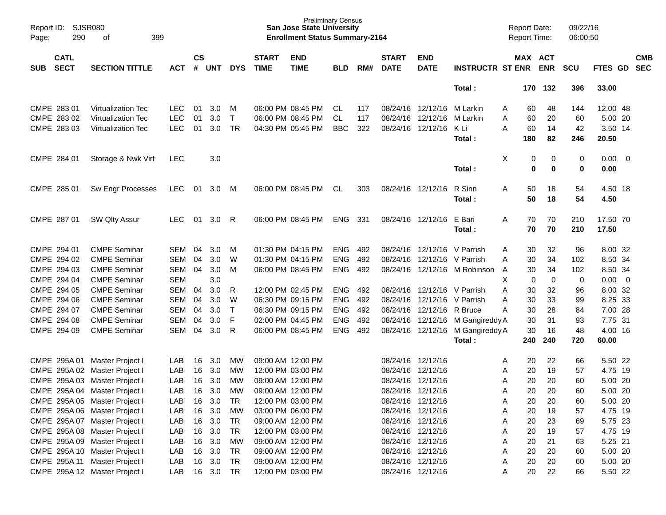| Report ID:<br>Page:               | <b>SJSR080</b><br>290<br>399<br>of |            |                    |            |              |                             | <b>San Jose State University</b><br><b>Enrollment Status Summary-2164</b> | <b>Preliminary Census</b> |     |                             |                             |                                  | <b>Report Date:</b><br>Report Time: |             | 09/22/16<br>06:00:50 |             |                         |            |
|-----------------------------------|------------------------------------|------------|--------------------|------------|--------------|-----------------------------|---------------------------------------------------------------------------|---------------------------|-----|-----------------------------|-----------------------------|----------------------------------|-------------------------------------|-------------|----------------------|-------------|-------------------------|------------|
| <b>CATL</b><br><b>SECT</b><br>SUB | <b>SECTION TITTLE</b>              | <b>ACT</b> | $\mathsf{cs}$<br># | <b>UNT</b> | <b>DYS</b>   | <b>START</b><br><b>TIME</b> | <b>END</b><br><b>TIME</b>                                                 | <b>BLD</b>                | RM# | <b>START</b><br><b>DATE</b> | <b>END</b><br><b>DATE</b>   | <b>INSTRUCTR ST ENR</b>          | MAX ACT                             | <b>ENR</b>  | <b>SCU</b>           | FTES GD SEC |                         | <b>CMB</b> |
|                                   |                                    |            |                    |            |              |                             |                                                                           |                           |     |                             |                             | Total:                           |                                     | 170 132     | 396                  | 33.00       |                         |            |
| CMPE 283 01                       | Virtualization Tec                 | LEC.       | 01                 | 3.0        | M            |                             | 06:00 PM 08:45 PM                                                         | CL                        | 117 |                             | 08/24/16 12/12/16           | M Larkin                         | 60<br>Α                             | 48          | 144                  | 12.00 48    |                         |            |
| CMPE 283 02                       | Virtualization Tec                 | <b>LEC</b> | 01                 | 3.0        | T            |                             | 06:00 PM 08:45 PM                                                         | <b>CL</b>                 | 117 |                             | 08/24/16 12/12/16           | M Larkin                         | A<br>60                             | 20          | 60                   | 5.00 20     |                         |            |
| CMPE 283 03                       | <b>Virtualization Tec</b>          | <b>LEC</b> | 01                 | 3.0        | <b>TR</b>    |                             | 04:30 PM 05:45 PM                                                         | <b>BBC</b>                | 322 |                             | 08/24/16 12/12/16           | K Li                             | A<br>60                             | 14          | 42                   | 3.50 14     |                         |            |
|                                   |                                    |            |                    |            |              |                             |                                                                           |                           |     |                             |                             | Total:                           | 180                                 | 82          | 246                  | 20.50       |                         |            |
| CMPE 284 01                       | Storage & Nwk Virt                 | <b>LEC</b> |                    | 3.0        |              |                             |                                                                           |                           |     |                             |                             |                                  | X<br>0                              | 0           | 0                    | 0.00        | $\overline{\mathbf{0}}$ |            |
|                                   |                                    |            |                    |            |              |                             |                                                                           |                           |     |                             |                             | Total:                           | $\bf{0}$                            | 0           | $\mathbf 0$          | 0.00        |                         |            |
| CMPE 285 01                       | Sw Engr Processes                  | <b>LEC</b> | 01                 | 3.0        | M            |                             | 06:00 PM 08:45 PM                                                         | CL                        | 303 |                             | 08/24/16 12/12/16           | R Sinn                           | 50<br>Α                             | 18          | 54                   | 4.50 18     |                         |            |
|                                   |                                    |            |                    |            |              |                             |                                                                           |                           |     |                             |                             | Total:                           | 50                                  | 18          | 54                   | 4.50        |                         |            |
| CMPE 287 01                       | <b>SW Qlty Assur</b>               | <b>LEC</b> | 01                 | 3.0        | R            |                             | 06:00 PM 08:45 PM                                                         | <b>ENG</b>                | 331 |                             | 08/24/16 12/12/16           | E Bari                           | A<br>70                             | 70          | 210                  | 17.50 70    |                         |            |
|                                   |                                    |            |                    |            |              |                             |                                                                           |                           |     |                             |                             | Total:                           | 70                                  | 70          | 210                  | 17.50       |                         |            |
| CMPE 294 01                       | <b>CMPE Seminar</b>                | <b>SEM</b> | 04                 | 3.0        | м            |                             | 01:30 PM 04:15 PM                                                         | <b>ENG</b>                | 492 |                             | 08/24/16 12/12/16 V Parrish |                                  | 30<br>Α                             | 32          | 96                   | 8.00 32     |                         |            |
| CMPE 294 02                       | <b>CMPE Seminar</b>                | <b>SEM</b> | 04                 | 3.0        | W            |                             | 01:30 PM 04:15 PM                                                         | <b>ENG</b>                | 492 |                             | 08/24/16 12/12/16 V Parrish |                                  | 30<br>A                             | 34          | 102                  | 8.50 34     |                         |            |
| CMPE 294 03                       | <b>CMPE Seminar</b>                | <b>SEM</b> | 04                 | 3.0        | M            |                             | 06:00 PM 08:45 PM                                                         | ENG                       | 492 |                             |                             | 08/24/16 12/12/16 M Robinson     | 30<br>A                             | 34          | 102                  | 8.50 34     |                         |            |
| CMPE 294 04                       | <b>CMPE Seminar</b>                | <b>SEM</b> |                    | 3.0        |              |                             |                                                                           |                           |     |                             |                             |                                  | X<br>$\mathbf 0$                    | $\mathbf 0$ | 0                    | 0.00        | $\overline{\mathbf{0}}$ |            |
| CMPE 294 05                       | <b>CMPE Seminar</b>                | <b>SEM</b> | 04                 | 3.0        | R            |                             | 12:00 PM 02:45 PM                                                         | <b>ENG</b>                | 492 |                             | 08/24/16 12/12/16 V Parrish |                                  | 30<br>A                             | 32          | 96                   | 8.00 32     |                         |            |
| CMPE 294 06                       | <b>CMPE Seminar</b>                | <b>SEM</b> | 04                 | 3.0        | W            |                             | 06:30 PM 09:15 PM                                                         | <b>ENG</b>                | 492 |                             | 08/24/16 12/12/16           | V Parrish                        | 30<br>Α                             | 33          | 99                   | 8.25 33     |                         |            |
| CMPE 294 07                       | <b>CMPE Seminar</b>                | <b>SEM</b> | 04                 | 3.0        | $\mathsf{T}$ |                             | 06:30 PM 09:15 PM                                                         | <b>ENG</b>                | 492 |                             | 08/24/16 12/12/16           | R Bruce                          | 30<br>Α                             | 28          | 84                   | 7.00 28     |                         |            |
| CMPE 294 08                       | <b>CMPE Seminar</b>                | <b>SEM</b> | 04                 | 3.0        | F            |                             | 02:00 PM 04:45 PM                                                         | <b>ENG</b>                | 492 |                             |                             | 08/24/16 12/12/16 M Gangireddy A | 30                                  | 31          | 93                   | 7.75 31     |                         |            |
| CMPE 294 09                       | <b>CMPE Seminar</b>                | <b>SEM</b> | 04                 | 3.0        | R            |                             | 06:00 PM 08:45 PM                                                         | <b>ENG</b>                | 492 |                             |                             | 08/24/16 12/12/16 M Gangireddy A | 30                                  | 16          | 48                   | 4.00 16     |                         |            |
|                                   |                                    |            |                    |            |              |                             |                                                                           |                           |     |                             |                             | Total:                           | 240                                 | 240         | 720                  | 60.00       |                         |            |
| CMPE 295A 01                      | Master Project I                   | LAB        | 16                 | 3.0        | МW           |                             | 09:00 AM 12:00 PM                                                         |                           |     |                             | 08/24/16 12/12/16           |                                  | 20<br>A                             | 22          | 66                   | 5.50 22     |                         |            |
| CMPE 295A 02                      | Master Project I                   | LAB        | 16                 | 3.0        | MW           |                             | 12:00 PM 03:00 PM                                                         |                           |     |                             | 08/24/16 12/12/16           |                                  | 20<br>Α                             | 19          | 57                   | 4.75 19     |                         |            |
| 295A03<br><b>CMPE</b>             | Master Project I                   | LAB        | 16                 | 3.0        | MW           |                             | 09:00 AM 12:00 PM                                                         |                           |     |                             | 08/24/16 12/12/16           |                                  | 20<br>Α                             | 20          | 60                   | 5.00 20     |                         |            |
|                                   | CMPE 295A 04 Master Project I      | LAB        | 16                 | 3.0        | <b>MW</b>    |                             | 09:00 AM 12:00 PM                                                         |                           |     |                             | 08/24/16 12/12/16           |                                  | 20<br>A                             | 20          | 60                   | 5.00 20     |                         |            |
|                                   | CMPE 295A 05 Master Project I      | LAB        | 16                 | 3.0        | TR           |                             | 12:00 PM 03:00 PM                                                         |                           |     |                             | 08/24/16 12/12/16           |                                  | 20<br>Α                             | 20          | 60                   | 5.00 20     |                         |            |
|                                   | CMPE 295A 06 Master Project I      | LAB        | 16                 | 3.0        | MW           |                             | 03:00 PM 06:00 PM                                                         |                           |     |                             | 08/24/16 12/12/16           |                                  | 20<br>A                             | 19          | 57                   | 4.75 19     |                         |            |
|                                   | CMPE 295A 07 Master Project I      | LAB        |                    | 16 3.0     | TR           |                             | 09:00 AM 12:00 PM                                                         |                           |     |                             | 08/24/16 12/12/16           |                                  | 20<br>A                             | 23          | 69                   | 5.75 23     |                         |            |
|                                   | CMPE 295A 08 Master Project I      | LAB        | 16                 | 3.0        | TR           |                             | 12:00 PM 03:00 PM                                                         |                           |     |                             | 08/24/16 12/12/16           |                                  | 20<br>A                             | 19          | 57                   | 4.75 19     |                         |            |
|                                   | CMPE 295A 09 Master Project I      | LAB        | 16                 | 3.0        | МW           |                             | 09:00 AM 12:00 PM                                                         |                           |     |                             | 08/24/16 12/12/16           |                                  | 20<br>A                             | 21          | 63                   | 5.25 21     |                         |            |
|                                   | CMPE 295A 10 Master Project I      | LAB        | 16                 | 3.0        | TR           |                             | 09:00 AM 12:00 PM                                                         |                           |     |                             | 08/24/16 12/12/16           |                                  | 20<br>A                             | 20          | 60                   | 5.00 20     |                         |            |
|                                   | CMPE 295A 11 Master Project I      | LAB        | 16                 | 3.0        | TR           |                             | 09:00 AM 12:00 PM                                                         |                           |     |                             | 08/24/16 12/12/16           |                                  | 20<br>A                             | 20          | 60                   | 5.00 20     |                         |            |
|                                   | CMPE 295A 12 Master Project I      | LAB        |                    | 16 3.0 TR  |              |                             | 12:00 PM 03:00 PM                                                         |                           |     |                             | 08/24/16 12/12/16           |                                  | 20<br>A                             | 22          | 66                   | 5.50 22     |                         |            |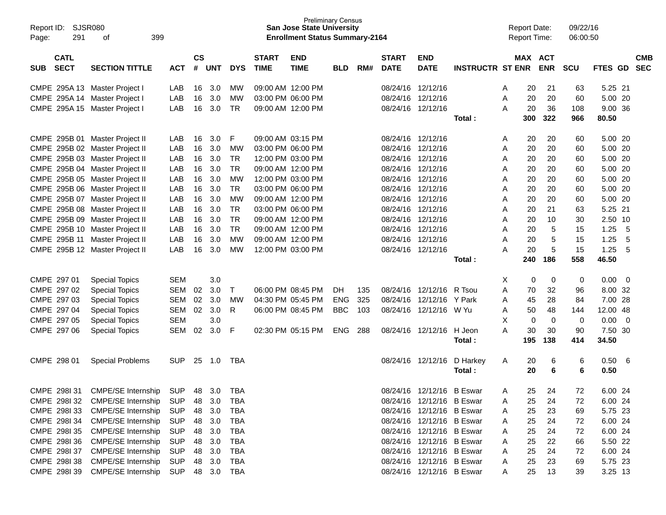| Report ID:<br>291<br>Page:               | SJSR080<br>399<br>οf                           |            |                    |            |              |                             | <b>Preliminary Census</b><br><b>San Jose State University</b><br><b>Enrollment Status Summary-2164</b> |            |     |                             |                           |                           | <b>Report Date:</b><br><b>Report Time:</b> |                          | 09/22/16<br>06:00:50 |          |                |                          |
|------------------------------------------|------------------------------------------------|------------|--------------------|------------|--------------|-----------------------------|--------------------------------------------------------------------------------------------------------|------------|-----|-----------------------------|---------------------------|---------------------------|--------------------------------------------|--------------------------|----------------------|----------|----------------|--------------------------|
| <b>CATL</b><br><b>SECT</b><br><b>SUB</b> | <b>SECTION TITTLE</b>                          | <b>ACT</b> | $\mathsf{cs}$<br># | <b>UNT</b> | <b>DYS</b>   | <b>START</b><br><b>TIME</b> | <b>END</b><br><b>TIME</b>                                                                              | <b>BLD</b> | RM# | <b>START</b><br><b>DATE</b> | <b>END</b><br><b>DATE</b> | <b>INSTRUCTR ST ENR</b>   | MAX                                        | <b>ACT</b><br><b>ENR</b> | <b>SCU</b>           | FTES GD  |                | <b>CMB</b><br><b>SEC</b> |
|                                          |                                                |            |                    |            |              |                             |                                                                                                        |            |     |                             |                           |                           |                                            |                          |                      |          |                |                          |
|                                          | CMPE 295A 13 Master Project I                  | LAB        | 16                 | 3.0        | MW           |                             | 09:00 AM 12:00 PM                                                                                      |            |     |                             | 08/24/16 12/12/16         |                           | Α                                          | 21<br>20                 | 63                   | 5.25 21  |                |                          |
|                                          | CMPE 295A 14 Master Project I                  | LAB        | 16                 | 3.0        | МW           |                             | 03:00 PM 06:00 PM                                                                                      |            |     |                             | 08/24/16 12/12/16         |                           | Α                                          | 20<br>20                 | 60                   | 5.00 20  |                |                          |
|                                          | CMPE 295A 15 Master Project I                  | LAB        | 16                 | 3.0        | <b>TR</b>    |                             | 09:00 AM 12:00 PM                                                                                      |            |     |                             | 08/24/16 12/12/16         |                           | Α                                          | 20<br>36                 | 108                  | 9.00 36  |                |                          |
|                                          |                                                |            |                    |            |              |                             |                                                                                                        |            |     |                             |                           | Total:                    | 300                                        | 322                      | 966                  | 80.50    |                |                          |
|                                          | CMPE 295B 01 Master Project II                 | LAB        | 16                 | 3.0        | F            |                             | 09:00 AM 03:15 PM                                                                                      |            |     |                             | 08/24/16 12/12/16         |                           | Α                                          | 20<br>20                 | 60                   | 5.00 20  |                |                          |
|                                          | CMPE 295B 02 Master Project II                 | LAB        | 16                 | 3.0        | MW           |                             | 03:00 PM 06:00 PM                                                                                      |            |     |                             | 08/24/16 12/12/16         |                           | Α                                          | 20                       | 20<br>60             | 5.00 20  |                |                          |
|                                          | CMPE 295B 03 Master Project II                 | LAB        | 16                 | 3.0        | <b>TR</b>    |                             | 12:00 PM 03:00 PM                                                                                      |            |     |                             | 08/24/16 12/12/16         |                           | Α                                          | 20<br>20                 | 60                   | 5.00 20  |                |                          |
|                                          | CMPE 295B 04 Master Project II                 | LAB        | 16                 | 3.0        | <b>TR</b>    |                             | 09:00 AM 12:00 PM                                                                                      |            |     |                             | 08/24/16 12/12/16         |                           | Α                                          | 20<br>20                 | 60                   | 5.00 20  |                |                          |
|                                          | CMPE 295B 05 Master Project II                 | LAB        | 16                 | 3.0        | <b>MW</b>    |                             | 12:00 PM 03:00 PM                                                                                      |            |     |                             | 08/24/16 12/12/16         |                           | Α                                          | 20<br>20                 | 60                   | 5.00 20  |                |                          |
|                                          | CMPE 295B 06 Master Project II                 | LAB        | 16                 | 3.0        | <b>TR</b>    |                             | 03:00 PM 06:00 PM                                                                                      |            |     |                             | 08/24/16 12/12/16         |                           | Α                                          | 20<br>20                 | 60                   | 5.00 20  |                |                          |
|                                          | CMPE 295B 07 Master Project II                 | LAB        | 16                 | 3.0        | <b>MW</b>    |                             | 09:00 AM 12:00 PM                                                                                      |            |     |                             | 08/24/16 12/12/16         |                           | Α                                          | 20<br>20                 | 60                   | 5.00 20  |                |                          |
|                                          | CMPE 295B 08 Master Project II                 | LAB        | 16                 | 3.0        | <b>TR</b>    |                             | 03:00 PM 06:00 PM                                                                                      |            |     |                             | 08/24/16 12/12/16         |                           | Α                                          | 21<br>20                 | 63                   | 5.25 21  |                |                          |
|                                          | CMPE 295B 09 Master Project II                 | LAB        | 16                 | 3.0        | <b>TR</b>    |                             | 09:00 AM 12:00 PM                                                                                      |            |     |                             | 08/24/16 12/12/16         |                           | Α                                          | 20                       | 10<br>30             | 2.50 10  |                |                          |
|                                          | CMPE 295B 10 Master Project II                 | LAB        | 16                 | 3.0        | <b>TR</b>    |                             | 09:00 AM 12:00 PM                                                                                      |            |     |                             | 08/24/16 12/12/16         |                           | Α                                          | 20                       | 5<br>15              | 1.25     | -5             |                          |
|                                          | CMPE 295B 11 Master Project II                 | LAB        | 16                 | 3.0        | <b>MW</b>    |                             | 09:00 AM 12:00 PM                                                                                      |            |     |                             | 08/24/16 12/12/16         |                           | Α                                          | 20                       | 5<br>15              | 1.25     | 5              |                          |
|                                          | CMPE 295B 12 Master Project II                 | LAB        | 16                 | 3.0        | <b>MW</b>    |                             | 12:00 PM 03:00 PM                                                                                      |            |     |                             | 08/24/16 12/12/16         |                           | А                                          | 20                       | 5<br>15              | 1.25     | 5              |                          |
|                                          |                                                |            |                    |            |              |                             |                                                                                                        |            |     |                             |                           | Total:                    | 240                                        | 186                      | 558                  | 46.50    |                |                          |
| CMPE 297 01                              | <b>Special Topics</b>                          | <b>SEM</b> |                    | 3.0        |              |                             |                                                                                                        |            |     |                             |                           |                           | Χ                                          | 0                        | 0<br>0               | 0.00     | $\overline{0}$ |                          |
| CMPE 297 02                              | <b>Special Topics</b>                          | <b>SEM</b> | 02                 | 3.0        | $\mathsf{T}$ |                             | 06:00 PM 08:45 PM                                                                                      | DH.        | 135 |                             | 08/24/16 12/12/16         | R Tsou                    | A                                          | 70                       | 32<br>96             | 8.00     | -32            |                          |
| CMPE 297 03                              | <b>Special Topics</b>                          | <b>SEM</b> | 02                 | 3.0        | <b>MW</b>    |                             | 04:30 PM 05:45 PM                                                                                      | <b>ENG</b> | 325 |                             | 08/24/16 12/12/16         | Y Park                    | A                                          | 45                       | 28<br>84             | 7.00 28  |                |                          |
| CMPE 297 04                              | <b>Special Topics</b>                          | SEM        | 02                 | 3.0        | R            |                             | 06:00 PM 08:45 PM                                                                                      | <b>BBC</b> | 103 |                             | 08/24/16 12/12/16         | W Yu                      | Α                                          | 50<br>48                 | 144                  | 12.00 48 |                |                          |
| CMPE 297 05                              | <b>Special Topics</b>                          | <b>SEM</b> |                    | 3.0        |              |                             |                                                                                                        |            |     |                             |                           |                           | X                                          | 0                        | $\mathbf 0$<br>0     | 0.00     | $\overline{0}$ |                          |
| CMPE 297 06                              | <b>Special Topics</b>                          | <b>SEM</b> | 02                 | 3.0        | F            |                             | 02:30 PM 05:15 PM                                                                                      | <b>ENG</b> | 288 |                             | 08/24/16 12/12/16         | H Jeon                    | A                                          | 30<br>30                 | 90                   | 7.50 30  |                |                          |
|                                          |                                                |            |                    |            |              |                             |                                                                                                        |            |     |                             |                           | Total:                    | 195                                        | 138                      | 414                  | 34.50    |                |                          |
| CMPE 298 01                              | <b>Special Problems</b>                        | <b>SUP</b> | 25                 | 1.0        | TBA          |                             |                                                                                                        |            |     |                             | 08/24/16 12/12/16         | D Harkey                  | A                                          | 20                       | 6<br>6               | 0.50     | -6             |                          |
|                                          |                                                |            |                    |            |              |                             |                                                                                                        |            |     |                             |                           | Total:                    |                                            | 20                       | 6<br>6               | 0.50     |                |                          |
|                                          | CMPE 298I 31 CMPE/SE Internship SUP 48 3.0 TBA |            |                    |            |              |                             |                                                                                                        |            |     |                             |                           | 08/24/16 12/12/16 B Eswar | A                                          | 25<br>24                 | 72                   | 6.00 24  |                |                          |
|                                          | CMPE 298I 32 CMPE/SE Internship                | <b>SUP</b> | 48                 | 3.0        | TBA          |                             |                                                                                                        |            |     |                             | 08/24/16 12/12/16 B Eswar |                           | Α                                          | 25<br>24                 | 72                   | 6.00 24  |                |                          |
| CMPE 2981 33                             | CMPE/SE Internship                             | SUP        | 48                 | 3.0        | TBA          |                             |                                                                                                        |            |     |                             | 08/24/16 12/12/16 B Eswar |                           | A                                          | 25<br>23                 | 69                   | 5.75 23  |                |                          |
| CMPE 298I 34                             | CMPE/SE Internship                             | SUP        | 48                 | 3.0        | TBA          |                             |                                                                                                        |            |     |                             | 08/24/16 12/12/16 B Eswar |                           | A                                          | 25<br>24                 | 72                   | 6.00 24  |                |                          |
| CMPE 2981 35                             | CMPE/SE Internship                             | SUP        | 48                 | 3.0        | TBA          |                             |                                                                                                        |            |     |                             | 08/24/16 12/12/16 B Eswar |                           | A                                          | 24<br>25                 | 72                   | 6.00 24  |                |                          |
| CMPE 298136                              | CMPE/SE Internship                             | SUP        | 48                 | 3.0        | TBA          |                             |                                                                                                        |            |     |                             | 08/24/16 12/12/16 B Eswar |                           | A                                          | 22<br>25                 | 66                   | 5.50 22  |                |                          |
| CMPE 298137                              | CMPE/SE Internship                             | SUP        | 48                 | 3.0        | TBA          |                             |                                                                                                        |            |     |                             | 08/24/16 12/12/16 B Eswar |                           | A                                          | 24<br>25                 | 72                   | 6.00 24  |                |                          |
| CMPE 298138                              | CMPE/SE Internship                             | SUP        | 48                 | 3.0        | TBA          |                             |                                                                                                        |            |     |                             | 08/24/16 12/12/16 B Eswar |                           | A                                          | 23<br>25                 | 69                   | 5.75 23  |                |                          |
| CMPE 2981 39                             | <b>CMPE/SE Internship</b>                      | SUP        |                    | 48 3.0     | TBA          |                             |                                                                                                        |            |     |                             | 08/24/16 12/12/16 B Eswar |                           | A                                          | 13<br>25                 | 39                   | 3.25 13  |                |                          |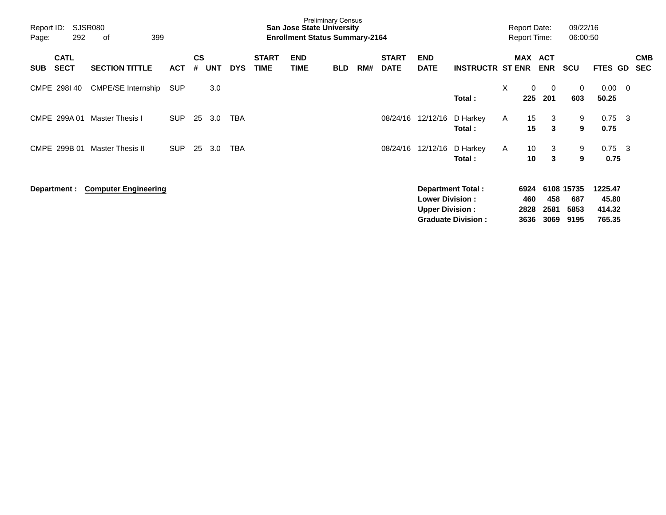| Report ID:<br>Page: | 292                        | SJSR080<br>399<br>οf        |            |                |            |            |                             | <b>San Jose State University</b><br><b>Enrollment Status Summary-2164</b> | <b>Preliminary Census</b> |     |                             |                                                  |                           |              | <b>Report Date:</b><br><b>Report Time:</b> |                          | 09/22/16<br>06:00:50      |                            |     |                          |
|---------------------|----------------------------|-----------------------------|------------|----------------|------------|------------|-----------------------------|---------------------------------------------------------------------------|---------------------------|-----|-----------------------------|--------------------------------------------------|---------------------------|--------------|--------------------------------------------|--------------------------|---------------------------|----------------------------|-----|--------------------------|
| <b>SUB</b>          | <b>CATL</b><br><b>SECT</b> | <b>SECTION TITTLE</b>       | <b>ACT</b> | <b>CS</b><br># | <b>UNT</b> | <b>DYS</b> | <b>START</b><br><b>TIME</b> | <b>END</b><br><b>TIME</b>                                                 | <b>BLD</b>                | RM# | <b>START</b><br><b>DATE</b> | <b>END</b><br><b>DATE</b>                        | <b>INSTRUCTR ST ENR</b>   |              | <b>MAX</b>                                 | <b>ACT</b><br><b>ENR</b> | <b>SCU</b>                | FTES GD                    |     | <b>CMB</b><br><b>SEC</b> |
|                     | CMPE 298140                | CMPE/SE Internship          | <b>SUP</b> |                | 3.0        |            |                             |                                                                           |                           |     |                             |                                                  | Total:                    | X            | $\mathbf{0}$<br>225                        | $\overline{0}$<br>201    | 0<br>603                  | 0.00<br>50.25              | - 0 |                          |
|                     | CMPE 299A 01               | Master Thesis I             | <b>SUP</b> | 25             | 3.0        | TBA        |                             |                                                                           |                           |     | 08/24/16                    | 12/12/16                                         | D Harkey<br>Total:        | A            | 15<br>15                                   | 3<br>3                   | 9<br>9                    | 0.75<br>0.75               | -3  |                          |
|                     | CMPE 299B 01               | <b>Master Thesis II</b>     | <b>SUP</b> | 25             | 3.0        | TBA        |                             |                                                                           |                           |     | 08/24/16                    | 12/12/16                                         | D Harkey<br>Total:        | $\mathsf{A}$ | 10<br>10                                   | 3<br>3                   | 9<br>9                    | 0.75<br>0.75               | - 3 |                          |
|                     | Department :               | <b>Computer Engineering</b> |            |                |            |            |                             |                                                                           |                           |     |                             | <b>Lower Division:</b><br><b>Upper Division:</b> | Department Total:         |              | 6924<br>460<br>2828                        | 458<br>2581              | 6108 15735<br>687<br>5853 | 1225.47<br>45.80<br>414.32 |     |                          |
|                     |                            |                             |            |                |            |            |                             |                                                                           |                           |     |                             |                                                  | <b>Graduate Division:</b> |              | 3636                                       | 3069                     | 9195                      | 765.35                     |     |                          |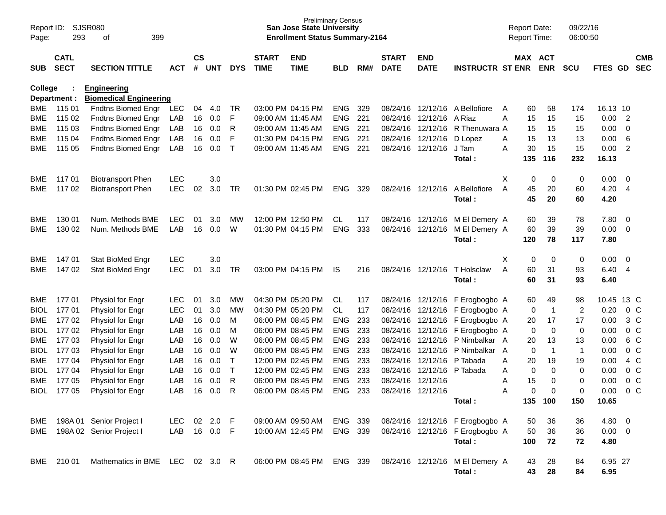| Page:       | SJSR080<br>Report ID:<br>293<br>399<br>οf<br><b>CATL</b> |                                                     |              |                    |            |              |                             | <b>San Jose State University</b><br><b>Enrollment Status Summary-2164</b> | <b>Preliminary Census</b> |     |                             |                           |                                                           | <b>Report Date:</b><br><b>Report Time:</b> |          |                       | 09/22/16<br>06:00:50 |             |                          |                          |
|-------------|----------------------------------------------------------|-----------------------------------------------------|--------------|--------------------|------------|--------------|-----------------------------|---------------------------------------------------------------------------|---------------------------|-----|-----------------------------|---------------------------|-----------------------------------------------------------|--------------------------------------------|----------|-----------------------|----------------------|-------------|--------------------------|--------------------------|
| <b>SUB</b>  | <b>SECT</b>                                              | <b>SECTION TITTLE</b>                               | <b>ACT</b>   | $\mathsf{cs}$<br># | <b>UNT</b> | <b>DYS</b>   | <b>START</b><br><b>TIME</b> | <b>END</b><br><b>TIME</b>                                                 | <b>BLD</b>                | RM# | <b>START</b><br><b>DATE</b> | <b>END</b><br><b>DATE</b> | <b>INSTRUCTR ST ENR</b>                                   |                                            |          | MAX ACT<br><b>ENR</b> | <b>SCU</b>           | FTES GD     |                          | <b>CMB</b><br><b>SEC</b> |
| College     | Department :                                             | <b>Engineering</b><br><b>Biomedical Engineering</b> |              |                    |            |              |                             |                                                                           |                           |     |                             |                           |                                                           |                                            |          |                       |                      |             |                          |                          |
| <b>BME</b>  | 115 01                                                   | Fndtns Biomed Engr                                  | <b>LEC</b>   | 04                 | 4.0        | TR           |                             | 03:00 PM 04:15 PM                                                         | <b>ENG</b>                | 329 |                             |                           | 08/24/16 12/12/16 A Bellofiore                            | A                                          | 60       | 58                    | 174                  | 16.13 10    |                          |                          |
| BME         | 115 02                                                   | <b>Fndtns Biomed Engr</b>                           | LAB          | 16                 | 0.0        | F            |                             | 09:00 AM 11:45 AM                                                         | <b>ENG</b>                | 221 | 08/24/16                    | 12/12/16                  | A Riaz                                                    | A                                          | 15       | 15                    | 15                   | 0.00        | $\overline{2}$           |                          |
| BME         | 115 03                                                   | Fndtns Biomed Engr                                  | LAB          | 16                 | 0.0        | R            |                             | 09:00 AM 11:45 AM                                                         | <b>ENG</b>                | 221 |                             | 08/24/16 12/12/16         | R Thenuwara A                                             |                                            | 15       | 15                    | 15                   | 0.00        | $\overline{0}$           |                          |
| BME         | 115 04                                                   | Fndtns Biomed Engr                                  | LAB          | 16                 | 0.0        | F            |                             | 01:30 PM 04:15 PM                                                         | <b>ENG</b>                | 221 |                             | 08/24/16 12/12/16         | D Lopez                                                   | A                                          | 15       | 13                    | 13                   | 0.00        | 6                        |                          |
| BME         | 115 05                                                   | <b>Fndtns Biomed Engr</b>                           | LAB          | 16                 | 0.0        | $\mathsf{T}$ |                             | 09:00 AM 11:45 AM                                                         | <b>ENG</b>                | 221 |                             | 08/24/16 12/12/16         | J Tam                                                     | A                                          | 30       | 15                    | 15                   | 0.00        | $\overline{2}$           |                          |
|             |                                                          |                                                     |              |                    |            |              |                             |                                                                           |                           |     |                             |                           | Total:                                                    |                                            | 135      | 116                   | 232                  | 16.13       |                          |                          |
| BME         | 11701                                                    | <b>Biotransport Phen</b>                            | <b>LEC</b>   |                    | 3.0        |              |                             |                                                                           |                           |     |                             |                           |                                                           | X                                          | 0        | 0                     | 0                    | 0.00        | - 0                      |                          |
| BME         | 117 02                                                   | <b>Biotransport Phen</b>                            | <b>LEC</b>   | 02                 | 3.0        | TR           |                             | 01:30 PM 02:45 PM                                                         | <b>ENG</b>                | 329 |                             | 08/24/16 12/12/16         | A Bellofiore                                              | A                                          | 45       | 20                    | 60                   | 4.20        | $\overline{4}$           |                          |
|             |                                                          |                                                     |              |                    |            |              |                             |                                                                           |                           |     |                             |                           | Total:                                                    |                                            | 45       | 20                    | 60                   | 4.20        |                          |                          |
| BME         | 130 01                                                   | Num. Methods BME                                    | <b>LEC</b>   | 01                 | 3.0        | MW           |                             | 12:00 PM 12:50 PM                                                         | CL                        | 117 |                             | 08/24/16 12/12/16         | M El Demery A                                             |                                            | 60       | 39                    | 78                   | 7.80        | - 0                      |                          |
| <b>BME</b>  | 130 02                                                   | Num. Methods BME                                    | LAB          | 16                 | 0.0        | W            |                             | 01:30 PM 04:15 PM                                                         | <b>ENG</b>                | 333 |                             | 08/24/16 12/12/16         | M El Demery A                                             |                                            | 60       | 39                    | 39                   | 0.00        | $\overline{0}$           |                          |
|             |                                                          |                                                     |              |                    |            |              |                             |                                                                           |                           |     |                             |                           | Total:                                                    |                                            | 120      | 78                    | 117                  | 7.80        |                          |                          |
| BME.        | 14701                                                    | Stat BioMed Engr                                    | <b>LEC</b>   |                    | 3.0        |              |                             |                                                                           |                           |     |                             |                           |                                                           | X                                          | 0        | 0                     | 0                    | 0.00        | - 0                      |                          |
| BME         | 147 02                                                   | Stat BioMed Engr                                    | <b>LEC</b>   | 01                 | 3.0        | TR           |                             | 03:00 PM 04:15 PM                                                         | IS.                       | 216 |                             | 08/24/16 12/12/16         | T Holsclaw                                                | A                                          | 60       | 31                    | 93                   | 6.40        | -4                       |                          |
|             |                                                          |                                                     |              |                    |            |              |                             |                                                                           |                           |     |                             |                           | Total:                                                    |                                            | 60       | 31                    | 93                   | 6.40        |                          |                          |
| BME.        | 17701                                                    | Physiol for Engr                                    | <b>LEC</b>   | 01                 | 3.0        | MW           |                             | 04:30 PM 05:20 PM                                                         | CL                        | 117 |                             |                           | 08/24/16 12/12/16 F Erogbogbo A                           |                                            | 60       | 49                    | 98                   | 10.45       | 13 C                     |                          |
| <b>BIOL</b> | 17701                                                    | Physiol for Engr                                    | <b>LEC</b>   | 01                 | 3.0        | МW           |                             | 04:30 PM 05:20 PM                                                         | CL.                       | 117 |                             |                           | 08/24/16 12/12/16 F Erogbogbo A                           |                                            | 0        | $\overline{1}$        | $\overline{2}$       | 0.20        | 0 <sup>o</sup>           |                          |
| <b>BME</b>  | 17702                                                    | Physiol for Engr                                    | LAB          | 16                 | 0.0        | M            |                             | 06:00 PM 08:45 PM                                                         | <b>ENG</b>                | 233 |                             |                           | 08/24/16 12/12/16 F Erogbogbo A                           |                                            | 20       | 17                    | 17                   | 0.00        | 3 <sup>C</sup>           |                          |
| <b>BIOL</b> | 17702                                                    | Physiol for Engr                                    | LAB          | 16                 | 0.0        | M            |                             | 06:00 PM 08:45 PM                                                         | <b>ENG</b>                | 233 |                             |                           | 08/24/16 12/12/16 F Erogbogbo A                           |                                            | 0        | $\mathbf 0$           | 0                    | 0.00        | 0 <sup>o</sup>           |                          |
| BME         | 17703                                                    | Physiol for Engr                                    | LAB          | 16                 | 0.0        | W            |                             | 06:00 PM 08:45 PM                                                         | <b>ENG</b>                | 233 | 08/24/16                    | 12/12/16                  | P Nimbalkar A                                             |                                            | 20       | 13                    | 13                   | 0.00        | 6 C                      |                          |
| <b>BIOL</b> | 17703                                                    | Physiol for Engr                                    | LAB          | 16                 | 0.0        | W            |                             | 06:00 PM 08:45 PM                                                         | <b>ENG</b>                | 233 | 08/24/16                    | 12/12/16                  | P Nimbalkar A                                             |                                            | 0        | $\overline{1}$        | $\mathbf{1}$         | 0.00        | 0 <sup>o</sup>           |                          |
| BME         | 17704                                                    | Physiol for Engr                                    | LAB          | 16                 | 0.0        | $\mathsf T$  |                             | 12:00 PM 02:45 PM                                                         | <b>ENG</b>                | 233 | 08/24/16                    | 12/12/16                  | P Tabada                                                  | A                                          | 20       | 19                    | 19                   | 0.00        | 4 C                      |                          |
| <b>BIOL</b> | 17704                                                    | Physiol for Engr                                    | LAB          | 16                 | 0.0        | $\mathsf{T}$ |                             | 12:00 PM 02:45 PM                                                         | <b>ENG</b>                | 233 | 08/24/16                    |                           | 12/12/16 P Tabada                                         | Α                                          | 0        | $\mathbf 0$           | 0                    | 0.00        | 0 <sup>o</sup>           |                          |
| BME         | 177 05                                                   | Physiol for Engr                                    | LAB          | 16                 | 0.0        | R            |                             | 06:00 PM 08:45 PM                                                         | <b>ENG</b>                | 233 | 08/24/16                    | 12/12/16                  |                                                           | A                                          | 15       | 0                     | 0                    | 0.00        | 0 <sup>o</sup>           |                          |
| <b>BIOL</b> | 17705                                                    | Physiol for Engr                                    | LAB          | 16                 | 0.0        | R            |                             | 06:00 PM 08:45 PM                                                         | <b>ENG</b>                | 233 |                             | 08/24/16 12/12/16         |                                                           | A                                          | $\Omega$ | $\Omega$              | 0                    | 0.00        | 0 <sup>o</sup>           |                          |
|             |                                                          |                                                     |              |                    |            |              |                             |                                                                           |                           |     |                             |                           | Total:                                                    |                                            |          | 135 100               | 150                  | 10.65       |                          |                          |
| BME         |                                                          | 198A 01 Senior Project I                            | LEC 02 2.0 F |                    |            |              |                             | 09:00 AM 09:50 AM                                                         | ENG 339                   |     |                             |                           | 08/24/16 12/12/16 F Erogbogbo A                           |                                            | 50       | 36                    | 36                   | 4.80        | $\overline{\phantom{0}}$ |                          |
| BME         |                                                          | 198A 02 Senior Project I                            | LAB 16 0.0 F |                    |            |              |                             | 10:00 AM 12:45 PM                                                         | ENG 339                   |     |                             |                           | 08/24/16 12/12/16 F Erogbogbo A                           |                                            | 50       | 36                    | 36                   | $0.00 \t 0$ |                          |                          |
|             |                                                          |                                                     |              |                    |            |              |                             |                                                                           |                           |     |                             |                           | Total:                                                    |                                            | 100      | 72                    | 72                   | 4.80        |                          |                          |
| BME         | 21001                                                    | Mathematics in BME LEC 02 3.0 R                     |              |                    |            |              |                             |                                                                           |                           |     |                             |                           | 06:00 PM 08:45 PM ENG 339 08/24/16 12/12/16 M El Demery A |                                            | 43       | 28                    | 84                   | 6.95 27     |                          |                          |
|             |                                                          |                                                     |              |                    |            |              |                             |                                                                           |                           |     |                             |                           | Total:                                                    |                                            | 43       | 28                    | 84                   | 6.95        |                          |                          |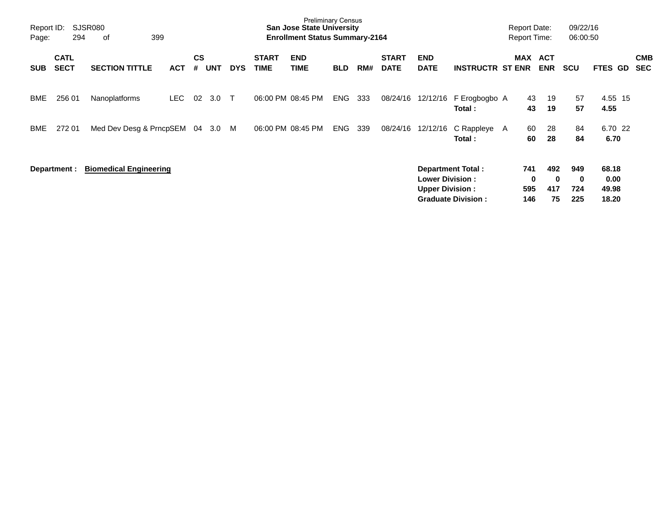| Report ID:<br>Page: | 294                        | SJSR080<br>399<br>оf          |            |                |            |            |                      | <b>Preliminary Census</b><br><b>San Jose State University</b><br><b>Enrollment Status Summary-2164</b> |            |     |                             |                                                  |                                                | <b>Report Date:</b><br><b>Report Time:</b> |                        |                              | 09/22/16<br>06:00:50   |                                 |                          |
|---------------------|----------------------------|-------------------------------|------------|----------------|------------|------------|----------------------|--------------------------------------------------------------------------------------------------------|------------|-----|-----------------------------|--------------------------------------------------|------------------------------------------------|--------------------------------------------|------------------------|------------------------------|------------------------|---------------------------------|--------------------------|
| <b>SUB</b>          | <b>CATL</b><br><b>SECT</b> | <b>SECTION TITTLE</b>         | <b>ACT</b> | <b>CS</b><br># | <b>UNT</b> | <b>DYS</b> | <b>START</b><br>TIME | <b>END</b><br><b>TIME</b>                                                                              | <b>BLD</b> | RM# | <b>START</b><br><b>DATE</b> | <b>END</b><br><b>DATE</b>                        | <b>INSTRUCTR ST ENR</b>                        | MAX                                        |                        | <b>ACT</b><br><b>ENR</b>     | <b>SCU</b>             | FTES GD                         | <b>CMB</b><br><b>SEC</b> |
| BME                 | 256 01                     | Nanoplatforms                 | LEC.       | 02             | 3.0        | $\top$     |                      | 06:00 PM 08:45 PM                                                                                      | <b>ENG</b> | 333 | 08/24/16                    | 12/12/16                                         | F Erogbogbo A<br>Total:                        |                                            | 43<br>43               | 19<br>19                     | 57<br>57               | 4.55 15<br>4.55                 |                          |
| BME                 | 272 01                     | Med Dev Desg & PrncpSEM       |            | 04             | 3.0        | M          |                      | 06:00 PM 08:45 PM                                                                                      | <b>ENG</b> | 339 | 08/24/16                    | 12/12/16                                         | C Rappleye A<br>Total:                         |                                            | 60<br>60               | 28<br>28                     | 84<br>84               | 6.70 22<br>6.70                 |                          |
|                     | Department :               | <b>Biomedical Engineering</b> |            |                |            |            |                      |                                                                                                        |            |     |                             | <b>Lower Division:</b><br><b>Upper Division:</b> | Department Total:<br><b>Graduate Division:</b> |                                            | 741<br>0<br>595<br>146 | 492<br>$\bf{0}$<br>417<br>75 | 949<br>0<br>724<br>225 | 68.18<br>0.00<br>49.98<br>18.20 |                          |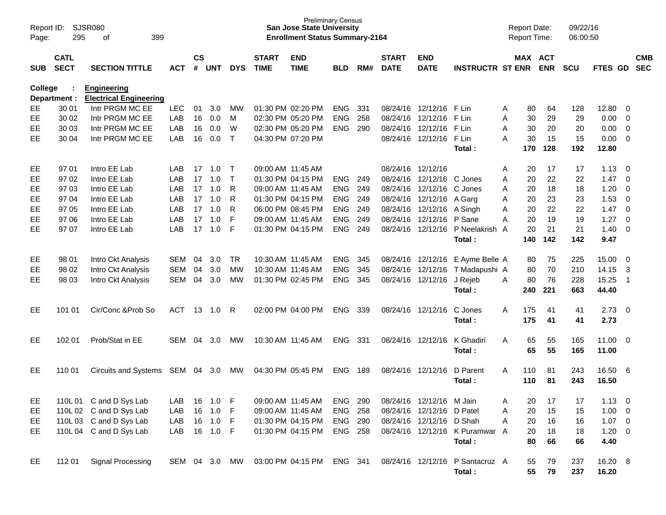| Page:      | Report ID:<br><b>SJSR080</b><br>295<br>399<br>of<br><b>CATL</b> |                                                     |            |                |            |              |                             | <b>Preliminary Census</b><br><b>San Jose State University</b><br><b>Enrollment Status Summary-2164</b> |                |     |                             |                           |                                  | <b>Report Date:</b><br>Report Time: |     |                       | 09/22/16<br>06:00:50 |              |                         |            |
|------------|-----------------------------------------------------------------|-----------------------------------------------------|------------|----------------|------------|--------------|-----------------------------|--------------------------------------------------------------------------------------------------------|----------------|-----|-----------------------------|---------------------------|----------------------------------|-------------------------------------|-----|-----------------------|----------------------|--------------|-------------------------|------------|
| <b>SUB</b> | <b>SECT</b>                                                     | <b>SECTION TITTLE</b>                               | <b>ACT</b> | <b>CS</b><br># | <b>UNT</b> | <b>DYS</b>   | <b>START</b><br><b>TIME</b> | <b>END</b><br><b>TIME</b>                                                                              | <b>BLD</b>     | RM# | <b>START</b><br><b>DATE</b> | <b>END</b><br><b>DATE</b> | <b>INSTRUCTR ST ENR</b>          |                                     |     | MAX ACT<br><b>ENR</b> | <b>SCU</b>           | FTES GD SEC  |                         | <b>CMB</b> |
| College    | Department :                                                    | <b>Engineering</b><br><b>Electrical Engineering</b> |            |                |            |              |                             |                                                                                                        |                |     |                             |                           |                                  |                                     |     |                       |                      |              |                         |            |
| EE         | 30 01                                                           | Intr PRGM MC EE                                     | <b>LEC</b> | 01             | 3.0        | MW           |                             | 01:30 PM 02:20 PM                                                                                      | <b>ENG</b>     | 331 |                             | 08/24/16 12/12/16 F Lin   |                                  | A                                   | 80  | 64                    | 128                  | 12.80        | - 0                     |            |
| EE         | 30 02                                                           | Intr PRGM MC EE                                     | LAB        | 16             | 0.0        | M            |                             | 02:30 PM 05:20 PM                                                                                      | <b>ENG</b>     | 258 |                             | 08/24/16 12/12/16         | F Lin                            | A                                   | 30  | 29                    | 29                   | 0.00         | $\overline{0}$          |            |
| EE         | 30 03                                                           | Intr PRGM MC EE                                     | LAB        | 16             | 0.0        | W            |                             | 02:30 PM 05:20 PM                                                                                      | <b>ENG</b>     | 290 |                             | 08/24/16 12/12/16 F Lin   |                                  | A                                   | 30  | 20                    | 20                   | 0.00         | $\overline{\mathbf{0}}$ |            |
| EE.        | 30 04                                                           | Intr PRGM MC EE                                     | LAB        | 16             | 0.0        | $\mathsf{T}$ |                             | 04:30 PM 07:20 PM                                                                                      |                |     |                             | 08/24/16 12/12/16 F Lin   |                                  | A                                   | 30  | 15                    | 15                   | 0.00         | $\overline{\mathbf{0}}$ |            |
|            |                                                                 |                                                     |            |                |            |              |                             |                                                                                                        |                |     |                             |                           | Total:                           |                                     | 170 | 128                   | 192                  | 12.80        |                         |            |
| EE         | 97 01                                                           | Intro EE Lab                                        | LAB        | 17             | 1.0        | $\top$       | 09:00 AM 11:45 AM           |                                                                                                        |                |     | 08/24/16 12/12/16           |                           |                                  | A                                   | 20  | 17                    | 17                   | 1.13         | - 0                     |            |
| EE         | 97 02                                                           | Intro EE Lab                                        | LAB        | 17             | 1.0        | $\top$       |                             | 01:30 PM 04:15 PM                                                                                      | <b>ENG</b>     | 249 |                             | 08/24/16 12/12/16 C Jones |                                  | A                                   | 20  | 22                    | 22                   | 1.47         | $\overline{0}$          |            |
| EE         | 97 03                                                           | Intro EE Lab                                        | LAB        | 17             | 1.0        | R            | 09:00 AM 11:45 AM           |                                                                                                        | <b>ENG</b>     | 249 |                             | 08/24/16 12/12/16 C Jones |                                  | A                                   | 20  | 18                    | 18                   | 1.20         | 0                       |            |
| EE         | 97 04                                                           | Intro EE Lab                                        | LAB        | 17             | 1.0        | R            |                             | 01:30 PM 04:15 PM                                                                                      | <b>ENG</b>     | 249 |                             | 08/24/16 12/12/16 A Garg  |                                  | A                                   | 20  | 23                    | 23                   | 1.53         | $\overline{0}$          |            |
| EE         | 97 05                                                           | Intro EE Lab                                        | LAB        | 17             | 1.0        | R            |                             | 06:00 PM 08:45 PM                                                                                      | <b>ENG</b>     | 249 |                             | 08/24/16 12/12/16 A Singh |                                  | A                                   | 20  | 22                    | 22                   | 1.47         | $\overline{0}$          |            |
| EE         | 97 06                                                           | Intro EE Lab                                        | LAB        | 17             | 1.0        | F            | 09:00 AM 11:45 AM           |                                                                                                        | <b>ENG</b>     | 249 |                             | 08/24/16 12/12/16 P Sane  |                                  | A                                   | 20  | 19                    | 19                   | 1.27         | $\overline{0}$          |            |
| EE         | 97 07                                                           | Intro EE Lab                                        | LAB        | 17             | 1.0        | F            |                             | 01:30 PM 04:15 PM                                                                                      | <b>ENG</b>     | 249 |                             |                           | 08/24/16 12/12/16 P Neelakrish A |                                     | 20  | 21                    | 21                   | 1.40         | $\overline{0}$          |            |
|            |                                                                 |                                                     |            |                |            |              |                             |                                                                                                        |                |     |                             |                           | Total:                           |                                     | 140 | 142                   | 142                  | 9.47         |                         |            |
| EE         | 98 01                                                           | Intro Ckt Analysis                                  | SEM        | 04             | 3.0        | <b>TR</b>    | 10:30 AM 11:45 AM           |                                                                                                        | <b>ENG</b>     | 345 |                             |                           | 08/24/16 12/12/16 E Ayme Belle A |                                     | 80  | 75                    | 225                  | 15.00        | - 0                     |            |
| EE         | 98 02                                                           | Intro Ckt Analysis                                  | <b>SEM</b> | 04             | 3.0        | <b>MW</b>    | 10:30 AM 11:45 AM           |                                                                                                        | <b>ENG</b>     | 345 |                             | 08/24/16 12/12/16         | T Madapushi A                    |                                     | 80  | 70                    | 210                  | 14.15        | 3                       |            |
| EE.        | 98 03                                                           | Intro Ckt Analysis                                  | SEM        | 04             | 3.0        | MW           |                             | 01:30 PM 02:45 PM                                                                                      | <b>ENG</b>     | 345 |                             | 08/24/16 12/12/16         | J Rejeb                          | A                                   | 80  | 76                    | 228                  | 15.25        | $\overline{1}$          |            |
|            |                                                                 |                                                     |            |                |            |              |                             |                                                                                                        |                |     |                             |                           | Total:                           |                                     | 240 | 221                   | 663                  | 44.40        |                         |            |
| EE.        | 101 01                                                          | Cir/Conc & Prob So                                  | <b>ACT</b> |                | 13 1.0     | R            |                             | 02:00 PM 04:00 PM                                                                                      | <b>ENG</b>     | 339 |                             | 08/24/16 12/12/16         | C Jones                          | A                                   | 175 | 41                    | 41                   | 2.73         | $\overline{\mathbf{0}}$ |            |
|            |                                                                 |                                                     |            |                |            |              |                             |                                                                                                        |                |     |                             |                           | Total:                           |                                     | 175 | 41                    | 41                   | 2.73         |                         |            |
| EE.        | 102 01                                                          | Prob/Stat in EE                                     | SEM        | 04             | 3.0        | MW           | 10:30 AM 11:45 AM           |                                                                                                        | <b>ENG</b>     | 331 |                             | 08/24/16 12/12/16         | K Ghadiri                        | A                                   | 65  | 55                    | 165                  | $11.00 \t 0$ |                         |            |
|            |                                                                 |                                                     |            |                |            |              |                             |                                                                                                        |                |     |                             |                           | Total:                           |                                     | 65  | 55                    | 165                  | 11.00        |                         |            |
| EE         | 110 01                                                          | Circuits and Systems SEM                            |            |                | 04 3.0     | MW           |                             | 04:30 PM 05:45 PM                                                                                      | ENG            | 189 | 08/24/16 12/12/16           |                           | D Parent                         | A                                   | 110 | 81                    | 243                  | 16.50        | - 6                     |            |
|            |                                                                 |                                                     |            |                |            |              |                             |                                                                                                        |                |     |                             |                           | Total:                           |                                     | 110 | 81                    | 243                  | 16.50        |                         |            |
| EE         |                                                                 | 110L 01 C and D Sys Lab                             | LAB        | 16             | 1.0        | F            | 09:00 AM 11:45 AM           |                                                                                                        | ENG 290        |     |                             | 08/24/16 12/12/16 M Jain  |                                  | Α                                   | 20  | 17                    | 17                   | $1.13 \ 0$   |                         |            |
| EE         |                                                                 | 110L 02 C and D Sys Lab                             | LAB        |                | 16 1.0     | F            | 09:00 AM 11:45 AM           |                                                                                                        | <b>ENG 258</b> |     |                             | 08/24/16 12/12/16 D Patel |                                  | Α                                   | 20  | 15                    | 15                   | $1.00 \t 0$  |                         |            |
| EE         |                                                                 | 110L 03 C and D Sys Lab                             | LAB        |                | 16 1.0     | -F           |                             | 01:30 PM 04:15 PM                                                                                      | ENG 290        |     |                             | 08/24/16 12/12/16 D Shah  |                                  | Α                                   | 20  | 16                    | 16                   | $1.07 \t 0$  |                         |            |
| EE         |                                                                 | 110L 04 C and D Sys Lab                             | LAB        |                | 16 1.0     | -F           |                             | 01:30 PM 04:15 PM                                                                                      | <b>ENG 258</b> |     |                             |                           | 08/24/16 12/12/16 K Puramwar A   |                                     | 20  | 18                    | 18                   | $1.20 \t 0$  |                         |            |
|            |                                                                 |                                                     |            |                |            |              |                             |                                                                                                        |                |     |                             |                           | Total:                           |                                     | 80  | 66                    | 66                   | 4.40         |                         |            |
| EE         | 112 01                                                          | Signal Processing                                   | SEM 04 3.0 |                |            | MW           |                             | 03:00 PM 04:15 PM                                                                                      | ENG 341        |     |                             |                           | 08/24/16 12/12/16 P Santacruz A  |                                     | 55  | 79                    | 237                  | 16.20 8      |                         |            |
|            |                                                                 |                                                     |            |                |            |              |                             |                                                                                                        |                |     |                             |                           | Total:                           |                                     | 55  | 79                    | 237                  | 16.20        |                         |            |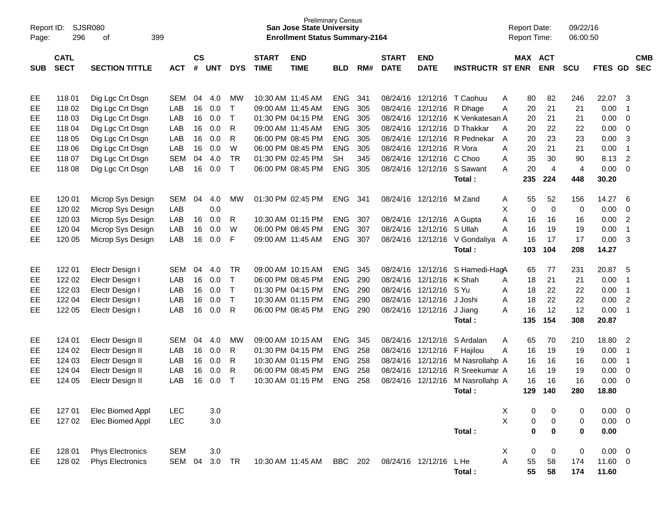| Report ID:<br>Page: | 296         | <b>SJSR080</b><br>399<br>οf |            |               |            |              |                   | <b>San Jose State University</b><br><b>Enrollment Status Summary-2164</b> | <b>Preliminary Census</b> |     |              |                          |                               |   | <b>Report Date:</b><br><b>Report Time:</b> |                | 09/22/16<br>06:00:50 |             |                |            |
|---------------------|-------------|-----------------------------|------------|---------------|------------|--------------|-------------------|---------------------------------------------------------------------------|---------------------------|-----|--------------|--------------------------|-------------------------------|---|--------------------------------------------|----------------|----------------------|-------------|----------------|------------|
|                     |             |                             |            |               |            |              |                   |                                                                           |                           |     |              |                          |                               |   |                                            |                |                      |             |                |            |
|                     | <b>CATL</b> |                             |            | $\mathsf{cs}$ |            |              | <b>START</b>      | <b>END</b>                                                                |                           |     | <b>START</b> | <b>END</b>               |                               |   | MAX ACT                                    |                |                      |             |                | <b>CMB</b> |
| <b>SUB</b>          | <b>SECT</b> | <b>SECTION TITTLE</b>       | <b>ACT</b> | #             | <b>UNT</b> | <b>DYS</b>   | <b>TIME</b>       | <b>TIME</b>                                                               | <b>BLD</b>                | RM# | <b>DATE</b>  | <b>DATE</b>              | <b>INSTRUCTR ST ENR</b>       |   |                                            | <b>ENR</b>     | <b>SCU</b>           | FTES GD     |                | <b>SEC</b> |
|                     |             |                             |            |               |            |              |                   |                                                                           |                           |     |              |                          |                               |   |                                            |                |                      |             |                |            |
| EE                  | 11801       | Dig Lgc Crt Dsgn            | <b>SEM</b> | 04            | 4.0        | МW           | 10:30 AM 11:45 AM |                                                                           | <b>ENG</b>                | 341 |              | 08/24/16 12/12/16        | T Caohuu                      | A | 80                                         | 82             | 246                  | 22.07       | -3             |            |
| EE                  | 118 02      | Dig Lgc Crt Dsgn            | LAB        | 16            | 0.0        | T            | 09:00 AM 11:45 AM |                                                                           | <b>ENG</b>                | 305 |              | 08/24/16 12/12/16        | R Dhage                       | Α | 20                                         | 21             | 21                   | 0.00        | $\overline{1}$ |            |
| EE                  | 118 03      | Dig Lgc Crt Dsgn            | LAB        | 16            | 0.0        | $\mathsf{T}$ |                   | 01:30 PM 04:15 PM                                                         | <b>ENG</b>                | 305 | 08/24/16     | 12/12/16                 | K Venkatesan A                |   | 20                                         | 21             | 21                   | 0.00        | $\overline{0}$ |            |
| EE                  | 118 04      | Dig Lgc Crt Dsgn            | LAB        | 16            | 0.0        | R            | 09:00 AM 11:45 AM |                                                                           | <b>ENG</b>                | 305 | 08/24/16     | 12/12/16                 | D Thakkar                     | A | 20                                         | 22             | 22                   | 0.00        | $\mathbf 0$    |            |
| EE                  | 118 05      | Dig Lgc Crt Dsgn            | LAB        | 16            | 0.0        | R            |                   | 06:00 PM 08:45 PM                                                         | <b>ENG</b>                | 305 | 08/24/16     | 12/12/16                 | R Pednekar                    | A | 20                                         | 23             | 23                   | 0.00        | 3              |            |
| EE                  | 118 06      | Dig Lgc Crt Dsgn            | LAB        | 16            | 0.0        | W            |                   | 06:00 PM 08:45 PM                                                         | <b>ENG</b>                | 305 | 08/24/16     | 12/12/16                 | R Vora                        | A | 20                                         | 21             | 21                   | 0.00        | $\overline{1}$ |            |
| EE                  | 118 07      | Dig Lgc Crt Dsgn            | <b>SEM</b> | 04            | 4.0        | <b>TR</b>    |                   | 01:30 PM 02:45 PM                                                         | SН                        | 345 | 08/24/16     | 12/12/16                 | C Choo                        | A | 35                                         | 30             | 90                   | 8.13        | $\overline{2}$ |            |
| EE                  | 118 08      | Dig Lgc Crt Dsgn            | LAB        | 16            | 0.0        | $\mathsf{T}$ |                   | 06:00 PM 08:45 PM                                                         | <b>ENG</b>                | 305 |              | 08/24/16 12/12/16        | S Sawant                      | A | 20                                         | $\overline{4}$ | $\overline{4}$       | 0.00        | $\overline{0}$ |            |
|                     |             |                             |            |               |            |              |                   |                                                                           |                           |     |              |                          | Total:                        |   | 235                                        | 224            | 448                  | 30.20       |                |            |
| EE                  | 120 01      | Microp Sys Design           | <b>SEM</b> | 04            | 4.0        | MW           |                   | 01:30 PM 02:45 PM                                                         | <b>ENG</b>                | 341 |              | 08/24/16 12/12/16 M Zand |                               | A | 55                                         | 52             | 156                  | 14.27       | 6              |            |
| EE                  | 120 02      | Microp Sys Design           | LAB        |               | 0.0        |              |                   |                                                                           |                           |     |              |                          |                               | X | 0                                          | $\mathbf 0$    | 0                    | 0.00        | $\mathbf 0$    |            |
| EE                  | 120 03      | Microp Sys Design           | LAB        | 16            | 0.0        | R            |                   | 10:30 AM 01:15 PM                                                         | <b>ENG</b>                | 307 |              | 08/24/16 12/12/16        | A Gupta                       | A | 16                                         | 16             | 16                   | 0.00        | $\overline{2}$ |            |
| EE                  | 120 04      | Microp Sys Design           | LAB        | 16            | 0.0        | W            |                   | 06:00 PM 08:45 PM                                                         | <b>ENG</b>                | 307 |              | 08/24/16 12/12/16        | S Ullah                       | A | 16                                         | 19             | 19                   | 0.00        | $\overline{1}$ |            |
| EE                  | 120 05      | Microp Sys Design           | LAB        | 16            | 0.0        | F            | 09:00 AM 11:45 AM |                                                                           | <b>ENG</b>                | 307 |              |                          | 08/24/16 12/12/16 V Gondaliya | A | 16                                         | 17             | 17                   | 0.00        | -3             |            |
|                     |             |                             |            |               |            |              |                   |                                                                           |                           |     |              |                          | Total:                        |   | 103                                        | 104            | 208                  | 14.27       |                |            |
| EE                  | 122 01      | Electr Design I             | <b>SEM</b> | 04            | 4.0        | TR.          |                   | 09:00 AM 10:15 AM                                                         | <b>ENG</b>                | 345 |              | 08/24/16 12/12/16        | S Hamedi-HagA                 |   | 65                                         | 77             | 231                  | 20.87       | -5             |            |
| EE                  | 122 02      | Electr Design I             | LAB        | 16            | 0.0        | $\mathsf{T}$ |                   | 06:00 PM 08:45 PM                                                         | <b>ENG</b>                | 290 |              | 08/24/16 12/12/16        | K Shah                        | A | 18                                         | 21             | 21                   | 0.00        | $\overline{1}$ |            |
| EE                  | 122 03      | Electr Design I             | LAB        | 16            | 0.0        | $\mathsf{T}$ |                   | 01:30 PM 04:15 PM                                                         | <b>ENG</b>                | 290 |              | 08/24/16 12/12/16        | S Yu                          | A | 18                                         | 22             | 22                   | 0.00        | $\overline{1}$ |            |
| EE                  | 122 04      | Electr Design I             | LAB        | 16            | 0.0        | $\mathsf{T}$ |                   | 10:30 AM 01:15 PM                                                         | <b>ENG</b>                | 290 |              | 08/24/16 12/12/16        | J Joshi                       | A | 18                                         | 22             | 22                   | 0.00        | $\overline{2}$ |            |
| EE                  | 122 05      | Electr Design I             | LAB        | 16            | 0.0        | R            |                   | 06:00 PM 08:45 PM                                                         | <b>ENG</b>                | 290 |              | 08/24/16 12/12/16        | J Jiang                       | A | 16                                         | 12             | 12                   | 0.00        | $\overline{1}$ |            |
|                     |             |                             |            |               |            |              |                   |                                                                           |                           |     |              |                          | Total:                        |   | 135                                        | 154            | 308                  | 20.87       |                |            |
| EE                  | 124 01      | Electr Design II            | <b>SEM</b> | 04            | 4.0        | MW           |                   | 09:00 AM 10:15 AM                                                         | <b>ENG</b>                | 345 |              | 08/24/16 12/12/16        | S Ardalan                     | A | 65                                         | 70             | 210                  | 18.80       | $\overline{2}$ |            |
| EE                  | 124 02      | Electr Design II            | LAB        | 16            | 0.0        | R            |                   | 01:30 PM 04:15 PM                                                         | <b>ENG</b>                | 258 |              | 08/24/16 12/12/16        | F Hajilou                     | A | 16                                         | 19             | 19                   | 0.00        | $\overline{1}$ |            |
| EE                  | 124 03      | Electr Design II            | LAB        | 16            | 0.0        | R            |                   | 10:30 AM 01:15 PM                                                         | <b>ENG</b>                | 258 |              | 08/24/16 12/12/16        | M Nasrollahp A                |   | 16                                         | 16             | 16                   | 0.00        | $\overline{1}$ |            |
| EE                  | 124 04      | Electr Design II            | LAB        | 16            | 0.0        | R            |                   | 06:00 PM 08:45 PM                                                         | <b>ENG</b>                | 258 | 08/24/16     | 12/12/16                 | R Sreekumar A                 |   | 16                                         | 19             | 19                   | 0.00        | $\overline{0}$ |            |
| EE                  | 124 05      | Electr Design II            | LAB        | 16            | 0.0        | $\top$       |                   | 10:30 AM 01:15 PM                                                         | <b>ENG</b>                | 258 | 08/24/16     | 12/12/16                 | M Nasrollahp A                |   | 16                                         | 16             | 16                   | 0.00        | $\overline{0}$ |            |
|                     |             |                             |            |               |            |              |                   |                                                                           |                           |     |              |                          | Total:                        |   | 129                                        | 140            | 280                  | 18.80       |                |            |
|                     |             |                             |            |               |            |              |                   |                                                                           |                           |     |              |                          |                               |   |                                            |                |                      |             |                |            |
| EE                  | 127 01      | Elec Biomed Appl            | <b>LEC</b> |               | 3.0        |              |                   |                                                                           |                           |     |              |                          |                               | X | 0                                          | 0              | 0                    | 0.00        | - 0            |            |
| EE                  | 127 02      | Elec Biomed Appl            | <b>LEC</b> |               | 3.0        |              |                   |                                                                           |                           |     |              |                          |                               | X | 0                                          | $\mathbf 0$    | 0                    | $0.00 \t 0$ |                |            |
|                     |             |                             |            |               |            |              |                   |                                                                           |                           |     |              |                          | Total:                        |   | $\bf{0}$                                   | $\mathbf 0$    | $\bf{0}$             | 0.00        |                |            |
| EE                  | 128 01      | <b>Phys Electronics</b>     | <b>SEM</b> |               | $3.0\,$    |              |                   |                                                                           |                           |     |              |                          |                               | X | 0                                          | 0              | 0                    | $0.00 \t 0$ |                |            |
| EE                  | 128 02      | <b>Phys Electronics</b>     | SEM        | 04            | 3.0        | <b>TR</b>    | 10:30 AM 11:45 AM |                                                                           | <b>BBC</b>                | 202 |              | 08/24/16 12/12/16        | L He                          | A | 55                                         | 58             | 174                  | 11.60 0     |                |            |
|                     |             |                             |            |               |            |              |                   |                                                                           |                           |     |              |                          | Total:                        |   | 55                                         | 58             | 174                  | 11.60       |                |            |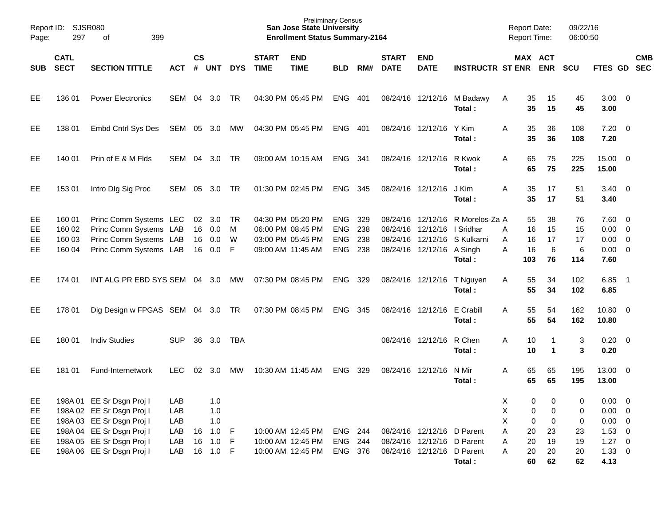| Page:                | Report ID: SJSR080<br>297            |                                                                                                      |                   |           |                                |                    | <b>Preliminary Census</b><br><b>San Jose State University</b><br><b>Enrollment Status Summary-2164</b> |                                                                                  |                                                      |                          |                             |                                                                                        |                                                                            | <b>Report Date:</b><br><b>Report Time:</b> | 09/22/16<br>06:00:50                              |                            |                                                                  |            |
|----------------------|--------------------------------------|------------------------------------------------------------------------------------------------------|-------------------|-----------|--------------------------------|--------------------|--------------------------------------------------------------------------------------------------------|----------------------------------------------------------------------------------|------------------------------------------------------|--------------------------|-----------------------------|----------------------------------------------------------------------------------------|----------------------------------------------------------------------------|--------------------------------------------|---------------------------------------------------|----------------------------|------------------------------------------------------------------|------------|
| <b>SUB</b>           | <b>CATL</b><br><b>SECT</b>           | <b>SECTION TITTLE</b>                                                                                | ACT               | <b>CS</b> | # UNT                          | <b>DYS</b>         | <b>START</b><br><b>TIME</b>                                                                            | <b>END</b><br><b>TIME</b>                                                        | <b>BLD</b>                                           | RM#                      | <b>START</b><br><b>DATE</b> | <b>END</b><br><b>DATE</b>                                                              | <b>INSTRUCTR ST ENR ENR</b>                                                |                                            | MAX ACT                                           | <b>SCU</b>                 | FTES GD SEC                                                      | <b>CMB</b> |
| EE                   | 136 01                               | <b>Power Electronics</b>                                                                             | SEM 04 3.0        |           |                                | TR.                |                                                                                                        | 04:30 PM 05:45 PM                                                                | ENG 401                                              |                          |                             |                                                                                        | 08/24/16 12/12/16 M Badawy<br>Total:                                       | A                                          | 35<br>15<br>35<br>15                              | 45<br>45                   | $3.00 \ 0$<br>3.00                                               |            |
| EE                   | 138 01                               | Embd Cntrl Sys Des                                                                                   | SEM 05 3.0 MW     |           |                                |                    |                                                                                                        | 04:30 PM 05:45 PM                                                                | ENG 401                                              |                          |                             | 08/24/16 12/12/16                                                                      | Y Kim<br>Total:                                                            | A                                          | 35<br>36<br>35<br>36                              | 108<br>108                 | $7.20 \t 0$<br>7.20                                              |            |
| EE                   | 140 01                               | Prin of E & M Flds                                                                                   | SEM 04 3.0        |           |                                | <b>TR</b>          |                                                                                                        | 09:00 AM 10:15 AM                                                                | ENG 341                                              |                          |                             | 08/24/16 12/12/16 R Kwok                                                               | Total:                                                                     | A                                          | 65<br>75<br>65<br>75                              | 225<br>225                 | 15.00 0<br>15.00                                                 |            |
| EE                   | 153 01                               | Intro Dig Sig Proc                                                                                   | SEM               | 05        | 3.0                            | TR                 |                                                                                                        | 01:30 PM 02:45 PM                                                                | <b>ENG</b>                                           | - 345                    |                             | 08/24/16 12/12/16                                                                      | J Kim<br>Total:                                                            | A                                          | 35<br>17<br>35<br>17                              | 51<br>51                   | $3.40 \ 0$<br>3.40                                               |            |
| EE<br>EE<br>EE<br>EE | 160 01<br>160 02<br>160 03<br>160 04 | Princ Comm Systems LEC<br>Princ Comm Systems LAB<br>Princ Comm Systems LAB<br>Princ Comm Systems LAB |                   | 16<br>16  | 02 3.0<br>16 0.0<br>0.0<br>0.0 | TR<br>M<br>W<br>-F |                                                                                                        | 04:30 PM 05:20 PM<br>06:00 PM 08:45 PM<br>03:00 PM 05:45 PM<br>09:00 AM 11:45 AM | <b>ENG</b><br><b>ENG</b><br><b>ENG</b><br><b>ENG</b> | 329<br>238<br>238<br>238 |                             | 08/24/16 12/12/16 I Sridhar<br>08/24/16 12/12/16 A Singh                               | 08/24/16 12/12/16 R Morelos-Za A<br>08/24/16 12/12/16 S Kulkarni<br>Total: | A<br>A<br>A<br>103                         | 55<br>38<br>15<br>16<br>17<br>16<br>6<br>16<br>76 | 76<br>15<br>17<br>6<br>114 | $7.60 \t 0$<br>$0.00 \t 0$<br>$0.00 \t 0$<br>$0.00 \t 0$<br>7.60 |            |
| EE                   | 174 01                               | INT ALG PR EBD SYS SEM 04 3.0                                                                        |                   |           |                                | MW                 |                                                                                                        | 07:30 PM 08:45 PM                                                                | <b>ENG</b>                                           | 329                      |                             | 08/24/16 12/12/16                                                                      | T Nguyen<br>Total:                                                         | A                                          | 55<br>34<br>55<br>34                              | 102<br>102                 | $6.85$ 1<br>6.85                                                 |            |
| EE                   | 178 01                               | Dig Design w FPGAS SEM 04 3.0 TR                                                                     |                   |           |                                |                    |                                                                                                        | 07:30 PM 08:45 PM                                                                | <b>ENG</b>                                           | 345                      |                             | 08/24/16 12/12/16                                                                      | E Crabill<br>Total:                                                        | A                                          | 55<br>54<br>55<br>54                              | 162<br>162                 | 10.80 0<br>10.80                                                 |            |
| EE                   | 180 01                               | <b>Indiv Studies</b>                                                                                 | <b>SUP</b>        | 36        | 3.0                            | TBA                |                                                                                                        |                                                                                  |                                                      |                          |                             | 08/24/16 12/12/16 R Chen                                                               | Total:                                                                     | A                                          | 10<br>1<br>10<br>$\blacktriangleleft$             | 3<br>3                     | $0.20 \ 0$<br>0.20                                               |            |
| EE                   | 181 01                               | Fund-Internetwork                                                                                    | <b>LEC</b>        | 02        | 3.0                            | МW                 |                                                                                                        | 10:30 AM 11:45 AM                                                                | <b>ENG</b>                                           | 329                      |                             | 08/24/16 12/12/16                                                                      | N Mir<br>Total:                                                            | A                                          | 65<br>65<br>65<br>65                              | 195<br>195                 | 13.00 0<br>13.00                                                 |            |
| EE<br>EE<br>EE       |                                      | 198A 01 EE Sr Dsgn Proj I<br>198A 02 EE Sr Dsgn Proj I<br>198A 03 EE Sr Dsgn Proj I                  | LAB<br>LAB<br>LAB |           | 1.0<br>1.0<br>1.0              |                    |                                                                                                        |                                                                                  |                                                      |                          |                             |                                                                                        |                                                                            | Χ<br>Χ<br>X                                | 0<br>0<br>$\pmb{0}$<br>0<br>$\pmb{0}$<br>0        | 0<br>0<br>0                | $0.00 \t 0$<br>$0.00 \t 0$<br>$0.00 \t 0$                        |            |
| EE<br>EE<br>EE       |                                      | 198A 04 EE Sr Dsgn Proj I<br>198A 05 EE Sr Dsgn Proj I<br>198A 06 EE Sr Dsgn Proj I                  | LAB<br>LAB<br>LAB | 16<br>16  | 1.0<br>1.0<br>16  1.0  F       | $-F$<br>$-F$       |                                                                                                        | 10:00 AM 12:45 PM<br>10:00 AM 12:45 PM<br>10:00 AM 12:45 PM                      | ENG 244<br><b>ENG 244</b><br>ENG 376                 |                          |                             | 08/24/16 12/12/16 D Parent<br>08/24/16 12/12/16 D Parent<br>08/24/16 12/12/16 D Parent | Total:                                                                     | Α<br>Α<br>A                                | 20<br>23<br>20<br>19<br>20<br>20<br>60<br>62      | 23<br>19<br>20<br>62       | $1.53 \t 0$<br>$1.27 \t 0$<br>$1.33 \ 0$<br>4.13                 |            |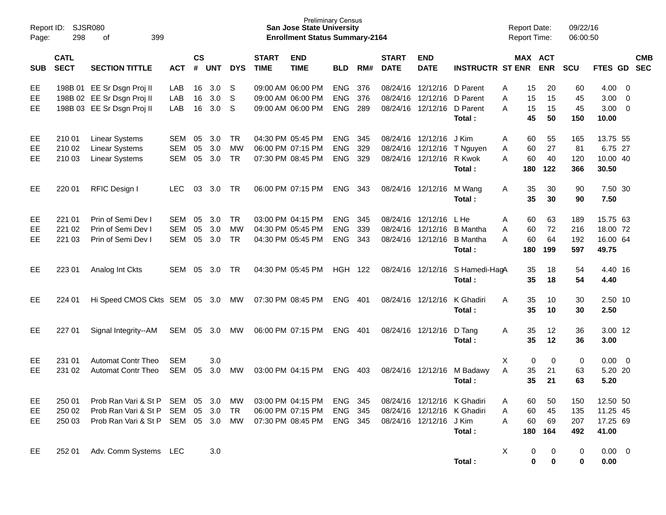| Report ID:<br>Page: | 298                        | <b>SJSR080</b><br>οf<br>399                                                            |                          |                |                   |                                     |                             | <b>Preliminary Census</b><br><b>San Jose State University</b><br><b>Enrollment Status Summary-2164</b> |                                        |                   |                             |                                                                               |                                                                      | <b>Report Date:</b> |                       | <b>Report Time:</b>       | 09/22/16<br>06:00:50     |                                           |                          |            |
|---------------------|----------------------------|----------------------------------------------------------------------------------------|--------------------------|----------------|-------------------|-------------------------------------|-----------------------------|--------------------------------------------------------------------------------------------------------|----------------------------------------|-------------------|-----------------------------|-------------------------------------------------------------------------------|----------------------------------------------------------------------|---------------------|-----------------------|---------------------------|--------------------------|-------------------------------------------|--------------------------|------------|
| <b>SUB</b>          | <b>CATL</b><br><b>SECT</b> | <b>SECTION TITTLE</b>                                                                  | <b>ACT</b>               | <b>CS</b><br># | <b>UNT</b>        | <b>DYS</b>                          | <b>START</b><br><b>TIME</b> | <b>END</b><br><b>TIME</b>                                                                              | <b>BLD</b>                             | RM#               | <b>START</b><br><b>DATE</b> | <b>END</b><br><b>DATE</b>                                                     | <b>INSTRUCTR ST ENR</b>                                              |                     |                       | MAX ACT<br><b>ENR</b>     | <b>SCU</b>               | FTES GD SEC                               |                          | <b>CMB</b> |
| EE<br>EE<br>EE      |                            | 198B 01 EE Sr Dsgn Proj II<br>198B 02 EE Sr Dsgn Proj II<br>198B 03 EE Sr Dsgn Proj II | LAB<br>LAB<br>LAB        | 16<br>16<br>16 | 3.0<br>3.0<br>3.0 | S<br>S<br>S                         |                             | 09:00 AM 06:00 PM<br>09:00 AM 06:00 PM<br>09:00 AM 06:00 PM                                            | <b>ENG</b><br><b>ENG</b><br><b>ENG</b> | 376<br>376<br>289 |                             | 08/24/16 12/12/16 D Parent<br>08/24/16 12/12/16<br>08/24/16 12/12/16 D Parent | D Parent<br>Total:                                                   | Α<br>A<br>A         | 15<br>15<br>15<br>45  | 20<br>15<br>15<br>50      | 60<br>45<br>45<br>150    | 4.00<br>3.00<br>3.00<br>10.00             | $\overline{0}$<br>0<br>0 |            |
| EE<br>EE<br>EЕ      | 210 01<br>210 02<br>210 03 | <b>Linear Systems</b><br><b>Linear Systems</b><br><b>Linear Systems</b>                | SEM<br><b>SEM</b><br>SEM | 05<br>05<br>05 | 3.0<br>3.0<br>3.0 | <b>TR</b><br><b>MW</b><br><b>TR</b> |                             | 04:30 PM 05:45 PM<br>06:00 PM 07:15 PM<br>07:30 PM 08:45 PM                                            | <b>ENG</b><br><b>ENG</b><br><b>ENG</b> | 345<br>329<br>329 |                             | 08/24/16 12/12/16<br>08/24/16 12/12/16<br>08/24/16 12/12/16                   | J Kim<br>T Nguyen<br>R Kwok<br>Total:                                | A<br>Α<br>A         | 60<br>60<br>60<br>180 | 55<br>27<br>40<br>122     | 165<br>81<br>120<br>366  | 13.75 55<br>6.75 27<br>10.00 40<br>30.50  |                          |            |
| EE                  | 220 01                     | RFIC Design I                                                                          | <b>LEC</b>               | 03             | 3.0               | TR                                  |                             | 06:00 PM 07:15 PM                                                                                      | <b>ENG</b>                             | 343               |                             | 08/24/16 12/12/16                                                             | M Wang<br>Total:                                                     | A                   | 35<br>35              | 30<br>30                  | 90<br>90                 | 7.50 30<br>7.50                           |                          |            |
| EE<br>EE<br>EЕ      | 221 01<br>221 02<br>221 03 | Prin of Semi Dev I<br>Prin of Semi Dev I<br>Prin of Semi Dev I                         | SEM<br><b>SEM</b><br>SEM | 05<br>05<br>05 | 3.0<br>3.0<br>3.0 | <b>TR</b><br><b>MW</b><br><b>TR</b> |                             | 03:00 PM 04:15 PM<br>04:30 PM 05:45 PM<br>04:30 PM 05:45 PM                                            | <b>ENG</b><br><b>ENG</b><br><b>ENG</b> | 345<br>339<br>343 |                             | 08/24/16 12/12/16<br>08/24/16 12/12/16<br>08/24/16 12/12/16                   | L He<br><b>B</b> Mantha<br><b>B</b> Mantha<br>Total:                 | Α<br>A<br>A         | 60<br>60<br>60<br>180 | 63<br>72<br>64<br>199     | 189<br>216<br>192<br>597 | 15.75 63<br>18.00 72<br>16.00 64<br>49.75 |                          |            |
| EE                  | 223 01                     | Analog Int Ckts                                                                        | SEM                      | 05             | 3.0               | TR                                  |                             | 04:30 PM 05:45 PM                                                                                      | <b>HGH 122</b>                         |                   |                             | 08/24/16 12/12/16                                                             | S Hamedi-HagA<br>Total:                                              |                     | 35<br>35              | 18<br>18                  | 54<br>54                 | 4.40 16<br>4.40                           |                          |            |
| EE                  | 224 01                     | Hi Speed CMOS Ckts SEM 05 3.0                                                          |                          |                |                   | MW                                  |                             | 07:30 PM 08:45 PM                                                                                      | <b>ENG</b>                             | 401               |                             | 08/24/16 12/12/16                                                             | K Ghadiri<br>Total:                                                  | A                   | 35<br>35              | 10<br>10                  | 30<br>30                 | 2.50 10<br>2.50                           |                          |            |
| EE                  | 227 01                     | Signal Integrity--AM                                                                   | SEM                      | 05             | 3.0               | MW                                  |                             | 06:00 PM 07:15 PM                                                                                      | <b>ENG</b>                             | 401               |                             | 08/24/16 12/12/16                                                             | D Tang<br>Total:                                                     | Α                   | 35<br>35              | 12<br>12                  | 36<br>36                 | 3.00 12<br>3.00                           |                          |            |
| EE<br>EE            | 231 01<br>231 02           | <b>Automat Contr Theo</b><br><b>Automat Contr Theo</b>                                 | <b>SEM</b><br>SEM        | 05             | 3.0<br>3.0        | MW                                  |                             | 03:00 PM 04:15 PM                                                                                      | <b>ENG</b>                             | 403               |                             | 08/24/16 12/12/16                                                             | M Badawy<br>Total:                                                   | Χ<br>A              | 0<br>35<br>35         | 0<br>21<br>21             | 0<br>63<br>63            | 0.00<br>5.20 20<br>5.20                   | $\overline{\mathbf{0}}$  |            |
| EE<br>EE<br>EE      | 250 01<br>250 02<br>250 03 | Prob Ran Vari & St P SEM 05<br>Prob Ran Vari & St P<br>Prob Ran Vari & St P SEM 05 3.0 | SEM                      | 05             | 3.0<br>3.0        | МW<br>TR<br>MW                      | 07:30 PM 08:45 PM           | 03:00 PM 04:15 PM<br>06:00 PM 07:15 PM                                                                 | ENG 345<br>ENG 345<br>ENG 345          |                   |                             | 08/24/16 12/12/16 J Kim                                                       | 08/24/16 12/12/16 K Ghadiri<br>08/24/16 12/12/16 K Ghadiri<br>Total: | A<br>Α<br>Α         | 60<br>60<br>60        | 50<br>45<br>69<br>180 164 | 150<br>135<br>207<br>492 | 12.50 50<br>11.25 45<br>17.25 69<br>41.00 |                          |            |
| EE                  | 252 01                     | Adv. Comm Systems LEC                                                                  |                          |                | 3.0               |                                     |                             |                                                                                                        |                                        |                   |                             |                                                                               | Total:                                                               | Χ                   | 0<br>$\mathbf 0$      | 0<br>$\bf{0}$             | 0<br>0                   | $0.00 \t 0$<br>0.00                       |                          |            |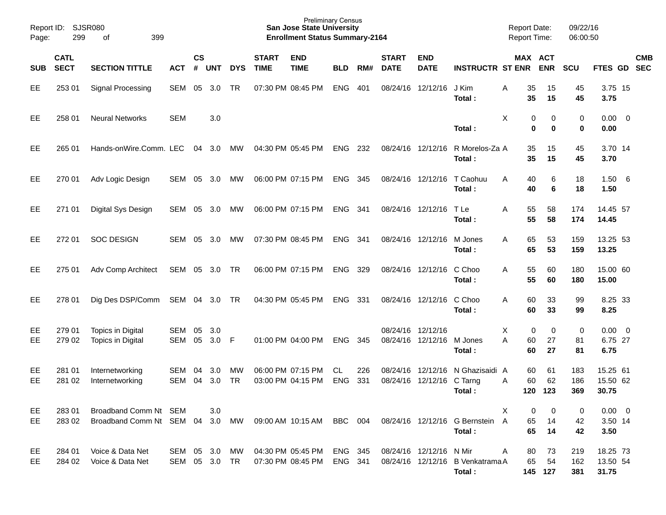| Report ID:<br>Page: | 299                        | <b>SJSR080</b><br>399<br>οf                              |                             |                    |            |                 |                             | <b>Preliminary Census</b><br><b>San Jose State University</b><br><b>Enrollment Status Summary-2164</b> |                         |            |                             |                           |                                                                     | <b>Report Date:</b><br>Report Time: |                     | 09/22/16<br>06:00:50    |                                   |                          |
|---------------------|----------------------------|----------------------------------------------------------|-----------------------------|--------------------|------------|-----------------|-----------------------------|--------------------------------------------------------------------------------------------------------|-------------------------|------------|-----------------------------|---------------------------|---------------------------------------------------------------------|-------------------------------------|---------------------|-------------------------|-----------------------------------|--------------------------|
| <b>SUB</b>          | <b>CATL</b><br><b>SECT</b> | <b>SECTION TITTLE</b>                                    | <b>ACT</b>                  | $\mathsf{cs}$<br># | <b>UNT</b> | <b>DYS</b>      | <b>START</b><br><b>TIME</b> | <b>END</b><br><b>TIME</b>                                                                              | <b>BLD</b>              | RM#        | <b>START</b><br><b>DATE</b> | <b>END</b><br><b>DATE</b> | <b>INSTRUCTR ST ENR</b>                                             | <b>MAX ACT</b>                      | <b>ENR</b>          | <b>SCU</b>              | FTES GD                           | <b>CMB</b><br><b>SEC</b> |
| EE                  | 253 01                     | Signal Processing                                        | <b>SEM</b>                  | 05                 | 3.0        | <b>TR</b>       |                             | 07:30 PM 08:45 PM                                                                                      | <b>ENG</b>              | 401        | 08/24/16                    | 12/12/16                  | J Kim<br>Total :                                                    | 35<br>Α<br>35                       | 15<br>15            | 45<br>45                | 3.75 15<br>3.75                   |                          |
| EE                  | 258 01                     | <b>Neural Networks</b>                                   | <b>SEM</b>                  |                    | 3.0        |                 |                             |                                                                                                        |                         |            |                             |                           | Total:                                                              | X<br>0<br>0                         | 0<br>0              | 0<br>0                  | $0.00 \quad 0$<br>0.00            |                          |
| EE                  | 265 01                     | Hands-onWire.Comm. LEC                                   |                             | 04                 | 3.0        | MW              |                             | 04:30 PM 05:45 PM                                                                                      | <b>ENG</b>              | 232        | 08/24/16                    | 12/12/16                  | R Morelos-Za A<br>Total :                                           | 35<br>35                            | 15<br>15            | 45<br>45                | 3.70 14<br>3.70                   |                          |
| EE                  | 270 01                     | Adv Logic Design                                         | SEM                         | 05                 | 3.0        | МW              |                             | 06:00 PM 07:15 PM                                                                                      | <b>ENG</b>              | 345        | 08/24/16                    | 12/12/16                  | T Caohuu<br>Total :                                                 | A<br>40<br>40                       | 6<br>6              | 18<br>18                | 1.506<br>1.50                     |                          |
| EE                  | 271 01                     | Digital Sys Design                                       | SEM                         | 05                 | 3.0        | МW              |                             | 06:00 PM 07:15 PM                                                                                      | <b>ENG</b>              | 341        | 08/24/16                    | 12/12/16                  | T Le<br>Total :                                                     | A<br>55<br>55                       | 58<br>58            | 174<br>174              | 14.45 57<br>14.45                 |                          |
| EE                  | 272 01                     | <b>SOC DESIGN</b>                                        | <b>SEM</b>                  | 05                 | 3.0        | МW              |                             | 07:30 PM 08:45 PM                                                                                      | <b>ENG</b>              | 341        |                             | 08/24/16 12/12/16         | M Jones<br>Total :                                                  | A<br>65<br>65                       | 53<br>53            | 159<br>159              | 13.25 53<br>13.25                 |                          |
| EE                  | 275 01                     | Adv Comp Architect                                       | SEM                         | 05                 | 3.0        | TR              |                             | 06:00 PM 07:15 PM                                                                                      | <b>ENG</b>              | 329        |                             | 08/24/16 12/12/16         | C Choo<br>Total :                                                   | A<br>55<br>55                       | 60<br>60            | 180<br>180              | 15.00 60<br>15.00                 |                          |
| EE                  | 278 01                     | Dig Des DSP/Comm                                         | SEM 04                      |                    | 3.0        | TR              |                             | 04:30 PM 05:45 PM                                                                                      | <b>ENG</b>              | 331        |                             | 08/24/16 12/12/16         | C Choo<br>Total :                                                   | A<br>60<br>60                       | 33<br>33            | 99<br>99                | 8.25 33<br>8.25                   |                          |
| EE<br>EE            | 279 01<br>279 02           | Topics in Digital<br>Topics in Digital                   | SEM<br>SEM                  | 05<br>05           | 3.0<br>3.0 | -F              |                             | 01:00 PM 04:00 PM                                                                                      | <b>ENG</b>              | 345        | 08/24/16<br>08/24/16        | 12/12/16<br>12/12/16      | M Jones<br>Total :                                                  | X<br>0<br>A<br>60<br>60             | 0<br>27<br>27       | $\mathbf 0$<br>81<br>81 | $0.00 \quad 0$<br>6.75 27<br>6.75 |                          |
| EE<br>EE            | 281 01<br>281 02           | Internetworking<br>Internetworking                       | SEM<br><b>SEM</b>           | 04<br>04           | 3.0<br>3.0 | МW<br><b>TR</b> |                             | 06:00 PM 07:15 PM<br>03:00 PM 04:15 PM                                                                 | <b>CL</b><br><b>ENG</b> | 226<br>331 | 08/24/16<br>08/24/16        | 12/12/16<br>12/12/16      | N Ghazisaidi A<br>C Tarng<br>Total:                                 | 60<br>60<br>Α                       | 61<br>62<br>120 123 | 183<br>186<br>369       | 15.25 61<br>15.50 62<br>30.75     |                          |
| EE<br><b>EE</b>     | 283 01<br>283 02           | Broadband Comm Nt SEM<br>Broadband Comm Nt SEM 04 3.0 MW |                             |                    | 3.0        |                 |                             |                                                                                                        |                         |            |                             |                           | 09:00 AM 10:15 AM BBC 004 08/24/16 12/12/16 G Bernstein A<br>Total: | X<br>0<br>65<br>65                  | 0<br>14<br>14       | 0<br>42<br>42           | $0.00 \t 0$<br>3.50 14<br>3.50    |                          |
| EE<br>EE            | 284 01<br>284 02           | Voice & Data Net<br>Voice & Data Net                     | SEM 05 3.0<br>SEM 05 3.0 TR |                    |            | MW              |                             | 04:30 PM 05:45 PM<br>07:30 PM 08:45 PM                                                                 | ENG 345<br>ENG 341      |            |                             | 08/24/16 12/12/16 N Mir   | 08/24/16 12/12/16 B Venkatrama A<br>Total:                          | A<br>80<br>65                       | 73<br>54<br>145 127 | 219<br>162<br>381       | 18.25 73<br>13.50 54<br>31.75     |                          |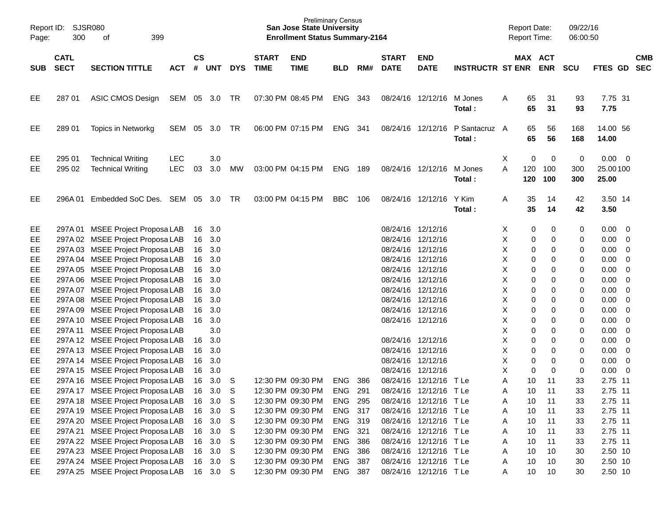| Page:      | Report ID: SJSR080<br>300  | 399<br>of                                            |                          |               |            |            |                             | <b>Preliminary Census</b><br><b>San Jose State University</b><br><b>Enrollment Status Summary-2164</b> |            |       |                             |                           |                         | <b>Report Date:</b><br>Report Time: |                       | 09/22/16<br>06:00:50 |                                  |                          |            |
|------------|----------------------------|------------------------------------------------------|--------------------------|---------------|------------|------------|-----------------------------|--------------------------------------------------------------------------------------------------------|------------|-------|-----------------------------|---------------------------|-------------------------|-------------------------------------|-----------------------|----------------------|----------------------------------|--------------------------|------------|
| <b>SUB</b> | <b>CATL</b><br><b>SECT</b> | <b>SECTION TITTLE</b>                                | <b>ACT</b>               | $\mathsf{cs}$ | # UNT      | <b>DYS</b> | <b>START</b><br><b>TIME</b> | <b>END</b><br><b>TIME</b>                                                                              | <b>BLD</b> | RM#   | <b>START</b><br><b>DATE</b> | <b>END</b><br><b>DATE</b> | <b>INSTRUCTR ST ENR</b> |                                     | MAX ACT<br><b>ENR</b> | <b>SCU</b>           | FTES GD SEC                      |                          | <b>CMB</b> |
| EE         | 287 01                     | ASIC CMOS Design                                     | SEM 05 3.0               |               |            | TR         |                             | 07:30 PM 08:45 PM                                                                                      | ENG        | 343   |                             | 08/24/16 12/12/16         | M Jones<br>Total:       | A                                   | 65<br>31<br>65<br>31  | 93<br>93             | 7.75 31<br>7.75                  |                          |            |
| EE         | 289 01                     | Topics in Networkg                                   | SEM                      | 05            | 3.0        | TR         |                             | 06:00 PM 07:15 PM                                                                                      | ENG        | - 341 |                             | 08/24/16 12/12/16         | P Santacruz A<br>Total: |                                     | 65<br>56<br>65<br>56  | 168<br>168           | 14.00 56<br>14.00                |                          |            |
| EE<br>EE   | 295 01<br>295 02           | <b>Technical Writing</b><br><b>Technical Writing</b> | <b>LEC</b><br><b>LEC</b> | 03            | 3.0<br>3.0 | МW         |                             | 03:00 PM 04:15 PM                                                                                      | ENG        | 189   | 08/24/16 12/12/16           |                           | M Jones<br>Total:       | X<br>A<br>120<br>120                | 0<br>0<br>100<br>100  | 0<br>300<br>300      | $0.00 \t 0$<br>25.00100<br>25.00 |                          |            |
| EE         | 296A 01                    | Embedded SoC Des. SEM 05 3.0                         |                          |               |            | TR         |                             | 03:00 PM 04:15 PM                                                                                      | <b>BBC</b> | 106   |                             | 08/24/16 12/12/16         | Y Kim<br>Total:         | Α                                   | 35<br>14<br>35<br>14  | 42<br>42             | 3.50 14<br>3.50                  |                          |            |
| EE         |                            | 297A 01 MSEE Project Proposa LAB                     |                          | 16            | 3.0        |            |                             |                                                                                                        |            |       | 08/24/16 12/12/16           |                           |                         | X                                   | 0<br>0                | 0                    | 0.00                             | $\overline{\phantom{0}}$ |            |
| EE         |                            | 297A 02 MSEE Project Proposa LAB                     |                          | 16            | 3.0        |            |                             |                                                                                                        |            |       | 08/24/16 12/12/16           |                           |                         | Χ                                   | 0<br>0                | 0                    | 0.00                             | $\overline{\mathbf{0}}$  |            |
| EE         |                            | 297A 03 MSEE Project Proposa LAB                     |                          |               | 16 3.0     |            |                             |                                                                                                        |            |       | 08/24/16 12/12/16           |                           |                         | Χ                                   | 0<br>0                | 0                    | 0.00                             | $\overline{0}$           |            |
| EE         |                            | 297A 04 MSEE Project Proposa LAB                     |                          | 16            | 3.0        |            |                             |                                                                                                        |            |       | 08/24/16 12/12/16           |                           |                         | Χ                                   | 0<br>0                | 0                    | 0.00                             | $\overline{0}$           |            |
| EE         |                            | 297A 05 MSEE Project Proposa LAB                     |                          |               | 16 3.0     |            |                             |                                                                                                        |            |       | 08/24/16 12/12/16           |                           |                         | Χ                                   | 0<br>0                | 0                    | 0.00                             | $\overline{0}$           |            |
| EE         |                            | 297A 06 MSEE Project Proposa LAB                     |                          |               | 16 3.0     |            |                             |                                                                                                        |            |       | 08/24/16 12/12/16           |                           |                         | Χ                                   | 0<br>0                | 0                    | 0.00                             | $\overline{0}$           |            |
| EE         |                            | 297A 07 MSEE Project Proposa LAB                     |                          | 16            | 3.0        |            |                             |                                                                                                        |            |       | 08/24/16 12/12/16           |                           |                         | Χ                                   | 0<br>0                | 0                    | 0.00                             | $\overline{0}$           |            |
| EE         |                            | 297A 08 MSEE Project Proposa LAB                     |                          |               | 16 3.0     |            |                             |                                                                                                        |            |       | 08/24/16 12/12/16           |                           |                         | Χ                                   | 0<br>0                | 0                    | 0.00                             | $\overline{0}$           |            |
| EE         |                            | 297A 09 MSEE Project Proposa LAB                     |                          | 16            | 3.0        |            |                             |                                                                                                        |            |       | 08/24/16 12/12/16           |                           |                         | Χ                                   | 0<br>0                | 0                    | 0.00                             | $\overline{0}$           |            |
| EE         |                            | 297A 10 MSEE Project Proposa LAB                     |                          |               | 16 3.0     |            |                             |                                                                                                        |            |       | 08/24/16 12/12/16           |                           |                         | Χ                                   | 0<br>0                | 0                    | 0.00                             | $\overline{0}$           |            |
| EE         |                            | 297A 11 MSEE Project Proposa LAB                     |                          |               | 3.0        |            |                             |                                                                                                        |            |       |                             |                           |                         | Χ                                   | 0<br>0                | 0                    | 0.00                             | 0                        |            |
| EE         |                            | 297A 12 MSEE Project Proposa LAB                     |                          | 16            | 3.0        |            |                             |                                                                                                        |            |       | 08/24/16 12/12/16           |                           |                         | Χ                                   | 0<br>0                | 0                    | 0.00                             | $\overline{0}$           |            |
| EE         |                            | 297A 13 MSEE Project Proposa LAB                     |                          | 16            | 3.0        |            |                             |                                                                                                        |            |       | 08/24/16 12/12/16           |                           |                         | Χ                                   | 0<br>0                | 0                    | 0.00                             | $\overline{\mathbf{0}}$  |            |
| EE         |                            | 297A 14 MSEE Project Proposa LAB                     |                          | 16            | 3.0        |            |                             |                                                                                                        |            |       | 08/24/16 12/12/16           |                           |                         | X                                   | 0<br>0                | 0                    | 0.00                             | $\overline{\mathbf{0}}$  |            |
| EE         |                            | 297A 15 MSEE Project Proposa LAB                     |                          | 16            | 3.0        |            |                             |                                                                                                        |            |       | 08/24/16 12/12/16           |                           |                         | Χ                                   | 0<br>0                | 0                    | 0.00                             | $\overline{\phantom{0}}$ |            |
| EE         |                            | 297A 16 MSEE Project Proposa LAB                     |                          | 16            | 3.0        | S          |                             | 12:30 PM 09:30 PM                                                                                      | <b>ENG</b> | 386   | 08/24/16 12/12/16           |                           | T Le                    | Α<br>10                             | 11                    | 33                   | 2.75 11                          |                          |            |
| EE         |                            | 297A 17 MSEE Project Proposa LAB                     |                          | 16            | 3.0        | S          |                             | 12:30 PM 09:30 PM                                                                                      | <b>ENG</b> | 291   |                             | 08/24/16 12/12/16 TLe     |                         | Α                                   | 10<br>11              | 33                   | 2.75 11                          |                          |            |
| EE         |                            | 297A 18 MSEE Project Proposa LAB                     |                          | 16            | 3.0        | S          |                             | 12:30 PM 09:30 PM                                                                                      | ENG 295    |       |                             | 08/24/16 12/12/16 TLe     |                         | Α                                   | 10<br>11              | 33                   | 2.75 11                          |                          |            |
| EE.        |                            | 297A 19 MSEE Project Proposa LAB                     |                          |               | 16 3.0     | S          |                             | 12:30 PM 09:30 PM                                                                                      | ENG 317    |       |                             | 08/24/16 12/12/16 TLe     |                         | Α                                   | 10<br>11              | 33                   | 2.75 11                          |                          |            |
| EE.        |                            | 297A 20 MSEE Project Proposa LAB                     |                          |               | 16 3.0     | S          |                             | 12:30 PM 09:30 PM                                                                                      | ENG 319    |       |                             | 08/24/16 12/12/16 TLe     |                         | Α                                   | 11<br>10              | 33                   | 2.75 11                          |                          |            |
| EE.        |                            | 297A 21 MSEE Project Proposa LAB                     |                          |               | 16 3.0     | S          |                             | 12:30 PM 09:30 PM                                                                                      | ENG 321    |       |                             | 08/24/16 12/12/16 TLe     |                         | Α                                   | 11<br>10              | 33                   | 2.75 11                          |                          |            |
| EE.        |                            | 297A 22 MSEE Project Proposa LAB                     |                          |               | 16 3.0     | S          |                             | 12:30 PM 09:30 PM                                                                                      | ENG 386    |       |                             | 08/24/16 12/12/16 TLe     |                         | Α                                   | 11<br>10              | 33                   | 2.75 11                          |                          |            |
| EE.        |                            | 297A 23 MSEE Project Proposa LAB                     |                          |               | 16 3.0     | S          |                             | 12:30 PM 09:30 PM                                                                                      | ENG 386    |       |                             | 08/24/16 12/12/16 TLe     |                         | Α                                   | 10<br>10              | 30                   | 2.50 10                          |                          |            |
| EE.        |                            | 297A 24 MSEE Project Proposa LAB                     |                          |               | 16 3.0     | S          |                             | 12:30 PM 09:30 PM                                                                                      | ENG 387    |       |                             | 08/24/16 12/12/16 TLe     |                         | Α                                   | 10<br>10              | 30                   | 2.50 10                          |                          |            |
| EE.        |                            | 297A 25 MSEE Project Proposa LAB                     |                          |               | 16 3.0 S   |            |                             | 12:30 PM 09:30 PM                                                                                      | ENG 387    |       |                             | 08/24/16 12/12/16 TLe     |                         | Α                                   | 10<br>10              | 30                   | 2.50 10                          |                          |            |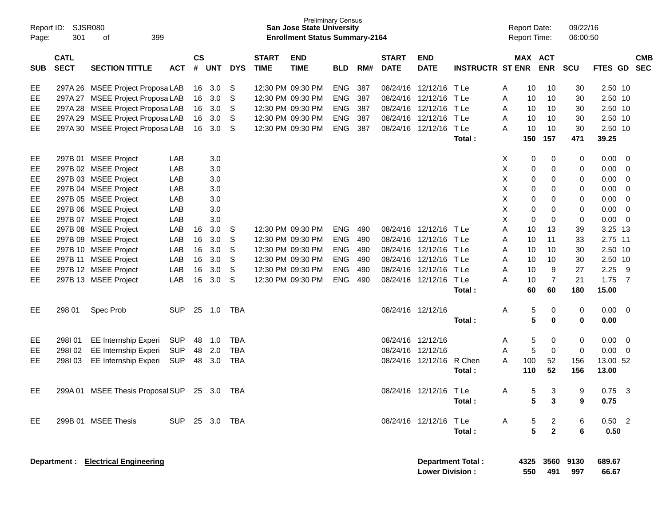| Report ID:<br>Page: | <b>SJSR080</b><br>301      | 399<br>οf                                  |                |                    |            |            |                             | <b>Preliminary Census</b><br><b>San Jose State University</b><br><b>Enrollment Status Summary-2164</b> |            |     |                             |                                                    |                         |   | <b>Report Date:</b><br>Report Time: |                  | 09/22/16<br>06:00:50 |                 |     |                          |
|---------------------|----------------------------|--------------------------------------------|----------------|--------------------|------------|------------|-----------------------------|--------------------------------------------------------------------------------------------------------|------------|-----|-----------------------------|----------------------------------------------------|-------------------------|---|-------------------------------------|------------------|----------------------|-----------------|-----|--------------------------|
| <b>SUB</b>          | <b>CATL</b><br><b>SECT</b> | <b>SECTION TITTLE</b>                      | <b>ACT</b>     | $\mathsf{cs}$<br># | <b>UNT</b> | <b>DYS</b> | <b>START</b><br><b>TIME</b> | <b>END</b><br><b>TIME</b>                                                                              | <b>BLD</b> | RM# | <b>START</b><br><b>DATE</b> | <b>END</b><br><b>DATE</b>                          | <b>INSTRUCTR ST ENR</b> |   | MAX ACT                             | <b>ENR</b>       | <b>SCU</b>           | <b>FTES GD</b>  |     | <b>CMB</b><br><b>SEC</b> |
| EE                  | 297A 26                    | <b>MSEE Project Proposa LAB</b>            |                | 16                 | 3.0        | S          | 12:30 PM 09:30 PM           |                                                                                                        | <b>ENG</b> | 387 | 08/24/16                    | 12/12/16                                           | T Le                    | A | 10                                  | 10               | 30                   | 2.50 10         |     |                          |
| EE                  | 297A 27                    | <b>MSEE Project Proposa LAB</b>            |                | 16                 | 3.0        | S          | 12:30 PM 09:30 PM           |                                                                                                        | <b>ENG</b> | 387 | 08/24/16                    | 12/12/16                                           | T Le                    | Α | 10                                  | 10               | 30                   | 2.50 10         |     |                          |
| EE                  | 297A 28                    | <b>MSEE Project Proposa LAB</b>            |                | 16                 | 3.0        | S          | 12:30 PM 09:30 PM           |                                                                                                        | <b>ENG</b> | 387 | 08/24/16                    | 12/12/16                                           | T Le                    | A | 10                                  | 10               | 30                   | 2.50 10         |     |                          |
| EE                  | 297A 29                    | <b>MSEE Project Proposa LAB</b>            |                | 16                 | 3.0        | S          | 12:30 PM 09:30 PM           |                                                                                                        | <b>ENG</b> | 387 | 08/24/16                    | 12/12/16                                           | T Le                    | A | 10                                  | 10               | 30                   | 2.50 10         |     |                          |
| EE                  | 297A 30                    | <b>MSEE Project Proposa LAB</b>            |                | 16                 | 3.0        | S          | 12:30 PM 09:30 PM           |                                                                                                        | <b>ENG</b> | 387 | 08/24/16                    | 12/12/16                                           | T Le                    | Α | 10                                  | 10               | 30                   | 2.50 10         |     |                          |
|                     |                            |                                            |                |                    |            |            |                             |                                                                                                        |            |     |                             |                                                    | Total:                  |   | 150                                 | 157              | 471                  | 39.25           |     |                          |
| EE                  | 297B 01                    | <b>MSEE Project</b>                        | LAB            |                    | 3.0        |            |                             |                                                                                                        |            |     |                             |                                                    |                         | X | 0                                   | 0                | 0                    | 0.00            | 0   |                          |
| EE                  |                            | 297B 02 MSEE Project                       | LAB            |                    | 3.0        |            |                             |                                                                                                        |            |     |                             |                                                    |                         | х | 0                                   | 0                | 0                    | 0.00            | 0   |                          |
| EE                  |                            | 297B 03 MSEE Project                       | LAB            |                    | 3.0        |            |                             |                                                                                                        |            |     |                             |                                                    |                         | х | 0                                   | 0                | 0                    | 0.00            | 0   |                          |
| EE                  |                            | 297B 04 MSEE Project                       | LAB            |                    | 3.0        |            |                             |                                                                                                        |            |     |                             |                                                    |                         | х | 0                                   | 0                | 0                    | 0.00            | 0   |                          |
| EE                  |                            | 297B 05 MSEE Project                       | LAB            |                    | 3.0        |            |                             |                                                                                                        |            |     |                             |                                                    |                         | х | 0                                   | 0                | 0                    | 0.00            | 0   |                          |
| EE                  |                            | 297B 06 MSEE Project                       | LAB            |                    | 3.0        |            |                             |                                                                                                        |            |     |                             |                                                    |                         | х | 0                                   | 0                | 0                    | 0.00            | 0   |                          |
| EE                  |                            | 297B 07 MSEE Project                       | LAB            |                    | 3.0        |            |                             |                                                                                                        |            |     |                             |                                                    |                         | X | 0                                   | 0                | 0                    | 0.00            | 0   |                          |
| EE                  |                            | 297B 08 MSEE Project                       | LAB            | 16                 | 3.0        | S          | 12:30 PM 09:30 PM           |                                                                                                        | <b>ENG</b> | 490 | 08/24/16                    | 12/12/16                                           | T Le                    | Α | 10                                  | 13               | 39                   | 3.25            | -13 |                          |
| EE                  |                            | 297B 09 MSEE Project                       | LAB            | 16                 | 3.0        | S          | 12:30 PM 09:30 PM           |                                                                                                        | <b>ENG</b> | 490 | 08/24/16                    | 12/12/16                                           | T Le                    | Α | 10                                  | 11               | 33                   | 2.75 11         |     |                          |
| EE                  |                            | 297B 10 MSEE Project                       | LAB            | 16                 | 3.0        | S          | 12:30 PM 09:30 PM           |                                                                                                        | <b>ENG</b> | 490 | 08/24/16                    | 12/12/16                                           | T Le                    | A | 10                                  | 10               | 30                   | 2.50 10         |     |                          |
| EE                  | 297B 11                    | <b>MSEE Project</b>                        | LAB            | 16                 | 3.0        | S          | 12:30 PM 09:30 PM           |                                                                                                        | <b>ENG</b> | 490 | 08/24/16                    | 12/12/16                                           | T Le                    | A | 10                                  | 10               | 30                   | 2.50            | 10  |                          |
| EE                  |                            | 297B 12 MSEE Project                       | LAB            | 16                 | 3.0        | S          | 12:30 PM 09:30 PM           |                                                                                                        | <b>ENG</b> | 490 | 08/24/16                    | 12/12/16                                           | T Le                    | A | 10                                  | 9                | 27                   | 2.25            | 9   |                          |
| EE                  |                            | 297B 13 MSEE Project                       | LAB            | 16                 | 3.0        | S          | 12:30 PM 09:30 PM           |                                                                                                        | <b>ENG</b> | 490 | 08/24/16                    | 12/12/16                                           | T Le                    | Α | 10                                  | 7                | 21                   | 1.75            | 7   |                          |
|                     |                            |                                            |                |                    |            |            |                             |                                                                                                        |            |     |                             |                                                    | Total:                  |   | 60                                  | 60               | 180                  | 15.00           |     |                          |
| EE                  | 298 01                     | Spec Prob                                  | <b>SUP</b>     | 25                 | 1.0        | TBA        |                             |                                                                                                        |            |     | 08/24/16 12/12/16           |                                                    |                         | Α | 5                                   | 0                | 0                    | 0.00            | 0   |                          |
|                     |                            |                                            |                |                    |            |            |                             |                                                                                                        |            |     |                             |                                                    | Total:                  |   | $5\phantom{a}$                      | 0                | 0                    | 0.00            |     |                          |
| EE                  | 298101                     | EE Internship Experi                       | <b>SUP</b>     | 48                 | 1.0        | <b>TBA</b> |                             |                                                                                                        |            |     | 08/24/16 12/12/16           |                                                    |                         | A | 5                                   | 0                | 0                    | 0.00            | 0   |                          |
| EE                  | 298102                     | EE Internship Experi                       | <b>SUP</b>     | 48                 | 2.0        | <b>TBA</b> |                             |                                                                                                        |            |     | 08/24/16                    | 12/12/16                                           |                         | A | 5                                   | 0                | 0                    | 0.00            | 0   |                          |
| EЕ                  | 298103                     | <b>EE Internship Experi</b>                | <b>SUP</b>     | 48                 | 3.0        | TBA        |                             |                                                                                                        |            |     |                             | 08/24/16 12/12/16                                  | R Chen                  | Α | 100                                 | 52               | 156                  | 13.00 52        |     |                          |
|                     |                            |                                            |                |                    |            |            |                             |                                                                                                        |            |     |                             |                                                    | Total :                 |   | 110                                 | 52               | 156                  | 13.00           |     |                          |
| EE                  |                            | 299A 01 MSEE Thesis Proposal SUP           |                |                    | 25 3.0     | TBA        |                             |                                                                                                        |            |     |                             | 08/24/16 12/12/16 TLe                              |                         | A | 5.                                  | 3                | 9                    | 0.75            | 3   |                          |
|                     |                            |                                            |                |                    |            |            |                             |                                                                                                        |            |     |                             |                                                    | Total:                  |   | 5                                   | 3                | 9                    | 0.75            |     |                          |
| EE                  |                            | 299B 01 MSEE Thesis                        | SUP 25 3.0 TBA |                    |            |            |                             |                                                                                                        |            |     |                             | 08/24/16 12/12/16 TLe                              |                         | A | 5                                   | $\overline{2}$   | 6                    | $0.50$ 2        |     |                          |
|                     |                            |                                            |                |                    |            |            |                             |                                                                                                        |            |     |                             |                                                    | Total:                  |   | 5                                   | $\mathbf{2}$     | 6                    | 0.50            |     |                          |
|                     |                            | <b>Department : Electrical Engineering</b> |                |                    |            |            |                             |                                                                                                        |            |     |                             | <b>Department Total:</b><br><b>Lower Division:</b> |                         |   | 550                                 | 4325 3560<br>491 | 9130<br>997          | 689.67<br>66.67 |     |                          |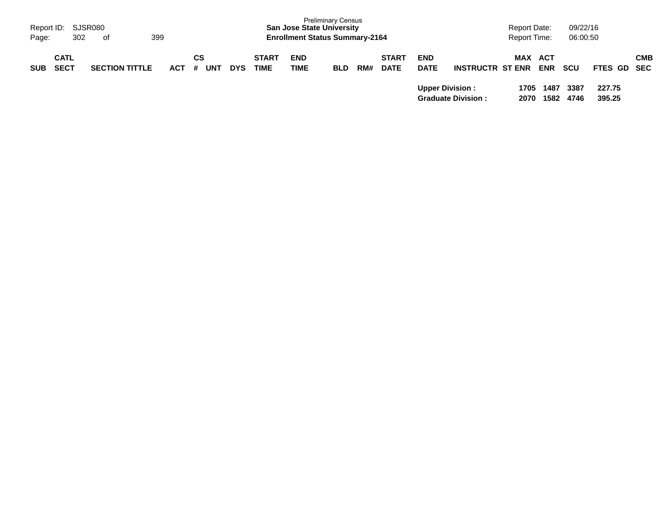| Report ID:<br>Page: | 302                        | SJSR080<br>399<br>of  |            |                |            |                             | <b>San Jose State University</b><br><b>Enrollment Status Summary-2164</b> | <b>Preliminary Census</b> |     |                             |                           |                           | <b>Report Date:</b><br><b>Report Time:</b> |                   | 09/22/16<br>06:00:50 |                  |            |
|---------------------|----------------------------|-----------------------|------------|----------------|------------|-----------------------------|---------------------------------------------------------------------------|---------------------------|-----|-----------------------------|---------------------------|---------------------------|--------------------------------------------|-------------------|----------------------|------------------|------------|
| <b>SUB</b>          | <b>CATL</b><br><b>SECT</b> | <b>SECTION TITTLE</b> | <b>ACT</b> | СS<br>UNT<br># | <b>DYS</b> | <b>START</b><br><b>TIME</b> | <b>END</b><br><b>TIME</b>                                                 | <b>BLD</b>                | RM# | <b>START</b><br><b>DATE</b> | <b>END</b><br><b>DATE</b> | <b>INSTRUCTR ST ENR</b>   | MAX                                        | ACT<br><b>ENR</b> | <b>SCU</b>           | FTES GD SEC      | <b>CMB</b> |
|                     |                            |                       |            |                |            |                             |                                                                           |                           |     |                             | <b>Upper Division:</b>    | <b>Graduate Division:</b> | 1705<br>2070                               | 1487<br>1582      | 3387<br>4746         | 227.75<br>395.25 |            |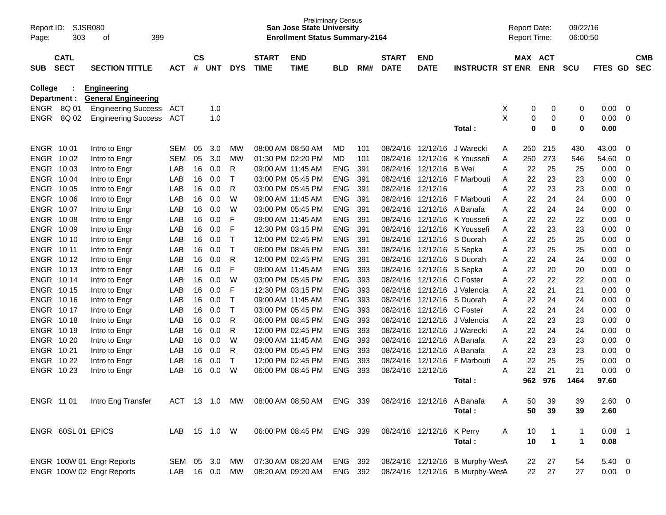| Report ID:<br>Page:     | SJSR080<br>303             | 399<br>of                                        |              |                    |            |              |                             | <b>Preliminary Census</b><br><b>San Jose State University</b><br><b>Enrollment Status Summary-2164</b> |                          |            |                             |                            |                                 |        | <b>Report Date:</b><br>Report Time: |                | 09/22/16<br>06:00:50 |              |                            |                          |
|-------------------------|----------------------------|--------------------------------------------------|--------------|--------------------|------------|--------------|-----------------------------|--------------------------------------------------------------------------------------------------------|--------------------------|------------|-----------------------------|----------------------------|---------------------------------|--------|-------------------------------------|----------------|----------------------|--------------|----------------------------|--------------------------|
| <b>SUB</b>              | <b>CATL</b><br><b>SECT</b> | <b>SECTION TITTLE</b>                            | <b>ACT</b>   | $\mathsf{cs}$<br># | <b>UNT</b> | <b>DYS</b>   | <b>START</b><br><b>TIME</b> | <b>END</b><br><b>TIME</b>                                                                              | <b>BLD</b>               | RM#        | <b>START</b><br><b>DATE</b> | <b>END</b><br><b>DATE</b>  | <b>INSTRUCTR ST ENR</b>         |        | MAX ACT                             | <b>ENR</b>     | <b>SCU</b>           | FTES GD      |                            | <b>CMB</b><br><b>SEC</b> |
| College<br>Department : |                            | <b>Engineering</b><br><b>General Engineering</b> |              |                    |            |              |                             |                                                                                                        |                          |            |                             |                            |                                 |        |                                     |                |                      |              |                            |                          |
|                         | ENGR 8Q 01                 | <b>Engineering Success</b>                       | ACT          |                    | 1.0        |              |                             |                                                                                                        |                          |            |                             |                            |                                 | X      | 0                                   | 0              | 0                    | 0.00         | - 0                        |                          |
| <b>ENGR</b>             | 8Q 02                      | <b>Engineering Success</b>                       | <b>ACT</b>   |                    | 1.0        |              |                             |                                                                                                        |                          |            |                             |                            |                                 | X      | 0                                   | 0              | 0                    | 0.00         | $\overline{0}$             |                          |
|                         |                            |                                                  |              |                    |            |              |                             |                                                                                                        |                          |            |                             |                            | Total:                          |        | 0                                   | $\mathbf 0$    | $\mathbf 0$          | 0.00         |                            |                          |
| ENGR 1001               |                            | Intro to Engr                                    | <b>SEM</b>   | 05                 | 3.0        | <b>MW</b>    |                             | 08:00 AM 08:50 AM                                                                                      | MD                       | 101        | 08/24/16                    | 12/12/16                   | J Warecki                       | A      | 250                                 | 215            | 430                  | 43.00        | 0                          |                          |
| ENGR 1002               |                            | Intro to Engr                                    | <b>SEM</b>   | 05                 | 3.0        | <b>MW</b>    |                             | 01:30 PM 02:20 PM                                                                                      | MD                       | 101        | 08/24/16                    | 12/12/16                   | K Youssefi                      | Α      | 250                                 | 273            | 546                  | 54.60        | 0                          |                          |
| ENGR 1003               |                            | Intro to Engr                                    | LAB          | 16                 | 0.0        | R            |                             | 09:00 AM 11:45 AM                                                                                      | <b>ENG</b>               | 391        | 08/24/16                    | 12/12/16                   | <b>B</b> Wei                    | A      | 22                                  | 25             | 25                   | 0.00         | $\mathbf 0$                |                          |
| ENGR 1004               |                            | Intro to Engr                                    | LAB          | 16                 | 0.0        | т            |                             | 03:00 PM 05:45 PM                                                                                      | <b>ENG</b>               | 391        | 08/24/16                    | 12/12/16                   | F Marbouti                      | A      | 22                                  | 23             | 23                   | 0.00         | $\mathbf 0$                |                          |
| ENGR 1005               |                            | Intro to Engr                                    | LAB          | 16                 | 0.0        | R            |                             | 03:00 PM 05:45 PM                                                                                      | <b>ENG</b>               | 391        | 08/24/16                    | 12/12/16                   |                                 | A      | 22                                  | 23             | 23                   | 0.00         | $\mathbf 0$                |                          |
| ENGR 1006<br>ENGR 1007  |                            | Intro to Engr                                    | LAB          | 16<br>16           | 0.0        | W<br>W       |                             | 09:00 AM 11:45 AM<br>03:00 PM 05:45 PM                                                                 | <b>ENG</b>               | 391        | 08/24/16                    | 12/12/16                   | F Marbouti                      | A      | 22                                  | 24<br>24       | 24                   | 0.00         | $\mathbf 0$<br>$\mathbf 0$ |                          |
| ENGR 1008               |                            | Intro to Engr<br>Intro to Engr                   | LAB<br>LAB   | 16                 | 0.0<br>0.0 | F            |                             | 09:00 AM 11:45 AM                                                                                      | <b>ENG</b><br><b>ENG</b> | 391<br>391 | 08/24/16<br>08/24/16        | 12/12/16<br>12/12/16       | A Banafa<br>K Youssefi          | A<br>A | 22<br>22                            | 22             | 24<br>22             | 0.00<br>0.00 | $\mathbf 0$                |                          |
| ENGR 10 09              |                            | Intro to Engr                                    | LAB          | 16                 | 0.0        | F            |                             | 12:30 PM 03:15 PM                                                                                      | <b>ENG</b>               | 391        | 08/24/16                    | 12/12/16                   | K Youssefi                      | A      | 22                                  | 23             | 23                   | 0.00         | $\mathbf 0$                |                          |
| ENGR 10 10              |                            | Intro to Engr                                    | LAB          | 16                 | 0.0        | $\mathsf T$  |                             | 12:00 PM 02:45 PM                                                                                      | <b>ENG</b>               | 391        | 08/24/16                    | 12/12/16                   | S Duorah                        | Α      | 22                                  | 25             | 25                   | 0.00         | $\mathbf 0$                |                          |
| ENGR 10 11              |                            | Intro to Engr                                    | LAB          | 16                 | 0.0        | $\mathsf T$  |                             | 06:00 PM 08:45 PM                                                                                      | <b>ENG</b>               | 391        | 08/24/16                    | 12/12/16 S Sepka           |                                 | Α      | 22                                  | 25             | 25                   | 0.00         | $\mathbf 0$                |                          |
| ENGR 1012               |                            | Intro to Engr                                    | LAB          | 16                 | 0.0        | R            |                             | 12:00 PM 02:45 PM                                                                                      | <b>ENG</b>               | 391        | 08/24/16                    | 12/12/16                   | S Duorah                        | A      | 22                                  | 24             | 24                   | 0.00         | $\mathbf 0$                |                          |
| ENGR 1013               |                            | Intro to Engr                                    | LAB          | 16                 | 0.0        | F            |                             | 09:00 AM 11:45 AM                                                                                      | <b>ENG</b>               | 393        | 08/24/16                    | 12/12/16 S Sepka           |                                 | Α      | 22                                  | 20             | 20                   | 0.00         | $\mathbf 0$                |                          |
| ENGR 1014               |                            | Intro to Engr                                    | LAB          | 16                 | 0.0        | W            |                             | 03:00 PM 05:45 PM                                                                                      | <b>ENG</b>               | 393        | 08/24/16                    | 12/12/16                   | C Foster                        | A      | 22                                  | 22             | 22                   | 0.00         | $\mathbf 0$                |                          |
| ENGR 1015               |                            | Intro to Engr                                    | LAB          | 16                 | 0.0        | F            |                             | 12:30 PM 03:15 PM                                                                                      | <b>ENG</b>               | 393        | 08/24/16                    | 12/12/16                   | J Valencia                      | A      | 22                                  | 21             | 21                   | 0.00         | $\mathbf 0$                |                          |
| ENGR 1016               |                            | Intro to Engr                                    | LAB          | 16                 | 0.0        | Т            |                             | 09:00 AM 11:45 AM                                                                                      | <b>ENG</b>               | 393        | 08/24/16                    | 12/12/16                   | S Duorah                        | A      | 22                                  | 24             | 24                   | 0.00         | $\mathbf 0$                |                          |
| ENGR 1017               |                            | Intro to Engr                                    | LAB          | 16                 | 0.0        | Т            |                             | 03:00 PM 05:45 PM                                                                                      | <b>ENG</b>               | 393        | 08/24/16                    | 12/12/16                   | C Foster                        | A      | 22                                  | 24             | 24                   | 0.00         | $\mathbf 0$                |                          |
| ENGR 1018               |                            | Intro to Engr                                    | LAB          | 16                 | 0.0        | R            |                             | 06:00 PM 08:45 PM                                                                                      | <b>ENG</b>               | 393        | 08/24/16                    | 12/12/16                   | J Valencia                      | A      | 22                                  | 23             | 23                   | 0.00         | $\mathbf 0$                |                          |
| ENGR 10 19              |                            | Intro to Engr                                    | LAB          | 16                 | 0.0        | R            |                             | 12:00 PM 02:45 PM                                                                                      | <b>ENG</b>               | 393        | 08/24/16                    |                            | 12/12/16 J Warecki              | A      | 22                                  | 24             | 24                   | 0.00         | $\mathbf 0$                |                          |
| ENGR 10 20              |                            | Intro to Engr                                    | LAB          | 16                 | 0.0        | W            |                             | 09:00 AM 11:45 AM                                                                                      | <b>ENG</b>               | 393        | 08/24/16                    | 12/12/16                   | A Banafa                        | A      | 22                                  | 23             | 23                   | 0.00         | $\mathbf 0$                |                          |
| ENGR 1021               |                            | Intro to Engr                                    | LAB          | 16                 | 0.0        | R            |                             | 03:00 PM 05:45 PM                                                                                      | <b>ENG</b>               | 393        | 08/24/16                    | 12/12/16                   | A Banafa                        | A      | 22                                  | 23             | 23                   | 0.00         | $\mathbf 0$                |                          |
| ENGR 10 22              |                            | Intro to Engr                                    | LAB          | 16                 | 0.0        | $\mathsf{T}$ |                             | 12:00 PM 02:45 PM                                                                                      | <b>ENG</b>               | 393        | 08/24/16                    | 12/12/16                   | F Marbouti                      | Α      | 22                                  | 25             | 25                   | 0.00         | $\mathbf 0$                |                          |
| ENGR 10 23              |                            | Intro to Engr                                    | LAB          | 16                 | 0.0        | W            |                             | 06:00 PM 08:45 PM                                                                                      | <b>ENG</b>               | 393        |                             | 08/24/16 12/12/16          |                                 | A      | 22                                  | 21             | 21                   | 0.00         | 0                          |                          |
|                         |                            |                                                  |              |                    |            |              |                             |                                                                                                        |                          |            |                             |                            | Total:                          |        | 962                                 | 976            | 1464                 | 97.60        |                            |                          |
| ENGR 11 01              |                            | Intro Eng Transfer                               | ACT          |                    | 13 1.0     | MW           |                             | 08:00 AM 08:50 AM                                                                                      | ENG 339                  |            |                             | 08/24/16 12/12/16 A Banafa |                                 | A      | 50                                  | 39             | 39                   | 2.60 0       |                            |                          |
|                         |                            |                                                  |              |                    |            |              |                             |                                                                                                        |                          |            |                             |                            | Total:                          |        | 50                                  | 39             | 39                   | 2.60         |                            |                          |
|                         | ENGR 60SL 01 EPICS         |                                                  | LAB 15 1.0 W |                    |            |              |                             | 06:00 PM 08:45 PM                                                                                      | ENG 339                  |            |                             | 08/24/16 12/12/16 K Perry  |                                 | A      | 10                                  | $\overline{1}$ | $\mathbf{1}$         | $0.08$ 1     |                            |                          |
|                         |                            |                                                  |              |                    |            |              |                             |                                                                                                        |                          |            |                             |                            | Total:                          |        | 10                                  | $\overline{1}$ | $\mathbf 1$          | 0.08         |                            |                          |
|                         |                            | ENGR 100W 01 Engr Reports                        | SEM 05 3.0   |                    |            | MW           |                             | 07:30 AM 08:20 AM                                                                                      | ENG 392                  |            |                             |                            | 08/24/16 12/12/16 B Murphy-WesA |        | 22                                  | 27             | 54                   | $5.40 \ 0$   |                            |                          |
|                         |                            | ENGR 100W 02 Engr Reports                        | LAB 16 0.0   |                    |            | MW           |                             | 08:20 AM 09:20 AM                                                                                      | ENG 392                  |            |                             |                            | 08/24/16 12/12/16 B Murphy-WesA |        | 22                                  | 27             | 27                   | $0.00 \t 0$  |                            |                          |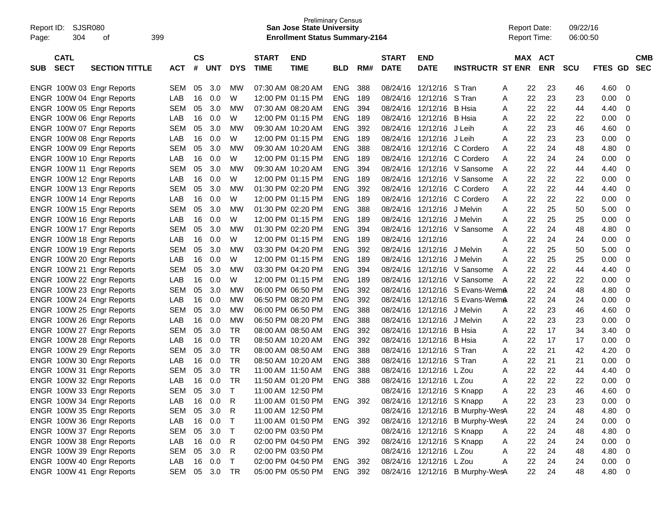| Report ID:<br>Page: | SJSR080<br>304 | οf                                                     | 399        |               |            |              |                   | <b>Preliminary Census</b><br>San Jose State University<br><b>Enrollment Status Summary-2164</b> |            |     |              |                           |                                 | <b>Report Date:</b><br><b>Report Time:</b> |    |            | 09/22/16<br>06:00:50 |         |                |            |
|---------------------|----------------|--------------------------------------------------------|------------|---------------|------------|--------------|-------------------|-------------------------------------------------------------------------------------------------|------------|-----|--------------|---------------------------|---------------------------------|--------------------------------------------|----|------------|----------------------|---------|----------------|------------|
|                     | <b>CATL</b>    |                                                        |            | $\mathsf{cs}$ |            |              | <b>START</b>      | <b>END</b>                                                                                      |            |     | <b>START</b> | <b>END</b>                |                                 | MAX                                        |    | <b>ACT</b> |                      |         |                | <b>CMB</b> |
| <b>SUB</b>          | <b>SECT</b>    | <b>SECTION TITTLE</b>                                  | <b>ACT</b> | #             | <b>UNT</b> | <b>DYS</b>   | <b>TIME</b>       | <b>TIME</b>                                                                                     | <b>BLD</b> | RM# | <b>DATE</b>  | <b>DATE</b>               | <b>INSTRUCTR ST ENR</b>         |                                            |    | <b>ENR</b> | <b>SCU</b>           | FTES GD |                | <b>SEC</b> |
|                     |                | ENGR 100W 03 Engr Reports                              | <b>SEM</b> | 05            | 3.0        | МW           | 07:30 AM 08:20 AM |                                                                                                 | ENG.       | 388 | 08/24/16     | 12/12/16                  | S Tran                          | A                                          | 22 | 23         | 46                   | 4.60    | 0              |            |
|                     |                | ENGR 100W 04 Engr Reports                              | LAB        | 16            | 0.0        | W            |                   | 12:00 PM 01:15 PM                                                                               | <b>ENG</b> | 189 | 08/24/16     | 12/12/16                  | S Tran                          | A                                          | 22 | 23         | 23                   | 0.00    | 0              |            |
|                     |                | ENGR 100W 05 Engr Reports                              | <b>SEM</b> | 05            | 3.0        | МW           | 07:30 AM 08:20 AM |                                                                                                 | <b>ENG</b> | 394 | 08/24/16     | 12/12/16                  | <b>B</b> Hsia                   | Α                                          | 22 | 22         | 44                   | 4.40    | 0              |            |
|                     |                | ENGR 100W 06 Engr Reports                              | LAB        | 16            | 0.0        | W            |                   | 12:00 PM 01:15 PM                                                                               | <b>ENG</b> | 189 | 08/24/16     | 12/12/16                  | B Hsia                          | Α                                          | 22 | 22         | 22                   | 0.00    | 0              |            |
|                     |                | ENGR 100W 07 Engr Reports                              | <b>SEM</b> | 05            | 3.0        | МW           | 09:30 AM 10:20 AM |                                                                                                 | <b>ENG</b> | 392 | 08/24/16     | 12/12/16                  | J Leih                          | Α                                          | 22 | 23         | 46                   | 4.60    | 0              |            |
|                     |                | ENGR 100W 08 Engr Reports                              | LAB        | 16            | 0.0        | W            |                   | 12:00 PM 01:15 PM                                                                               | <b>ENG</b> | 189 | 08/24/16     | 12/12/16                  | J Leih                          | Α                                          | 22 | 23         | 23                   | 0.00    | 0              |            |
|                     |                | ENGR 100W 09 Engr Reports                              | <b>SEM</b> | 05            | 3.0        | МW           | 09:30 AM 10:20 AM |                                                                                                 | <b>ENG</b> | 388 | 08/24/16     | 12/12/16                  | C Cordero                       | A                                          | 22 | 24         | 48                   | 4.80    | 0              |            |
|                     |                | ENGR 100W 10 Engr Reports                              | LAB        | 16            | 0.0        | W            |                   | 12:00 PM 01:15 PM                                                                               | <b>ENG</b> | 189 | 08/24/16     | 12/12/16                  | C Cordero                       | A                                          | 22 | 24         | 24                   | 0.00    | 0              |            |
|                     |                | ENGR 100W 11 Engr Reports                              | <b>SEM</b> | 05            | 3.0        | МW           | 09:30 AM 10:20 AM |                                                                                                 | <b>ENG</b> | 394 | 08/24/16     | 12/12/16                  | V Sansome                       | A                                          | 22 | 22         | 44                   | 4.40    | $\mathbf 0$    |            |
|                     |                | ENGR 100W 12 Engr Reports                              | LAB        | 16            | 0.0        | W            |                   | 12:00 PM 01:15 PM                                                                               | <b>ENG</b> | 189 | 08/24/16     | 12/12/16                  | V Sansome                       | A                                          | 22 | 22         | 22                   | 0.00    | 0              |            |
|                     |                | ENGR 100W 13 Engr Reports                              | <b>SEM</b> | 05            | 3.0        | МW           | 01:30 PM 02:20 PM |                                                                                                 | <b>ENG</b> | 392 | 08/24/16     | 12/12/16                  | C Cordero                       | A                                          | 22 | 22         | 44                   | 4.40    | 0              |            |
|                     |                | ENGR 100W 14 Engr Reports                              | LAB        | 16            | 0.0        | W            |                   | 12:00 PM 01:15 PM                                                                               | <b>ENG</b> | 189 | 08/24/16     | 12/12/16                  | C Cordero                       | A                                          | 22 | 22         | 22                   | 0.00    | 0              |            |
|                     |                | ENGR 100W 15 Engr Reports                              | <b>SEM</b> | 05            | 3.0        | МW           | 01:30 PM 02:20 PM |                                                                                                 | <b>ENG</b> | 388 | 08/24/16     | 12/12/16                  | J Melvin                        | Α                                          | 22 | 25         | 50                   | 5.00    | $\mathbf 0$    |            |
|                     |                | ENGR 100W 16 Engr Reports                              | LAB        | 16            | 0.0        | W            |                   | 12:00 PM 01:15 PM                                                                               | <b>ENG</b> | 189 | 08/24/16     | 12/12/16                  | J Melvin                        | Α                                          | 22 | 25         | 25                   | 0.00    | 0              |            |
|                     |                | ENGR 100W 17 Engr Reports                              | <b>SEM</b> | 05            | 3.0        | МW           | 01:30 PM 02:20 PM |                                                                                                 | <b>ENG</b> | 394 | 08/24/16     | 12/12/16                  | V Sansome                       | A                                          | 22 | 24         | 48                   | 4.80    | 0              |            |
|                     |                | ENGR 100W 18 Engr Reports                              | LAB        | 16            | 0.0        | W            |                   | 12:00 PM 01:15 PM                                                                               | <b>ENG</b> | 189 | 08/24/16     | 12/12/16                  |                                 | Α                                          | 22 | 24         | 24                   | 0.00    | 0              |            |
|                     |                | ENGR 100W 19 Engr Reports                              | <b>SEM</b> | 05            | 3.0        | МW           | 03:30 PM 04:20 PM |                                                                                                 | <b>ENG</b> | 392 | 08/24/16     | 12/12/16                  | J Melvin                        | Α                                          | 22 | 25         | 50                   | 5.00    | 0              |            |
|                     |                | ENGR 100W 20 Engr Reports                              | LAB        | 16            | 0.0        | W            |                   | 12:00 PM 01:15 PM                                                                               | <b>ENG</b> | 189 | 08/24/16     | 12/12/16                  | J Melvin                        | А                                          | 22 | 25         | 25                   | 0.00    | 0              |            |
|                     |                | ENGR 100W 21 Engr Reports                              | <b>SEM</b> | 05            | 3.0        | МW           | 03:30 PM 04:20 PM |                                                                                                 | <b>ENG</b> | 394 | 08/24/16     | 12/12/16                  | V Sansome                       | A                                          | 22 | 22         | 44                   | 4.40    | $\mathbf 0$    |            |
|                     |                | ENGR 100W 22 Engr Reports                              | LAB        | 16            | 0.0        | W            |                   | 12:00 PM 01:15 PM                                                                               | <b>ENG</b> | 189 | 08/24/16     | 12/12/16                  | V Sansome                       | A                                          | 22 | 22         | 22                   | 0.00    | 0              |            |
|                     |                | ENGR 100W 23 Engr Reports                              | <b>SEM</b> | 05            | 3.0        | МW           |                   | 06:00 PM 06:50 PM                                                                               | <b>ENG</b> | 392 | 08/24/16     | 12/12/16                  | S Evans-WemA                    |                                            | 22 | 24         | 48                   | 4.80    | 0              |            |
|                     |                | ENGR 100W 24 Engr Reports                              | LAB        | 16            | 0.0        | МW           |                   | 06:50 PM 08:20 PM                                                                               | <b>ENG</b> | 392 | 08/24/16     | 12/12/16                  | S Evans-WemA                    |                                            | 22 | 24         | 24                   | 0.00    | 0              |            |
|                     |                | ENGR 100W 25 Engr Reports                              | <b>SEM</b> | 05            | 3.0        | МW           |                   | 06:00 PM 06:50 PM                                                                               | <b>ENG</b> | 388 | 08/24/16     | 12/12/16                  | J Melvin                        | A                                          | 22 | 23         | 46                   | 4.60    | 0              |            |
|                     |                | ENGR 100W 26 Engr Reports                              | LAB        | 16            | 0.0        | МW           |                   | 06:50 PM 08:20 PM                                                                               | <b>ENG</b> | 388 | 08/24/16     | 12/12/16                  | J Melvin                        | Α                                          | 22 | 23         | 23                   | 0.00    | 0              |            |
|                     |                | ENGR 100W 27 Engr Reports                              | <b>SEM</b> | 05            | 3.0        | TR.          |                   | 08:00 AM 08:50 AM                                                                               | <b>ENG</b> | 392 | 08/24/16     | 12/12/16                  | B Hsia                          | Α                                          | 22 | 17         | 34                   | 3.40    | 0              |            |
|                     |                | ENGR 100W 28 Engr Reports                              | LAB        | 16            | 0.0        | <b>TR</b>    |                   | 08:50 AM 10:20 AM                                                                               | <b>ENG</b> | 392 | 08/24/16     | 12/12/16                  | B Hsia                          | Α                                          | 22 | 17         | 17                   | 0.00    | 0              |            |
|                     |                | ENGR 100W 29 Engr Reports                              | <b>SEM</b> | 05            | 3.0        | <b>TR</b>    |                   | 08:00 AM 08:50 AM                                                                               | <b>ENG</b> | 388 | 08/24/16     | 12/12/16                  | S Tran                          | Α                                          | 22 | 21         | 42                   | 4.20    | 0              |            |
|                     |                | ENGR 100W 30 Engr Reports                              | LAB        | 16            | 0.0        | <b>TR</b>    |                   | 08:50 AM 10:20 AM                                                                               | <b>ENG</b> | 388 | 08/24/16     | 12/12/16                  | S Tran                          | Α                                          | 22 | 21         | 21                   | 0.00    | 0              |            |
|                     |                | ENGR 100W 31 Engr Reports                              | <b>SEM</b> | 05            | 3.0        | TR.          | 11:00 AM 11:50 AM |                                                                                                 | <b>ENG</b> | 388 | 08/24/16     | 12/12/16                  | L Zou                           | Α                                          | 22 | 22         | 44                   | 4.40    | 0              |            |
|                     |                | ENGR 100W 32 Engr Reports                              | LAB        | 16            | 0.0        | <b>TR</b>    |                   | 11:50 AM 01:20 PM                                                                               | ENG.       | 388 | 08/24/16     | 12/12/16                  | L Zou                           | Α                                          | 22 | 22         | 22                   | 0.00    | $\mathbf 0$    |            |
|                     |                | ENGR 100W 33 Engr Reports                              | <b>SEM</b> |               | 05 3.0     | $\mathsf{T}$ |                   | 11:00 AM 12:50 PM                                                                               |            |     |              | 08/24/16 12/12/16 S Knapp |                                 |                                            | 22 | 23         | 46                   | 4.60    | $\mathbf 0$    |            |
|                     |                | ENGR 100W 34 Engr Reports                              | LAB        |               | 16  0.0    | R            |                   | 11:00 AM 01:50 PM                                                                               | ENG 392    |     |              | 08/24/16 12/12/16 S Knapp |                                 | A                                          | 22 | 23         | 23                   | 0.00    | 0              |            |
|                     |                |                                                        |            | 05            | 3.0        |              |                   |                                                                                                 |            |     |              |                           | 08/24/16 12/12/16 B Murphy-WesA |                                            |    |            |                      |         |                |            |
|                     |                | ENGR 100W 35 Engr Reports<br>ENGR 100W 36 Engr Reports | SEM        |               | 16 0.0     | R            |                   | 11:00 AM 12:50 PM                                                                               |            |     |              |                           |                                 |                                            | 22 | 24         | 48                   | 4.80    | $\mathbf 0$    |            |
|                     |                |                                                        | LAB        |               |            | $\top$       |                   | 11:00 AM 01:50 PM                                                                               | ENG 392    |     |              |                           | 08/24/16 12/12/16 B Murphy-WesA |                                            | 22 | 24         | 24                   | 0.00    | $\mathbf 0$    |            |
|                     |                | ENGR 100W 37 Engr Reports                              | <b>SEM</b> | 05            | 3.0        | $\top$       |                   | 02:00 PM 03:50 PM                                                                               |            |     |              | 08/24/16 12/12/16 S Knapp |                                 | A                                          | 22 | 24         | 48                   | 4.80    | 0              |            |
|                     |                | ENGR 100W 38 Engr Reports                              | LAB        | 16            | 0.0        | R            |                   | 02:00 PM 04:50 PM                                                                               | ENG 392    |     |              | 08/24/16 12/12/16 S Knapp |                                 | A                                          | 22 | 24         | 24                   | 0.00    | $\mathbf 0$    |            |
|                     |                | ENGR 100W 39 Engr Reports                              | <b>SEM</b> | 05            | 3.0        | R            |                   | 02:00 PM 03:50 PM                                                                               |            |     |              | 08/24/16 12/12/16 L Zou   |                                 | A                                          | 22 | 24         | 48                   | 4.80    | $\mathbf 0$    |            |
|                     |                | ENGR 100W 40 Engr Reports                              | LAB        |               | 16 0.0     | T            |                   | 02:00 PM 04:50 PM                                                                               | ENG 392    |     |              | 08/24/16 12/12/16 L Zou   |                                 | A                                          | 22 | 24         | 24                   | 0.00    | $\overline{0}$ |            |
|                     |                | ENGR 100W 41 Engr Reports                              | SEM 05 3.0 |               |            | TR           |                   | 05:00 PM 05:50 PM                                                                               | ENG 392    |     |              |                           | 08/24/16 12/12/16 B Murphy-WesA |                                            | 22 | 24         | 48                   | 4.80 0  |                |            |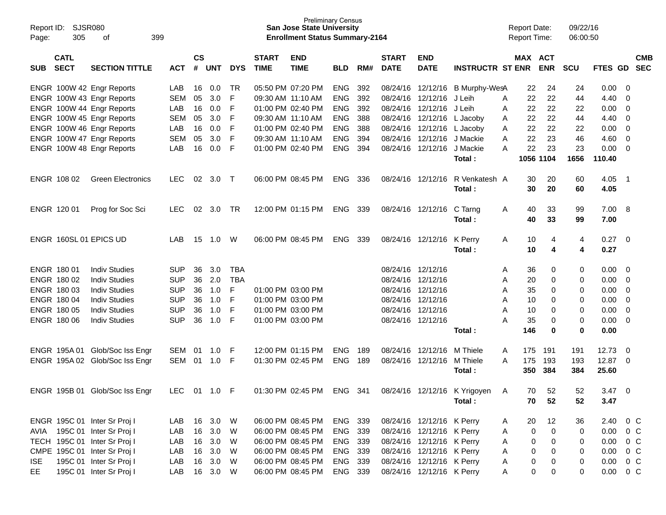| Report ID:<br>Page: | <b>SJSR080</b><br>305      | 399<br>οf                      |              |                    |            |            |                             | <b>Preliminary Census</b><br><b>San Jose State University</b><br><b>Enrollment Status Summary-2164</b> |            |     |                             |                            |                                 | <b>Report Date:</b><br><b>Report Time:</b> |            | 09/22/16<br>06:00:50 |               |                         |                          |
|---------------------|----------------------------|--------------------------------|--------------|--------------------|------------|------------|-----------------------------|--------------------------------------------------------------------------------------------------------|------------|-----|-----------------------------|----------------------------|---------------------------------|--------------------------------------------|------------|----------------------|---------------|-------------------------|--------------------------|
| <b>SUB</b>          | <b>CATL</b><br><b>SECT</b> | <b>SECTION TITTLE</b>          | <b>ACT</b>   | $\mathsf{cs}$<br># | <b>UNT</b> | <b>DYS</b> | <b>START</b><br><b>TIME</b> | <b>END</b><br><b>TIME</b>                                                                              | <b>BLD</b> | RM# | <b>START</b><br><b>DATE</b> | <b>END</b><br><b>DATE</b>  | <b>INSTRUCTR ST ENR</b>         | MAX ACT                                    | <b>ENR</b> | <b>SCU</b>           | FTES GD       |                         | <b>CMB</b><br><b>SEC</b> |
|                     |                            | ENGR 100W 42 Engr Reports      | LAB          | 16                 | 0.0        | TR         |                             | 05:50 PM 07:20 PM                                                                                      | ENG        | 392 |                             |                            | 08/24/16 12/12/16 B Murphy-WesA | 22                                         | 24         | 24                   | 0.00          | 0                       |                          |
|                     |                            | ENGR 100W 43 Engr Reports      | <b>SEM</b>   | 05                 | 3.0        | F          | 09:30 AM 11:10 AM           |                                                                                                        | <b>ENG</b> | 392 |                             | 08/24/16 12/12/16          | J Leih                          | 22<br>A                                    | 22         | 44                   | 4.40          | 0                       |                          |
|                     |                            | ENGR 100W 44 Engr Reports      | LAB          | 16                 | 0.0        | F          |                             | 01:00 PM 02:40 PM                                                                                      | <b>ENG</b> | 392 |                             | 08/24/16 12/12/16          | J Leih                          | 22<br>A                                    | 22         | 22                   | 0.00          | 0                       |                          |
|                     |                            | ENGR 100W 45 Engr Reports      | <b>SEM</b>   | 05                 | 3.0        | F          |                             | 09:30 AM 11:10 AM                                                                                      | <b>ENG</b> | 388 |                             | 08/24/16 12/12/16          | L Jacoby                        | 22<br>A                                    | 22         | 44                   | 4.40          | 0                       |                          |
|                     |                            | ENGR 100W 46 Engr Reports      | LAB          | 16                 | 0.0        | F          |                             | 01:00 PM 02:40 PM                                                                                      | <b>ENG</b> | 388 |                             | 08/24/16 12/12/16 L Jacoby |                                 | 22<br>A                                    | 22         | 22                   | 0.00          | 0                       |                          |
|                     |                            | ENGR 100W 47 Engr Reports      | <b>SEM</b>   | 05                 | 3.0        | F          |                             | 09:30 AM 11:10 AM                                                                                      | <b>ENG</b> | 394 |                             | 08/24/16 12/12/16 J Mackie |                                 | 22<br>A                                    | 23         | 46                   | 4.60          | 0                       |                          |
|                     |                            | ENGR 100W 48 Engr Reports      | LAB          | 16                 | 0.0        | F          |                             | 01:00 PM 02:40 PM                                                                                      | <b>ENG</b> | 394 | 08/24/16 12/12/16           |                            | J Mackie                        | 22<br>A                                    | 23         | 23                   | 0.00          | 0                       |                          |
|                     |                            |                                |              |                    |            |            |                             |                                                                                                        |            |     |                             |                            | Total :                         |                                            | 1056 1104  | 1656                 | 110.40        |                         |                          |
|                     | ENGR 108 02                | <b>Green Electronics</b>       | <b>LEC</b>   | 02                 | 3.0        | $\top$     |                             | 06:00 PM 08:45 PM                                                                                      | <b>ENG</b> | 336 | 08/24/16 12/12/16           |                            | R Venkatesh A                   | 30                                         | 20         | 60                   | 4.05          | - 1                     |                          |
|                     |                            |                                |              |                    |            |            |                             |                                                                                                        |            |     |                             |                            | Total :                         | 30                                         | 20         | 60                   | 4.05          |                         |                          |
|                     | ENGR 120 01                | Prog for Soc Sci               | <b>LEC</b>   | 02                 | 3.0        | TR         |                             | 12:00 PM 01:15 PM                                                                                      | <b>ENG</b> | 339 | 08/24/16 12/12/16           |                            | C Tarng                         | 40<br>A                                    | 33         | 99                   | 7.00 8        |                         |                          |
|                     |                            |                                |              |                    |            |            |                             |                                                                                                        |            |     |                             |                            | Total :                         | 40                                         | 33         | 99                   | 7.00          |                         |                          |
|                     |                            | ENGR 160SL 01 EPICS UD         | LAB          | 15                 | 1.0        | W          |                             | 06:00 PM 08:45 PM                                                                                      | <b>ENG</b> | 339 | 08/24/16 12/12/16           |                            | K Perry                         | 10<br>A                                    | 4          | 4                    | $0.27 \ 0$    |                         |                          |
|                     |                            |                                |              |                    |            |            |                             |                                                                                                        |            |     |                             |                            | Total :                         | 10                                         | 4          | 4                    | 0.27          |                         |                          |
|                     | ENGR 180 01                | <b>Indiv Studies</b>           | <b>SUP</b>   | 36                 | 3.0        | <b>TBA</b> |                             |                                                                                                        |            |     | 08/24/16 12/12/16           |                            |                                 | 36<br>A                                    | 0          | 0                    | 0.00          | - 0                     |                          |
|                     | ENGR 180 02                | <b>Indiv Studies</b>           | <b>SUP</b>   | 36                 | 2.0        | <b>TBA</b> |                             |                                                                                                        |            |     | 08/24/16 12/12/16           |                            |                                 | 20<br>Α                                    | 0          | 0                    | 0.00          | 0                       |                          |
|                     | ENGR 180 03                | <b>Indiv Studies</b>           | <b>SUP</b>   | 36                 | 1.0        | F          |                             | 01:00 PM 03:00 PM                                                                                      |            |     | 08/24/16 12/12/16           |                            |                                 | 35<br>Α                                    | 0          | 0                    | 0.00          | 0                       |                          |
|                     | ENGR 180 04                | <b>Indiv Studies</b>           | <b>SUP</b>   | 36                 | 1.0        | F          |                             | 01:00 PM 03:00 PM                                                                                      |            |     | 08/24/16 12/12/16           |                            |                                 | 10<br>A                                    | 0          | 0                    | 0.00          | 0                       |                          |
|                     | ENGR 180 05                | <b>Indiv Studies</b>           | <b>SUP</b>   | 36                 | 1.0        | F          |                             | 01:00 PM 03:00 PM                                                                                      |            |     | 08/24/16 12/12/16           |                            |                                 | A<br>10                                    | 0          | 0                    | 0.00          | 0                       |                          |
|                     | ENGR 180 06                | <b>Indiv Studies</b>           | <b>SUP</b>   | 36                 | 1.0        | F          |                             | 01:00 PM 03:00 PM                                                                                      |            |     | 08/24/16 12/12/16           |                            |                                 | 35<br>A                                    | 0          | 0                    | 0.00          | - 0                     |                          |
|                     |                            |                                |              |                    |            |            |                             |                                                                                                        |            |     |                             |                            | Total :                         | 146                                        | 0          | 0                    | 0.00          |                         |                          |
|                     | ENGR 195A 01               | Glob/Soc Iss Engr              | SEM          | 01                 | 1.0        | F          |                             | 12:00 PM 01:15 PM                                                                                      | <b>ENG</b> | 189 |                             | 08/24/16 12/12/16 M Thiele |                                 | 175<br>A                                   | 191        | 191                  | 12.73         | $\overline{\mathbf{0}}$ |                          |
|                     |                            | ENGR 195A 02 Glob/Soc Iss Engr | SEM          | 01                 | 1.0        | -F         |                             | 01:30 PM 02:45 PM                                                                                      | <b>ENG</b> | 189 |                             | 08/24/16 12/12/16          | M Thiele                        | 175<br>A                                   | 193        | 193                  | 12.87 0       |                         |                          |
|                     |                            |                                |              |                    |            |            |                             |                                                                                                        |            |     |                             |                            | Total :                         | 350                                        | 384        | 384                  | 25.60         |                         |                          |
|                     |                            | ENGR 195B 01 Glob/Soc Iss Engr | LEC 01 1.0 F |                    |            |            |                             | 01:30 PM 02:45 PM                                                                                      | ENG        | 341 |                             |                            | 08/24/16 12/12/16 K Yrigoyen    | 70<br>A                                    | 52         | 52                   | 3.47          | - 0                     |                          |
|                     |                            |                                |              |                    |            |            |                             |                                                                                                        |            |     |                             |                            | Total:                          | 70                                         | 52         | 52                   | 3.47          |                         |                          |
|                     |                            | ENGR 195C 01 Inter Sr Proj I   | LAB 16 3.0 W |                    |            |            |                             | 06:00 PM 08:45 PM                                                                                      | ENG 339    |     |                             | 08/24/16 12/12/16 K Perry  |                                 | 20<br>A                                    | 12         | 36                   | 2.40 0 C      |                         |                          |
|                     |                            | AVIA 195C 01 Inter Sr Proj I   | LAB          |                    | 16 3.0     | W          |                             | 06:00 PM 08:45 PM                                                                                      | ENG 339    |     |                             | 08/24/16 12/12/16 K Perry  |                                 | 0<br>A                                     | 0          | 0                    | $0.00 \t 0 C$ |                         |                          |
|                     |                            | TECH 195C 01 Inter Sr Proj I   | LAB          |                    | 16 3.0     | W          |                             | 06:00 PM 08:45 PM                                                                                      | ENG 339    |     |                             | 08/24/16 12/12/16 K Perry  |                                 | 0<br>A                                     | 0          | 0                    | $0.00 \t 0 C$ |                         |                          |
|                     |                            | CMPE 195C 01 Inter Sr Proj I   | LAB          |                    | 16 3.0     | W          |                             | 06:00 PM 08:45 PM                                                                                      | ENG 339    |     |                             | 08/24/16 12/12/16 K Perry  |                                 | 0<br>A                                     | $\Omega$   | 0                    | $0.00 \t 0 C$ |                         |                          |
| ISE.                |                            | 195C 01 Inter Sr Proj I        | LAB          |                    | 16 3.0     | W          |                             | 06:00 PM 08:45 PM                                                                                      | ENG 339    |     |                             | 08/24/16 12/12/16 K Perry  |                                 | 0<br>A                                     | 0          | 0                    | $0.00 \t 0 C$ |                         |                          |
| EE                  |                            | 195C 01 Inter Sr Proj I        | LAB 16 3.0 W |                    |            |            |                             | 06:00 PM 08:45 PM                                                                                      | ENG 339    |     |                             | 08/24/16 12/12/16 K Perry  |                                 | A                                          | 0<br>0     | 0                    |               | $0.00 \t 0 C$           |                          |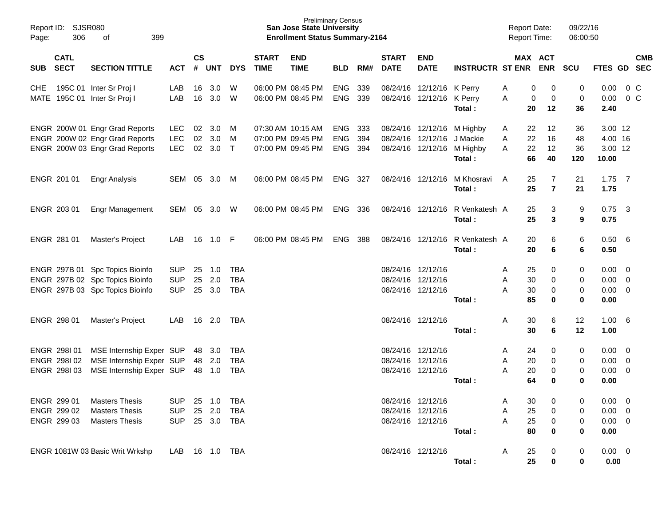| Report ID:<br>306<br>Page:                | SJSR080<br>399<br>οf                                                                                  |                                        |                    |                                |                                        |                             | <b>Preliminary Census</b><br><b>San Jose State University</b><br><b>Enrollment Status Summary-2164</b> |                                        |                   |                             |                                                             |                                           | <b>Report Date:</b><br><b>Report Time:</b> |                                                       | 09/22/16<br>06:00:50  |                                                   |                                  |            |
|-------------------------------------------|-------------------------------------------------------------------------------------------------------|----------------------------------------|--------------------|--------------------------------|----------------------------------------|-----------------------------|--------------------------------------------------------------------------------------------------------|----------------------------------------|-------------------|-----------------------------|-------------------------------------------------------------|-------------------------------------------|--------------------------------------------|-------------------------------------------------------|-----------------------|---------------------------------------------------|----------------------------------|------------|
| <b>CATL</b><br><b>SECT</b><br><b>SUB</b>  | <b>SECTION TITTLE</b>                                                                                 | <b>ACT</b>                             | $\mathsf{cs}$<br># | <b>UNT</b>                     | <b>DYS</b>                             | <b>START</b><br><b>TIME</b> | <b>END</b><br><b>TIME</b>                                                                              | <b>BLD</b>                             | RM#               | <b>START</b><br><b>DATE</b> | <b>END</b><br><b>DATE</b>                                   | <b>INSTRUCTR ST ENR</b>                   |                                            | MAX ACT<br><b>ENR</b>                                 | <b>SCU</b>            | FTES GD SEC                                       |                                  | <b>CMB</b> |
| <b>CHE</b><br>MATE                        | 195C 01 Inter Sr Proj I<br>195C 01 Inter Sr Proj I                                                    | LAB<br>LAB                             | 16<br>16           | 3.0<br>3.0                     | W<br>W                                 |                             | 06:00 PM 08:45 PM<br>06:00 PM 08:45 PM                                                                 | <b>ENG</b><br><b>ENG</b>               | 339<br>339        | 08/24/16                    | 12/12/16 K Perry<br>08/24/16 12/12/16 K Perry               | Total:                                    | A<br>A                                     | 0<br>0<br>0<br>0<br>12<br>20                          | 0<br>0<br>36          | 0.00<br>0.00<br>2.40                              | 0 <sup>o</sup><br>0 <sup>o</sup> |            |
|                                           | ENGR 200W 01 Engr Grad Reports<br>ENGR 200W 02 Engr Grad Reports<br>ENGR 200W 03 Engr Grad Reports    | LEC<br><b>LEC</b><br><b>LEC</b>        | 02<br>02           | 3.0<br>3.0<br>02 3.0           | M<br>M<br>$\top$                       | 07:30 AM 10:15 AM           | 07:00 PM 09:45 PM<br>07:00 PM 09:45 PM                                                                 | <b>ENG</b><br><b>ENG</b><br><b>ENG</b> | 333<br>394<br>394 | 08/24/16                    | 08/24/16 12/12/16 M Highby<br>12/12/16 J Mackie             | 08/24/16 12/12/16 M Highby<br>Total:      | A<br>22<br>A<br>22<br>A                    | 22<br>12<br>16<br>12<br>66<br>40                      | 36<br>48<br>36<br>120 | 3.00 12<br>4.00 16<br>3.00 12<br>10.00            |                                  |            |
| ENGR 201 01                               | <b>Engr Analysis</b>                                                                                  | SEM                                    |                    | 05 3.0                         | M                                      |                             | 06:00 PM 08:45 PM                                                                                      | <b>ENG</b>                             | 327               |                             | 08/24/16 12/12/16                                           | M Khosravi<br>Total:                      | A                                          | 25<br>$\overline{7}$<br>$\overline{\mathbf{r}}$<br>25 | 21<br>21              | $1.75$ 7<br>1.75                                  |                                  |            |
| ENGR 203 01                               | <b>Engr Management</b>                                                                                | SEM                                    |                    | 05 3.0                         | W                                      |                             | 06:00 PM 08:45 PM                                                                                      | <b>ENG</b>                             | 336               |                             |                                                             | 08/24/16 12/12/16 R Venkatesh A<br>Total: |                                            | 25<br>3<br>3<br>25                                    | 9<br>9                | $0.75$ 3<br>0.75                                  |                                  |            |
| ENGR 281 01                               | Master's Project                                                                                      | LAB                                    | 16                 | 1.0                            | -F                                     |                             | 06:00 PM 08:45 PM                                                                                      | <b>ENG</b>                             | 388               |                             |                                                             | 08/24/16 12/12/16 R Venkatesh A<br>Total: |                                            | 20<br>6<br>20<br>6                                    | 6<br>6                | 0.50 6<br>0.50                                    |                                  |            |
|                                           | ENGR 297B 01 Spc Topics Bioinfo<br>ENGR 297B 02 Spc Topics Bioinfo<br>ENGR 297B 03 Spc Topics Bioinfo | <b>SUP</b><br><b>SUP</b><br><b>SUP</b> | 25<br>25<br>25     | 1.0<br>2.0<br>3.0              | <b>TBA</b><br><b>TBA</b><br><b>TBA</b> |                             |                                                                                                        |                                        |                   | 08/24/16<br>08/24/16        | 12/12/16<br>12/12/16<br>08/24/16 12/12/16                   | Total :                                   | Α<br>30<br>Α<br>A<br>30                    | 25<br>0<br>0<br>0<br>85<br>$\bf{0}$                   | 0<br>0<br>0<br>0      | $0.00 \t 0$<br>$0.00 \t 0$<br>$0.00 \t 0$<br>0.00 |                                  |            |
| ENGR 298 01                               | Master's Project                                                                                      | LAB                                    | 16                 | 2.0                            | TBA                                    |                             |                                                                                                        |                                        |                   |                             | 08/24/16 12/12/16                                           | Total :                                   | Α<br>30                                    | 30<br>6<br>6                                          | 12<br>12              | 1.00 6<br>1.00                                    |                                  |            |
| ENGR 298101<br>ENGR 298102<br>ENGR 298103 | MSE Internship Exper SUP<br>MSE Internship Exper SUP<br>MSE Internship Exper SUP                      |                                        | 48                 | 3.0<br>48 2.0<br>48 1.0        | <b>TBA</b><br><b>TBA</b><br><b>TBA</b> |                             |                                                                                                        |                                        |                   | 08/24/16<br>08/24/16        | 12/12/16<br>12/12/16<br>08/24/16 12/12/16                   | Total :                                   | A<br>20<br>Α<br>A<br>20<br>64              | 24<br>0<br>0<br>0<br>0                                | 0<br>0<br>0<br>0      | $0.00 \t 0$<br>0.00<br>$0.00 \t 0$<br>0.00        | $\overline{\phantom{0}}$         |            |
| ENGR 299 01<br>ENGR 299 02<br>ENGR 299 03 | <b>Masters Thesis</b><br><b>Masters Thesis</b><br><b>Masters Thesis</b>                               | <b>SUP</b><br><b>SUP</b><br><b>SUP</b> |                    | 25 1.0<br>25 2.0<br>25 3.0 TBA | TBA<br><b>TBA</b>                      |                             |                                                                                                        |                                        |                   |                             | 08/24/16 12/12/16<br>08/24/16 12/12/16<br>08/24/16 12/12/16 | Total:                                    | Α<br>Α<br>25<br>Α<br>80                    | 30<br>0<br>25<br>0<br>0<br>0                          | 0<br>0<br>0<br>0      | $0.00 \t 0$<br>$0.00 \t 0$<br>$0.00 \t 0$<br>0.00 |                                  |            |
|                                           | ENGR 1081W 03 Basic Writ Wrkshp                                                                       | LAB                                    |                    | 16 1.0 TBA                     |                                        |                             |                                                                                                        |                                        |                   |                             | 08/24/16 12/12/16                                           | Total:                                    | 25<br>A                                    | 0<br>25<br>0                                          | 0<br>0                | $0.00 \t 0$<br>0.00                               |                                  |            |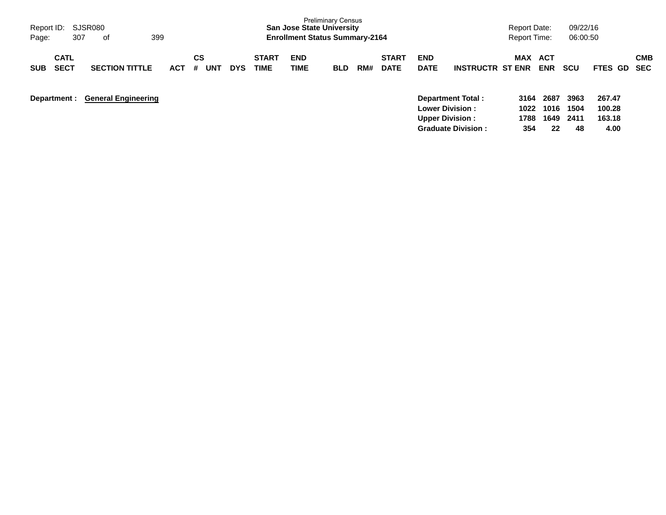| Report ID:<br>Page:                      | SJSR080<br>399<br>307<br>of |                            |  |            |         |     |            |                             | <b>San Jose State University</b><br><b>Enrollment Status Summary-2164</b> | <b>Preliminary Census</b> |     |                             |                           |                                                                              | <b>Report Date:</b><br>Report Time: |                          | 09/22/16<br>06:00:50 |                            |            |
|------------------------------------------|-----------------------------|----------------------------|--|------------|---------|-----|------------|-----------------------------|---------------------------------------------------------------------------|---------------------------|-----|-----------------------------|---------------------------|------------------------------------------------------------------------------|-------------------------------------|--------------------------|----------------------|----------------------------|------------|
| <b>CATL</b><br><b>SECT</b><br><b>SUB</b> |                             | <b>SECTION TITTLE</b>      |  | <b>ACT</b> | СS<br># | UNT | <b>DYS</b> | <b>START</b><br><b>TIME</b> | <b>END</b><br>TIME                                                        | <b>BLD</b>                | RM# | <b>START</b><br><b>DATE</b> | <b>END</b><br><b>DATE</b> | <b>INSTRUCTR ST ENR</b>                                                      | <b>MAX</b>                          | <b>ACT</b><br><b>ENR</b> | scu                  | <b>FTES GD SEC</b>         | <b>CMB</b> |
| Department :                             |                             | <b>General Engineering</b> |  |            |         |     |            |                             |                                                                           |                           |     |                             |                           | <b>Department Total:</b><br><b>Lower Division:</b><br><b>Upper Division:</b> | 3164<br>1022<br>1788                | 2687<br>1016<br>1649     | 3963<br>1504<br>2411 | 267.47<br>100.28<br>163.18 |            |

**Graduate Division : 354 22 48 4.00**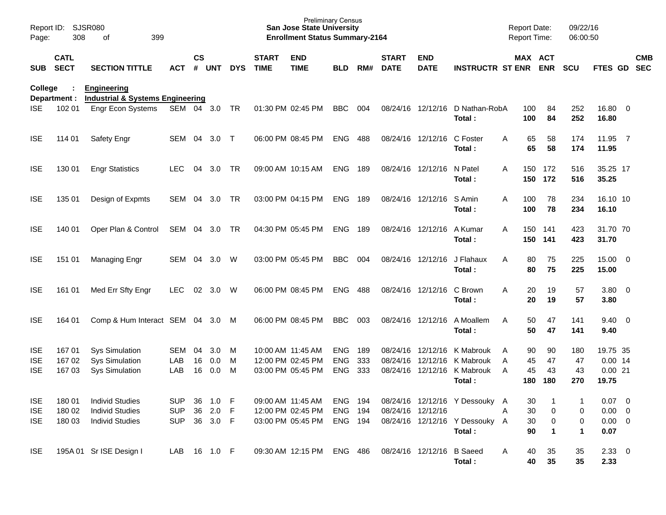| Page:                                  | Report ID:<br><b>SJSR080</b><br>308<br>of<br>399 |                                                                            |                                        |                    |                              |             |                             | <b>Preliminary Census</b><br><b>San Jose State University</b><br><b>Enrollment Status Summary-2164</b> |                                 |                   |                             |                           |                                                                                   | <b>Report Date:</b><br>Report Time: |                       |                       | 09/22/16<br>06:00:50       |                                                |            |
|----------------------------------------|--------------------------------------------------|----------------------------------------------------------------------------|----------------------------------------|--------------------|------------------------------|-------------|-----------------------------|--------------------------------------------------------------------------------------------------------|---------------------------------|-------------------|-----------------------------|---------------------------|-----------------------------------------------------------------------------------|-------------------------------------|-----------------------|-----------------------|----------------------------|------------------------------------------------|------------|
| <b>SUB</b>                             | <b>CATL</b><br><b>SECT</b>                       | <b>SECTION TITTLE</b>                                                      | <b>ACT</b>                             | $\mathsf{cs}$<br># | <b>UNT</b>                   | <b>DYS</b>  | <b>START</b><br><b>TIME</b> | <b>END</b><br><b>TIME</b>                                                                              | <b>BLD</b>                      | RM#               | <b>START</b><br><b>DATE</b> | <b>END</b><br><b>DATE</b> | <b>INSTRUCTR ST ENR ENR</b>                                                       |                                     | MAX ACT               |                       | <b>SCU</b>                 | FTES GD SEC                                    | <b>CMB</b> |
| College                                | Department :                                     | <b>Engineering</b><br><b>Industrial &amp; Systems Engineering</b>          |                                        |                    |                              |             |                             |                                                                                                        |                                 |                   |                             |                           |                                                                                   |                                     |                       |                       |                            |                                                |            |
| <b>ISE</b>                             | 102 01                                           | Engr Econ Systems                                                          | SEM 04 3.0                             |                    |                              | TR          |                             | 01:30 PM 02:45 PM                                                                                      | <b>BBC</b>                      | 004               |                             | 08/24/16 12/12/16         | D Nathan-RobA<br>Total:                                                           |                                     | 100<br>100            | 84<br>84              | 252<br>252                 | 16.80 0<br>16.80                               |            |
| <b>ISE</b>                             | 114 01                                           | Safety Engr                                                                | SEM 04                                 |                    | 3.0                          | $\top$      |                             | 06:00 PM 08:45 PM                                                                                      | <b>ENG</b>                      | 488               |                             | 08/24/16 12/12/16         | C Foster<br>Total:                                                                | Α                                   | 65<br>65              | 58<br>58              | 174<br>174                 | 11.95 7<br>11.95                               |            |
| <b>ISE</b>                             | 130 01                                           | <b>Engr Statistics</b>                                                     | <b>LEC</b>                             | 04                 | 3.0                          | TR.         |                             | 09:00 AM 10:15 AM                                                                                      | <b>ENG 189</b>                  |                   |                             | 08/24/16 12/12/16         | N Patel<br>Total:                                                                 | A                                   | 150<br>150            | 172<br>172            | 516<br>516                 | 35.25 17<br>35.25                              |            |
| <b>ISE</b>                             | 135 01                                           | Design of Expmts                                                           | SEM                                    | 04                 | 3.0                          | TR          |                             | 03:00 PM 04:15 PM                                                                                      | ENG                             | 189               |                             | 08/24/16 12/12/16         | S Amin<br>Total:                                                                  | A                                   | 100<br>100            | 78<br>78              | 234<br>234                 | 16.10 10<br>16.10                              |            |
| <b>ISE</b>                             | 140 01                                           | Oper Plan & Control                                                        | SEM 04 3.0                             |                    |                              | TR          |                             | 04:30 PM 05:45 PM                                                                                      | <b>ENG</b>                      | 189               |                             | 08/24/16 12/12/16         | A Kumar<br>Total:                                                                 | A                                   | 150<br>150            | 141<br>141            | 423<br>423                 | 31.70 70<br>31.70                              |            |
| <b>ISE</b>                             | 151 01                                           | Managing Engr                                                              | <b>SEM</b>                             | 04                 | 3.0                          | W           |                             | 03:00 PM 05:45 PM                                                                                      | <b>BBC</b>                      | 004               |                             | 08/24/16 12/12/16         | J Flahaux<br>Total:                                                               | A                                   | 80<br>80              | 75<br>75              | 225<br>225                 | 15.00 0<br>15.00                               |            |
| <b>ISE</b>                             | 161 01                                           | Med Err Sfty Engr                                                          | <b>LEC</b>                             | 02                 | 3.0                          | W           |                             | 06:00 PM 08:45 PM                                                                                      | <b>ENG</b>                      | 488               |                             | 08/24/16 12/12/16         | C Brown<br>Total:                                                                 | A                                   | 20<br>20              | 19<br>19              | 57<br>57                   | 3.80 0<br>3.80                                 |            |
| <b>ISE</b>                             | 164 01                                           | Comp & Hum Interact SEM 04 3.0                                             |                                        |                    |                              | M           |                             | 06:00 PM 08:45 PM                                                                                      | <b>BBC</b>                      | 003               |                             | 08/24/16 12/12/16         | A Moallem<br>Total:                                                               | A                                   | 50<br>50              | 47<br>47              | 141<br>141                 | $9.40 \quad 0$<br>9.40                         |            |
| <b>ISE</b><br><b>ISE</b><br><b>ISE</b> | 167 01<br>167 02<br>167 03                       | <b>Sys Simulation</b><br><b>Sys Simulation</b><br><b>Sys Simulation</b>    | <b>SEM</b><br>LAB<br>LAB               | 04<br>16<br>16     | 3.0<br>0.0<br>0.0            | M<br>M<br>M | 10:00 AM 11:45 AM           | 12:00 PM 02:45 PM<br>03:00 PM 05:45 PM                                                                 | <b>ENG</b><br>ENG<br><b>ENG</b> | 189<br>333<br>333 |                             | 08/24/16 12/12/16         | K Mabrouk<br>08/24/16 12/12/16 K Mabrouk<br>08/24/16 12/12/16 K Mabrouk<br>Total: | A<br>A<br>$\overline{A}$            | 90<br>45<br>45<br>180 | 90<br>47<br>43<br>180 | 180<br>47<br>43<br>270     | 19.75 35<br>$0.00$ 14<br>0.0021<br>19.75       |            |
| <b>ISE</b><br><b>ISE</b><br><b>ISE</b> | 18001<br>180 02<br>180 03                        | <b>Individ Studies</b><br><b>Individ Studies</b><br><b>Individ Studies</b> | <b>SUP</b><br><b>SUP</b><br><b>SUP</b> |                    | 36 1.0<br>36 2.0<br>36 3.0 F | - F<br>- F  |                             | 09:00 AM 11:45 AM<br>12:00 PM 02:45 PM<br>03:00 PM 05:45 PM                                            | ENG 194<br>ENG 194<br>ENG 194   |                   | 08/24/16 12/12/16           |                           | 08/24/16 12/12/16 Y Dessouky<br>08/24/16 12/12/16 Y Dessouky A<br>Total:          | A<br>Α                              | 30<br>30<br>30<br>90  | 0<br>0<br>1           | 1<br>0<br>0<br>$\mathbf 1$ | $0.07$ 0<br>$0.00 \t 0$<br>$0.00 \t 0$<br>0.07 |            |
| <b>ISE</b>                             |                                                  | 195A 01 Sr ISE Design I                                                    | LAB 16 1.0 F                           |                    |                              |             |                             | 09:30 AM 12:15 PM                                                                                      | ENG 486                         |                   |                             | 08/24/16 12/12/16 B Saeed | Total:                                                                            | A                                   | 40<br>40              | 35<br>35              | 35<br>35                   | 2.3300<br>2.33                                 |            |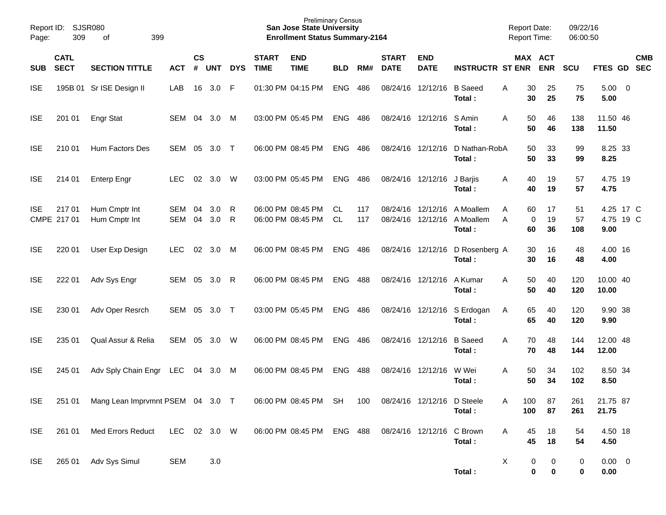| Report ID:<br>Page: | 309                        | SJSR080<br>399<br>of             |                   |                    |            |            |                             | <b>Preliminary Census</b><br><b>San Jose State University</b><br><b>Enrollment Status Summary-2164</b> |                  |            |                             |                            |                                                                      | <b>Report Date:</b><br><b>Report Time:</b> |                                           | 09/22/16<br>06:00:50 |                                |            |
|---------------------|----------------------------|----------------------------------|-------------------|--------------------|------------|------------|-----------------------------|--------------------------------------------------------------------------------------------------------|------------------|------------|-----------------------------|----------------------------|----------------------------------------------------------------------|--------------------------------------------|-------------------------------------------|----------------------|--------------------------------|------------|
| <b>SUB</b>          | <b>CATL</b><br><b>SECT</b> | <b>SECTION TITTLE</b>            | <b>ACT</b>        | $\mathsf{cs}$<br># | <b>UNT</b> | <b>DYS</b> | <b>START</b><br><b>TIME</b> | <b>END</b><br><b>TIME</b>                                                                              | <b>BLD</b>       | RM#        | <b>START</b><br><b>DATE</b> | <b>END</b><br><b>DATE</b>  | <b>INSTRUCTR ST ENR</b>                                              |                                            | MAX ACT<br><b>ENR</b>                     | <b>SCU</b>           | FTES GD SEC                    | <b>CMB</b> |
| <b>ISE</b>          |                            | 195B 01 Sr ISE Design II         | LAB               | 16                 | 3.0        | - F        |                             | 01:30 PM 04:15 PM                                                                                      | <b>ENG</b>       | 486        |                             | 08/24/16 12/12/16          | <b>B</b> Saeed<br>Total:                                             | A                                          | 30<br>25<br>30<br>25                      | 75<br>75             | $5.00 \t 0$<br>5.00            |            |
| <b>ISE</b>          | 201 01                     | <b>Engr Stat</b>                 | SEM               | 04                 | 3.0        | M          |                             | 03:00 PM 05:45 PM                                                                                      | <b>ENG 486</b>   |            |                             | 08/24/16 12/12/16          | S Amin<br>Total:                                                     | A                                          | 50<br>46<br>50<br>46                      | 138<br>138           | 11.50 46<br>11.50              |            |
| <b>ISE</b>          | 210 01                     | Hum Factors Des                  | <b>SEM</b>        | 05                 | 3.0        | $\top$     |                             | 06:00 PM 08:45 PM                                                                                      | <b>ENG 486</b>   |            |                             | 08/24/16 12/12/16          | D Nathan-RobA<br>Total:                                              |                                            | 50<br>33<br>50<br>33                      | 99<br>99             | 8.25 33<br>8.25                |            |
| <b>ISE</b>          | 214 01                     | <b>Enterp Engr</b>               | <b>LEC</b>        | 02                 | 3.0        | W          |                             | 03:00 PM 05:45 PM                                                                                      | ENG              | 486        |                             | 08/24/16 12/12/16          | J Barjis<br>Total :                                                  | A                                          | 40<br>19<br>40<br>19                      | 57<br>57             | 4.75 19<br>4.75                |            |
| <b>ISE</b>          | 21701<br>CMPE 217 01       | Hum Cmptr Int<br>Hum Cmptr Int   | SEM<br><b>SEM</b> | 04<br>04           | 3.0<br>3.0 | R<br>R     |                             | 06:00 PM 08:45 PM<br>06:00 PM 08:45 PM                                                                 | CL.<br><b>CL</b> | 117<br>117 |                             |                            | 08/24/16 12/12/16 A Moallem<br>08/24/16 12/12/16 A Moallem<br>Total: | A<br>A                                     | 60<br>17<br>$\mathbf 0$<br>19<br>36<br>60 | 51<br>57<br>108      | 4.25 17 C<br>4.75 19 C<br>9.00 |            |
| <b>ISE</b>          | 220 01                     | User Exp Design                  | <b>LEC</b>        | 02                 | 3.0        | M          |                             | 06:00 PM 08:45 PM                                                                                      | ENG              | 486        |                             |                            | 08/24/16 12/12/16 D Rosenberg A<br>Total:                            |                                            | 30<br>16<br>30<br>16                      | 48<br>48             | 4.00 16<br>4.00                |            |
| <b>ISE</b>          | 222 01                     | Adv Sys Engr                     | SEM               | 05                 | 3.0        | R          |                             | 06:00 PM 08:45 PM                                                                                      | ENG              | 488        |                             | 08/24/16 12/12/16          | A Kumar<br>Total:                                                    | A                                          | 50<br>40<br>50<br>40                      | 120<br>120           | 10.00 40<br>10.00              |            |
| <b>ISE</b>          | 230 01                     | Adv Oper Resrch                  | SEM               | 05                 | 3.0        | $\top$     |                             | 03:00 PM 05:45 PM                                                                                      | <b>ENG 486</b>   |            |                             |                            | 08/24/16 12/12/16 S Erdogan<br>Total:                                | A                                          | 65<br>40<br>65<br>40                      | 120<br>120           | 9.90 38<br>9.90                |            |
| <b>ISE</b>          | 235 01                     | Qual Assur & Relia               | <b>SEM</b>        | 05                 | 3.0        | W          |                             | 06:00 PM 08:45 PM                                                                                      | ENG              | 486        |                             | 08/24/16 12/12/16          | <b>B</b> Saeed<br>Total:                                             | A                                          | 70<br>48<br>70<br>48                      | 144<br>144           | 12.00 48<br>12.00              |            |
| <b>ISE</b>          | 245 01                     | Adv Sply Chain Engr LEC          |                   | 04                 | 3.0 M      |            |                             | 06:00 PM 08:45 PM                                                                                      | <b>ENG 488</b>   |            |                             | 08/24/16 12/12/16          | W Wei<br>Total:                                                      | A                                          | 50<br>34<br>50<br>34                      | 102<br>102           | 8.50 34<br>8.50                |            |
| <b>ISE</b>          | 251 01                     | Mang Lean Imprvmnt PSEM 04 3.0 T |                   |                    |            |            |                             | 06:00 PM 08:45 PM SH                                                                                   |                  | 100        |                             | 08/24/16 12/12/16 D Steele | Total:                                                               | 100<br>Α<br>100                            | 87<br>87                                  | 261<br>261           | 21.75 87<br>21.75              |            |
| <b>ISE</b>          | 261 01                     | Med Errors Reduct                | LEC 02 3.0 W      |                    |            |            |                             | 06:00 PM 08:45 PM ENG 488                                                                              |                  |            | 08/24/16 12/12/16 C Brown   |                            | Total:                                                               | A                                          | 18<br>45<br>45<br>18                      | 54<br>54             | 4.50 18<br>4.50                |            |
| ISE                 | 265 01                     | Adv Sys Simul                    | <b>SEM</b>        |                    | $3.0\,$    |            |                             |                                                                                                        |                  |            |                             |                            | Total:                                                               | X                                          | 0<br>0<br>$\pmb{0}$<br>$\pmb{0}$          | 0<br>$\bf{0}$        | $0.00 \t 0$<br>0.00            |            |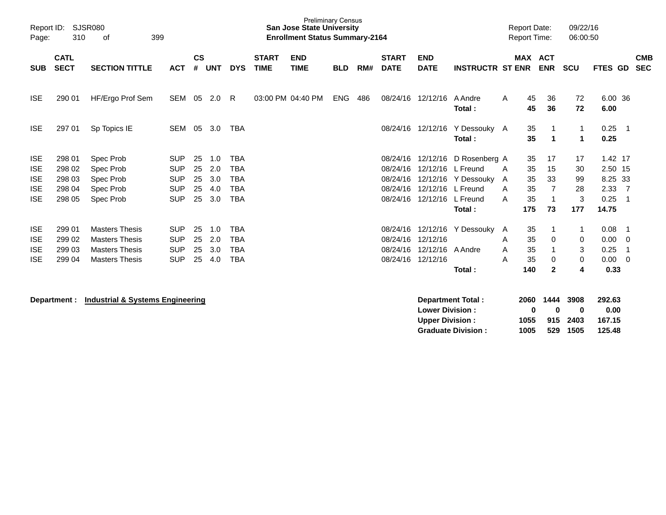| Report ID:<br>Page: | SJSR080<br>310             |                       |            |                    |            |            | <b>Preliminary Census</b><br><b>San Jose State University</b><br><b>Enrollment Status Summary-2164</b> |                           |            |     |                             |                           |                         | <b>Report Date:</b><br><b>Report Time:</b> |          | 09/22/16<br>06:00:50       |             |                 |                |                          |
|---------------------|----------------------------|-----------------------|------------|--------------------|------------|------------|--------------------------------------------------------------------------------------------------------|---------------------------|------------|-----|-----------------------------|---------------------------|-------------------------|--------------------------------------------|----------|----------------------------|-------------|-----------------|----------------|--------------------------|
| <b>SUB</b>          | <b>CATL</b><br><b>SECT</b> | <b>SECTION TITTLE</b> | <b>ACT</b> | $\mathsf{cs}$<br># | <b>UNT</b> | <b>DYS</b> | <b>START</b><br><b>TIME</b>                                                                            | <b>END</b><br><b>TIME</b> | <b>BLD</b> | RM# | <b>START</b><br><b>DATE</b> | <b>END</b><br><b>DATE</b> | <b>INSTRUCTR ST ENR</b> |                                            |          | MAX ACT<br><b>ENR</b>      | <b>SCU</b>  | <b>FTES GD</b>  |                | <b>CMB</b><br><b>SEC</b> |
| <b>ISE</b>          | 290 01                     | HF/Ergo Prof Sem      | SEM 05     |                    | 2.0        | R.         |                                                                                                        | 03:00 PM 04:40 PM         | <b>ENG</b> | 486 | 08/24/16                    | 12/12/16                  | A Andre<br>Total:       | A                                          | 45<br>45 | 36<br>36                   | 72<br>72    | 6.00 36<br>6.00 |                |                          |
| <b>ISE</b>          | 297 01                     | Sp Topics IE          | <b>SEM</b> | 05                 | 3.0        | <b>TBA</b> |                                                                                                        |                           |            |     | 08/24/16                    | 12/12/16                  | Y Dessouky A<br>Total:  |                                            | 35<br>35 | -1<br>$\blacktriangleleft$ | 1<br>1      | 0.25<br>0.25    | $\overline{1}$ |                          |
| <b>ISE</b>          | 298 01                     | Spec Prob             | <b>SUP</b> | 25                 | 1.0        | <b>TBA</b> |                                                                                                        |                           |            |     | 08/24/16                    | 12/12/16                  | D Rosenberg A           |                                            | 35       | 17                         | 17          | 1.42 17         |                |                          |
| <b>ISE</b>          | 298 02                     | Spec Prob             | <b>SUP</b> | 25                 | 2.0        | <b>TBA</b> |                                                                                                        |                           |            |     | 08/24/16                    |                           | 12/12/16 L Freund       | A                                          | 35       | 15                         | 30          | 2.50 15         |                |                          |
| <b>ISE</b>          | 298 03                     | Spec Prob             | <b>SUP</b> | 25                 | 3.0        | <b>TBA</b> |                                                                                                        |                           |            |     | 08/24/16                    |                           | 12/12/16 Y Dessouky A   |                                            | 35       | 33                         | 99          | 8.25 33         |                |                          |
| <b>ISE</b>          | 298 04                     | Spec Prob             | <b>SUP</b> | 25                 | 4.0        | TBA        |                                                                                                        |                           |            |     | 08/24/16                    |                           | 12/12/16 L Freund       | A                                          | 35       | $\overline{7}$             | 28          | 2.33            | $\overline{7}$ |                          |
| <b>ISE</b>          | 298 05                     | Spec Prob             | <b>SUP</b> | 25                 | 3.0        | <b>TBA</b> |                                                                                                        |                           |            |     | 08/24/16                    | 12/12/16 L Freund         |                         | A                                          | 35       | -1                         | 3           | 0.25            | $\overline{1}$ |                          |
|                     |                            |                       |            |                    |            |            |                                                                                                        |                           |            |     |                             |                           | Total:                  |                                            | 175      | 73                         | 177         | 14.75           |                |                          |
| <b>ISE</b>          | 299 01                     | <b>Masters Thesis</b> | <b>SUP</b> | 25                 | 1.0        | <b>TBA</b> |                                                                                                        |                           |            |     | 08/24/16                    | 12/12/16                  | Y Dessouky              | A                                          | 35       |                            | 1           | 0.08            | - 1            |                          |
| <b>ISE</b>          | 299 02                     | <b>Masters Thesis</b> | <b>SUP</b> | 25                 | 2.0        | <b>TBA</b> |                                                                                                        |                           |            |     | 08/24/16                    | 12/12/16                  |                         | A                                          | 35       | 0                          | $\mathbf 0$ | 0.00            | - 0            |                          |
| <b>ISE</b>          | 299 03                     | <b>Masters Thesis</b> | <b>SUP</b> | 25                 | 3.0        | <b>TBA</b> |                                                                                                        |                           |            |     | 08/24/16                    | 12/12/16                  | A Andre                 | A                                          | 35       | $\mathbf 1$                | 3           | 0.25            | -1             |                          |
| <b>ISE</b>          | 299 04                     | <b>Masters Thesis</b> | <b>SUP</b> | 25                 | 4.0        | TBA        |                                                                                                        |                           |            |     | 08/24/16                    | 12/12/16                  |                         | A                                          | 35       | 0                          | $\mathbf 0$ | 0.00            | - 0            |                          |
|                     |                            |                       |            |                    |            |            |                                                                                                        |                           |            |     |                             |                           | Total:                  |                                            | 140      | $\mathbf{2}$               | 4           | 0.33            |                |                          |
|                     |                            |                       |            |                    |            |            |                                                                                                        |                           |            |     |                             |                           |                         |                                            |          |                            |             |                 |                |                          |

**Department : Industrial & Systems Engineering** 

| <b>Department Total:</b>  | 2060 | 1444 3908 |          | 292.63 |
|---------------------------|------|-----------|----------|--------|
| <b>Lower Division:</b>    | n    | n         | 0        | 0.00   |
| <b>Upper Division:</b>    | 1055 |           | 915 2403 | 167.15 |
| <b>Graduate Division:</b> | 1005 |           | 529 1505 | 125.48 |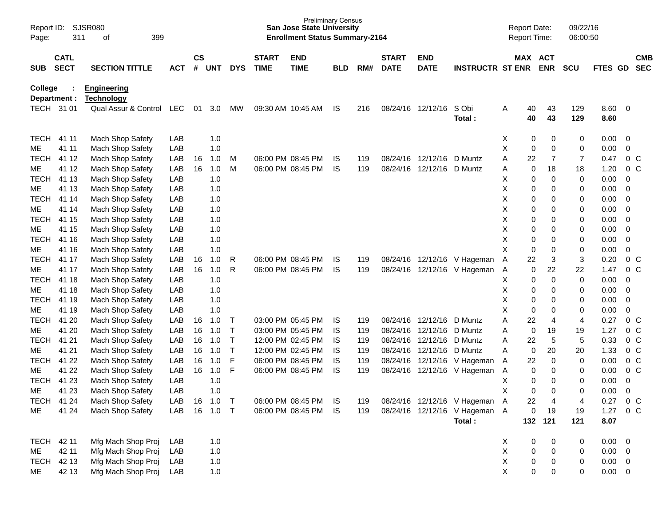| Page:          | SJSR080<br>Report ID:<br>311<br>399<br>οf |                                         |            |                    |            |              |                             | <b>Preliminary Census</b><br><b>San Jose State University</b><br><b>Enrollment Status Summary-2164</b> |            |     |                             |                           |                               |   | <b>Report Date:</b><br>Report Time: |                       | 09/22/16<br>06:00:50 |              |                          |                          |
|----------------|-------------------------------------------|-----------------------------------------|------------|--------------------|------------|--------------|-----------------------------|--------------------------------------------------------------------------------------------------------|------------|-----|-----------------------------|---------------------------|-------------------------------|---|-------------------------------------|-----------------------|----------------------|--------------|--------------------------|--------------------------|
| <b>SUB</b>     | <b>CATL</b><br><b>SECT</b>                | <b>SECTION TITTLE</b>                   | <b>ACT</b> | $\mathsf{cs}$<br># | UNT        | <b>DYS</b>   | <b>START</b><br><b>TIME</b> | <b>END</b><br><b>TIME</b>                                                                              | <b>BLD</b> | RM# | <b>START</b><br><b>DATE</b> | <b>END</b><br><b>DATE</b> | <b>INSTRUCTR ST ENR</b>       |   |                                     | MAX ACT<br><b>ENR</b> | <b>SCU</b>           | FTES GD      |                          | <b>CMB</b><br><b>SEC</b> |
| <b>College</b> | Department :                              | <b>Engineering</b><br><b>Technology</b> |            |                    |            |              |                             |                                                                                                        |            |     |                             |                           |                               |   |                                     |                       |                      |              |                          |                          |
|                | TECH 31 01                                | Qual Assur & Control                    | LEC        | 01                 | 3.0        | МW           |                             | 09:30 AM 10:45 AM                                                                                      | IS         | 216 | 08/24/16                    | 12/12/16                  | S Obi<br>Total:               | Α | 40<br>40                            | 43<br>43              | 129<br>129           | 8.60<br>8.60 | $\overline{\phantom{0}}$ |                          |
| <b>TECH</b>    | 41 11                                     | Mach Shop Safety                        | LAB        |                    | 1.0        |              |                             |                                                                                                        |            |     |                             |                           |                               | х | 0                                   | 0                     | 0                    | 0.00         | 0                        |                          |
| ME             | 41 11                                     | Mach Shop Safety                        | LAB        |                    | 1.0        |              |                             |                                                                                                        |            |     |                             |                           |                               | X | 0                                   | $\mathbf 0$           | 0                    | 0.00         | $\mathbf 0$              |                          |
| <b>TECH</b>    | 41 12                                     | Mach Shop Safety                        | LAB        | 16                 | 1.0        | M            |                             | 06:00 PM 08:45 PM                                                                                      | IS         | 119 | 08/24/16                    | 12/12/16                  | D Muntz                       | Α | 22                                  | $\overline{7}$        | $\overline{7}$       | 0.47         | $0\,C$                   |                          |
| ME             | 41 12                                     | Mach Shop Safety                        | LAB        | 16                 | 1.0        | M            |                             | 06:00 PM 08:45 PM                                                                                      | IS         | 119 | 08/24/16                    | 12/12/16                  | D Muntz                       | Α | 0                                   | 18                    | 18                   | 1.20         | 0 <sup>o</sup>           |                          |
| <b>TECH</b>    | 41 13                                     | Mach Shop Safety                        | LAB        |                    | 1.0        |              |                             |                                                                                                        |            |     |                             |                           |                               | Χ | 0                                   | $\mathbf 0$           | 0                    | 0.00         | $\overline{0}$           |                          |
| ME             | 41 13                                     | Mach Shop Safety                        | LAB        |                    | 1.0        |              |                             |                                                                                                        |            |     |                             |                           |                               | Χ | 0                                   | 0                     | 0                    | 0.00         | $\overline{0}$           |                          |
| <b>TECH</b>    | 41 14                                     | Mach Shop Safety                        | LAB        |                    | 1.0        |              |                             |                                                                                                        |            |     |                             |                           |                               | Χ | 0                                   | 0                     | 0                    | 0.00         | $\mathbf 0$              |                          |
| ME             | 41 14                                     | Mach Shop Safety                        | LAB        |                    | 1.0        |              |                             |                                                                                                        |            |     |                             |                           |                               | Χ | 0                                   | $\mathbf 0$           | 0                    | 0.00         | $\mathbf 0$              |                          |
| <b>TECH</b>    | 41 15                                     | Mach Shop Safety                        | LAB        |                    | 1.0        |              |                             |                                                                                                        |            |     |                             |                           |                               | Χ | 0                                   | 0                     | 0                    | 0.00         | $\mathbf 0$              |                          |
| ME             | 41 15                                     | Mach Shop Safety                        | LAB        |                    | 1.0        |              |                             |                                                                                                        |            |     |                             |                           |                               | Χ | 0                                   | 0                     | 0                    | 0.00         | $\mathbf 0$              |                          |
| <b>TECH</b>    | 41 16                                     | Mach Shop Safety                        | LAB        |                    | 1.0        |              |                             |                                                                                                        |            |     |                             |                           |                               | X | 0                                   | $\mathbf 0$           | 0                    | 0.00         | $\mathbf 0$              |                          |
| ME             | 41 16                                     | Mach Shop Safety                        | LAB        |                    | 1.0        |              |                             |                                                                                                        |            |     |                             |                           |                               | X | 0                                   | $\mathbf 0$           | 0                    | 0.00         | $\mathbf 0$              |                          |
| <b>TECH</b>    | 41 17                                     | Mach Shop Safety                        | LAB        | 16                 | 1.0        | R            |                             | 06:00 PM 08:45 PM                                                                                      | IS         | 119 | 08/24/16                    |                           | 12/12/16 V Hageman            | A | 22                                  | 3                     | 3                    | 0.20         | 0 <sup>o</sup>           |                          |
| ME             | 41 17                                     | Mach Shop Safety                        | LAB        | 16                 | 1.0        | R            |                             | 06:00 PM 08:45 PM                                                                                      | IS         | 119 | 08/24/16                    |                           | 12/12/16 V Hageman            | Α | 0                                   | 22                    | 22                   | 1.47         | 0 <sup>o</sup>           |                          |
| <b>TECH</b>    | 41 18                                     | Mach Shop Safety                        | LAB        |                    | 1.0        |              |                             |                                                                                                        |            |     |                             |                           |                               | Χ | 0                                   | $\mathbf 0$           | 0                    | 0.00         | $\overline{0}$           |                          |
| ME             | 41 18                                     | Mach Shop Safety                        | LAB        |                    | 1.0        |              |                             |                                                                                                        |            |     |                             |                           |                               | Χ | 0                                   | 0                     | 0                    | 0.00         | $\overline{0}$           |                          |
| <b>TECH</b>    | 41 19                                     | Mach Shop Safety                        | LAB        |                    | 1.0        |              |                             |                                                                                                        |            |     |                             |                           |                               | Χ | 0                                   | 0                     | 0                    | 0.00         | $\mathbf 0$              |                          |
| ME             | 41 19                                     | Mach Shop Safety                        | LAB        |                    | 1.0        |              |                             |                                                                                                        |            |     |                             |                           |                               | X | 0                                   | $\mathbf 0$           | 0                    | 0.00         | 0                        |                          |
| <b>TECH</b>    | 41 20                                     | Mach Shop Safety                        | LAB        | 16                 | 1.0        | T            |                             | 03:00 PM 05:45 PM                                                                                      | IS         | 119 | 08/24/16                    | 12/12/16                  | D Muntz                       | Α | 22                                  | $\overline{4}$        | 4                    | 0.27         | $0\,C$                   |                          |
| ME             | 41 20                                     | Mach Shop Safety                        | LAB        | 16                 | 1.0        | $\mathsf T$  |                             | 03:00 PM 05:45 PM                                                                                      | <b>IS</b>  | 119 | 08/24/16                    | 12/12/16                  | D Muntz                       | Α | 0                                   | 19                    | 19                   | 1.27         | 0 <sub>c</sub>           |                          |
| <b>TECH</b>    | 41 21                                     | Mach Shop Safety                        | LAB        | 16                 | 1.0        | $\mathsf T$  |                             | 12:00 PM 02:45 PM                                                                                      | IS         | 119 | 08/24/16                    | 12/12/16                  | D Muntz                       | Α | 22                                  | 5                     | 5                    | 0.33         | 0 <sup>o</sup>           |                          |
| ME             | 41 21                                     | Mach Shop Safety                        | LAB        | 16                 | 1.0        | $\mathsf{T}$ |                             | 12:00 PM 02:45 PM                                                                                      | IS         | 119 | 08/24/16                    | 12/12/16                  | D Muntz                       | A | 0                                   | 20                    | 20                   | 1.33         | 0 <sup>o</sup>           |                          |
| <b>TECH</b>    | 41 22                                     | Mach Shop Safety                        | LAB        | 16                 | 1.0        | F            |                             | 06:00 PM 08:45 PM                                                                                      | <b>IS</b>  | 119 | 08/24/16                    |                           | 12/12/16 V Hageman            | A | 22                                  | $\mathbf 0$           | 0                    | 0.00         | $0\,C$                   |                          |
| ME             | 41 22                                     | Mach Shop Safety                        | LAB        | 16                 | 1.0        | F            |                             | 06:00 PM 08:45 PM                                                                                      | IS         | 119 | 08/24/16                    |                           | 12/12/16 V Hageman            | Α | 0                                   | 0                     | 0                    | 0.00         | 0 <sup>o</sup>           |                          |
| <b>TECH</b>    | 41 23                                     | Mach Shop Safety                        | LAB        |                    | 1.0        |              |                             |                                                                                                        |            |     |                             |                           |                               | Χ | 0                                   | 0                     | 0                    | 0.00         | 0                        |                          |
| ME             | 41 23                                     | Mach Shop Safety                        | LAB        |                    | 1.0        |              |                             |                                                                                                        |            |     |                             |                           |                               | X | 0                                   | $\mathbf 0$           | 0                    | 0.00         | $\mathbf 0$              |                          |
|                | TECH 41 24                                | Mach Shop Safety                        | LAB        | 16                 | 1.0        | $\top$       |                             | 06:00 PM 08:45 PM                                                                                      | IS.        | 119 |                             |                           | 08/24/16 12/12/16 V Hageman A |   | 22                                  | 4                     | 4                    | 0.27         | $0\,C$                   |                          |
| ME             | 41 24                                     | Mach Shop Safety                        | LAB        |                    | 16  1.0  T |              |                             | 06:00 PM 08:45 PM                                                                                      | IS.        | 119 |                             |                           | 08/24/16 12/12/16 V Hageman A |   | 0                                   | 19                    | 19                   | 1.27         | $0\,$ C                  |                          |
|                |                                           |                                         |            |                    |            |              |                             |                                                                                                        |            |     |                             |                           | Total:                        |   | 132                                 | 121                   | 121                  | 8.07         |                          |                          |
| <b>TECH</b>    | 42 11                                     | Mfg Mach Shop Proj                      | LAB        |                    | 1.0        |              |                             |                                                                                                        |            |     |                             |                           |                               | X | 0                                   | $\boldsymbol{0}$      | 0                    | 0.00         | $\overline{\phantom{0}}$ |                          |
| ME             | 42 11                                     | Mfg Mach Shop Proj                      | LAB        |                    | 1.0        |              |                             |                                                                                                        |            |     |                             |                           |                               | Χ | 0                                   | $\pmb{0}$             | 0                    | $0.00 \t 0$  |                          |                          |
| <b>TECH</b>    | 42 13                                     | Mfg Mach Shop Proj                      | LAB        |                    | 1.0        |              |                             |                                                                                                        |            |     |                             |                           |                               | Χ | $\pmb{0}$                           | $\boldsymbol{0}$      | 0                    | 0.00         | $\overline{\phantom{0}}$ |                          |
| ME             | 42 13                                     | Mfg Mach Shop Proj                      | LAB        |                    | 1.0        |              |                             |                                                                                                        |            |     |                             |                           |                               | X | 0                                   | 0                     | 0                    | $0.00 \t 0$  |                          |                          |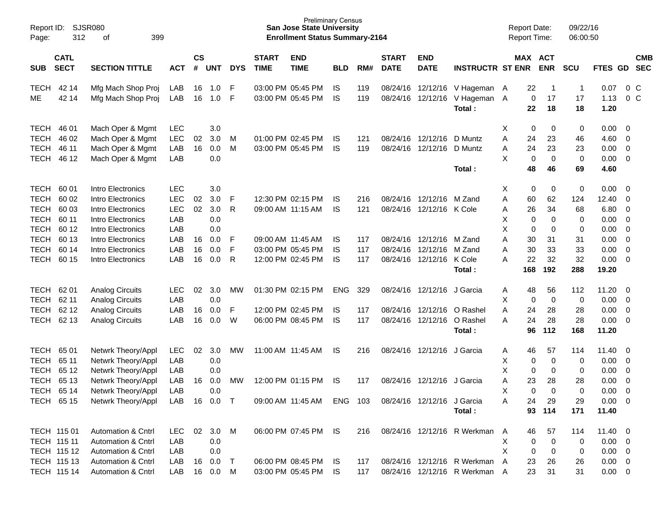| Page:             | SJSR080<br>Report ID:<br>312<br>399<br>οf                         |                                          |            |                |            |            |                             | <b>Preliminary Census</b><br><b>San Jose State University</b><br><b>Enrollment Status Summary-2164</b> |                 |            |                             |                            |                               |                | <b>Report Date:</b><br>Report Time: |                       | 09/22/16<br>06:00:50 |               |             |                          |
|-------------------|-------------------------------------------------------------------|------------------------------------------|------------|----------------|------------|------------|-----------------------------|--------------------------------------------------------------------------------------------------------|-----------------|------------|-----------------------------|----------------------------|-------------------------------|----------------|-------------------------------------|-----------------------|----------------------|---------------|-------------|--------------------------|
| <b>SUB</b>        | <b>CATL</b><br><b>SECT</b><br><b>SECTION TITTLE</b><br><b>ACT</b> |                                          |            | <b>CS</b><br># | <b>UNT</b> | <b>DYS</b> | <b>START</b><br><b>TIME</b> | <b>END</b><br><b>TIME</b>                                                                              | <b>BLD</b>      | RM#        | <b>START</b><br><b>DATE</b> | <b>END</b><br><b>DATE</b>  | <b>INSTRUCTR ST ENR</b>       |                |                                     | MAX ACT<br><b>ENR</b> | <b>SCU</b>           | FTES GD       |             | <b>CMB</b><br><b>SEC</b> |
| <b>TECH</b><br>ME | 42 14<br>42 14                                                    | Mfg Mach Shop Proj<br>Mfg Mach Shop Proj | LAB<br>LAB | 16<br>16       | 1.0<br>1.0 | F<br>F     |                             | 03:00 PM 05:45 PM<br>03:00 PM 05:45 PM                                                                 | IS<br><b>IS</b> | 119<br>119 | 08/24/16<br>08/24/16        | 12/12/16<br>12/12/16       | V Hageman A<br>V Hageman A    |                | 22<br>0                             | -1<br>17              | $\overline{1}$<br>17 | 0.07<br>1.13  | $0\,$ C     | $0\,C$                   |
|                   |                                                                   |                                          |            |                |            |            |                             |                                                                                                        |                 |            |                             |                            | Total:                        |                | 22                                  | 18                    | 18                   | 1.20          |             |                          |
| <b>TECH</b>       | 46 01                                                             | Mach Oper & Mgmt                         | LEC        |                | 3.0        |            |                             |                                                                                                        |                 |            |                             |                            |                               | X              | 0                                   | 0                     | 0                    | 0.00          | 0           |                          |
| <b>TECH</b>       | 46 02                                                             | Mach Oper & Mgmt                         | LEC        | 02             | 3.0        | M          |                             | 01:00 PM 02:45 PM                                                                                      | IS              | 121        | 08/24/16                    | 12/12/16                   | D Muntz                       | Α              | 24                                  | 23                    | 46                   | 4.60          | 0           |                          |
| <b>TECH</b>       | 46 11                                                             | Mach Oper & Mgmt                         | LAB        | 16             | 0.0        | M          |                             | 03:00 PM 05:45 PM                                                                                      | <b>IS</b>       | 119        | 08/24/16                    | 12/12/16                   | D Muntz                       | Α              | 24                                  | 23                    | 23                   | 0.00          | 0           |                          |
| <b>TECH</b>       | 46 12                                                             | Mach Oper & Mgmt                         | LAB        |                | 0.0        |            |                             |                                                                                                        |                 |            |                             |                            | Total:                        | X              | 0<br>48                             | 0<br>46               | 0<br>69              | 0.00<br>4.60  | 0           |                          |
| <b>TECH</b>       | 60 01                                                             | Intro Electronics                        | <b>LEC</b> |                | 3.0        |            |                             |                                                                                                        |                 |            |                             |                            |                               | х              | 0                                   | 0                     | 0                    | 0.00          | 0           |                          |
| <b>TECH</b>       | 60 02                                                             | Intro Electronics                        | LEC        | 02             | 3.0        | F          |                             | 12:30 PM 02:15 PM                                                                                      | IS              | 216        | 08/24/16                    | 12/12/16                   | M Zand                        | Α              | 60                                  | 62                    | 124                  | 12.40         | 0           |                          |
| <b>TECH</b>       | 60 03                                                             | Intro Electronics                        | <b>LEC</b> | 02             | 3.0        | R          |                             | 09:00 AM 11:15 AM                                                                                      | <b>IS</b>       | 121        | 08/24/16                    | 12/12/16 K Cole            |                               | Α              | 26                                  | 34                    | 68                   | 6.80          | 0           |                          |
| <b>TECH</b>       | 60 11                                                             | Intro Electronics                        | LAB        |                | 0.0        |            |                             |                                                                                                        |                 |            |                             |                            |                               | X              | 0                                   | 0                     | 0                    | 0.00          | 0           |                          |
| <b>TECH</b>       | 60 12                                                             | Intro Electronics                        | LAB        |                | 0.0        |            |                             |                                                                                                        |                 |            |                             |                            |                               | X              | 0                                   | 0                     | 0                    | 0.00          | 0           |                          |
| <b>TECH</b>       | 60 13                                                             | Intro Electronics                        | LAB        | 16             | 0.0        | F          |                             | 09:00 AM 11:45 AM                                                                                      | IS              | 117        | 08/24/16                    | 12/12/16                   | M Zand                        | Α              | 30                                  | 31                    | 31                   | 0.00          | 0           |                          |
| <b>TECH</b>       | 60 14                                                             | Intro Electronics                        | LAB        | 16             | 0.0        | F          |                             | 03:00 PM 05:45 PM                                                                                      | IS              | 117        | 08/24/16                    | 12/12/16                   | M Zand                        | Α              | 30                                  | 33                    | 33                   | 0.00          | 0           |                          |
| <b>TECH</b>       | 60 15                                                             | Intro Electronics                        | LAB        | 16             | 0.0        | R          |                             | 12:00 PM 02:45 PM                                                                                      | IS              | 117        | 08/24/16                    | 12/12/16                   | K Cole<br>Total:              | A              | 22<br>168                           | 32<br>192             | 32<br>288            | 0.00<br>19.20 | 0           |                          |
|                   |                                                                   |                                          |            |                |            |            |                             |                                                                                                        |                 |            |                             |                            |                               |                |                                     |                       |                      |               |             |                          |
| <b>TECH</b>       | 62 01                                                             | <b>Analog Circuits</b>                   | LEC        | 02             | 3.0        | МW         |                             | 01:30 PM 02:15 PM                                                                                      | <b>ENG</b>      | 329        | 08/24/16                    | 12/12/16                   | J Garcia                      | A              | 48                                  | 56                    | 112                  | 11.20         | 0           |                          |
| <b>TECH</b>       | 62 11                                                             | <b>Analog Circuits</b>                   | LAB        |                | 0.0        |            |                             |                                                                                                        |                 |            |                             |                            |                               | X              | 0                                   | 0                     | 0                    | 0.00          | $\mathbf 0$ |                          |
| <b>TECH</b>       | 62 12                                                             | <b>Analog Circuits</b>                   | LAB        | 16             | 0.0        | F          |                             | 12:00 PM 02:45 PM                                                                                      | IS              | 117        | 08/24/16                    | 12/12/16                   | O Rashel                      | Α              | 24                                  | 28                    | 28                   | 0.00          | 0           |                          |
| <b>TECH</b>       | 62 13                                                             | <b>Analog Circuits</b>                   | LAB        | 16             | 0.0        | W          |                             | 06:00 PM 08:45 PM                                                                                      | <b>IS</b>       | 117        | 08/24/16                    | 12/12/16                   | O Rashel                      | Α              | 24                                  | 28                    | 28                   | 0.00          | 0           |                          |
|                   |                                                                   |                                          |            |                |            |            |                             |                                                                                                        |                 |            |                             |                            | Total:                        |                | 96                                  | 112                   | 168                  | 11.20         |             |                          |
| <b>TECH</b>       | 65 01                                                             | Netwrk Theory/Appl                       | LEC        | 02             | 3.0        | МW         |                             | 11:00 AM 11:45 AM                                                                                      | IS              | 216        | 08/24/16                    | 12/12/16                   | J Garcia                      | Α              | 46                                  | 57                    | 114                  | 11.40         | 0           |                          |
| <b>TECH</b>       | 65 11                                                             | Netwrk Theory/Appl                       | LAB        |                | 0.0        |            |                             |                                                                                                        |                 |            |                             |                            |                               | Χ              | 0                                   | 0                     | 0                    | 0.00          | 0           |                          |
| <b>TECH</b>       | 65 12                                                             | Netwrk Theory/Appl                       | LAB        |                | 0.0        |            |                             |                                                                                                        |                 |            |                             |                            |                               | X              | 0                                   | 0                     | 0                    | 0.00          | 0           |                          |
| <b>TECH</b>       | 65 13                                                             | Netwrk Theory/Appl                       | LAB        | 16             | 0.0        | МW         |                             | 12:00 PM 01:15 PM                                                                                      | IS              | 117        | 08/24/16                    | 12/12/16                   | J Garcia                      | Α              | 23                                  | 28                    | 28                   | 0.00          | 0           |                          |
| <b>TECH</b>       | 65 14                                                             | Netwrk Theory/Appl                       | LAB        |                | 0.0        |            |                             |                                                                                                        |                 |            |                             |                            |                               | X              | 0                                   | $\Omega$              | 0                    | 0.00          | 0           |                          |
| <b>TECH 6515</b>  |                                                                   | Netwrk Theory/Appl                       | LAB        |                | 16  0.0  T |            |                             | 09:00 AM 11:45 AM ENG 103                                                                              |                 |            |                             | 08/24/16 12/12/16 J Garcia |                               | Α              | 24                                  | 29                    | 29                   | $0.00 \t 0$   |             |                          |
|                   |                                                                   |                                          |            |                |            |            |                             |                                                                                                        |                 |            |                             |                            | Total:                        |                |                                     | 93 114                | 171                  | 11.40         |             |                          |
|                   | TECH 115 01                                                       | Automation & Cntrl                       | LEC        | 02             | 3.0        | M          |                             | 06:00 PM 07:45 PM IS                                                                                   |                 | 216        |                             |                            | 08/24/16 12/12/16 R Werkman   | $\mathsf{A}$   | 46                                  | 57                    | 114                  | $11.40 \t 0$  |             |                          |
| TECH 115 11       |                                                                   | Automation & Cntrl                       | LAB        |                | 0.0        |            |                             |                                                                                                        |                 |            |                             |                            |                               | X              | 0                                   | 0                     | 0                    | $0.00 \t 0$   |             |                          |
|                   | TECH 115 12                                                       | <b>Automation &amp; Cntrl</b>            | LAB        |                | 0.0        |            |                             |                                                                                                        |                 |            |                             |                            |                               | X              | 0                                   | 0                     | 0                    | $0.00 \t 0$   |             |                          |
|                   | TECH 115 13                                                       | Automation & Cntrl                       | LAB        | 16             | 0.0        | $\top$     |                             | 06:00 PM 08:45 PM                                                                                      | IS              | 117        |                             |                            | 08/24/16 12/12/16 R Werkman   | $\overline{A}$ | 23                                  | 26                    | 26                   | $0.00 \t 0$   |             |                          |
|                   | TECH 115 14                                                       | Automation & Cntrl                       | LAB        | 16             | 0.0        | M          |                             | 03:00 PM 05:45 PM                                                                                      | IS.             | 117        |                             |                            | 08/24/16 12/12/16 R Werkman A |                | 23                                  | 31                    | 31                   | $0.00 \t 0$   |             |                          |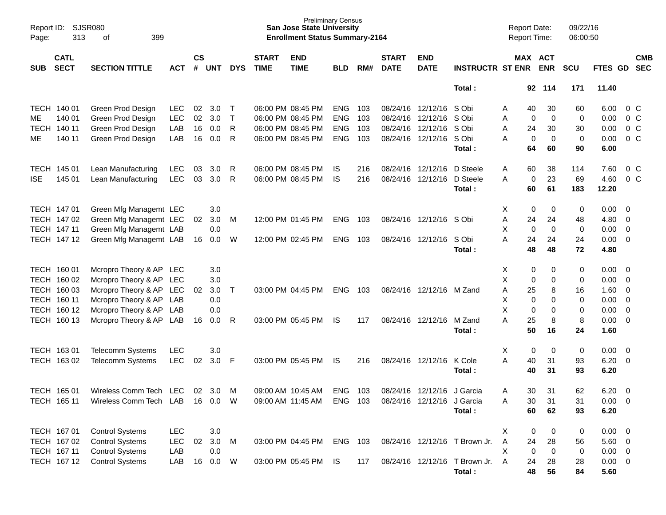| Page:       | <b>SJSR080</b><br>Report ID:<br>313<br>399<br>оf |                         |            |                |            |            |                             | Preliminary Census<br><b>San Jose State University</b><br><b>Enrollment Status Summary-2164</b> |            |     |                             |                           |                               | <b>Report Date:</b><br><b>Report Time:</b> |                       | 09/22/16<br>06:00:50 |             |                          |                          |
|-------------|--------------------------------------------------|-------------------------|------------|----------------|------------|------------|-----------------------------|-------------------------------------------------------------------------------------------------|------------|-----|-----------------------------|---------------------------|-------------------------------|--------------------------------------------|-----------------------|----------------------|-------------|--------------------------|--------------------------|
| <b>SUB</b>  | <b>CATL</b><br><b>SECT</b>                       | <b>SECTION TITTLE</b>   | <b>ACT</b> | <b>CS</b><br># | <b>UNT</b> | <b>DYS</b> | <b>START</b><br><b>TIME</b> | <b>END</b><br><b>TIME</b>                                                                       | <b>BLD</b> | RM# | <b>START</b><br><b>DATE</b> | <b>END</b><br><b>DATE</b> | <b>INSTRUCTR ST ENR</b>       |                                            | MAX ACT<br><b>ENR</b> | <b>SCU</b>           | FTES GD     |                          | <b>CMB</b><br><b>SEC</b> |
|             |                                                  |                         |            |                |            |            |                             |                                                                                                 |            |     |                             |                           | Total:                        |                                            | 92 114                | 171                  | 11.40       |                          |                          |
|             | TECH 140 01                                      | Green Prod Design       | <b>LEC</b> | 02             | 3.0        | Т          |                             | 06:00 PM 08:45 PM                                                                               | <b>ENG</b> | 103 |                             | 08/24/16 12/12/16         | S Obi                         | 40<br>A                                    | 30                    | 60                   | 6.00        | $0\,$ C                  |                          |
| ME          | 140 01                                           | Green Prod Design       | <b>LEC</b> | 02             | 3.0        | Т          |                             | 06:00 PM 08:45 PM                                                                               | <b>ENG</b> | 103 |                             | 08/24/16 12/12/16         | S Obi                         | Α                                          | 0<br>0                | 0                    | 0.00        | 0 <sup>o</sup>           |                          |
| <b>TECH</b> | 140 11                                           | Green Prod Design       | LAB        | 16             | 0.0        | R          |                             | 06:00 PM 08:45 PM                                                                               | <b>ENG</b> | 103 |                             | 08/24/16 12/12/16         | S Obi                         | 24<br>Α                                    | 30                    | 30                   | 0.00        | 0 <sup>o</sup>           |                          |
| MЕ          | 140 11                                           | Green Prod Design       | LAB        | 16             | 0.0        | R          |                             | 06:00 PM 08:45 PM                                                                               | <b>ENG</b> | 103 |                             | 08/24/16 12/12/16 SObi    |                               | Α                                          | 0<br>0                | 0                    | 0.00        | 0 <sup>o</sup>           |                          |
|             |                                                  |                         |            |                |            |            |                             |                                                                                                 |            |     |                             |                           | Total:                        | 64                                         | 60                    | 90                   | 6.00        |                          |                          |
|             | TECH 145 01                                      | Lean Manufacturing      | <b>LEC</b> | 03             | 3.0        | R          |                             | 06:00 PM 08:45 PM                                                                               | IS         | 216 |                             | 08/24/16 12/12/16         | D Steele                      | 60<br>Α                                    | 38                    | 114                  | 7.60        | $0\,$ C                  |                          |
| <b>ISE</b>  | 145 01                                           | Lean Manufacturing      | <b>LEC</b> | 03             | 3.0        | R          |                             | 06:00 PM 08:45 PM                                                                               | IS         | 216 |                             | 08/24/16 12/12/16         | D Steele                      | A                                          | 0<br>23               | 69                   | 4.60        | 0 <sup>o</sup>           |                          |
|             |                                                  |                         |            |                |            |            |                             |                                                                                                 |            |     |                             |                           | Total:                        | 60                                         | 61                    | 183                  | 12.20       |                          |                          |
|             | TECH 147 01                                      | Green Mfg Managemt LEC  |            |                | 3.0        |            |                             |                                                                                                 |            |     |                             |                           |                               | Х                                          | 0<br>0                | 0                    | 0.00        | $\overline{\mathbf{0}}$  |                          |
|             | TECH 147 02                                      | Green Mfg Managemt LEC  |            | 02             | 3.0        | м          |                             | 12:00 PM 01:45 PM                                                                               | <b>ENG</b> | 103 |                             | 08/24/16 12/12/16         | S Obi                         | Α<br>24                                    | 24                    | 48                   | 4.80        | 0                        |                          |
|             | TECH 147 11                                      | Green Mfg Managemt LAB  |            |                | 0.0        |            |                             |                                                                                                 |            |     |                             |                           |                               | X                                          | 0<br>0                | 0                    | 0.00        | 0                        |                          |
|             | TECH 147 12                                      | Green Mfg Managemt LAB  |            | 16             | 0.0        | W          |                             | 12:00 PM 02:45 PM                                                                               | ENG        | 103 |                             | 08/24/16 12/12/16         | S Obi                         | A<br>24                                    | 24                    | 24                   | 0.00        | $\overline{0}$           |                          |
|             |                                                  |                         |            |                |            |            |                             |                                                                                                 |            |     |                             |                           | Total:                        | 48                                         | 48                    | 72                   | 4.80        |                          |                          |
|             | TECH 160 01                                      | Mcropro Theory & AP LEC |            |                | 3.0        |            |                             |                                                                                                 |            |     |                             |                           |                               | Х                                          | 0<br>0                | 0                    | 0.00        | $\overline{\mathbf{0}}$  |                          |
|             | TECH 160 02                                      | Mcropro Theory & AP     | LEC        |                | 3.0        |            |                             |                                                                                                 |            |     |                             |                           |                               | X                                          | 0<br>0                | 0                    | 0.00        | 0                        |                          |
|             | TECH 160 03                                      | Mcropro Theory & AP     | LEC        | 02             | 3.0        | Т          |                             | 03:00 PM 04:45 PM                                                                               | <b>ENG</b> | 103 |                             | 08/24/16 12/12/16         | M Zand                        | 25<br>Α                                    | 8                     | 16                   | 1.60        | 0                        |                          |
|             | TECH 160 11                                      | Mcropro Theory & AP LAB |            |                | 0.0        |            |                             |                                                                                                 |            |     |                             |                           |                               | X                                          | 0<br>0                | 0                    | 0.00        | $\overline{0}$           |                          |
|             | TECH 160 12                                      | Mcropro Theory & AP     | LAB        |                | 0.0        |            |                             |                                                                                                 |            |     |                             |                           |                               | X                                          | 0<br>0                | 0                    | 0.00        | $\overline{0}$           |                          |
|             | TECH 160 13                                      | Mcropro Theory & AP     | LAB        | 16             | 0.0        | R          |                             | 03:00 PM 05:45 PM                                                                               | IS         | 117 |                             | 08/24/16 12/12/16         | M Zand                        | A<br>25                                    | 8                     | 8                    | 0.00        | $\overline{\mathbf{0}}$  |                          |
|             |                                                  |                         |            |                |            |            |                             |                                                                                                 |            |     |                             |                           | Total:                        | 50                                         | 16                    | 24                   | 1.60        |                          |                          |
|             | TECH 163 01                                      | <b>Telecomm Systems</b> | <b>LEC</b> |                | 3.0        |            |                             |                                                                                                 |            |     |                             |                           |                               | X                                          | 0<br>0                | 0                    | 0.00        | $\overline{\mathbf{0}}$  |                          |
|             | TECH 163 02                                      | <b>Telecomm Systems</b> | <b>LEC</b> | 02             | 3.0        | F          |                             | 03:00 PM 05:45 PM                                                                               | IS.        | 216 |                             | 08/24/16 12/12/16         | K Cole                        | A<br>40                                    | 31                    | 93                   | 6.20        | $\overline{\mathbf{0}}$  |                          |
|             |                                                  |                         |            |                |            |            |                             |                                                                                                 |            |     |                             |                           | Total:                        | 40                                         | 31                    | 93                   | 6.20        |                          |                          |
|             | TECH 165 01                                      | Wireless Comm Tech      | <b>LEC</b> | 02             | 3.0        | M          |                             | 09:00 AM 10:45 AM                                                                               | <b>ENG</b> | 103 |                             | 08/24/16 12/12/16         | J Garcia                      | 30<br>Α                                    | 31                    | 62                   | 6.20        | $\overline{\mathbf{0}}$  |                          |
|             | TECH 165 11                                      | Wireless Comm Tech LAB  |            | 16             | 0.0        | W          |                             | 09:00 AM 11:45 AM                                                                               | ENG 103    |     |                             | 08/24/16 12/12/16         | J Garcia                      | 30<br>Α                                    | 31                    | 31                   | 0.00        | $\overline{\phantom{0}}$ |                          |
|             |                                                  |                         |            |                |            |            |                             |                                                                                                 |            |     |                             |                           | Total:                        | 60                                         | 62                    | 93                   | 6.20        |                          |                          |
|             | TECH 167 01                                      | <b>Control Systems</b>  | <b>LEC</b> |                | 3.0        |            |                             |                                                                                                 |            |     |                             |                           |                               | Χ                                          | 0<br>0                | 0                    | 0.00        | $\overline{\phantom{0}}$ |                          |
|             | TECH 167 02                                      | <b>Control Systems</b>  | <b>LEC</b> | 02             | 3.0        | M          |                             | 03:00 PM 04:45 PM                                                                               | ENG 103    |     |                             |                           | 08/24/16 12/12/16 T Brown Jr. | 24<br>Α                                    | 28                    | 56                   | 5.60 0      |                          |                          |
|             | TECH 167 11                                      | <b>Control Systems</b>  | LAB        |                | 0.0        |            |                             |                                                                                                 |            |     |                             |                           |                               | X                                          | 0<br>$\mathbf 0$      | 0                    | $0.00 \t 0$ |                          |                          |
|             | TECH 167 12                                      | <b>Control Systems</b>  | LAB        | 16             | 0.0        | W          |                             | 03:00 PM 05:45 PM                                                                               | IS         | 117 |                             |                           | 08/24/16 12/12/16 T Brown Jr. | 24<br>A                                    | 28                    | 28                   | $0.00 \t 0$ |                          |                          |
|             |                                                  |                         |            |                |            |            |                             |                                                                                                 |            |     |                             |                           | Total:                        | 48                                         | 56                    | 84                   | 5.60        |                          |                          |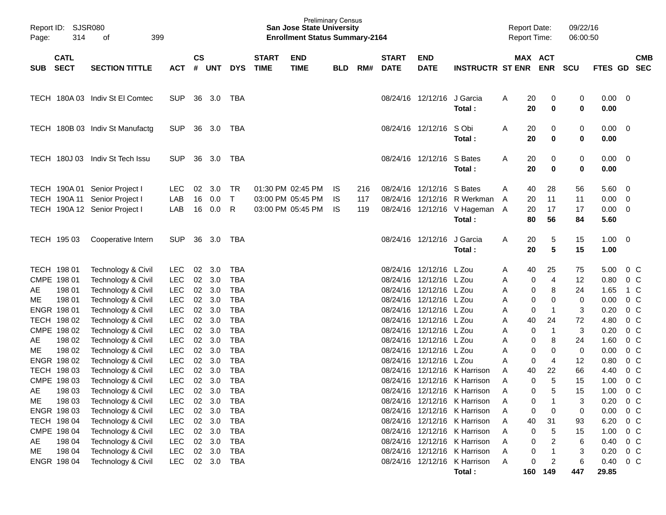| Page:    | Report ID: SJSR080<br>314<br>399<br>of |                                                                                                 |                          |               |                      |                                |                             | <b>Preliminary Census</b><br><b>San Jose State University</b><br><b>Enrollment Status Summary-2164</b> |                   |                   |                             |                            |                                                                        | <b>Report Date:</b><br><b>Report Time:</b> |                      |                                | 09/22/16<br>06:00:50 |                              |                                                                                |                          |
|----------|----------------------------------------|-------------------------------------------------------------------------------------------------|--------------------------|---------------|----------------------|--------------------------------|-----------------------------|--------------------------------------------------------------------------------------------------------|-------------------|-------------------|-----------------------------|----------------------------|------------------------------------------------------------------------|--------------------------------------------|----------------------|--------------------------------|----------------------|------------------------------|--------------------------------------------------------------------------------|--------------------------|
| SUB      | <b>CATL</b><br><b>SECT</b>             | <b>SECTION TITTLE</b>                                                                           | <b>ACT</b>               | $\mathsf{cs}$ | # UNT                | <b>DYS</b>                     | <b>START</b><br><b>TIME</b> | <b>END</b><br><b>TIME</b>                                                                              | <b>BLD</b>        | RM#               | <b>START</b><br><b>DATE</b> | <b>END</b><br><b>DATE</b>  | <b>INSTRUCTR ST ENR</b>                                                |                                            |                      | MAX ACT<br><b>ENR</b>          | <b>SCU</b>           | <b>FTES GD</b>               |                                                                                | <b>CMB</b><br><b>SEC</b> |
|          |                                        | TECH 180A 03 Indiv St El Comtec                                                                 | <b>SUP</b>               |               | 36 3.0               | TBA                            |                             |                                                                                                        |                   |                   |                             | 08/24/16 12/12/16 J Garcia | Total:                                                                 | Α                                          | 20<br>20             | 0<br>$\bf{0}$                  | 0<br>0               | $0.00 \quad 0$<br>0.00       |                                                                                |                          |
|          |                                        | TECH 180B 03 Indiv St Manufactg                                                                 | <b>SUP</b>               |               | 36 3.0               | TBA                            |                             |                                                                                                        |                   |                   |                             | 08/24/16 12/12/16          | S Obi<br>Total:                                                        | Α                                          | 20<br>20             | 0<br>$\bf{0}$                  | 0<br>0               | 0.00<br>0.00                 | $\overline{\phantom{0}}$                                                       |                          |
|          |                                        | TECH 180J 03 Indiv St Tech Issu                                                                 | <b>SUP</b>               | 36            | 3.0                  | TBA                            |                             |                                                                                                        |                   |                   |                             | 08/24/16 12/12/16          | S Bates<br>Total:                                                      | A                                          | 20<br>20             | 0<br>$\bf{0}$                  | 0<br>0               | 0.00<br>0.00                 | $\overline{\phantom{0}}$                                                       |                          |
|          |                                        | TECH 190A 01 Senior Project I<br>TECH 190A 11 Senior Project I<br>TECH 190A 12 Senior Project I | <b>LEC</b><br>LAB<br>LAB | 02<br>16      | 3.0<br>0.0<br>16 0.0 | <b>TR</b><br>$\mathsf{T}$<br>R |                             | 01:30 PM 02:45 PM<br>03:00 PM 05:45 PM<br>03:00 PM 05:45 PM                                            | IS.<br>IS.<br>IS. | 216<br>117<br>119 |                             | 08/24/16 12/12/16 S Bates  | 08/24/16 12/12/16 R Werkman<br>08/24/16 12/12/16 V Hageman A<br>Total: | A<br>A                                     | 40<br>20<br>20<br>80 | 28<br>11<br>17<br>56           | 56<br>11<br>17<br>84 | 5.60<br>0.00<br>0.00<br>5.60 | $\overline{\mathbf{0}}$<br>$\overline{\mathbf{0}}$<br>$\overline{\phantom{0}}$ |                          |
|          | TECH 195 03                            | Cooperative Intern                                                                              | <b>SUP</b>               | 36            | 3.0                  | TBA                            |                             |                                                                                                        |                   |                   |                             | 08/24/16 12/12/16          | J Garcia<br>Total:                                                     | Α                                          | 20<br>20             | 5<br>5                         | 15<br>15             | $1.00 \ 0$<br>1.00           |                                                                                |                          |
|          | TECH 198 01                            | Technology & Civil                                                                              | LEC.                     | 02            | 3.0                  | <b>TBA</b>                     |                             |                                                                                                        |                   |                   |                             | 08/24/16 12/12/16 L Zou    |                                                                        | A                                          | 40                   | 25                             | 75                   | 5.00                         | 0 <sup>o</sup>                                                                 |                          |
|          | CMPE 198 01                            | Technology & Civil                                                                              | LEC                      | 02            | 3.0                  | <b>TBA</b>                     |                             |                                                                                                        |                   |                   |                             | 08/24/16 12/12/16 L Zou    |                                                                        | Α                                          | 0                    | $\overline{4}$                 | 12                   | 0.80                         | 0 <sup>o</sup>                                                                 |                          |
| AE       | 198 01                                 | Technology & Civil                                                                              | <b>LEC</b>               | 02            | 3.0                  | <b>TBA</b>                     |                             |                                                                                                        |                   |                   |                             | 08/24/16 12/12/16 L Zou    |                                                                        | Α                                          | 0                    | 8                              | 24                   | 1.65                         | 1 C                                                                            |                          |
| ME       | 198 01                                 | Technology & Civil                                                                              | <b>LEC</b>               | 02            | 3.0                  | <b>TBA</b>                     |                             |                                                                                                        |                   |                   |                             | 08/24/16 12/12/16 L Zou    |                                                                        | Α                                          | 0                    | 0                              | 0                    | 0.00                         | 0 <sup>o</sup>                                                                 |                          |
|          | ENGR 198 01                            | Technology & Civil                                                                              | <b>LEC</b>               | 02            | 3.0                  | <b>TBA</b>                     |                             |                                                                                                        |                   |                   |                             | 08/24/16 12/12/16 L Zou    |                                                                        | A                                          | $\mathbf 0$          | $\mathbf{1}$                   | 3                    | 0.20                         | 0 <sup>o</sup>                                                                 |                          |
|          | TECH 198 02                            | Technology & Civil                                                                              | <b>LEC</b>               | 02            | 3.0                  | <b>TBA</b>                     |                             |                                                                                                        |                   |                   |                             | 08/24/16 12/12/16 L Zou    |                                                                        | Α                                          | 40                   | 24                             | 72                   | 4.80                         | 0 <sup>o</sup>                                                                 |                          |
|          | CMPE 198 02                            | Technology & Civil                                                                              | <b>LEC</b>               | 02            | 3.0                  | <b>TBA</b>                     |                             |                                                                                                        |                   |                   |                             | 08/24/16 12/12/16 L Zou    |                                                                        | Α                                          | 0                    | $\overline{1}$                 | 3                    | 0.20                         | 0 <sup>o</sup>                                                                 |                          |
| AE       | 198 02                                 | Technology & Civil                                                                              | <b>LEC</b>               | 02            | 3.0                  | <b>TBA</b>                     |                             |                                                                                                        |                   |                   |                             | 08/24/16 12/12/16 L Zou    |                                                                        | Α                                          | 0                    | 8                              | 24                   | 1.60                         | 0 <sup>o</sup>                                                                 |                          |
| МE       | 198 02                                 | Technology & Civil                                                                              | <b>LEC</b>               |               | 02 3.0               | <b>TBA</b>                     |                             |                                                                                                        |                   |                   |                             | 08/24/16 12/12/16 L Zou    |                                                                        | Α                                          | 0                    | 0                              | 0                    | 0.00                         | 0 <sup>o</sup>                                                                 |                          |
|          | ENGR 198 02                            | Technology & Civil                                                                              | <b>LEC</b>               | 02            | 3.0                  | <b>TBA</b>                     |                             |                                                                                                        |                   |                   |                             | 08/24/16 12/12/16 L Zou    |                                                                        | A                                          | 0                    | 4                              | 12                   | 0.80                         | 0 <sup>o</sup>                                                                 |                          |
|          | TECH 198 03                            | Technology & Civil                                                                              | <b>LEC</b>               | 02            | 3.0                  | <b>TBA</b>                     |                             |                                                                                                        |                   |                   |                             |                            | 08/24/16 12/12/16 K Harrison                                           | A                                          | 40                   | 22                             | 66                   | 4.40                         | 0 <sup>o</sup>                                                                 |                          |
|          | CMPE 198 03                            | Technology & Civil                                                                              | <b>LEC</b>               | 02            | 3.0                  | <b>TBA</b>                     |                             |                                                                                                        |                   |                   |                             |                            | 08/24/16 12/12/16 K Harrison                                           | A                                          | 0                    | 5                              | 15                   | 1.00                         | 0 <sup>C</sup>                                                                 |                          |
| AE       | 198 03                                 | Technology & Civil                                                                              | <b>LEC</b>               |               | 02 3.0               | <b>TBA</b>                     |                             |                                                                                                        |                   |                   |                             |                            | 08/24/16 12/12/16 K Harrison                                           | A                                          | 0                    | 5                              | 15                   | 1.00                         | 0 <sup>o</sup>                                                                 |                          |
| ME       | 198 03                                 | Technology & Civil                                                                              | <b>LEC</b>               | 02            | 3.0                  | <b>TBA</b>                     |                             |                                                                                                        |                   |                   |                             |                            | 08/24/16 12/12/16 K Harrison                                           | A                                          | 0                    | -1                             | 3                    | 0.20                         | 0 <sub>C</sub>                                                                 |                          |
|          | ENGR 198 03                            | Technology & Civil                                                                              | <b>LEC</b>               |               | 02 3.0               | <b>TBA</b>                     |                             |                                                                                                        |                   |                   |                             |                            | 08/24/16 12/12/16 K Harrison                                           | Α                                          | 0                    | 0                              | 0                    | 0.00                         | 0 <sup>o</sup>                                                                 |                          |
|          | TECH 198 04<br>CMPE 198 04             | Technology & Civil                                                                              | <b>LEC</b><br><b>LEC</b> |               | 02 3.0               | <b>TBA</b><br><b>TBA</b>       |                             |                                                                                                        |                   |                   |                             |                            | 08/24/16 12/12/16 K Harrison<br>08/24/16 12/12/16 K Harrison           | A                                          | 40                   | 31                             | 93                   | 6.20                         | $0\,C$<br>0 <sub>c</sub>                                                       |                          |
|          | 198 04                                 | Technology & Civil<br>Technology & Civil                                                        | <b>LEC</b>               |               | 02 3.0               |                                |                             |                                                                                                        |                   |                   |                             |                            | 08/24/16 12/12/16 K Harrison                                           | A                                          | 0                    | 5                              | 15                   | 1.00                         | $0\,C$                                                                         |                          |
| AE<br>ME | 198 04                                 | Technology & Civil                                                                              | <b>LEC</b>               |               | 02 3.0<br>02 3.0     | TBA<br><b>TBA</b>              |                             |                                                                                                        |                   |                   |                             |                            | 08/24/16 12/12/16 K Harrison                                           | A<br>Α                                     | 0                    | $\overline{c}$<br>$\mathbf{1}$ | 6                    | 0.40                         | 0 <sub>c</sub>                                                                 |                          |
|          | ENGR 198 04                            | Technology & Civil                                                                              | <b>LEC</b>               |               | 02 3.0               | TBA                            |                             |                                                                                                        |                   |                   |                             |                            | 08/24/16 12/12/16 K Harrison                                           | A                                          | 0<br>0               | $\overline{2}$                 | 3<br>6               | 0.20<br>0.40                 | $0\,C$                                                                         |                          |
|          |                                        |                                                                                                 |                          |               |                      |                                |                             |                                                                                                        |                   |                   |                             |                            | Total:                                                                 |                                            |                      | 160 149                        | 447                  | 29.85                        |                                                                                |                          |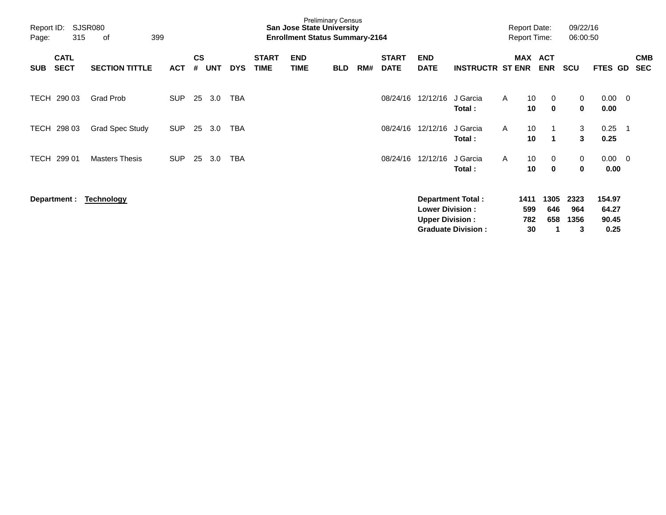| Page:       | Report ID:<br>SJSR080<br>315<br>399<br>οf |                        |            |                             |            |            |                             | <b>San Jose State University</b><br><b>Enrollment Status Summary-2164</b> | <b>Preliminary Census</b> |     |                             |                                                  |                                                       |              | <b>Report Date:</b><br><b>Report Time:</b> |                    | 09/22/16<br>06:00:50     |                                  |                          |                          |
|-------------|-------------------------------------------|------------------------|------------|-----------------------------|------------|------------|-----------------------------|---------------------------------------------------------------------------|---------------------------|-----|-----------------------------|--------------------------------------------------|-------------------------------------------------------|--------------|--------------------------------------------|--------------------|--------------------------|----------------------------------|--------------------------|--------------------------|
| <b>SUB</b>  | <b>CATL</b><br><b>SECT</b>                | <b>SECTION TITTLE</b>  | <b>ACT</b> | $\mathbf{c}\mathbf{s}$<br># | <b>UNT</b> | <b>DYS</b> | <b>START</b><br><b>TIME</b> | <b>END</b><br><b>TIME</b>                                                 | <b>BLD</b>                | RM# | <b>START</b><br><b>DATE</b> | <b>END</b><br><b>DATE</b>                        | <b>INSTRUCTR ST ENR</b>                               |              | MAX ACT                                    | <b>ENR</b>         | <b>SCU</b>               | FTES GD                          |                          | <b>CMB</b><br><b>SEC</b> |
| <b>TECH</b> | 290 03                                    | Grad Prob              | <b>SUP</b> | 25                          | 3.0        | TBA        |                             |                                                                           |                           |     | 08/24/16                    | 12/12/16                                         | J Garcia<br>Total:                                    | $\mathsf{A}$ | 10<br>10                                   | 0<br>$\mathbf 0$   | 0<br>0                   | 0.00<br>0.00                     | $\overline{\mathbf{0}}$  |                          |
| TECH        | 298 03                                    | <b>Grad Spec Study</b> | <b>SUP</b> | 25                          | 3.0        | <b>TBA</b> |                             |                                                                           |                           |     | 08/24/16                    | 12/12/16                                         | J Garcia<br>Total:                                    | A            | 10<br>10                                   | 1<br>1             | 3<br>3                   | 0.25<br>0.25                     | -1                       |                          |
| <b>TECH</b> | 299 01                                    | <b>Masters Thesis</b>  | <b>SUP</b> | 25                          | 3.0        | TBA        |                             |                                                                           |                           |     | 08/24/16                    | 12/12/16                                         | J Garcia<br>Total:                                    | A            | 10<br>10                                   | 0<br>0             | 0<br>0                   | 0.00<br>0.00                     | $\overline{\phantom{0}}$ |                          |
|             | Department :                              | <b>Technology</b>      |            |                             |            |            |                             |                                                                           |                           |     |                             | <b>Lower Division:</b><br><b>Upper Division:</b> | <b>Department Total:</b><br><b>Graduate Division:</b> |              | 1411<br>599<br>782<br>30                   | 1305<br>646<br>658 | 2323<br>964<br>1356<br>3 | 154.97<br>64.27<br>90.45<br>0.25 |                          |                          |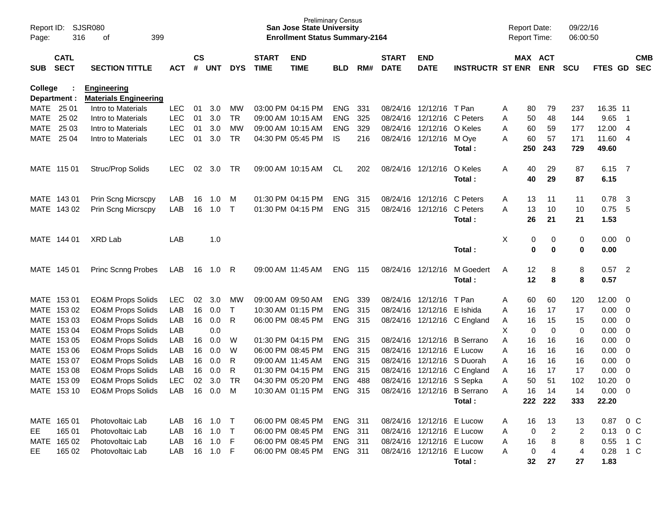| Page:                          | <b>SJSR080</b><br>Report ID:<br>316<br>399<br>οf                  |                                                    |            |    |                             |              |                             | <b>Preliminary Census</b><br><b>San Jose State University</b><br><b>Enrollment Status Summary-2164</b> |            |       |                             |                           |                             |   | <b>Report Date:</b><br>Report Time: |                       | 09/22/16<br>06:00:50 |             |                          |                          |
|--------------------------------|-------------------------------------------------------------------|----------------------------------------------------|------------|----|-----------------------------|--------------|-----------------------------|--------------------------------------------------------------------------------------------------------|------------|-------|-----------------------------|---------------------------|-----------------------------|---|-------------------------------------|-----------------------|----------------------|-------------|--------------------------|--------------------------|
| <b>SUB</b>                     | <b>CATL</b><br><b>SECT</b><br><b>SECTION TITTLE</b><br><b>ACT</b> |                                                    |            |    | $\mathsf{cs}$<br><b>UNT</b> | <b>DYS</b>   | <b>START</b><br><b>TIME</b> | <b>END</b><br><b>TIME</b>                                                                              | <b>BLD</b> | RM#   | <b>START</b><br><b>DATE</b> | <b>END</b><br><b>DATE</b> | <b>INSTRUCTR ST ENR</b>     |   |                                     | MAX ACT<br><b>ENR</b> | <b>SCU</b>           | FTES GD     |                          | <b>CMB</b><br><b>SEC</b> |
| <b>College</b><br>Department : |                                                                   | <b>Engineering</b><br><b>Materials Engineering</b> |            |    |                             |              |                             |                                                                                                        |            |       |                             |                           |                             |   |                                     |                       |                      |             |                          |                          |
| MATE 25 01                     |                                                                   | Intro to Materials                                 | LEC.       | 01 | 3.0                         | МW           |                             | 03:00 PM 04:15 PM                                                                                      | <b>ENG</b> | 331   |                             | 08/24/16 12/12/16         | T Pan                       | Α | 80                                  | 79                    | 237                  | 16.35 11    |                          |                          |
| <b>MATE</b>                    | 25 02                                                             | Intro to Materials                                 | <b>LEC</b> | 01 | 3.0                         | <b>TR</b>    |                             | 09:00 AM 10:15 AM                                                                                      | <b>ENG</b> | 325   |                             | 08/24/16 12/12/16         | C Peters                    | Α | 50                                  | 48                    | 144                  | 9.65        | $\overline{\phantom{1}}$ |                          |
| MATE                           | 25 03                                                             | Intro to Materials                                 | <b>LEC</b> | 01 | 3.0                         | MW           | 09:00 AM 10:15 AM           |                                                                                                        | <b>ENG</b> | 329   | 08/24/16                    | 12/12/16                  | O Keles                     | Α | 60                                  | 59                    | 177                  | 12.00 4     |                          |                          |
|                                | MATE 25 04                                                        | Intro to Materials                                 | <b>LEC</b> | 01 | 3.0                         | <b>TR</b>    |                             | 04:30 PM 05:45 PM                                                                                      | IS         | 216   |                             | 08/24/16 12/12/16         | M Oye                       | A | 60                                  | 57                    | 171                  | 11.60 4     |                          |                          |
|                                |                                                                   |                                                    |            |    |                             |              |                             |                                                                                                        |            |       |                             |                           | Total:                      |   | 250                                 | 243                   | 729                  | 49.60       |                          |                          |
|                                | MATE 115 01                                                       | Struc/Prop Solids                                  | LEC.       | 02 | 3.0                         | TR           | 09:00 AM 10:15 AM           |                                                                                                        | CL.        | 202   |                             | 08/24/16 12/12/16         | O Keles                     | Α | 40                                  | 29                    | 87                   | 6.15        | $\overline{7}$           |                          |
|                                |                                                                   |                                                    |            |    |                             |              |                             |                                                                                                        |            |       |                             |                           | Total:                      |   | 40                                  | 29                    | 87                   | 6.15        |                          |                          |
|                                | MATE 143 01                                                       | Prin Scng Micrscpy                                 | LAB        | 16 | 1.0                         | M            | 01:30 PM 04:15 PM           |                                                                                                        | <b>ENG</b> | 315   |                             | 08/24/16 12/12/16         | C Peters                    | Α | 13                                  | 11                    | 11                   | 0.78        | - 3                      |                          |
|                                | MATE 143 02                                                       | Prin Scng Micrscpy                                 | LAB        | 16 | 1.0                         | $\top$       | 01:30 PM 04:15 PM           |                                                                                                        | <b>ENG</b> | 315   |                             | 08/24/16 12/12/16         | C Peters                    | A | 13                                  | 10                    | 10                   | 0.75        | -5                       |                          |
|                                |                                                                   |                                                    |            |    |                             |              |                             |                                                                                                        |            |       |                             |                           | Total:                      |   | 26                                  | 21                    | 21                   | 1.53        |                          |                          |
|                                | MATE 144 01                                                       | <b>XRD Lab</b>                                     | LAB        |    | 1.0                         |              |                             |                                                                                                        |            |       |                             |                           |                             | Χ | 0                                   | 0                     | 0                    | $0.00 \t 0$ |                          |                          |
|                                |                                                                   |                                                    |            |    |                             |              |                             |                                                                                                        |            |       |                             |                           | Total:                      |   | 0                                   | 0                     | 0                    | 0.00        |                          |                          |
|                                | MATE 145 01                                                       | <b>Princ Scnng Probes</b>                          | LAB        | 16 | 1.0                         | R            | 09:00 AM 11:45 AM           |                                                                                                        | <b>ENG</b> | - 115 | 08/24/16 12/12/16           |                           | M Goedert                   | Α | 12                                  | 8                     | 8                    | 0.57        | $\overline{2}$           |                          |
|                                |                                                                   |                                                    |            |    |                             |              |                             |                                                                                                        |            |       |                             |                           | Total:                      |   | 12                                  | 8                     | 8                    | 0.57        |                          |                          |
|                                | MATE 153 01                                                       | <b>EO&amp;M Props Solids</b>                       | LEC.       | 02 | 3.0                         | MW           | 09:00 AM 09:50 AM           |                                                                                                        | <b>ENG</b> | 339   |                             | 08/24/16 12/12/16         | T Pan                       | Α | 60                                  | 60                    | 120                  | 12.00 0     |                          |                          |
|                                | MATE 153 02                                                       | <b>EO&amp;M Props Solids</b>                       | LAB        | 16 | 0.0                         | $\mathsf{T}$ |                             | 10:30 AM 01:15 PM                                                                                      | <b>ENG</b> | 315   |                             | 08/24/16 12/12/16         | E Ishida                    | A | 16                                  | 17                    | 17                   | $0.00 \t 0$ |                          |                          |
|                                | MATE 153 03                                                       | <b>EO&amp;M Props Solids</b>                       | LAB        | 16 | 0.0                         | R            |                             | 06:00 PM 08:45 PM                                                                                      | ENG        | 315   |                             |                           | 08/24/16 12/12/16 C England | A | 16                                  | 15                    | 15                   | $0.00 \t 0$ |                          |                          |
|                                | MATE 153 04                                                       | <b>EO&amp;M Props Solids</b>                       | LAB        |    | 0.0                         |              |                             |                                                                                                        |            |       |                             |                           |                             | Χ | 0                                   | $\mathbf 0$           | 0                    | $0.00 \t 0$ |                          |                          |
|                                | MATE 153 05                                                       | <b>EO&amp;M Props Solids</b>                       | LAB        | 16 | 0.0                         | W            | 01:30 PM 04:15 PM           |                                                                                                        | ENG        | 315   |                             | 08/24/16 12/12/16         | <b>B</b> Serrano            | Α | 16                                  | 16                    | 16                   | $0.00 \t 0$ |                          |                          |
|                                | MATE 153 06                                                       | <b>EO&amp;M Props Solids</b>                       | LAB        | 16 | 0.0                         | W            | 06:00 PM 08:45 PM           |                                                                                                        | <b>ENG</b> | 315   |                             | 08/24/16 12/12/16         | E Lucow                     | Α | 16                                  | 16                    | 16                   | $0.00 \t 0$ |                          |                          |
|                                | MATE 153 07                                                       | <b>EO&amp;M Props Solids</b>                       | LAB        | 16 | 0.0                         | R            | 09:00 AM 11:45 AM           |                                                                                                        | <b>ENG</b> | 315   |                             | 08/24/16 12/12/16         | S Duorah                    | A | 16                                  | 16                    | 16                   | 0.00        | $\overline{\phantom{0}}$ |                          |
|                                | MATE 153 08                                                       | <b>EO&amp;M Props Solids</b>                       | LAB        | 16 | 0.0                         | R            | 01:30 PM 04:15 PM           |                                                                                                        | ENG        | 315   |                             | 08/24/16 12/12/16         | C England                   | Α | 16                                  | 17                    | 17                   | $0.00 \t 0$ |                          |                          |
|                                | MATE 153 09                                                       | <b>EO&amp;M Props Solids</b>                       | <b>LEC</b> | 02 | 3.0                         | <b>TR</b>    |                             | 04:30 PM 05:20 PM                                                                                      | <b>ENG</b> | 488   | 08/24/16                    | 12/12/16                  | S Sepka                     | Α | 50                                  | 51                    | 102                  | 10.20       | $\overline{0}$           |                          |
|                                | MATE 153 10                                                       | <b>EO&amp;M Props Solids</b>                       | LAB        | 16 | 0.0                         | M            |                             | 10:30 AM 01:15 PM                                                                                      | <b>ENG</b> | 315   |                             |                           | 08/24/16 12/12/16 B Serrano | Α | 16                                  | 14                    | 14                   | 0.00        | $\overline{0}$           |                          |
|                                |                                                                   |                                                    |            |    |                             |              |                             |                                                                                                        |            |       |                             |                           | Total:                      |   |                                     | 222 222               | 333                  | 22.20       |                          |                          |
|                                | MATE 165 01                                                       | Photovoltaic Lab                                   | LAB        | 16 | 1.0                         | $\top$       |                             | 06:00 PM 08:45 PM                                                                                      | ENG 311    |       |                             | 08/24/16 12/12/16 E Lucow |                             | Α | 16                                  | 13                    | 13                   | 0.87 0 C    |                          |                          |
| EE                             | 165 01                                                            | Photovoltaic Lab                                   | LAB        | 16 | 1.0                         | $\top$       |                             | 06:00 PM 08:45 PM                                                                                      | ENG 311    |       |                             | 08/24/16 12/12/16 E Lucow |                             | Α | 0                                   | 2                     | 2                    | 0.13 0 C    |                          |                          |
|                                | MATE 165 02                                                       | Photovoltaic Lab                                   | LAB        | 16 | 1.0                         | -F           |                             | 06:00 PM 08:45 PM                                                                                      | ENG 311    |       |                             | 08/24/16 12/12/16 E Lucow |                             | Α | 16                                  | 8                     | 8                    | 0.55 1 C    |                          |                          |
| EE                             | 165 02                                                            | Photovoltaic Lab                                   | LAB        | 16 | $1.0$ F                     |              |                             | 06:00 PM 08:45 PM                                                                                      | ENG 311    |       |                             | 08/24/16 12/12/16 E Lucow |                             | Α | 0                                   | $\overline{4}$        | 4                    | 0.28 1 C    |                          |                          |
|                                |                                                                   |                                                    |            |    |                             |              |                             |                                                                                                        |            |       |                             |                           | Total:                      |   | 32                                  | 27                    | 27                   | 1.83        |                          |                          |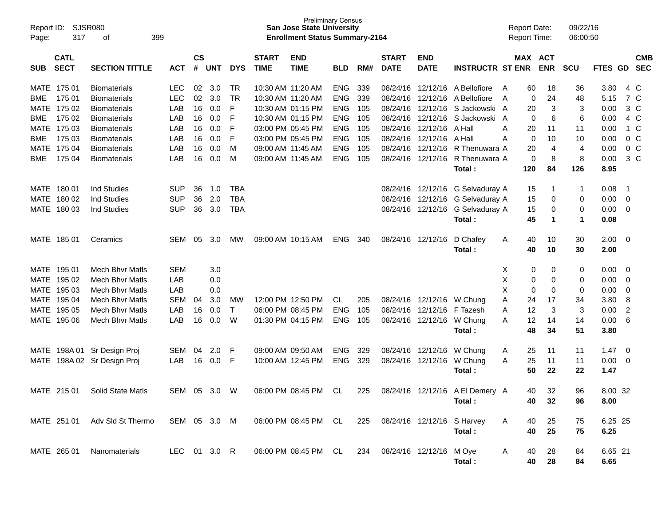| Report ID:<br>Page: | 317                        | <b>SJSR080</b><br>399<br>οf   |              |                |            |              |                             | <b>Preliminary Census</b><br><b>San Jose State University</b><br><b>Enrollment Status Summary-2164</b> |            |     |                             |                           |                                 | <b>Report Date:</b><br><b>Report Time:</b> |            | 09/22/16<br>06:00:50 |              |                         |                          |
|---------------------|----------------------------|-------------------------------|--------------|----------------|------------|--------------|-----------------------------|--------------------------------------------------------------------------------------------------------|------------|-----|-----------------------------|---------------------------|---------------------------------|--------------------------------------------|------------|----------------------|--------------|-------------------------|--------------------------|
| <b>SUB</b>          | <b>CATL</b><br><b>SECT</b> | <b>SECTION TITTLE</b>         | <b>ACT</b>   | <b>CS</b><br># | <b>UNT</b> | <b>DYS</b>   | <b>START</b><br><b>TIME</b> | <b>END</b><br><b>TIME</b>                                                                              | <b>BLD</b> | RM# | <b>START</b><br><b>DATE</b> | <b>END</b><br><b>DATE</b> | <b>INSTRUCTR ST ENR</b>         | MAX ACT                                    | <b>ENR</b> | <b>SCU</b>           | <b>FTES</b>  | <b>GD</b>               | <b>CMB</b><br><b>SEC</b> |
| MATE                | 175 01                     | <b>Biomaterials</b>           | <b>LEC</b>   | 02             | 3.0        | <b>TR</b>    | 10:30 AM 11:20 AM           |                                                                                                        | <b>ENG</b> | 339 | 08/24/16                    | 12/12/16                  | A Bellofiore                    | 60<br>$\mathsf{A}$                         | 18         | 36                   | 3.80         | 4 C                     |                          |
| <b>BME</b>          | 175 01                     | <b>Biomaterials</b>           | <b>LEC</b>   | 02             | 3.0        | <b>TR</b>    | 10:30 AM 11:20 AM           |                                                                                                        | <b>ENG</b> | 339 | 08/24/16                    | 12/12/16                  | A Bellofiore                    | 0<br>$\overline{A}$                        | 24         | 48                   | 5.15         | 7 C                     |                          |
| <b>MATE</b>         | 175 02                     | <b>Biomaterials</b>           | LAB          | 16             | 0.0        | F            |                             | 10:30 AM 01:15 PM                                                                                      | <b>ENG</b> | 105 | 08/24/16                    | 12/12/16                  | S Jackowski A                   | 20                                         | 3          | 3                    | 0.00         | $3\,C$                  |                          |
| <b>BME</b>          | 175 02                     | <b>Biomaterials</b>           | LAB          | 16             | 0.0        | F            |                             | 10:30 AM 01:15 PM                                                                                      | <b>ENG</b> | 105 | 08/24/16                    | 12/12/16                  | S Jackowski                     | 0<br>A                                     | 6          | 6                    | 0.00         | 4 C                     |                          |
| <b>MATE</b>         | 175 03                     | <b>Biomaterials</b>           | LAB          | 16             | 0.0        | F            |                             | 03:00 PM 05:45 PM                                                                                      | <b>ENG</b> | 105 | 08/24/16                    | 12/12/16                  | A Hall                          | Α<br>20                                    | 11         | 11                   | 0.00         | 1 C                     |                          |
| <b>BME</b>          | 175 03                     | <b>Biomaterials</b>           | LAB          | 16             | 0.0        | F            |                             | 03:00 PM 05:45 PM                                                                                      | <b>ENG</b> | 105 | 08/24/16                    | 12/12/16                  | A Hall                          | Α<br>0                                     | 10         | 10                   | 0.00         | 0 <sup>o</sup>          |                          |
| <b>MATE</b>         | 175 04                     | <b>Biomaterials</b>           | LAB          | 16             | 0.0        | M            | 09:00 AM 11:45 AM           |                                                                                                        | <b>ENG</b> | 105 | 08/24/16                    | 12/12/16                  | R Thenuwara A                   | 20                                         | 4          | 4                    | 0.00         | 0 <sup>o</sup>          |                          |
| <b>BME</b>          | 175 04                     | <b>Biomaterials</b>           | LAB          | 16             | 0.0        | M            | 09:00 AM 11:45 AM           |                                                                                                        | <b>ENG</b> | 105 | 08/24/16                    | 12/12/16                  | R Thenuwara A<br>Total:         | 0<br>120                                   | 8<br>84    | 8<br>126             | 0.00<br>8.95 | $3\,C$                  |                          |
| MATE 180 01         |                            | <b>Ind Studies</b>            | <b>SUP</b>   | 36             | 1.0        | <b>TBA</b>   |                             |                                                                                                        |            |     | 08/24/16                    | 12/12/16                  | G Selvaduray A                  | 15                                         | 1          | -1                   | 0.08         | -1                      |                          |
| MATE                | 180 02                     | <b>Ind Studies</b>            | <b>SUP</b>   | 36             | 2.0        | <b>TBA</b>   |                             |                                                                                                        |            |     | 08/24/16                    | 12/12/16                  | G Selvaduray A                  | 15                                         | 0          | 0                    | 0.00         | 0                       |                          |
| MATE 180 03         |                            | <b>Ind Studies</b>            | <b>SUP</b>   | 36             | 3.0        | <b>TBA</b>   |                             |                                                                                                        |            |     | 08/24/16                    | 12/12/16                  | G Selvaduray A                  | 15                                         | 0          | 0                    | 0.00         | 0                       |                          |
|                     |                            |                               |              |                |            |              |                             |                                                                                                        |            |     |                             |                           | Total:                          | 45                                         | 1          | $\mathbf 1$          | 0.08         |                         |                          |
| MATE 185 01         |                            | Ceramics                      | SEM          | 05             | 3.0        | <b>MW</b>    |                             | 09:00 AM 10:15 AM                                                                                      | <b>ENG</b> | 340 | 08/24/16                    | 12/12/16                  | D Chafey                        | 40<br>Α                                    | 10         | 30                   | 2.00         | $\overline{\mathbf{0}}$ |                          |
|                     |                            |                               |              |                |            |              |                             |                                                                                                        |            |     |                             |                           | Total:                          | 40                                         | 10         | 30                   | 2.00         |                         |                          |
| MATE 195 01         |                            | <b>Mech Bhyr Matls</b>        | <b>SEM</b>   |                | 3.0        |              |                             |                                                                                                        |            |     |                             |                           |                                 | х<br>0                                     | 0          | 0                    | 0.00         | 0                       |                          |
| MATE                | 195 02                     | <b>Mech Bhyr Matls</b>        | LAB          |                | 0.0        |              |                             |                                                                                                        |            |     |                             |                           |                                 | X<br>0                                     | 0          | 0                    | 0.00         | 0                       |                          |
| MATE                | 195 03                     | <b>Mech Bhyr Matls</b>        | LAB          |                | 0.0        |              |                             |                                                                                                        |            |     |                             |                           |                                 | X<br>0                                     | 0          | 0                    | 0.00         | 0                       |                          |
| <b>MATE</b>         | 195 04                     | <b>Mech Bhyr Matls</b>        | <b>SEM</b>   | 04             | 3.0        | MW           |                             | 12:00 PM 12:50 PM                                                                                      | CL         | 205 | 08/24/16                    | 12/12/16                  | W Chung                         | 24<br>Α                                    | 17         | 34                   | 3.80         | 8                       |                          |
| <b>MATE</b>         | 195 05                     | <b>Mech Bhyr Matls</b>        | LAB          | 16             | 0.0        | $\mathsf{T}$ |                             | 06:00 PM 08:45 PM                                                                                      | <b>ENG</b> | 105 | 08/24/16                    | 12/12/16                  | F Tazesh                        | 12<br>A                                    | 3          | 3                    | 0.00         | $\overline{2}$          |                          |
| MATE 195 06         |                            | <b>Mech Bhyr Matls</b>        | LAB          | 16             | 0.0        | W            |                             | 01:30 PM 04:15 PM                                                                                      | <b>ENG</b> | 105 |                             | 08/24/16 12/12/16         | W Chung                         | 12<br>A                                    | 14         | 14                   | 0.00         | 6                       |                          |
|                     |                            |                               |              |                |            |              |                             |                                                                                                        |            |     |                             |                           | Total :                         | 48                                         | 34         | 51                   | 3.80         |                         |                          |
| MATE                | 198A 01                    | Sr Design Proj                | <b>SEM</b>   | 04             | 2.0        | F            |                             | 09:00 AM 09:50 AM                                                                                      | <b>ENG</b> | 329 | 08/24/16                    | 12/12/16                  | W Chung                         | 25<br>A                                    | 11         | 11                   | 1.47         | 0                       |                          |
|                     |                            | MATE 198A 02 Sr Design Proj   | LAB          | 16             | 0.0        | F            |                             | 10:00 AM 12:45 PM                                                                                      | <b>ENG</b> | 329 | 08/24/16                    | 12/12/16                  | W Chung                         | 25<br>A                                    | 11         | 11                   | 0.00         | 0                       |                          |
|                     |                            |                               |              |                |            |              |                             |                                                                                                        |            |     |                             |                           | Total :                         | 50                                         | 22         | 22                   | 1.47         |                         |                          |
| MATE 215 01         |                            | Solid State Matls             | SEM 05 3.0 W |                |            |              |                             | 06:00 PM 08:45 PM CL                                                                                   |            | 225 |                             |                           | 08/24/16 12/12/16 A El Demery A | 40                                         | 32         | 96                   | 8.00 32      |                         |                          |
|                     |                            |                               |              |                |            |              |                             |                                                                                                        |            |     |                             |                           | Total :                         | 40                                         | 32         | 96                   | 8.00         |                         |                          |
|                     |                            | MATE 251 01 Adv Sld St Thermo | SEM 05 3.0 M |                |            |              |                             | 06:00 PM 08:45 PM CL                                                                                   |            | 225 |                             |                           | 08/24/16 12/12/16 S Harvey      | A<br>40                                    | 25         | 75                   | 6.25 25      |                         |                          |
|                     |                            |                               |              |                |            |              |                             |                                                                                                        |            |     |                             |                           | Total:                          | 40                                         | 25         | 75                   | 6.25         |                         |                          |
|                     |                            |                               |              |                |            |              |                             |                                                                                                        |            |     |                             |                           |                                 |                                            |            |                      |              |                         |                          |
| MATE 265 01         |                            | Nanomaterials                 | LEC 01 3.0 R |                |            |              |                             | 06:00 PM 08:45 PM CL                                                                                   |            |     | 234 08/24/16 12/12/16 M Oye |                           |                                 | A<br>40                                    | 28         | 84                   | 6.65 21      |                         |                          |
|                     |                            |                               |              |                |            |              |                             |                                                                                                        |            |     |                             |                           | Total:                          | 40                                         | 28         | 84                   | 6.65         |                         |                          |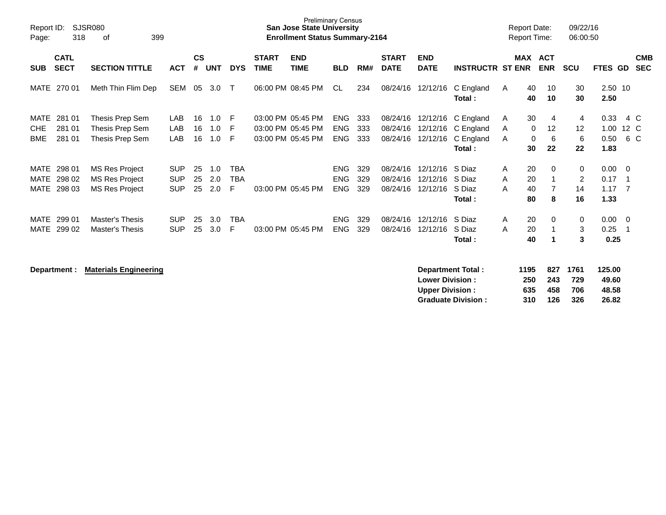| Report ID:<br>Page: | 318                        | SJSR080<br>399<br>οf   |            |                |            |            |                             | <b>Preliminary Census</b><br><b>San Jose State University</b><br><b>Enrollment Status Summary-2164</b> |            |     |                             |                           |                         | <b>Report Date:</b><br><b>Report Time:</b> |                       | 09/22/16<br>06:00:50 |                 |                |                          |
|---------------------|----------------------------|------------------------|------------|----------------|------------|------------|-----------------------------|--------------------------------------------------------------------------------------------------------|------------|-----|-----------------------------|---------------------------|-------------------------|--------------------------------------------|-----------------------|----------------------|-----------------|----------------|--------------------------|
| <b>SUB</b>          | <b>CATL</b><br><b>SECT</b> | <b>SECTION TITTLE</b>  | <b>ACT</b> | <b>CS</b><br># | <b>UNT</b> | <b>DYS</b> | <b>START</b><br><b>TIME</b> | <b>END</b><br><b>TIME</b>                                                                              | <b>BLD</b> | RM# | <b>START</b><br><b>DATE</b> | <b>END</b><br><b>DATE</b> | <b>INSTRUCTR ST ENR</b> |                                            | MAX ACT<br><b>ENR</b> | <b>SCU</b>           | FTES GD         |                | <b>CMB</b><br><b>SEC</b> |
| MATE                | 270 01                     | Meth Thin Flim Dep     | SEM        | 05             | 3.0        | Т          |                             | 06:00 PM 08:45 PM                                                                                      | CL.        | 234 | 08/24/16                    | 12/12/16                  | C England<br>Total:     | 40<br>A<br>40                              | 10<br>10              | 30<br>30             | 2.50 10<br>2.50 |                |                          |
| MATE                | 281 01                     | Thesis Prep Sem        | LAB        | 16             | 1.0        | -F         |                             | 03:00 PM 05:45 PM                                                                                      | ENG        | 333 | 08/24/16                    |                           | 12/12/16 C England      | 30<br>A                                    | 4                     | 4                    | 0.33            | 4 C            |                          |
| <b>CHE</b>          | 281 01                     | Thesis Prep Sem        | LAB        | 16             | 1.0        | E          |                             | 03:00 PM 05:45 PM                                                                                      | <b>ENG</b> | 333 | 08/24/16                    | 12/12/16                  | C England               | 0<br>A                                     | $12 \overline{ }$     | 12                   | 1.00            | 12 C           |                          |
| <b>BME</b>          | 281 01                     | Thesis Prep Sem        | LAB        | 16             | 1.0        | E          |                             | 03:00 PM 05:45 PM                                                                                      | <b>ENG</b> | 333 | 08/24/16                    | 12/12/16                  | C England               | 0<br>A                                     | 6                     | 6                    | 0.50            | 6 C            |                          |
|                     |                            |                        |            |                |            |            |                             |                                                                                                        |            |     |                             |                           | Total:                  | 30                                         | 22                    | 22                   | 1.83            |                |                          |
| MATE                | 298 01                     | <b>MS Res Project</b>  | <b>SUP</b> | 25             | 1.0        | TBA        |                             |                                                                                                        | <b>ENG</b> | 329 | 08/24/16                    | 12/12/16                  | S Diaz                  | 20<br>A                                    | $\Omega$              | $\mathbf 0$          | $0.00 \t 0$     |                |                          |
| MATE                | 298 02                     | <b>MS Res Project</b>  | <b>SUP</b> | 25             | 2.0        | TBA        |                             |                                                                                                        | <b>ENG</b> | 329 | 08/24/16                    | 12/12/16                  | S Diaz                  | 20<br>A                                    |                       | $\overline{2}$       | 0.17            | - 1            |                          |
| <b>MATE</b>         | 298 03                     | <b>MS Res Project</b>  | <b>SUP</b> | 25             | 2.0        | F          |                             | 03:00 PM 05:45 PM                                                                                      | <b>ENG</b> | 329 | 08/24/16                    | 12/12/16                  | S Diaz                  | A<br>40                                    |                       | 14                   | 1.17            | $\overline{7}$ |                          |
|                     |                            |                        |            |                |            |            |                             |                                                                                                        |            |     |                             |                           | <b>Total</b> :          | 80                                         | 8                     | 16                   | 1.33            |                |                          |
| MATE                | 299 01                     | Master's Thesis        | <b>SUP</b> | 25             | 3.0        | TBA        |                             |                                                                                                        | <b>ENG</b> | 329 | 08/24/16                    | 12/12/16                  | S Diaz                  | 20<br>A                                    | $\Omega$              | $\mathbf 0$          | 0.00            | $\overline{0}$ |                          |
| <b>MATE</b>         | 299 02                     | <b>Master's Thesis</b> | <b>SUP</b> | 25             | 3.0        | F          |                             | 03:00 PM 05:45 PM                                                                                      | <b>ENG</b> | 329 | 08/24/16                    | 12/12/16                  | S Diaz                  | 20<br>A                                    |                       | 3                    | 0.25            | -1             |                          |
|                     |                            |                        |            |                |            |            |                             |                                                                                                        |            |     |                             |                           | Total :                 | 40                                         |                       | 3                    | 0.25            |                |                          |
|                     |                            |                        |            |                |            |            |                             |                                                                                                        |            |     |                             |                           |                         |                                            |                       |                      |                 |                |                          |

| Department : | <b>Materials Engineering</b> | Department Total:         | 1195 | 827 | 1761 | 125.00 |
|--------------|------------------------------|---------------------------|------|-----|------|--------|
|              |                              | <b>Lower Division:</b>    | 250  | 243 | 729  | 49.60  |
|              |                              | <b>Upper Division:</b>    | 635  | 458 | 706  | 48.58  |
|              |                              | <b>Graduate Division:</b> | 310  | 126 | 326  | 26.82  |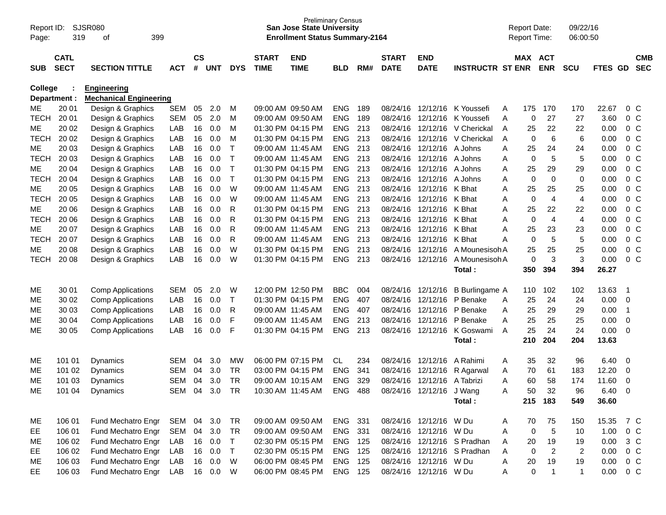| Report ID:<br>Page:      | 319            | <b>SJSR080</b><br>399<br>οf   |            |               |            |            |                   | <b>Preliminary Census</b><br><b>San Jose State University</b><br><b>Enrollment Status Summary-2164</b> |                          |            |                      |                             |                             |        | <b>Report Date:</b><br>Report Time: |                      | 09/22/16<br>06:00:50 |               |                |                                  |
|--------------------------|----------------|-------------------------------|------------|---------------|------------|------------|-------------------|--------------------------------------------------------------------------------------------------------|--------------------------|------------|----------------------|-----------------------------|-----------------------------|--------|-------------------------------------|----------------------|----------------------|---------------|----------------|----------------------------------|
|                          | <b>CATL</b>    |                               |            | $\mathsf{cs}$ |            |            | <b>START</b>      | <b>END</b>                                                                                             |                          |            | <b>START</b>         | <b>END</b>                  |                             |        | MAX ACT                             |                      |                      |               |                | <b>CMB</b>                       |
| <b>SUB</b>               | <b>SECT</b>    | <b>SECTION TITTLE</b>         | <b>ACT</b> | #             | <b>UNT</b> | <b>DYS</b> | <b>TIME</b>       | <b>TIME</b>                                                                                            | <b>BLD</b>               | RM#        | <b>DATE</b>          | <b>DATE</b>                 | <b>INSTRUCTR ST ENR</b>     |        |                                     | <b>ENR</b>           | <b>SCU</b>           | FTES GD       |                | <b>SEC</b>                       |
| College                  |                | <b>Engineering</b>            |            |               |            |            |                   |                                                                                                        |                          |            |                      |                             |                             |        |                                     |                      |                      |               |                |                                  |
| Department :             |                | <b>Mechanical Engineering</b> |            |               |            |            |                   |                                                                                                        |                          |            |                      |                             |                             |        |                                     |                      |                      |               |                |                                  |
| MЕ                       | 20 01          | Design & Graphics             | <b>SEM</b> | 05            | 2.0        | м          |                   | 09:00 AM 09:50 AM                                                                                      | <b>ENG</b>               | 189        | 08/24/16             |                             | 12/12/16 K Youssefi         | Α      | 175                                 | 170                  | 170                  | 22.67         |                | $0\,$ C                          |
| <b>TECH</b>              | 20 01          | Design & Graphics             | <b>SEM</b> | 05            | 2.0        | M          |                   | 09:00 AM 09:50 AM                                                                                      | <b>ENG</b>               | 189        | 08/24/16             | 12/12/16                    | K Youssefi                  | A      | 0                                   | 27                   | 27                   | 3.60          |                | 0 <sup>o</sup>                   |
| <b>ME</b>                | 20 02          | Design & Graphics             | LAB        | 16            | 0.0        | M          |                   | 01:30 PM 04:15 PM                                                                                      | <b>ENG</b>               | 213        | 08/24/16             |                             | 12/12/16 V Cherickal        | A      | 25                                  | 22                   | 22                   | 0.00          |                | 0 <sup>o</sup>                   |
| <b>TECH</b>              | 20 02          | Design & Graphics             | LAB        | 16            | 0.0        | M          |                   | 01:30 PM 04:15 PM                                                                                      | <b>ENG</b>               | 213        | 08/24/16             |                             | 12/12/16 V Cherickal        | A      | 0                                   | 6                    | 6                    | 0.00          |                | 0 <sup>o</sup>                   |
| <b>ME</b>                | 20 03          | Design & Graphics             | LAB        | 16            | 0.0        | $\top$     |                   | 09:00 AM 11:45 AM                                                                                      | <b>ENG</b>               | 213        | 08/24/16             | 12/12/16 A Johns            |                             | Α      | 25                                  | 24                   | 24                   | 0.00          |                | 0 <sup>o</sup>                   |
| <b>TECH</b>              | 20 03          | Design & Graphics             | LAB        | 16            | 0.0        | $\top$     |                   | 09:00 AM 11:45 AM                                                                                      | <b>ENG</b>               | 213        | 08/24/16             | 12/12/16 A Johns            |                             | Α      | 0                                   | 5                    | 5                    | 0.00          |                | 0 <sup>o</sup>                   |
| ME                       | 20 04          | Design & Graphics             | LAB        | 16            | 0.0        | $\top$     |                   | 01:30 PM 04:15 PM                                                                                      | <b>ENG</b>               | 213        | 08/24/16             | 12/12/16 A Johns            |                             | Α      | 25                                  | 29                   | 29                   | 0.00          |                | 0 <sup>o</sup>                   |
| <b>TECH</b>              | 20 04          | Design & Graphics             | LAB        | 16            | 0.0        | $\top$     |                   | 01:30 PM 04:15 PM                                                                                      | <b>ENG</b>               | 213        | 08/24/16             | 12/12/16 A Johns            |                             | Α      | $\pmb{0}$                           | 0                    | 0                    | 0.00          |                | 0 <sup>o</sup>                   |
| <b>ME</b>                | 20 05          | Design & Graphics             | LAB        | 16            | 0.0        | W          |                   | 09:00 AM 11:45 AM                                                                                      | <b>ENG</b>               | 213        | 08/24/16             | 12/12/16                    | K Bhat                      | A      | 25                                  | 25                   | 25                   | 0.00          |                | 0 <sup>o</sup>                   |
| <b>TECH</b><br><b>ME</b> | 20 05          | Design & Graphics             | LAB        | 16            | 0.0        | W          |                   | 09:00 AM 11:45 AM<br>01:30 PM 04:15 PM                                                                 | <b>ENG</b><br><b>ENG</b> | 213<br>213 | 08/24/16<br>08/24/16 | 12/12/16 K Bhat             |                             | Α      | $\mathbf 0$<br>25                   | $\overline{4}$<br>22 | 4                    | 0.00<br>0.00  |                | 0 <sup>o</sup><br>0 <sup>o</sup> |
|                          | 20 06          | Design & Graphics             | LAB        | 16            | 0.0<br>0.0 | R          |                   | 01:30 PM 04:15 PM                                                                                      |                          | 213        | 08/24/16             | 12/12/16 K Bhat             |                             | A      |                                     | $\overline{4}$       | 22                   | 0.00          |                | 0 <sup>o</sup>                   |
| <b>TECH</b><br>ME        | 20 06<br>20 07 | Design & Graphics             | LAB<br>LAB | 16<br>16      | 0.0        | R<br>R     |                   | 09:00 AM 11:45 AM                                                                                      | <b>ENG</b><br><b>ENG</b> | 213        | 08/24/16             | 12/12/16 K Bhat<br>12/12/16 | K Bhat                      | Α<br>Α | 0<br>25                             | 23                   | 4<br>23              | 0.00          |                | 0 <sup>o</sup>                   |
| <b>TECH</b>              | 20 07          | Design & Graphics             | LAB        | 16            | 0.0        | R          |                   | 09:00 AM 11:45 AM                                                                                      | <b>ENG</b>               | 213        | 08/24/16             | 12/12/16                    | K Bhat                      | A      | $\pmb{0}$                           | 5                    | 5                    | 0.00          |                | 0 <sup>o</sup>                   |
| <b>ME</b>                | 20 08          | Design & Graphics             | LAB        | 16            | 0.0        | W          |                   | 01:30 PM 04:15 PM                                                                                      | <b>ENG</b>               | 213        | 08/24/16             | 12/12/16                    | A Mounesisoh A              |        | 25                                  | 25                   | 25                   | 0.00          |                | 0 <sup>o</sup>                   |
| <b>TECH</b>              | 20 08          | Design & Graphics             | LAB        | 16            | 0.0        | W          |                   | 01:30 PM 04:15 PM                                                                                      | <b>ENG</b>               | 213        | 08/24/16             | 12/12/16                    | A Mounesisoh A              |        | 0                                   | 3                    | 3                    | 0.00          |                | $0\,C$                           |
|                          |                | Design & Graphics             |            |               |            |            |                   |                                                                                                        |                          |            |                      |                             | Total:                      |        | 350                                 | 394                  | 394                  | 26.27         |                |                                  |
|                          |                |                               |            |               |            |            |                   |                                                                                                        |                          |            |                      |                             |                             |        |                                     |                      |                      |               |                |                                  |
| ME                       | 30 01          | <b>Comp Applications</b>      | <b>SEM</b> | 05            | 2.0        | W          |                   | 12:00 PM 12:50 PM                                                                                      | <b>BBC</b>               | 004        | 08/24/16             | 12/12/16                    | B Burlingame A              |        | 110                                 | 102                  | 102                  | 13.63         | - 1            |                                  |
| <b>ME</b>                | 30 02          | <b>Comp Applications</b>      | LAB        | 16            | 0.0        | $\top$     |                   | 01:30 PM 04:15 PM                                                                                      | <b>ENG</b>               | 407        | 08/24/16             | 12/12/16                    | P Benake                    | A      | 25                                  | 24                   | 24                   | 0.00          | - 0            |                                  |
| <b>ME</b>                | 30 03          | <b>Comp Applications</b>      | LAB        | 16            | 0.0        | R          | 09:00 AM 11:45 AM |                                                                                                        | <b>ENG</b>               | 407        | 08/24/16             | 12/12/16                    | P Benake                    | Α      | 25                                  | 29                   | 29                   | 0.00          | $\overline{1}$ |                                  |
| ME                       | 30 04          | <b>Comp Applications</b>      | LAB        | 16            | 0.0        | F          | 09:00 AM 11:45 AM |                                                                                                        | <b>ENG</b>               | 213        | 08/24/16             | 12/12/16                    | P Benake                    | A      | 25                                  | 25                   | 25                   | 0.00          | $\mathbf 0$    |                                  |
| ME                       | 30 05          | <b>Comp Applications</b>      | LAB        | 16            | 0.0        | F          |                   | 01:30 PM 04:15 PM                                                                                      | <b>ENG</b>               | 213        | 08/24/16             | 12/12/16                    | K Goswami                   | A      | 25                                  | 24                   | 24                   | 0.00          | $\overline{0}$ |                                  |
|                          |                |                               |            |               |            |            |                   |                                                                                                        |                          |            |                      |                             | Total:                      |        | 210                                 | 204                  | 204                  | 13.63         |                |                                  |
| ME                       | 101 01         | Dynamics                      | <b>SEM</b> | 04            | 3.0        | <b>MW</b>  |                   | 06:00 PM 07:15 PM                                                                                      | CL                       | 234        | 08/24/16             | 12/12/16                    | A Rahimi                    | Α      | 35                                  | 32                   | 96                   | 6.40          | - 0            |                                  |
| МE                       | 101 02         | Dynamics                      | <b>SEM</b> | 04            | 3.0        | <b>TR</b>  |                   | 03:00 PM 04:15 PM                                                                                      | <b>ENG</b>               | 341        | 08/24/16             | 12/12/16                    | R Agarwal                   | Α      | 70                                  | 61                   | 183                  | 12.20         | 0              |                                  |
| ME                       | 101 03         | <b>Dynamics</b>               | <b>SEM</b> | 04            | 3.0        | <b>TR</b>  |                   | 09:00 AM 10:15 AM                                                                                      | <b>ENG</b>               | 329        | 08/24/16             | 12/12/16                    | A Tabrizi                   | A      | 60                                  | 58                   | 174                  | 11.60         | -0             |                                  |
| <b>ME</b>                | 101 04         | Dynamics                      | <b>SEM</b> | 04            | 3.0        | <b>TR</b>  |                   | 10:30 AM 11:45 AM                                                                                      | <b>ENG</b>               | 488        | 08/24/16             | 12/12/16                    | J Wang                      | Α      | 50                                  | 32                   | 96                   | 6.40          | $\Omega$       |                                  |
|                          |                |                               |            |               |            |            |                   |                                                                                                        |                          |            |                      |                             | Total:                      |        |                                     | 215 183              | 549                  | 36.60         |                |                                  |
| ME                       | 106 01         | Fund Mechatro Engr            | SEM        |               | 04 3.0     | TR         |                   | 09:00 AM 09:50 AM                                                                                      | ENG 331                  |            |                      | 08/24/16 12/12/16 W Du      |                             | A      | 70                                  | 75                   | 150                  | 15.35 7 C     |                |                                  |
| <b>EE</b>                | 106 01         | Fund Mechatro Engr            | <b>SEM</b> |               | 04 3.0     | <b>TR</b>  |                   | 09:00 AM 09:50 AM                                                                                      | ENG 331                  |            |                      | 08/24/16 12/12/16 W Du      |                             | Α      | 0                                   | 5                    | 10                   | 1.00 0 C      |                |                                  |
| ME                       | 106 02         | Fund Mechatro Engr            | LAB        | 16            | 0.0        | $\top$     |                   | 02:30 PM 05:15 PM                                                                                      | ENG 125                  |            |                      |                             | 08/24/16 12/12/16 S Pradhan | Α      | 20                                  | 19                   | 19                   | 0.00 3 C      |                |                                  |
| EE                       | 106 02         | Fund Mechatro Engr            | LAB        | 16            | 0.0        | $\top$     |                   | 02:30 PM 05:15 PM                                                                                      | ENG 125                  |            |                      |                             | 08/24/16 12/12/16 S Pradhan | Α      | $\mathbf 0$                         | $\overline{c}$       | 2                    | $0.00 \t 0 C$ |                |                                  |
| ME                       | 106 03         | Fund Mechatro Engr            | LAB        | 16            | 0.0        | <b>W</b>   |                   | 06:00 PM 08:45 PM                                                                                      | ENG 125                  |            |                      | 08/24/16 12/12/16 W Du      |                             | Α      | 20                                  | 19                   | 19                   | $0.00 \t 0 C$ |                |                                  |
| EE.                      | 106 03         | Fund Mechatro Engr            | LAB        |               | 16  0.0  W |            |                   | 06:00 PM 08:45 PM                                                                                      | ENG 125                  |            |                      | 08/24/16 12/12/16 W Du      |                             | Α      | $\mathbf 0$                         | $\mathbf{1}$         | $\mathbf{1}$         | $0.00 \t 0 C$ |                |                                  |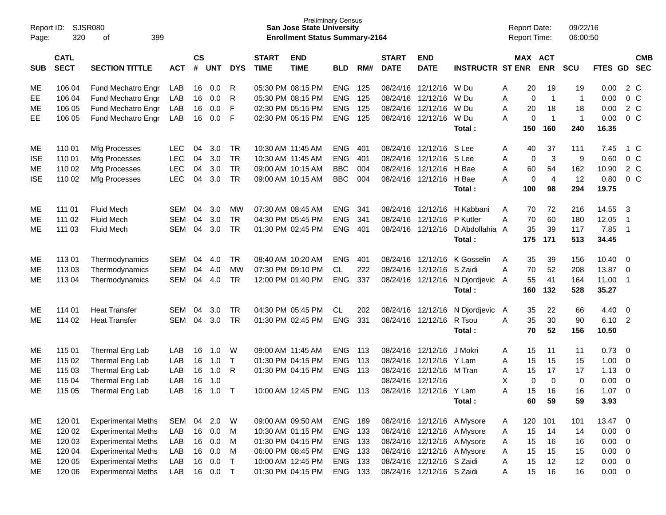| Report ID:<br>Page: | 320                        | SJSR080<br>399<br>of      |            |                    |            |              |                             | <b>Preliminary Census</b><br><b>San Jose State University</b><br><b>Enrollment Status Summary-2164</b> |            |     |                             |                            |                         |   | <b>Report Date:</b><br>Report Time: |                | 09/22/16<br>06:00:50 |                |                          |                          |
|---------------------|----------------------------|---------------------------|------------|--------------------|------------|--------------|-----------------------------|--------------------------------------------------------------------------------------------------------|------------|-----|-----------------------------|----------------------------|-------------------------|---|-------------------------------------|----------------|----------------------|----------------|--------------------------|--------------------------|
| <b>SUB</b>          | <b>CATL</b><br><b>SECT</b> | <b>SECTION TITTLE</b>     | <b>ACT</b> | $\mathsf{cs}$<br># | <b>UNT</b> | <b>DYS</b>   | <b>START</b><br><b>TIME</b> | <b>END</b><br><b>TIME</b>                                                                              | <b>BLD</b> | RM# | <b>START</b><br><b>DATE</b> | <b>END</b><br><b>DATE</b>  | <b>INSTRUCTR ST ENR</b> |   | MAX ACT                             | <b>ENR</b>     | <b>SCU</b>           | <b>FTES GD</b> |                          | <b>CMB</b><br><b>SEC</b> |
| ME                  | 106 04                     | Fund Mechatro Engr        | LAB        | 16                 | 0.0        | R            |                             | 05:30 PM 08:15 PM                                                                                      | <b>ENG</b> | 125 |                             | 08/24/16 12/12/16          | W Du                    | A | 20                                  | 19             | 19                   | 0.00           |                          | 2 C                      |
| EE                  | 106 04                     | Fund Mechatro Engr        | LAB        | 16                 | 0.0        | R            |                             | 05:30 PM 08:15 PM                                                                                      | <b>ENG</b> | 125 | 08/24/16                    | 12/12/16                   | W Du                    | Α | 0                                   | $\overline{1}$ | $\mathbf 1$          | 0.00           |                          | $0\,C$                   |
| ME                  | 106 05                     | Fund Mechatro Engr        | LAB        | 16                 | 0.0        | F            |                             | 02:30 PM 05:15 PM                                                                                      | <b>ENG</b> | 125 | 08/24/16                    | 12/12/16                   | W Du                    | A | 20                                  | 18             | 18                   | 0.00           |                          | $2\degree$ C             |
| EE                  | 106 05                     | Fund Mechatro Engr        | LAB        | 16                 | 0.0        | F            |                             | 02:30 PM 05:15 PM                                                                                      | <b>ENG</b> | 125 |                             | 08/24/16 12/12/16          | W Du                    | A | 0                                   | $\overline{1}$ | $\mathbf{1}$         | 0.00           |                          | $0\,C$                   |
|                     |                            |                           |            |                    |            |              |                             |                                                                                                        |            |     |                             |                            | Total:                  |   | 150                                 | 160            | 240                  | 16.35          |                          |                          |
| ME                  | 110 01                     | Mfg Processes             | <b>LEC</b> | 04                 | 3.0        | <b>TR</b>    |                             | 10:30 AM 11:45 AM                                                                                      | <b>ENG</b> | 401 |                             | 08/24/16 12/12/16          | S Lee                   | A | 40                                  | 37             | 111                  | 7.45           |                          | 1 C                      |
| <b>ISE</b>          | 110 01                     | Mfg Processes             | <b>LEC</b> | 04                 | 3.0        | <b>TR</b>    |                             | 10:30 AM 11:45 AM                                                                                      | <b>ENG</b> | 401 | 08/24/16                    | 12/12/16 S Lee             |                         | A | 0                                   | 3              | 9                    | 0.60           |                          | 0 <sup>C</sup>           |
| ME                  | 110 02                     | Mfg Processes             | LEC        | 04                 | 3.0        | <b>TR</b>    |                             | 09:00 AM 10:15 AM                                                                                      | <b>BBC</b> | 004 | 08/24/16                    | 12/12/16 H Bae             |                         | A | 60                                  | 54             | 162                  | 10.90          |                          | $2\degree$ C             |
| <b>ISE</b>          | 110 02                     | Mfg Processes             | LEC        | 04                 | 3.0        | <b>TR</b>    |                             | 09:00 AM 10:15 AM                                                                                      | <b>BBC</b> | 004 |                             | 08/24/16 12/12/16 H Bae    |                         | Α | 0                                   | $\overline{4}$ | 12                   | 0.80           |                          | $0\,C$                   |
|                     |                            |                           |            |                    |            |              |                             |                                                                                                        |            |     |                             |                            | Total:                  |   | 100                                 | 98             | 294                  | 19.75          |                          |                          |
| ME                  | 111 01                     | <b>Fluid Mech</b>         | <b>SEM</b> | 04                 | 3.0        | MW           |                             | 07:30 AM 08:45 AM                                                                                      | <b>ENG</b> | 341 | 08/24/16                    | 12/12/16                   | H Kabbani               | A | 70                                  | 72             | 216                  | 14.55          | -3                       |                          |
| ME                  | 111 02                     | <b>Fluid Mech</b>         | <b>SEM</b> | 04                 | 3.0        | <b>TR</b>    |                             | 04:30 PM 05:45 PM                                                                                      | <b>ENG</b> | 341 | 08/24/16                    | 12/12/16                   | P Kutler                | Α | 70                                  | 60             | 180                  | 12.05          | $\overline{1}$           |                          |
| ME                  | 111 03                     | <b>Fluid Mech</b>         | <b>SEM</b> | 04                 | 3.0        | <b>TR</b>    |                             | 01:30 PM 02:45 PM                                                                                      | <b>ENG</b> | 401 |                             | 08/24/16 12/12/16          | D Abdollahia A          |   | 35                                  | 39             | 117                  | 7.85           | $\overline{\phantom{0}}$ |                          |
|                     |                            |                           |            |                    |            |              |                             |                                                                                                        |            |     |                             |                            | Total:                  |   | 175                                 | 171            | 513                  | 34.45          |                          |                          |
| ME                  | 11301                      | Thermodynamics            | <b>SEM</b> | 04                 | 4.0        | <b>TR</b>    |                             | 08:40 AM 10:20 AM                                                                                      | <b>ENG</b> | 401 | 08/24/16                    | 12/12/16                   | K Gosselin              | A | 35                                  | 39             | 156                  | 10.40          | 0                        |                          |
| ME                  | 113 03                     | Thermodynamics            | <b>SEM</b> | 04                 | 4.0        | <b>MW</b>    |                             | 07:30 PM 09:10 PM                                                                                      | <b>CL</b>  | 222 | 08/24/16                    | 12/12/16 S Zaidi           |                         | A | 70                                  | 52             | 208                  | 13.87          | $\overline{0}$           |                          |
| ME                  | 113 04                     | Thermodynamics            | <b>SEM</b> | 04                 | 4.0        | <b>TR</b>    |                             | 12:00 PM 01:40 PM                                                                                      | <b>ENG</b> | 337 |                             | 08/24/16 12/12/16          | N Djordjevic            | A | 55                                  | 41             | 164                  | 11.00          | $\overline{1}$           |                          |
|                     |                            |                           |            |                    |            |              |                             |                                                                                                        |            |     |                             |                            | Total:                  |   | 160                                 | 132            | 528                  | 35.27          |                          |                          |
| ME                  | 114 01                     | <b>Heat Transfer</b>      | <b>SEM</b> | 04                 | 3.0        | <b>TR</b>    |                             | 04:30 PM 05:45 PM                                                                                      | CL         | 202 | 08/24/16                    | 12/12/16                   | N Djordjevic            | A | 35                                  | 22             | 66                   | 4.40           | $\overline{\mathbf{0}}$  |                          |
| ME                  | 114 02                     | <b>Heat Transfer</b>      | <b>SEM</b> | 04                 | 3.0        | <b>TR</b>    |                             | 01:30 PM 02:45 PM                                                                                      | <b>ENG</b> | 331 |                             | 08/24/16 12/12/16          | R Tsou                  | A | 35                                  | 30             | 90                   | 6.10           | $\overline{2}$           |                          |
|                     |                            |                           |            |                    |            |              |                             |                                                                                                        |            |     |                             |                            | Total:                  |   | 70                                  | 52             | 156                  | 10.50          |                          |                          |
| ME                  | 115 01                     | Thermal Eng Lab           | LAB        | 16                 | 1.0        | W            |                             | 09:00 AM 11:45 AM                                                                                      | <b>ENG</b> | 113 | 08/24/16                    | 12/12/16                   | J Mokri                 | A | 15                                  | 11             | 11                   | 0.73           | - 0                      |                          |
| ME                  | 115 02                     | Thermal Eng Lab           | LAB        | 16                 | 1.0        | T            |                             | 01:30 PM 04:15 PM                                                                                      | <b>ENG</b> | 113 | 08/24/16                    | 12/12/16 Y Lam             |                         | A | 15                                  | 15             | 15                   | 1.00           | 0                        |                          |
| ME                  | 115 03                     | Thermal Eng Lab           | LAB        | 16                 | 1.0        | R            |                             | 01:30 PM 04:15 PM                                                                                      | <b>ENG</b> | 113 | 08/24/16                    | 12/12/16 M Tran            |                         | A | 15                                  | 17             | 17                   | 1.13           | 0                        |                          |
| ME                  | 115 04                     | Thermal Eng Lab           | LAB        | 16                 | 1.0        |              |                             |                                                                                                        |            |     | 08/24/16                    | 12/12/16                   |                         | X | 0                                   | $\mathbf 0$    | 0                    | 0.00           | $\mathbf 0$              |                          |
| ME                  | 115 05                     | Thermal Eng Lab           | LAB        | 16                 | 1.0        | т            |                             | 10:00 AM 12:45 PM                                                                                      | <b>ENG</b> | 113 |                             | 08/24/16 12/12/16          | Y Lam                   | A | 15                                  | 16             | 16                   | 1.07           | $\mathbf 0$              |                          |
|                     |                            |                           |            |                    |            |              |                             |                                                                                                        |            |     |                             |                            | Total:                  |   | 60                                  | 59             | 59                   | 3.93           |                          |                          |
| ME                  | 120 01                     | <b>Experimental Meths</b> | <b>SEM</b> | 04                 | 2.0        | W            |                             | 09:00 AM 09:50 AM                                                                                      | ENG        | 189 |                             | 08/24/16 12/12/16 A Mysore |                         | A | 120                                 | 101            | 101                  | 13.47 0        |                          |                          |
| ME                  | 120 02                     | <b>Experimental Meths</b> | LAB        | 16                 | 0.0        | M            |                             | 10:30 AM 01:15 PM                                                                                      | ENG        | 133 |                             | 08/24/16 12/12/16 A Mysore |                         | A | 15                                  | 14             | 14                   | 0.00           | $\overline{0}$           |                          |
| ME                  | 120 03                     | <b>Experimental Meths</b> | LAB        | 16                 | 0.0        | M            |                             | 01:30 PM 04:15 PM                                                                                      | ENG        | 133 |                             | 08/24/16 12/12/16 A Mysore |                         | A | 15                                  | 16             | 16                   | 0.00           | $\overline{\mathbf{0}}$  |                          |
| ME                  | 120 04                     | <b>Experimental Meths</b> | LAB        | 16                 | 0.0        | M            |                             | 06:00 PM 08:45 PM                                                                                      | ENG 133    |     |                             | 08/24/16 12/12/16 A Mysore |                         | A | 15                                  | 15             | 15                   | 0.00           | $\overline{\mathbf{0}}$  |                          |
| ME                  | 120 05                     | <b>Experimental Meths</b> | LAB        | 16                 | 0.0        | $\mathsf{T}$ |                             | 10:00 AM 12:45 PM                                                                                      | ENG        | 133 |                             | 08/24/16 12/12/16 S Zaidi  |                         | Α | 15                                  | 12             | 12                   | 0.00           | $\overline{0}$           |                          |
| ME                  | 120 06                     | <b>Experimental Meths</b> | LAB        |                    | 16 0.0     | $\top$       |                             | 01:30 PM 04:15 PM                                                                                      | ENG 133    |     |                             | 08/24/16 12/12/16 S Zaidi  |                         | A | 15                                  | 16             | 16                   | $0.00 \t 0$    |                          |                          |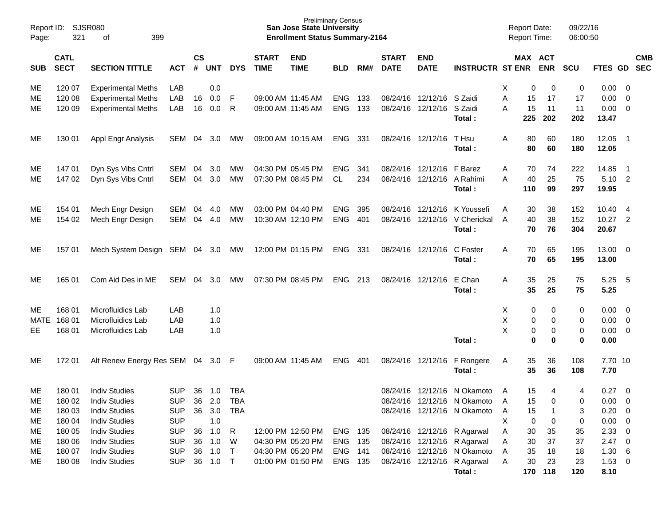| Page:       | Report ID: SJSR080<br>321  | 399<br>οf                                |                          |                    |            |                 |                             | <b>Preliminary Census</b><br><b>San Jose State University</b><br><b>Enrollment Status Summary-2164</b> |                |            |                             |                            |                                         |        | <b>Report Date:</b><br><b>Report Time:</b> |               | 09/22/16<br>06:00:50 |                     |                                                      |            |
|-------------|----------------------------|------------------------------------------|--------------------------|--------------------|------------|-----------------|-----------------------------|--------------------------------------------------------------------------------------------------------|----------------|------------|-----------------------------|----------------------------|-----------------------------------------|--------|--------------------------------------------|---------------|----------------------|---------------------|------------------------------------------------------|------------|
| <b>SUB</b>  | <b>CATL</b><br><b>SECT</b> | <b>SECTION TITTLE</b>                    | <b>ACT</b>               | $\mathsf{cs}$<br># | <b>UNT</b> | <b>DYS</b>      | <b>START</b><br><b>TIME</b> | <b>END</b><br><b>TIME</b>                                                                              | <b>BLD</b>     | RM#        | <b>START</b><br><b>DATE</b> | <b>END</b><br><b>DATE</b>  | <b>INSTRUCTR ST ENR ENR</b>             |        | MAX ACT                                    |               | <b>SCU</b>           | FTES GD SEC         |                                                      | <b>CMB</b> |
| MЕ          | 120 07                     | <b>Experimental Meths</b>                | LAB                      |                    | 0.0        |                 |                             |                                                                                                        |                |            |                             |                            |                                         | Χ      | 0                                          | 0             | 0                    | 0.00                | $\overline{\mathbf{0}}$                              |            |
| MЕ          | 120 08                     | <b>Experimental Meths</b>                | LAB                      | 16                 | 0.0        | F               | 09:00 AM 11:45 AM           |                                                                                                        | <b>ENG</b>     | 133        |                             | 08/24/16 12/12/16          | S Zaidi                                 | A      | 15                                         | 17            | 17                   | 0.00                | $\overline{0}$                                       |            |
| MЕ          | 120 09                     | <b>Experimental Meths</b>                | LAB                      | 16                 | 0.0        | R               | 09:00 AM 11:45 AM           |                                                                                                        | <b>ENG</b>     | 133        |                             | 08/24/16 12/12/16          | S Zaidi<br>Total:                       | Α      | 15<br>225                                  | 11<br>202     | 11<br>202            | 0.00<br>13.47       | $\overline{0}$                                       |            |
| MЕ          | 130 01                     | Appl Engr Analysis                       | SEM                      | 04                 | 3.0        | <b>MW</b>       |                             | 09:00 AM 10:15 AM                                                                                      | <b>ENG</b>     | 331        |                             | 08/24/16 12/12/16          | T Hsu<br>Total:                         | A      | 80<br>80                                   | 60<br>60      | 180<br>180           | 12.05<br>12.05      | $\overline{\phantom{1}}$                             |            |
|             |                            |                                          |                          |                    | 3.0        |                 |                             | 04:30 PM 05:45 PM                                                                                      | <b>ENG</b>     |            |                             | 08/24/16 12/12/16          | F Barez                                 |        |                                            |               | 222                  | 14.85               |                                                      |            |
| ME<br>МE    | 147 01<br>147 02           | Dyn Sys Vibs Cntrl<br>Dyn Sys Vibs Cntrl | <b>SEM</b><br><b>SEM</b> | 04<br>04           | 3.0        | <b>MW</b><br>MW |                             | 07:30 PM 08:45 PM                                                                                      | CL             | 341<br>234 |                             | 08/24/16 12/12/16 A Rahimi |                                         | A<br>Α | 70<br>40                                   | 74<br>25      | 75                   | 5.10                | $\overline{\phantom{1}}$<br>$\overline{\phantom{0}}$ |            |
|             |                            |                                          |                          |                    |            |                 |                             |                                                                                                        |                |            |                             |                            | Total:                                  |        | 110                                        | 99            | 297                  | 19.95               |                                                      |            |
| ME          | 154 01                     | Mech Engr Design                         | <b>SEM</b>               | 04                 | 4.0        | <b>MW</b>       |                             | 03:00 PM 04:40 PM                                                                                      | <b>ENG</b>     | 395        |                             | 08/24/16 12/12/16          | K Youssefi                              | A      | 30                                         | 38            | 152                  | 10.40               | - 4                                                  |            |
| MЕ          | 154 02                     | Mech Engr Design                         | <b>SEM</b>               | 04                 | 4.0        | MW              |                             | 10:30 AM 12:10 PM                                                                                      | <b>ENG</b>     | 401        |                             |                            | 08/24/16 12/12/16 V Cherickal<br>Total: | A      | 40<br>70                                   | 38<br>76      | 152<br>304           | 10.27<br>20.67      | $\overline{2}$                                       |            |
| MЕ          | 157 01                     | Mech System Design SEM 04 3.0            |                          |                    |            | МW              |                             | 12:00 PM 01:15 PM                                                                                      | ENG 331        |            |                             | 08/24/16 12/12/16          | C Foster<br>Total:                      | A      | 70<br>70                                   | 65<br>65      | 195<br>195           | 13.00<br>13.00      | $\overline{\mathbf{0}}$                              |            |
| MЕ          | 165 01                     | Com Aid Des in ME                        | SEM                      | 04                 | 3.0        | МW              |                             | 07:30 PM 08:45 PM                                                                                      | <b>ENG</b>     | 213        |                             | 08/24/16 12/12/16          | E Chan<br>Total:                        | A      | 35<br>35                                   | 25<br>25      | 75<br>75             | 5.25<br>5.25        | - 5                                                  |            |
| ME          | 168 01                     | Microfluidics Lab                        | LAB                      |                    | 1.0        |                 |                             |                                                                                                        |                |            |                             |                            |                                         | X      | 0                                          | 0             | 0                    | 0.00                | $\overline{\mathbf{0}}$                              |            |
| <b>MATE</b> | 168 01                     | Microfluidics Lab                        | LAB                      |                    | 1.0        |                 |                             |                                                                                                        |                |            |                             |                            |                                         | Χ      | 0                                          | 0             | 0                    | 0.00                | $\overline{0}$                                       |            |
| EE          | 168 01                     | Microfluidics Lab                        | LAB                      |                    | 1.0        |                 |                             |                                                                                                        |                |            |                             |                            | Total:                                  | Χ      | 0<br>0                                     | 0<br>0        | 0<br>0               | 0.00<br>0.00        | $\overline{0}$                                       |            |
| MЕ          | 172 01                     | Alt Renew Energy Res SEM 04 3.0 F        |                          |                    |            |                 | 09:00 AM 11:45 AM           |                                                                                                        | <b>ENG</b>     | 401        |                             | 08/24/16 12/12/16          | F Rongere<br>Total:                     | A      | 35<br>35                                   | 36<br>36      | 108<br>108           | 7.70 10<br>7.70     |                                                      |            |
| MЕ          | 180 01                     | <b>Indiv Studies</b>                     | <b>SUP</b>               | 36                 | 1.0        | TBA             |                             |                                                                                                        |                |            |                             |                            | 08/24/16 12/12/16 N Okamoto             | A      | 15                                         | 4             | 4                    | 0.27                | $\overline{\mathbf{0}}$                              |            |
| ME          | 180 02                     | <b>Indiv Studies</b>                     | <b>SUP</b>               | 36                 | 2.0        | <b>TBA</b>      |                             |                                                                                                        |                |            |                             |                            | 08/24/16 12/12/16 N Okamoto             | A      | 15                                         | 0             | 0                    | 0.00                | $\overline{\phantom{0}}$                             |            |
| ME          | 180 03                     | <b>Indiv Studies</b>                     | <b>SUP</b>               | 36                 | 3.0        | <b>TBA</b>      |                             |                                                                                                        |                |            |                             |                            | 08/24/16 12/12/16 N Okamoto             | A      | 15                                         |               | 3                    | $0.20 \ 0$          |                                                      |            |
| ME          | 180 04                     | <b>Indiv Studies</b>                     | <b>SUP</b>               |                    | 1.0        |                 |                             |                                                                                                        |                |            |                             |                            |                                         | Χ      | 0                                          | 0             | 0                    | $0.00 \t 0$         |                                                      |            |
| MЕ          | 180 05                     | <b>Indiv Studies</b>                     | <b>SUP</b>               | 36                 | 1.0        | $\mathsf{R}$    |                             | 12:00 PM 12:50 PM                                                                                      | <b>ENG 135</b> |            |                             |                            | 08/24/16 12/12/16 R Agarwal             | A      | 30                                         | 35            | 35                   | $2.33 \t0$          |                                                      |            |
| ME          | 180 06                     | <b>Indiv Studies</b>                     | <b>SUP</b>               | 36                 | 1.0        | W               |                             | 04:30 PM 05:20 PM                                                                                      | <b>ENG 135</b> |            |                             |                            | 08/24/16 12/12/16 R Agarwal             | A      | 30                                         | 37            | 37                   | $2.47 \t 0$         |                                                      |            |
| ME          | 180 07                     | <b>Indiv Studies</b>                     | <b>SUP</b>               | 36                 | 1.0        | $\top$          |                             | 04:30 PM 05:20 PM                                                                                      | <b>ENG 141</b> |            |                             |                            | 08/24/16 12/12/16 N Okamoto             | A      | 35                                         | 18            | 18                   | $1.30\ 6$           |                                                      |            |
| MЕ          | 180 08                     | <b>Indiv Studies</b>                     | <b>SUP</b>               | 36                 | $1.0$ T    |                 |                             | 01:00 PM 01:50 PM                                                                                      | ENG 135        |            |                             |                            | 08/24/16 12/12/16 R Agarwal<br>Total:   | A      | 30                                         | 23<br>170 118 | 23<br>120            | $1.53 \t 0$<br>8.10 |                                                      |            |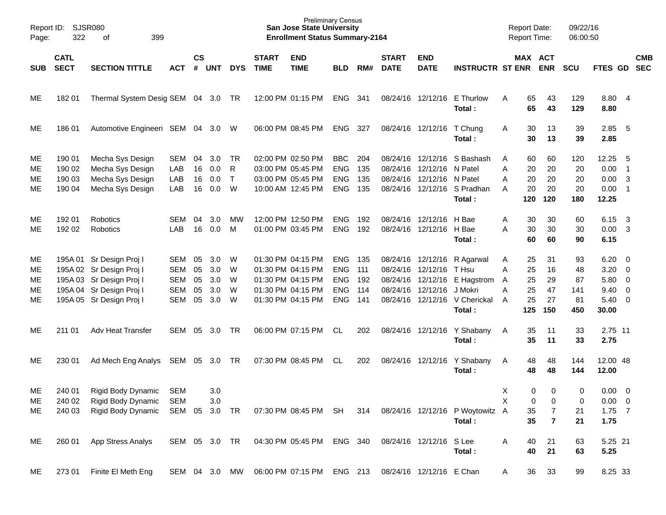| Report ID:<br>Page: | 322                        | SJSR080<br>399<br>οf                                                             |                                        |                |                   |               |                             | <b>San Jose State University</b><br><b>Enrollment Status Summary-2164</b> | <b>Preliminary Census</b>              |                   |                             |                                                    |                                                                         | <b>Report Date:</b><br><b>Report Time:</b> |                       | 09/22/16<br>06:00:50   |                                                 |                                                     |            |
|---------------------|----------------------------|----------------------------------------------------------------------------------|----------------------------------------|----------------|-------------------|---------------|-----------------------------|---------------------------------------------------------------------------|----------------------------------------|-------------------|-----------------------------|----------------------------------------------------|-------------------------------------------------------------------------|--------------------------------------------|-----------------------|------------------------|-------------------------------------------------|-----------------------------------------------------|------------|
| <b>SUB</b>          | <b>CATL</b><br><b>SECT</b> | <b>SECTION TITTLE</b>                                                            | <b>ACT</b>                             | $\mathsf{cs}$  | # UNT             | <b>DYS</b>    | <b>START</b><br><b>TIME</b> | <b>END</b><br><b>TIME</b>                                                 | <b>BLD</b>                             | RM#               | <b>START</b><br><b>DATE</b> | <b>END</b><br><b>DATE</b>                          | <b>INSTRUCTR ST ENR</b>                                                 |                                            | MAX ACT<br><b>ENR</b> | <b>SCU</b>             | FTES GD SEC                                     |                                                     | <b>CMB</b> |
| ME                  | 182 01                     | Thermal System Desig SEM 04 3.0 TR                                               |                                        |                |                   |               |                             | 12:00 PM 01:15 PM                                                         | ENG 341                                |                   |                             |                                                    | 08/24/16 12/12/16 E Thurlow<br>Total:                                   | 65<br>A<br>65                              | 43<br>43              | 129<br>129             | 8.80 4<br>8.80                                  |                                                     |            |
| ME                  | 186 01                     | Automotive Engineeri SEM 04 3.0 W                                                |                                        |                |                   |               |                             | 06:00 PM 08:45 PM                                                         | <b>ENG</b>                             | 327               |                             | 08/24/16 12/12/16 T Chung                          | Total:                                                                  | 30<br>A<br>30                              | 13<br>13              | 39<br>39               | 2.85<br>2.85                                    | $-5$                                                |            |
| ME<br>ME            | 190 01<br>190 02           | Mecha Sys Design<br>Mecha Sys Design                                             | SEM<br>LAB                             | 04<br>16       | 3.0<br>0.0        | TR<br>R       |                             | 02:00 PM 02:50 PM<br>03:00 PM 05:45 PM                                    | <b>BBC</b><br><b>ENG</b>               | 204<br>135        |                             | 08/24/16 12/12/16 N Patel                          | 08/24/16 12/12/16 S Bashash                                             | 60<br>A<br>Α<br>20                         | 60<br>20              | 120<br>20              | 12.25<br>0.00                                   | 5<br>$\overline{\phantom{0}}$ 1                     |            |
| ME<br>ME            | 190 03<br>190 04           | Mecha Sys Design<br>Mecha Sys Design                                             | LAB<br>LAB                             | 16<br>16       | 0.0<br>0.0        | $\top$<br>W   |                             | 03:00 PM 05:45 PM<br>10:00 AM 12:45 PM                                    | <b>ENG</b><br><b>ENG</b>               | 135<br>135        |                             | 08/24/16 12/12/16 N Patel                          | 08/24/16 12/12/16 S Pradhan<br>Total:                                   | 20<br>Α<br>20<br>A<br>120                  | 20<br>20<br>120       | 20<br>20<br>180        | 0.00<br>0.00<br>12.25                           | $\overline{\mathbf{3}}$<br>$\overline{\phantom{1}}$ |            |
| ME<br>ME            | 192 01<br>192 02           | Robotics<br>Robotics                                                             | SEM<br><b>LAB</b>                      | 04<br>16       | 3.0<br>0.0        | МW<br>M       |                             | 12:00 PM 12:50 PM<br>01:00 PM 03:45 PM                                    | <b>ENG</b><br><b>ENG</b>               | 192<br>192        |                             | 08/24/16 12/12/16 H Bae<br>08/24/16 12/12/16 H Bae | Total:                                                                  | 30<br>A<br>30<br>A<br>60                   | 30<br>30<br>60        | 60<br>30<br>90         | 6.15<br>$0.00 \quad 3$<br>6.15                  | $\overline{\mathbf{3}}$                             |            |
| ME<br>ME            |                            | 195A 01 Sr Design Proj I<br>195A 02 Sr Design Proj I                             | SEM<br>SEM                             | 05<br>05       | 3.0<br>3.0        | W<br>W        |                             | 01:30 PM 04:15 PM<br>01:30 PM 04:15 PM                                    | <b>ENG</b><br><b>ENG</b>               | 135<br>111        |                             | 08/24/16 12/12/16 T Hsu                            | 08/24/16 12/12/16 R Agarwal                                             | 25<br>A<br>25<br>Α                         | 31<br>16              | 93<br>48               | $6.20 \quad 0$<br>3.20                          | $\overline{\phantom{0}}$                            |            |
| ME<br>ME<br>ME      |                            | 195A 03 Sr Design Proj I<br>195A 04 Sr Design Proj I<br>195A 05 Sr Design Proj I | <b>SEM</b><br><b>SEM</b><br><b>SEM</b> | 05<br>05<br>05 | 3.0<br>3.0<br>3.0 | W<br>W<br>W   |                             | 01:30 PM 04:15 PM<br>01:30 PM 04:15 PM<br>01:30 PM 04:15 PM               | <b>ENG</b><br><b>ENG</b><br><b>ENG</b> | 192<br>114<br>141 | 08/24/16                    | 12/12/16 J Mokri                                   | 08/24/16 12/12/16 E Hagstrom<br>08/24/16 12/12/16 V Cherickal<br>Total: | 25<br>A<br>25<br>Α<br>25<br>A<br>125       | 29<br>47<br>27<br>150 | 87<br>141<br>81<br>450 | 5.80 0<br>$9.40 \quad 0$<br>$5.40 \ 0$<br>30.00 |                                                     |            |
| ME                  | 211 01                     | Adv Heat Transfer                                                                | SEM                                    | 05             | 3.0               | TR            |                             | 06:00 PM 07:15 PM                                                         | CL.                                    | 202               |                             |                                                    | 08/24/16 12/12/16 Y Shabany<br>Total:                                   | 35<br>A<br>35                              | 11<br>11              | 33<br>33               | 2.75 11<br>2.75                                 |                                                     |            |
| ME                  | 230 01                     | Ad Mech Eng Analys                                                               | SEM 05                                 |                | 3.0               | TR            |                             | 07:30 PM 08:45 PM                                                         | CL.                                    | 202               |                             |                                                    | 08/24/16 12/12/16 Y Shabany<br>Total:                                   | 48<br>A<br>48                              | 48<br>48              | 144<br>144             | 12.00 48<br>12.00                               |                                                     |            |
| ME.<br>ME           | 240 01<br>240 02           | Rigid Body Dynamic<br>Rigid Body Dynamic                                         | <b>SEM</b><br><b>SEM</b>               |                | 3.0<br>3.0        |               |                             |                                                                           |                                        |                   |                             |                                                    |                                                                         | X<br>X                                     | 0<br>0<br>0<br>0      | 0<br>0                 | $0.00 \t 0$<br>$0.00 \t 0$                      |                                                     |            |
| ME                  | 240 03                     | Rigid Body Dynamic                                                               | SEM 05                                 |                | 3.0               | <b>TR</b>     |                             | 07:30 PM 08:45 PM SH                                                      |                                        | 314               |                             |                                                    | 08/24/16 12/12/16 P Woytowitz A<br>Total:                               | 35<br>35                                   | 7<br>$\overline{7}$   | 21<br>21               | $1.75$ 7<br>1.75                                |                                                     |            |
| ME                  | 260 01                     | App Stress Analys                                                                | SEM 05 3.0 TR                          |                |                   |               |                             | 04:30 PM 05:45 PM                                                         | ENG 340                                |                   |                             | 08/24/16 12/12/16 S Lee                            | Total:                                                                  | 40<br>Α<br>40                              | 21<br>21              | 63<br>63               | 5.25 21<br>5.25                                 |                                                     |            |
| ME                  | 27301                      | Finite El Meth Eng                                                               |                                        |                |                   | SEM 04 3.0 MW |                             | 06:00 PM 07:15 PM                                                         | ENG 213                                |                   |                             | 08/24/16 12/12/16 E Chan                           |                                                                         | 36<br>A                                    | 33                    | 99                     | 8.25 33                                         |                                                     |            |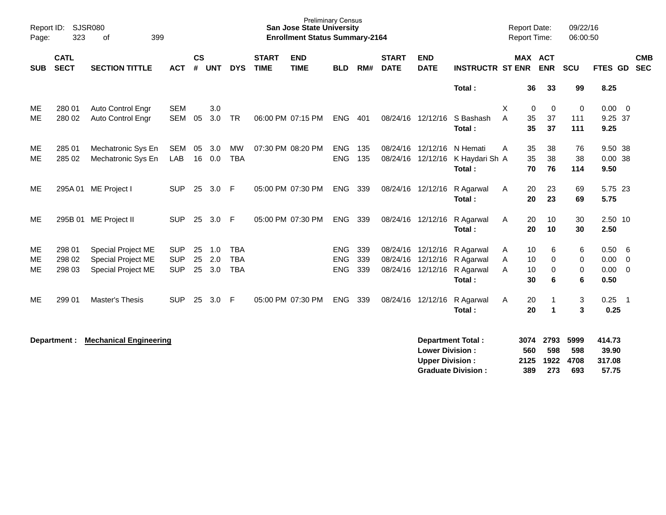| Report ID:<br>Page: | SJSR080<br>323             | of<br>399                                |            |                    |               |                         |                             | <b>Preliminary Census</b><br><b>San Jose State University</b><br><b>Enrollment Status Summary-2164</b> |                          |            |                                        |                                                  |                                                       |   | <b>Report Date:</b><br><b>Report Time:</b> |                            | 09/22/16<br>06:00:50       |                                    |                |                          |
|---------------------|----------------------------|------------------------------------------|------------|--------------------|---------------|-------------------------|-----------------------------|--------------------------------------------------------------------------------------------------------|--------------------------|------------|----------------------------------------|--------------------------------------------------|-------------------------------------------------------|---|--------------------------------------------|----------------------------|----------------------------|------------------------------------|----------------|--------------------------|
| <b>SUB</b>          | <b>CATL</b><br><b>SECT</b> | <b>SECTION TITTLE</b>                    | <b>ACT</b> | $\mathsf{cs}$<br># | <b>UNT</b>    | <b>DYS</b>              | <b>START</b><br><b>TIME</b> | <b>END</b><br><b>TIME</b>                                                                              | <b>BLD</b>               | RM#        | <b>START</b><br><b>DATE</b>            | <b>END</b><br><b>DATE</b>                        | <b>INSTRUCTR ST ENR</b>                               |   | <b>MAX ACT</b>                             | <b>ENR</b>                 | SCU                        | <b>FTES GD</b>                     |                | <b>CMB</b><br><b>SEC</b> |
|                     |                            |                                          |            |                    |               |                         |                             |                                                                                                        |                          |            |                                        |                                                  | Total:                                                |   | 36                                         | 33                         | 99                         | 8.25                               |                |                          |
| ME                  | 280 01                     | Auto Control Engr                        | <b>SEM</b> |                    | 3.0           |                         |                             |                                                                                                        |                          |            |                                        |                                                  |                                                       | X | 0                                          | $\mathbf 0$                | $\mathbf 0$                | 0.00                               | $\overline{0}$ |                          |
| ME                  | 280 02                     | <b>Auto Control Engr</b>                 | SEM        | 05                 | 3.0           | <b>TR</b>               |                             | 06:00 PM 07:15 PM                                                                                      | ENG                      | 401        | 08/24/16 12/12/16                      |                                                  | S Bashash<br>Total:                                   | A | 35<br>35                                   | 37<br>37                   | 111<br>111                 | 9.25 37<br>9.25                    |                |                          |
| ME<br>ME            | 285 01<br>285 02           | Mechatronic Sys En<br>Mechatronic Sys En | SEM<br>LAB | 05                 | 3.0<br>16 0.0 | <b>MW</b><br><b>TBA</b> |                             | 07:30 PM 08:20 PM                                                                                      | <b>ENG</b><br><b>ENG</b> | 135<br>135 | 08/24/16 12/12/16<br>08/24/16 12/12/16 |                                                  | N Hemati<br>K Haydari Sh A<br>Total:                  | A | 35<br>35<br>70                             | 38<br>38<br>76             | 76<br>38<br>114            | 9.50 38<br>0.0038<br>9.50          |                |                          |
| ME                  |                            | 295A 01 ME Project I                     | <b>SUP</b> |                    | 25 3.0 F      |                         |                             | 05:00 PM 07:30 PM                                                                                      | ENG                      | 339        | 08/24/16 12/12/16                      |                                                  | R Agarwal<br>Total:                                   | Α | 20<br>20                                   | 23<br>23                   | 69<br>69                   | 5.75 23<br>5.75                    |                |                          |
| <b>ME</b>           |                            | 295B 01 ME Project II                    | <b>SUP</b> | 25                 | 3.0           | -F                      |                             | 05:00 PM 07:30 PM                                                                                      | ENG                      | 339        |                                        |                                                  | 08/24/16 12/12/16 R Agarwal<br>Total:                 | A | 20<br>20                                   | 10<br>10                   | 30<br>30                   | 2.50 10<br>2.50                    |                |                          |
| ME                  | 298 01                     | Special Project ME                       | <b>SUP</b> | 25                 | 1.0           | <b>TBA</b>              |                             |                                                                                                        | <b>ENG</b>               | 339        | 08/24/16 12/12/16                      |                                                  | R Agarwal                                             | A | 10                                         | 6                          | 6                          | 0.50                               | - 6            |                          |
| ME                  | 298 02                     | Special Project ME                       | <b>SUP</b> | 25                 | 2.0           | <b>TBA</b>              |                             |                                                                                                        | <b>ENG</b>               | 339        |                                        |                                                  | 08/24/16 12/12/16 R Agarwal                           | Α | 10                                         | 0                          | 0                          | 0.00                               | $\overline{0}$ |                          |
| <b>ME</b>           | 298 03                     | Special Project ME                       | <b>SUP</b> |                    | 25 3.0        | <b>TBA</b>              |                             |                                                                                                        | <b>ENG</b>               | 339        |                                        |                                                  | 08/24/16 12/12/16 R Agarwal<br>Total:                 | A | 10<br>30                                   | 0<br>6                     | $\mathbf 0$<br>6           | 0.00<br>0.50                       | $\overline{0}$ |                          |
| <b>ME</b>           | 299 01                     | Master's Thesis                          | <b>SUP</b> | 25                 | 3.0           | -F                      |                             | 05:00 PM 07:30 PM                                                                                      | <b>ENG</b>               | 339        | 08/24/16 12/12/16                      |                                                  | R Agarwal<br>Total:                                   | Α | 20<br>20                                   | $\mathbf 1$<br>$\mathbf 1$ | 3<br>3                     | $0.25$ 1<br>0.25                   |                |                          |
|                     | Department :               | <b>Mechanical Engineering</b>            |            |                    |               |                         |                             |                                                                                                        |                          |            |                                        | <b>Lower Division:</b><br><b>Upper Division:</b> | <b>Department Total:</b><br><b>Graduate Division:</b> |   | 3074<br>560<br>2125<br>389                 | 2793<br>598<br>1922<br>273 | 5999<br>598<br>4708<br>693 | 414.73<br>39.90<br>317.08<br>57.75 |                |                          |